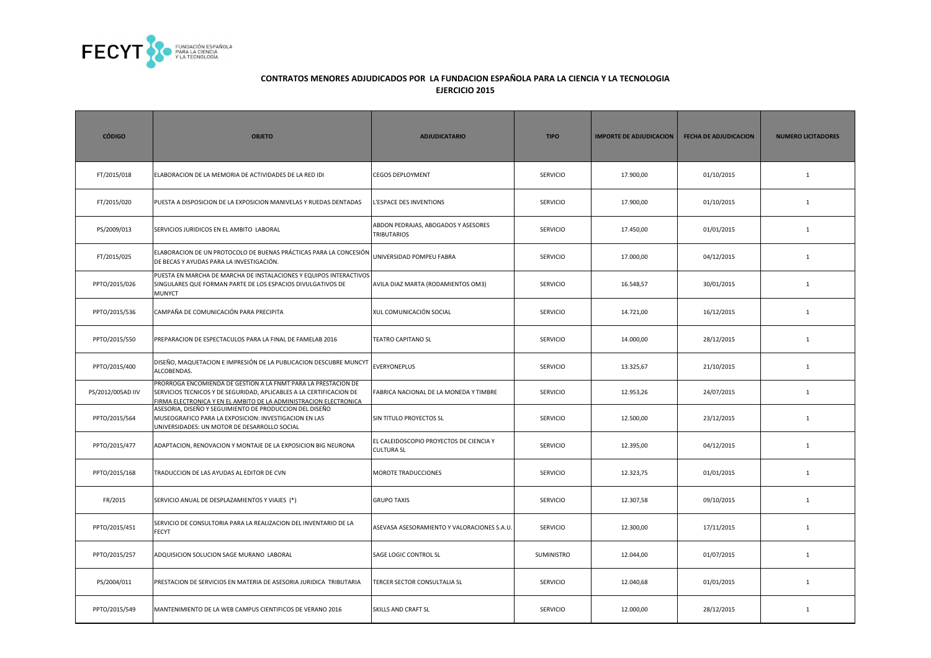

| <b>CÓDIGO</b>     | <b>OBJETO</b>                                                                                                                                                                                              | <b>ADJUDICATARIO</b>                                         | <b>TIPO</b>     | <b>IMPORTE DE ADJUDICACION</b> | <b>FECHA DE ADJUDICACION</b> | <b>NUMERO LICITADORES</b> |
|-------------------|------------------------------------------------------------------------------------------------------------------------------------------------------------------------------------------------------------|--------------------------------------------------------------|-----------------|--------------------------------|------------------------------|---------------------------|
| FT/2015/018       | ELABORACION DE LA MEMORIA DE ACTIVIDADES DE LA RED IDI                                                                                                                                                     | <b>CEGOS DEPLOYMENT</b>                                      | <b>SERVICIO</b> | 17.900,00                      | 01/10/2015                   | $\mathbf{1}$              |
| FT/2015/020       | PUESTA A DISPOSICION DE LA EXPOSICION MANIVELAS Y RUEDAS DENTADAS                                                                                                                                          | L'ESPACE DES INVENTIONS                                      | <b>SERVICIO</b> | 17.900,00                      | 01/10/2015                   | $\mathbf{1}$              |
| PS/2009/013       | SERVICIOS JURIDICOS EN EL AMBITO LABORAL                                                                                                                                                                   | ABDON PEDRAJAS, ABOGADOS Y ASESORES<br>TRIBUTARIOS           | <b>SERVICIO</b> | 17.450,00                      | 01/01/2015                   | $\mathbf{1}$              |
| FT/2015/025       | ELABORACION DE UN PROTOCOLO DE BUENAS PRÁCTICAS PARA LA CONCESIÓN<br>DE BECAS Y AYUDAS PARA LA INVESTIGACIÓN.                                                                                              | UNIVERSIDAD POMPEU FABRA                                     | <b>SERVICIO</b> | 17.000,00                      | 04/12/2015                   | $\mathbf{1}$              |
| PPTO/2015/026     | PUESTA EN MARCHA DE MARCHA DE INSTALACIONES Y EQUIPOS INTERACTIVOS<br>SINGULARES QUE FORMAN PARTE DE LOS ESPACIOS DIVULGATIVOS DE<br><b>MUNYCT</b>                                                         | AVILA DIAZ MARTA (RODAMIENTOS OM3)                           | <b>SERVICIO</b> | 16.548,57                      | 30/01/2015                   | $\mathbf{1}$              |
| PPTO/2015/536     | CAMPAÑA DE COMUNICACIÓN PARA PRECIPITA                                                                                                                                                                     | XUL COMUNICACIÓN SOCIAL                                      | <b>SERVICIO</b> | 14.721,00                      | 16/12/2015                   | $\mathbf{1}$              |
| PPTO/2015/550     | PREPARACION DE ESPECTACULOS PARA LA FINAL DE FAMELAB 2016                                                                                                                                                  | <b>TEATRO CAPITANO SL</b>                                    | <b>SERVICIO</b> | 14.000,00                      | 28/12/2015                   | $\mathbf{1}$              |
| PPTO/2015/400     | DISEÑO, MAQUETACION E IMPRESIÓN DE LA PUBLICACION DESCUBRE MUNCYT<br>ALCOBENDAS.                                                                                                                           | <b>EVERYONEPLUS</b>                                          | <b>SERVICIO</b> | 13.325,67                      | 21/10/2015                   | $\mathbf{1}$              |
| PS/2012/005AD IIV | PRORROGA ENCOMIENDA DE GESTION A LA FNMT PARA LA PRESTACION DE<br>SERVICIOS TECNICOS Y DE SEGURIDAD, APLICABLES A LA CERTIFICACION DE<br>FIRMA ELECTRONICA Y EN EL AMBITO DE LA ADMINISTRACION ELECTRONICA | FABRICA NACIONAL DE LA MONEDA Y TIMBRE                       | <b>SERVICIO</b> | 12.953,26                      | 24/07/2015                   | $\mathbf{1}$              |
| PPTO/2015/564     | ASESORIA, DISEÑO Y SEGUIMIENTO DE PRODUCCION DEL DISEÑO<br>MUSEOGRAFICO PARA LA EXPOSICION: INVESTIGACION EN LAS<br>UNIVERSIDADES: UN MOTOR DE DESARROLLO SOCIAL                                           | SIN TITULO PROYECTOS SL                                      | SERVICIO        | 12.500,00                      | 23/12/2015                   | $\mathbf{1}$              |
| PPTO/2015/477     | ADAPTACION, RENOVACION Y MONTAJE DE LA EXPOSICION BIG NEURONA                                                                                                                                              | EL CALEIDOSCOPIO PROYECTOS DE CIENCIA Y<br><b>CULTURA SL</b> | <b>SERVICIO</b> | 12.395,00                      | 04/12/2015                   | $\mathbf{1}$              |
| PPTO/2015/168     | TRADUCCION DE LAS AYUDAS AL EDITOR DE CVN                                                                                                                                                                  | MOROTE TRADUCCIONES                                          | SERVICIO        | 12.323,75                      | 01/01/2015                   | $\mathbf{1}$              |
| FR/2015           | SERVICIO ANUAL DE DESPLAZAMIENTOS Y VIAJES (*)                                                                                                                                                             | <b>GRUPO TAXIS</b>                                           | SERVICIO        | 12.307,58                      | 09/10/2015                   | $\mathbf{1}$              |
| PPTO/2015/451     | SERVICIO DE CONSULTORIA PARA LA REALIZACION DEL INVENTARIO DE LA<br><b>FECYT</b>                                                                                                                           | ASEVASA ASESORAMIENTO Y VALORACIONES S.A.U.                  | SERVICIO        | 12.300,00                      | 17/11/2015                   | $\mathbf{1}$              |
| PPTO/2015/257     | ADQUISICION SOLUCION SAGE MURANO LABORAL                                                                                                                                                                   | SAGE LOGIC CONTROL SL                                        | SUMINISTRO      | 12.044,00                      | 01/07/2015                   | $\mathbf{1}$              |
| PS/2004/011       | PRESTACION DE SERVICIOS EN MATERIA DE ASESORIA JURIDICA TRIBUTARIA                                                                                                                                         | TERCER SECTOR CONSULTALIA SL                                 | <b>SERVICIO</b> | 12.040,68                      | 01/01/2015                   | $\mathbf{1}$              |
| PPTO/2015/549     | MANTENIMIENTO DE LA WEB CAMPUS CIENTIFICOS DE VERANO 2016                                                                                                                                                  | SKILLS AND CRAFT SL                                          | <b>SERVICIO</b> | 12.000,00                      | 28/12/2015                   | $\mathbf{1}$              |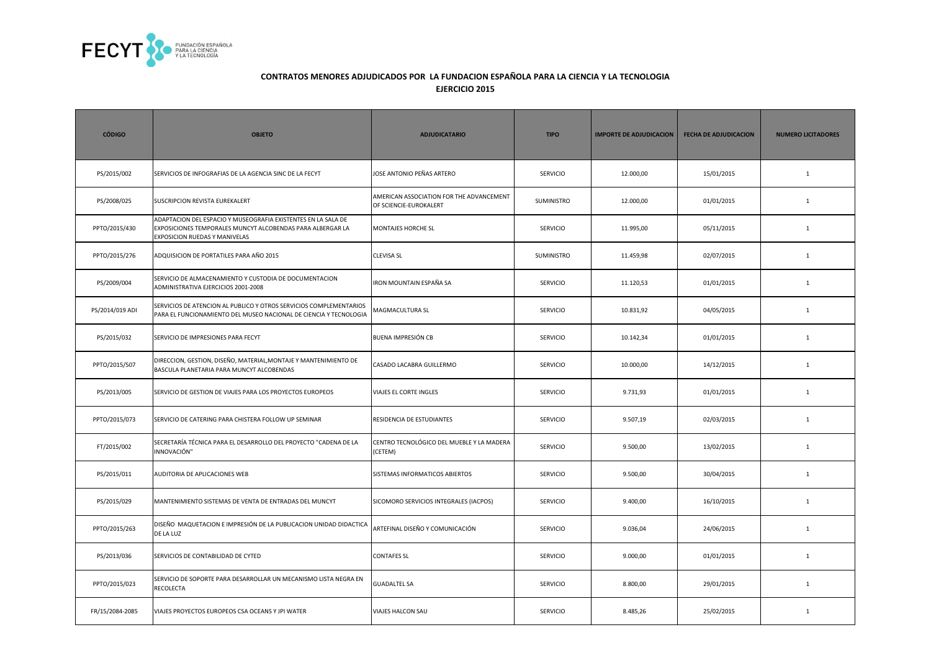

| <b>CÓDIGO</b>   | <b>OBJETO</b>                                                                                                                                                | <b>ADJUDICATARIO</b>                                               | <b>TIPO</b>     | <b>IMPORTE DE ADJUDICACION</b> | <b>FECHA DE ADJUDICACION</b> | <b>NUMERO LICITADORES</b> |
|-----------------|--------------------------------------------------------------------------------------------------------------------------------------------------------------|--------------------------------------------------------------------|-----------------|--------------------------------|------------------------------|---------------------------|
| PS/2015/002     | SERVICIOS DE INFOGRAFIAS DE LA AGENCIA SINC DE LA FECYT                                                                                                      | JOSE ANTONIO PEÑAS ARTERO                                          | <b>SERVICIO</b> | 12.000,00                      | 15/01/2015                   | $\mathbf{1}$              |
| PS/2008/025     | SUSCRIPCION REVISTA EUREKALERT                                                                                                                               | AMERICAN ASSOCIATION FOR THE ADVANCEMENT<br>OF SCIENCIE-EUROKALERT | SUMINISTRO      | 12.000,00                      | 01/01/2015                   | $\mathbf{1}$              |
| PPTO/2015/430   | ADAPTACION DEL ESPACIO Y MUSEOGRAFIA EXISTENTES EN LA SALA DE<br>EXPOSICIONES TEMPORALES MUNCYT ALCOBENDAS PARA ALBERGAR LA<br>EXPOSICION RUEDAS Y MANIVELAS | <b>MONTAJES HORCHE SL</b>                                          | <b>SERVICIO</b> | 11.995,00                      | 05/11/2015                   | 1                         |
| PPTO/2015/276   | ADQUISICION DE PORTATILES PARA AÑO 2015                                                                                                                      | <b>CLEVISA SL</b>                                                  | SUMINISTRO      | 11.459,98                      | 02/07/2015                   | $\mathbf{1}$              |
| PS/2009/004     | SERVICIO DE ALMACENAMIENTO Y CUSTODIA DE DOCUMENTACION<br>ADMINISTRATIVA EJERCICIOS 2001-2008                                                                | IRON MOUNTAIN ESPAÑA SA                                            | <b>SERVICIO</b> | 11.120,53                      | 01/01/2015                   | $\mathbf{1}$              |
| PS/2014/019 ADI | SERVICIOS DE ATENCION AL PUBLICO Y OTROS SERVICIOS COMPLEMENTARIOS<br>PARA EL FUNCIONAMIENTO DEL MUSEO NACIONAL DE CIENCIA Y TECNOLOGIA                      | MAGMACULTURA SL                                                    | <b>SERVICIO</b> | 10.831,92                      | 04/05/2015                   | $\mathbf{1}$              |
| PS/2015/032     | SERVICIO DE IMPRESIONES PARA FECYT                                                                                                                           | BUENA IMPRESIÓN CB                                                 | <b>SERVICIO</b> | 10.142,34                      | 01/01/2015                   | $\mathbf{1}$              |
| PPTO/2015/507   | DIRECCION, GESTION, DISEÑO, MATERIAL, MONTAJE Y MANTENIMIENTO DE<br>BASCULA PLANETARIA PARA MUNCYT ALCOBENDAS                                                | CASADO LACABRA GUILLERMO                                           | <b>SERVICIO</b> | 10.000,00                      | 14/12/2015                   | $\mathbf{1}$              |
| PS/2013/005     | SERVICIO DE GESTION DE VIAJES PARA LOS PROYECTOS EUROPEOS                                                                                                    | VIAJES EL CORTE INGLES                                             | SERVICIO        | 9.731,93                       | 01/01/2015                   | $\mathbf{1}$              |
| PPTO/2015/073   | SERVICIO DE CATERING PARA CHISTERA FOLLOW UP SEMINAR                                                                                                         | RESIDENCIA DE ESTUDIANTES                                          | <b>SERVICIO</b> | 9.507,19                       | 02/03/2015                   | $\mathbf{1}$              |
| FT/2015/002     | SECRETARÍA TÉCNICA PARA EL DESARROLLO DEL PROYECTO "CADENA DE LA<br>INNOVACIÓN"                                                                              | CENTRO TECNOLÓGICO DEL MUEBLE Y LA MADERA<br>(CETEM)               | SERVICIO        | 9.500,00                       | 13/02/2015                   | $1\,$                     |
| PS/2015/011     | AUDITORIA DE APLICACIONES WEB                                                                                                                                | SISTEMAS INFORMATICOS ABIERTOS                                     | <b>SERVICIO</b> | 9.500,00                       | 30/04/2015                   | $\mathbf{1}$              |
| PS/2015/029     | MANTENIMIENTO SISTEMAS DE VENTA DE ENTRADAS DEL MUNCYT                                                                                                       | SICOMORO SERVICIOS INTEGRALES (IACPOS)                             | <b>SERVICIO</b> | 9.400,00                       | 16/10/2015                   | $\mathbf{1}$              |
| PPTO/2015/263   | DISEÑO MAQUETACION E IMPRESIÓN DE LA PUBLICACION UNIDAD DIDACTICA<br>DE LA LUZ                                                                               | ARTEFINAL DISEÑO Y COMUNICACIÓN                                    | <b>SERVICIO</b> | 9.036,04                       | 24/06/2015                   | 1                         |
| PS/2013/036     | SERVICIOS DE CONTABILIDAD DE CYTED                                                                                                                           | <b>CONTAFES SL</b>                                                 | <b>SERVICIO</b> | 9.000,00                       | 01/01/2015                   | $\mathbf{1}$              |
| PPTO/2015/023   | SERVICIO DE SOPORTE PARA DESARROLLAR UN MECANISMO LISTA NEGRA EN<br>RECOLECTA                                                                                | <b>GUADALTEL SA</b>                                                | <b>SERVICIO</b> | 8.800,00                       | 29/01/2015                   | $\mathbf{1}$              |
| FR/15/2084-2085 | VIAJES PROYECTOS EUROPEOS CSA OCEANS Y JPI WATER                                                                                                             | VIAJES HALCON SAU                                                  | <b>SERVICIO</b> | 8.485,26                       | 25/02/2015                   | $\mathbf{1}$              |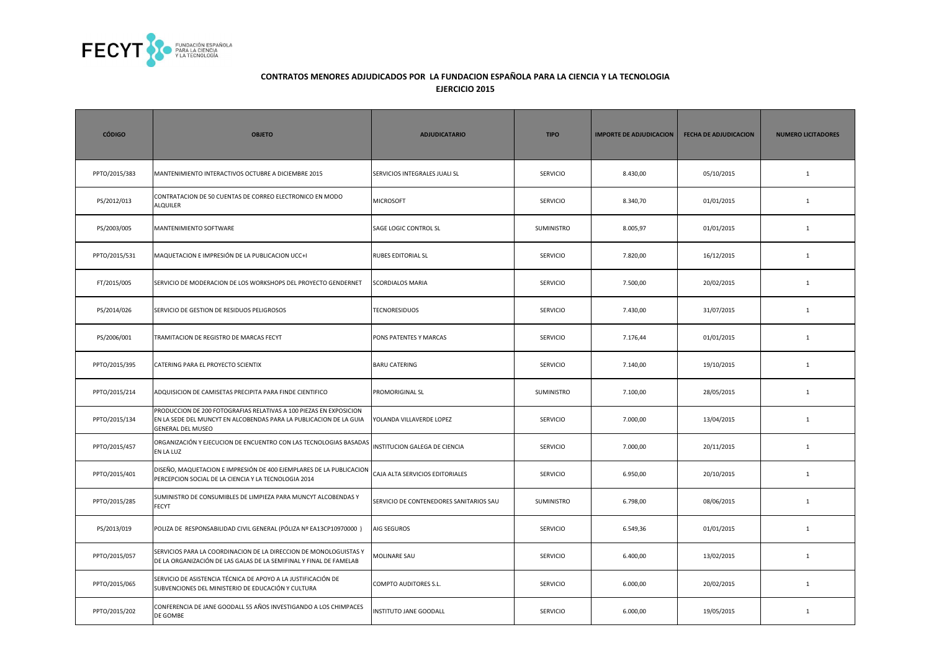

| <b>CÓDIGO</b> | <b>OBJETO</b>                                                                                                                                                        | <b>ADJUDICATARIO</b>                    | <b>TIPO</b>       | <b>IMPORTE DE ADJUDICACION</b> | <b>FECHA DE ADJUDICACION</b> | <b>NUMERO LICITADORES</b> |
|---------------|----------------------------------------------------------------------------------------------------------------------------------------------------------------------|-----------------------------------------|-------------------|--------------------------------|------------------------------|---------------------------|
| PPTO/2015/383 | MANTENIMIENTO INTERACTIVOS OCTUBRE A DICIEMBRE 2015                                                                                                                  | SERVICIOS INTEGRALES JUALI SL           | <b>SERVICIO</b>   | 8.430,00                       | 05/10/2015                   | $\mathbf{1}$              |
| PS/2012/013   | CONTRATACION DE 50 CUENTAS DE CORREO ELECTRONICO EN MODO<br>ALQUILER                                                                                                 | <b>MICROSOFT</b>                        | <b>SERVICIO</b>   | 8.340,70                       | 01/01/2015                   | $\mathbf{1}$              |
| PS/2003/005   | MANTENIMIENTO SOFTWARE                                                                                                                                               | SAGE LOGIC CONTROL SL                   | <b>SUMINISTRO</b> | 8.005,97                       | 01/01/2015                   | $\mathbf{1}$              |
| PPTO/2015/531 | MAQUETACION E IMPRESIÓN DE LA PUBLICACION UCC+I                                                                                                                      | <b>RUBES EDITORIAL SL</b>               | <b>SERVICIO</b>   | 7.820,00                       | 16/12/2015                   | $\mathbf{1}$              |
| FT/2015/005   | SERVICIO DE MODERACION DE LOS WORKSHOPS DEL PROYECTO GENDERNET                                                                                                       | <b>SCORDIALOS MARIA</b>                 | <b>SERVICIO</b>   | 7.500,00                       | 20/02/2015                   | $\mathbf{1}$              |
| PS/2014/026   | SERVICIO DE GESTION DE RESIDUOS PELIGROSOS                                                                                                                           | <b>TECNORESIDUOS</b>                    | SERVICIO          | 7.430,00                       | 31/07/2015                   | $\mathbf 1$               |
| PS/2006/001   | TRAMITACION DE REGISTRO DE MARCAS FECYT                                                                                                                              | PONS PATENTES Y MARCAS                  | <b>SERVICIO</b>   | 7.176,44                       | 01/01/2015                   | $\mathbf{1}$              |
| PPTO/2015/395 | CATERING PARA EL PROYECTO SCIENTIX                                                                                                                                   | <b>BARU CATERING</b>                    | <b>SERVICIO</b>   | 7.140,00                       | 19/10/2015                   | $\mathbf{1}$              |
| PPTO/2015/214 | ADQUISICION DE CAMISETAS PRECIPITA PARA FINDE CIENTIFICO                                                                                                             | PROMORIGINAL SL                         | <b>SUMINISTRO</b> | 7.100,00                       | 28/05/2015                   | $\mathbf{1}$              |
| PPTO/2015/134 | PRODUCCION DE 200 FOTOGRAFIAS RELATIVAS A 100 PIEZAS EN EXPOSICION<br>EN LA SEDE DEL MUNCYT EN ALCOBENDAS PARA LA PUBLICACION DE LA GUIA<br><b>GENERAL DEL MUSEO</b> | YOLANDA VILLAVERDE LOPEZ                | <b>SERVICIO</b>   | 7.000,00                       | 13/04/2015                   | $\mathbf{1}$              |
| PPTO/2015/457 | ORGANIZACIÓN Y EJECUCION DE ENCUENTRO CON LAS TECNOLOGIAS BASADAS<br>EN LA LUZ                                                                                       | INSTITUCION GALEGA DE CIENCIA           | <b>SERVICIO</b>   | 7.000,00                       | 20/11/2015                   | $\mathbf{1}$              |
| PPTO/2015/401 | DISEÑO, MAQUETACION E IMPRESIÓN DE 400 EJEMPLARES DE LA PUBLICACION<br>PERCEPCION SOCIAL DE LA CIENCIA Y LA TECNOLOGIA 2014                                          | CAJA ALTA SERVICIOS EDITORIALES         | <b>SERVICIO</b>   | 6.950,00                       | 20/10/2015                   | $\mathbf{1}$              |
| PPTO/2015/285 | SUMINISTRO DE CONSUMIBLES DE LIMPIEZA PARA MUNCYT ALCOBENDAS Y<br>FECYT                                                                                              | SERVICIO DE CONTENEDORES SANITARIOS SAU | <b>SUMINISTRO</b> | 6.798,00                       | 08/06/2015                   | $\mathbf{1}$              |
| PS/2013/019   | POLIZA DE RESPONSABILIDAD CIVIL GENERAL (PÓLIZA Nº EA13CP10970000 )                                                                                                  | AIG SEGUROS                             | <b>SERVICIO</b>   | 6.549,36                       | 01/01/2015                   | $\mathbf{1}$              |
| PPTO/2015/057 | SERVICIOS PARA LA COORDINACION DE LA DIRECCION DE MONOLOGUISTAS Y<br>DE LA ORGANIZACIÓN DE LAS GALAS DE LA SEMIFINAL Y FINAL DE FAMELAB                              | MOLINARE SAU                            | <b>SERVICIO</b>   | 6.400,00                       | 13/02/2015                   | $\mathbf{1}$              |
| PPTO/2015/065 | SERVICIO DE ASISTENCIA TÉCNICA DE APOYO A LA JUSTIFICACIÓN DE<br>SUBVENCIONES DEL MINISTERIO DE EDUCACIÓN Y CULTURA                                                  | COMPTO AUDITORES S.L.                   | SERVICIO          | 6.000,00                       | 20/02/2015                   | $\mathbf{1}$              |
| PPTO/2015/202 | CONFERENCIA DE JANE GOODALL 55 AÑOS INVESTIGANDO A LOS CHIMPACES<br>DE GOMBE                                                                                         | INSTITUTO JANE GOODALL                  | <b>SERVICIO</b>   | 6.000,00                       | 19/05/2015                   | $\mathbf{1}$              |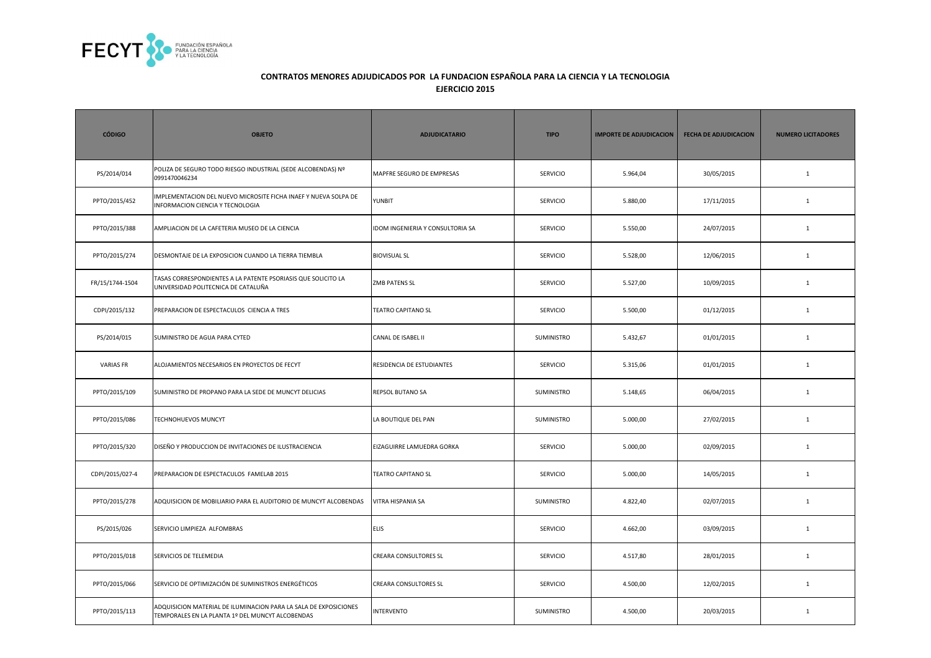

| <b>CÓDIGO</b>    | <b>OBJETO</b>                                                                                                        | <b>ADJUDICATARIO</b>             | <b>TIPO</b>       | <b>IMPORTE DE ADJUDICACION</b> | <b>FECHA DE ADJUDICACION</b> | <b>NUMERO LICITADORES</b> |
|------------------|----------------------------------------------------------------------------------------------------------------------|----------------------------------|-------------------|--------------------------------|------------------------------|---------------------------|
| PS/2014/014      | POLIZA DE SEGURO TODO RIESGO INDUSTRIAL (SEDE ALCOBENDAS) Nº<br>0991470046234                                        | MAPFRE SEGURO DE EMPRESAS        | <b>SERVICIO</b>   | 5.964,04                       | 30/05/2015                   | $\mathbf{1}$              |
| PPTO/2015/452    | IMPLEMENTACION DEL NUEVO MICROSITE FICHA INAEF Y NUEVA SOLPA DE<br>INFORMACION CIENCIA Y TECNOLOGIA                  | <b>YUNBIT</b>                    | <b>SERVICIO</b>   | 5.880,00                       | 17/11/2015                   | $\mathbf{1}$              |
| PPTO/2015/388    | AMPLIACION DE LA CAFETERIA MUSEO DE LA CIENCIA                                                                       | IDOM INGENIERIA Y CONSULTORIA SA | <b>SERVICIO</b>   | 5.550,00                       | 24/07/2015                   | $\mathbf{1}$              |
| PPTO/2015/274    | DESMONTAJE DE LA EXPOSICION CUANDO LA TIERRA TIEMBLA                                                                 | <b>BIOVISUAL SL</b>              | SERVICIO          | 5.528,00                       | 12/06/2015                   | $\mathbf{1}$              |
| FR/15/1744-1504  | TASAS CORRESPONDIENTES A LA PATENTE PSORIASIS QUE SOLICITO LA<br>UNIVERSIDAD POLITECNICA DE CATALUÑA                 | ZMB PATENS SL                    | <b>SERVICIO</b>   | 5.527,00                       | 10/09/2015                   | $\mathbf{1}$              |
| CDPI/2015/132    | PREPARACION DE ESPECTACULOS CIENCIA A TRES                                                                           | <b>TEATRO CAPITANO SL</b>        | <b>SERVICIO</b>   | 5.500,00                       | 01/12/2015                   | $\mathbf{1}$              |
| PS/2014/015      | SUMINISTRO DE AGUA PARA CYTED                                                                                        | CANAL DE ISABEL II               | <b>SUMINISTRO</b> | 5.432,67                       | 01/01/2015                   | $\mathbf{1}$              |
| <b>VARIAS FR</b> | ALOJAMIENTOS NECESARIOS EN PROYECTOS DE FECYT                                                                        | RESIDENCIA DE ESTUDIANTES        | <b>SERVICIO</b>   | 5.315,06                       | 01/01/2015                   | $\mathbf{1}$              |
| PPTO/2015/109    | SUMINISTRO DE PROPANO PARA LA SEDE DE MUNCYT DELICIAS                                                                | REPSOL BUTANO SA                 | <b>SUMINISTRO</b> | 5.148,65                       | 06/04/2015                   | $\mathbf{1}$              |
| PPTO/2015/086    | TECHNOHUEVOS MUNCYT                                                                                                  | LA BOUTIQUE DEL PAN              | <b>SUMINISTRO</b> | 5.000,00                       | 27/02/2015                   | $\mathbf{1}$              |
| PPTO/2015/320    | DISEÑO Y PRODUCCION DE INVITACIONES DE ILUSTRACIENCIA                                                                | EIZAGUIRRE LAMUEDRA GORKA        | <b>SERVICIO</b>   | 5.000,00                       | 02/09/2015                   | $\mathbf{1}$              |
| CDPI/2015/027-4  | PREPARACION DE ESPECTACULOS FAMELAB 2015                                                                             | <b>TEATRO CAPITANO SL</b>        | <b>SERVICIO</b>   | 5.000,00                       | 14/05/2015                   | $\mathbf{1}$              |
| PPTO/2015/278    | ADQUISICION DE MOBILIARIO PARA EL AUDITORIO DE MUNCYT ALCOBENDAS                                                     | VITRA HISPANIA SA                | <b>SUMINISTRO</b> | 4.822,40                       | 02/07/2015                   | $\mathbf{1}$              |
| PS/2015/026      | SERVICIO LIMPIEZA ALFOMBRAS                                                                                          | <b>ELIS</b>                      | <b>SERVICIO</b>   | 4.662,00                       | 03/09/2015                   | 1                         |
| PPTO/2015/018    | SERVICIOS DE TELEMEDIA                                                                                               | CREARA CONSULTORES SL            | <b>SERVICIO</b>   | 4.517,80                       | 28/01/2015                   | $\mathbf{1}$              |
| PPTO/2015/066    | SERVICIO DE OPTIMIZACIÓN DE SUMINISTROS ENERGÉTICOS                                                                  | CREARA CONSULTORES SL            | <b>SERVICIO</b>   | 4.500,00                       | 12/02/2015                   | $\mathbf{1}$              |
| PPTO/2015/113    | ADQUISICION MATERIAL DE ILUMINACION PARA LA SALA DE EXPOSICIONES<br>TEMPORALES EN LA PLANTA 1º DEL MUNCYT ALCOBENDAS | <b>INTERVENTO</b>                | SUMINISTRO        | 4.500,00                       | 20/03/2015                   | $\mathbf{1}$              |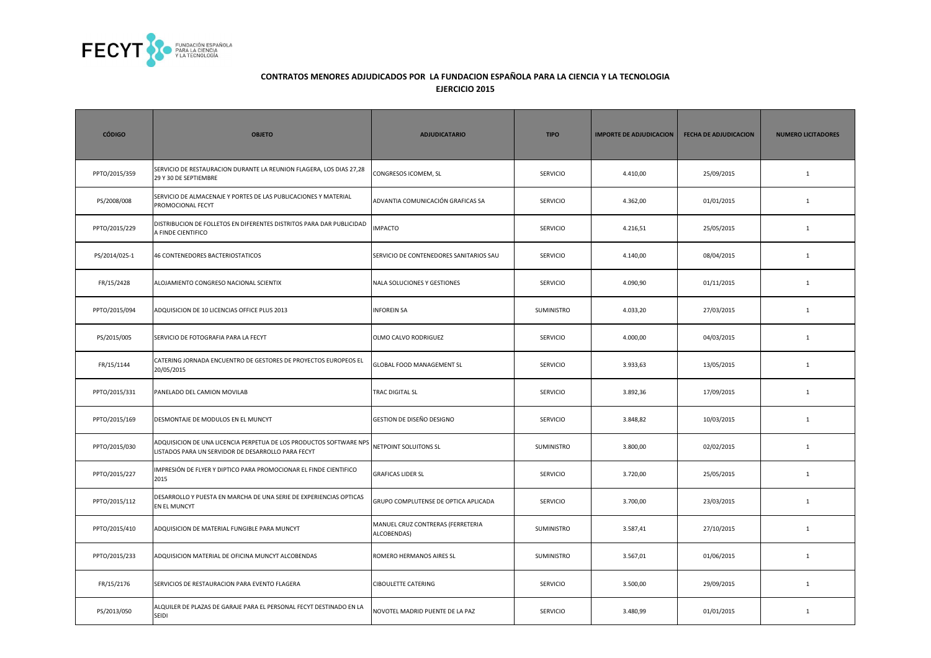

| <b>CÓDIGO</b> | <b>OBJETO</b>                                                                                                            | <b>ADJUDICATARIO</b>                             | <b>TIPO</b>       | <b>IMPORTE DE ADJUDICACION</b> | <b>FECHA DE ADJUDICACION</b> | <b>NUMERO LICITADORES</b> |
|---------------|--------------------------------------------------------------------------------------------------------------------------|--------------------------------------------------|-------------------|--------------------------------|------------------------------|---------------------------|
| PPTO/2015/359 | SERVICIO DE RESTAURACION DURANTE LA REUNION FLAGERA, LOS DIAS 27,28<br>29 Y 30 DE SEPTIEMBRE                             | CONGRESOS ICOMEM, SL                             | <b>SERVICIO</b>   | 4.410,00                       | 25/09/2015                   | $\mathbf{1}$              |
| PS/2008/008   | SERVICIO DE ALMACENAJE Y PORTES DE LAS PUBLICACIONES Y MATERIAL<br>PROMOCIONAL FECYT                                     | ADVANTIA COMUNICACIÓN GRAFICAS SA                | <b>SERVICIO</b>   | 4.362,00                       | 01/01/2015                   | $\mathbf{1}$              |
| PPTO/2015/229 | DISTRIBUCION DE FOLLETOS EN DIFERENTES DISTRITOS PARA DAR PUBLICIDAD<br>A FINDE CIENTIFICO                               | <b>IMPACTO</b>                                   | <b>SERVICIO</b>   | 4.216,51                       | 25/05/2015                   | $\mathbf{1}$              |
| PS/2014/025-1 | 46 CONTENEDORES BACTERIOSTATICOS                                                                                         | SERVICIO DE CONTENEDORES SANITARIOS SAU          | <b>SERVICIO</b>   | 4.140,00                       | 08/04/2015                   | $\mathbf{1}$              |
| FR/15/2428    | ALOJAMIENTO CONGRESO NACIONAL SCIENTIX                                                                                   | NALA SOLUCIONES Y GESTIONES                      | <b>SERVICIO</b>   | 4.090,90                       | 01/11/2015                   | $\mathbf{1}$              |
| PPTO/2015/094 | ADQUISICION DE 10 LICENCIAS OFFICE PLUS 2013                                                                             | <b>INFOREIN SA</b>                               | <b>SUMINISTRO</b> | 4.033,20                       | 27/03/2015                   | $\mathbf{1}$              |
| PS/2015/005   | SERVICIO DE FOTOGRAFIA PARA LA FECYT                                                                                     | OLMO CALVO RODRIGUEZ                             | <b>SERVICIO</b>   | 4.000,00                       | 04/03/2015                   | $\mathbf{1}$              |
| FR/15/1144    | CATERING JORNADA ENCUENTRO DE GESTORES DE PROYECTOS EUROPEOS EL<br>20/05/2015                                            | GLOBAL FOOD MANAGEMENT SL                        | <b>SERVICIO</b>   | 3.933,63                       | 13/05/2015                   | $\mathbf{1}$              |
| PPTO/2015/331 | PANELADO DEL CAMION MOVILAB                                                                                              | TRAC DIGITAL SL                                  | <b>SERVICIO</b>   | 3.892,36                       | 17/09/2015                   | $\mathbf{1}$              |
| PPTO/2015/169 | DESMONTAJE DE MODULOS EN EL MUNCYT                                                                                       | GESTION DE DISEÑO DESIGNO                        | <b>SERVICIO</b>   | 3.848,82                       | 10/03/2015                   | $\mathbf{1}$              |
| PPTO/2015/030 | ADQUISICION DE UNA LICENCIA PERPETUA DE LOS PRODUCTOS SOFTWARE NPS<br>LISTADOS PARA UN SERVIDOR DE DESARROLLO PARA FECYT | NETPOINT SOLUITONS SL                            | <b>SUMINISTRO</b> | 3.800,00                       | 02/02/2015                   | $\mathbf{1}$              |
| PPTO/2015/227 | IMPRESIÓN DE FLYER Y DIPTICO PARA PROMOCIONAR EL FINDE CIENTIFICO<br>2015                                                | <b>GRAFICAS LIDER SL</b>                         | <b>SERVICIO</b>   | 3.720,00                       | 25/05/2015                   | $\mathbf{1}$              |
| PPTO/2015/112 | DESARROLLO Y PUESTA EN MARCHA DE UNA SERIE DE EXPERIENCIAS OPTICAS<br><b>EN EL MUNCYT</b>                                | GRUPO COMPLUTENSE DE OPTICA APLICADA             | <b>SERVICIO</b>   | 3.700,00                       | 23/03/2015                   | 1                         |
| PPTO/2015/410 | ADQUISICION DE MATERIAL FUNGIBLE PARA MUNCYT                                                                             | MANUEL CRUZ CONTRERAS (FERRETERIA<br>ALCOBENDAS) | <b>SUMINISTRO</b> | 3.587,41                       | 27/10/2015                   | 1                         |
| PPTO/2015/233 | ADQUISICION MATERIAL DE OFICINA MUNCYT ALCOBENDAS                                                                        | ROMERO HERMANOS AIRES SL                         | <b>SUMINISTRO</b> | 3.567,01                       | 01/06/2015                   | $\mathbf{1}$              |
| FR/15/2176    | SERVICIOS DE RESTAURACION PARA EVENTO FLAGERA                                                                            | <b>CIBOULETTE CATERING</b>                       | SERVICIO          | 3.500,00                       | 29/09/2015                   | $\mathbf{1}$              |
| PS/2013/050   | ALQUILER DE PLAZAS DE GARAJE PARA EL PERSONAL FECYT DESTINADO EN LA<br>SEIDI                                             | NOVOTEL MADRID PUENTE DE LA PAZ                  | SERVICIO          | 3.480,99                       | 01/01/2015                   | $\mathbf{1}$              |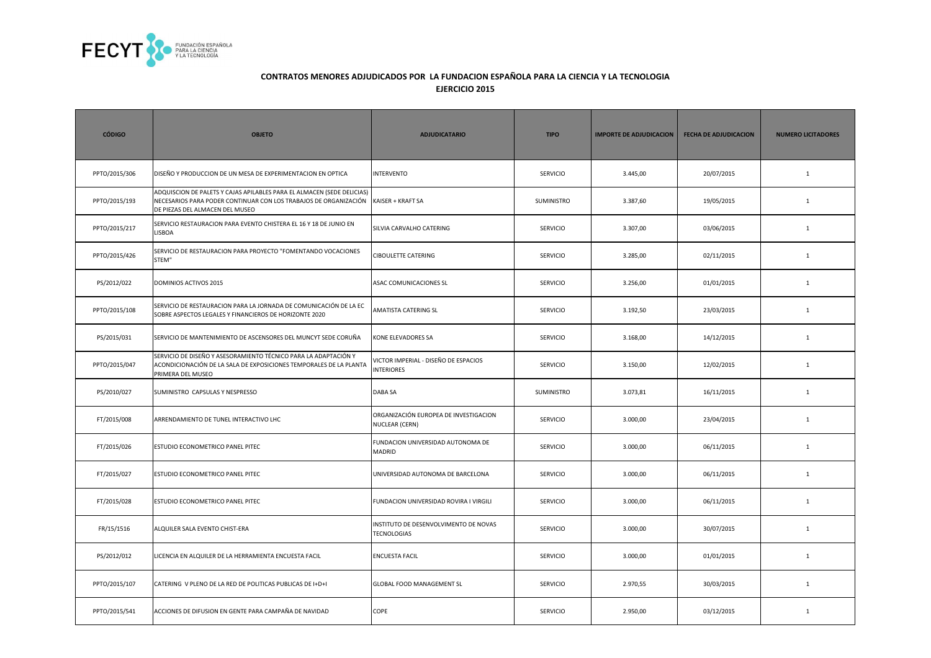

| <b>CÓDIGO</b> | <b>OBJETO</b>                                                                                                                                                                 | <b>ADJUDICATARIO</b>                                           | <b>TIPO</b>     | <b>IMPORTE DE ADJUDICACION</b> | <b>FECHA DE ADJUDICACION</b> | <b>NUMERO LICITADORES</b> |
|---------------|-------------------------------------------------------------------------------------------------------------------------------------------------------------------------------|----------------------------------------------------------------|-----------------|--------------------------------|------------------------------|---------------------------|
| PPTO/2015/306 | DISEÑO Y PRODUCCION DE UN MESA DE EXPERIMENTACION EN OPTICA                                                                                                                   | <b>INTERVENTO</b>                                              | SERVICIO        | 3.445,00                       | 20/07/2015                   | $\mathbf{1}$              |
| PPTO/2015/193 | ADQUISCION DE PALETS Y CAJAS APILABLES PARA EL ALMACEN (SEDE DELICIAS)<br>NECESARIOS PARA PODER CONTINUAR CON LOS TRABAJOS DE ORGANIZACIÓN<br>DE PIEZAS DEL ALMACEN DEL MUSEO | KAISER + KRAFT SA                                              | SUMINISTRO      | 3.387,60                       | 19/05/2015                   | $\mathbf{1}$              |
| PPTO/2015/217 | SERVICIO RESTAURACION PARA EVENTO CHISTERA EL 16 Y 18 DE JUNIO EN<br>LISBOA                                                                                                   | SILVIA CARVALHO CATERING                                       | <b>SERVICIO</b> | 3.307,00                       | 03/06/2015                   | $\mathbf{1}$              |
| PPTO/2015/426 | SERVICIO DE RESTAURACION PARA PROYECTO "FOMENTANDO VOCACIONES<br>STEM"                                                                                                        | <b>CIBOULETTE CATERING</b>                                     | <b>SERVICIO</b> | 3.285,00                       | 02/11/2015                   | $\mathbf{1}$              |
| PS/2012/022   | <b>DOMINIOS ACTIVOS 2015</b>                                                                                                                                                  | ASAC COMUNICACIONES SL                                         | <b>SERVICIO</b> | 3.256,00                       | 01/01/2015                   | $\mathbf{1}$              |
| PPTO/2015/108 | SERVICIO DE RESTAURACION PARA LA JORNADA DE COMUNICACIÓN DE LA EC<br>SOBRE ASPECTOS LEGALES Y FINANCIEROS DE HORIZONTE 2020                                                   | AMATISTA CATERING SL                                           | <b>SERVICIO</b> | 3.192,50                       | 23/03/2015                   | $\mathbf{1}$              |
| PS/2015/031   | SERVICIO DE MANTENIMIENTO DE ASCENSORES DEL MUNCYT SEDE CORUÑA                                                                                                                | KONE ELEVADORES SA                                             | SERVICIO        | 3.168,00                       | 14/12/2015                   | $\mathbf 1$               |
| PPTO/2015/047 | SERVICIO DE DISEÑO Y ASESORAMIENTO TÉCNICO PARA LA ADAPTACIÓN Y<br>ACONDICIONACIÓN DE LA SALA DE EXPOSICIONES TEMPORALES DE LA PLANTA<br>PRIMERA DEL MUSEO                    | VICTOR IMPERIAL - DISEÑO DE ESPACIOS<br><b>INTERIORES</b>      | SERVICIO        | 3.150,00                       | 12/02/2015                   | $\mathbf 1$               |
| PS/2010/027   | SUMINISTRO CAPSULAS Y NESPRESSO                                                                                                                                               | DABA SA                                                        | SUMINISTRO      | 3.073,81                       | 16/11/2015                   | $\mathbf 1$               |
| FT/2015/008   | ARRENDAMIENTO DE TUNEL INTERACTIVO LHC                                                                                                                                        | ORGANIZACIÓN EUROPEA DE INVESTIGACION<br><b>NUCLEAR (CERN)</b> | <b>SERVICIO</b> | 3.000,00                       | 23/04/2015                   | $\mathbf{1}$              |
| FT/2015/026   | ESTUDIO ECONOMETRICO PANEL PITEC                                                                                                                                              | FUNDACION UNIVERSIDAD AUTONOMA DE<br><b>MADRID</b>             | <b>SERVICIO</b> | 3.000,00                       | 06/11/2015                   | $\mathbf{1}$              |
| FT/2015/027   | ESTUDIO ECONOMETRICO PANEL PITEC                                                                                                                                              | UNIVERSIDAD AUTONOMA DE BARCELONA                              | <b>SERVICIO</b> | 3.000,00                       | 06/11/2015                   | $\mathbf{1}$              |
| FT/2015/028   | ESTUDIO ECONOMETRICO PANEL PITEC                                                                                                                                              | FUNDACION UNIVERSIDAD ROVIRA I VIRGILI                         | <b>SERVICIO</b> | 3.000,00                       | 06/11/2015                   | $\mathbf{1}$              |
| FR/15/1516    | ALQUILER SALA EVENTO CHIST-ERA                                                                                                                                                | INSTITUTO DE DESENVOLVIMENTO DE NOVAS<br><b>TECNOLOGIAS</b>    | <b>SERVICIO</b> | 3.000,00                       | 30/07/2015                   | $\mathbf{1}$              |
| PS/2012/012   | LICENCIA EN ALQUILER DE LA HERRAMIENTA ENCUESTA FACIL                                                                                                                         | <b>ENCUESTA FACIL</b>                                          | SERVICIO        | 3.000,00                       | 01/01/2015                   | $\mathbf{1}$              |
| PPTO/2015/107 | CATERING V PLENO DE LA RED DE POLITICAS PUBLICAS DE I+D+I                                                                                                                     | GLOBAL FOOD MANAGEMENT SL                                      | <b>SERVICIO</b> | 2.970,55                       | 30/03/2015                   | $\mathbf{1}$              |
| PPTO/2015/541 | ACCIONES DE DIFUSION EN GENTE PARA CAMPAÑA DE NAVIDAD                                                                                                                         | COPE                                                           | <b>SERVICIO</b> | 2.950,00                       | 03/12/2015                   | $\mathbf{1}$              |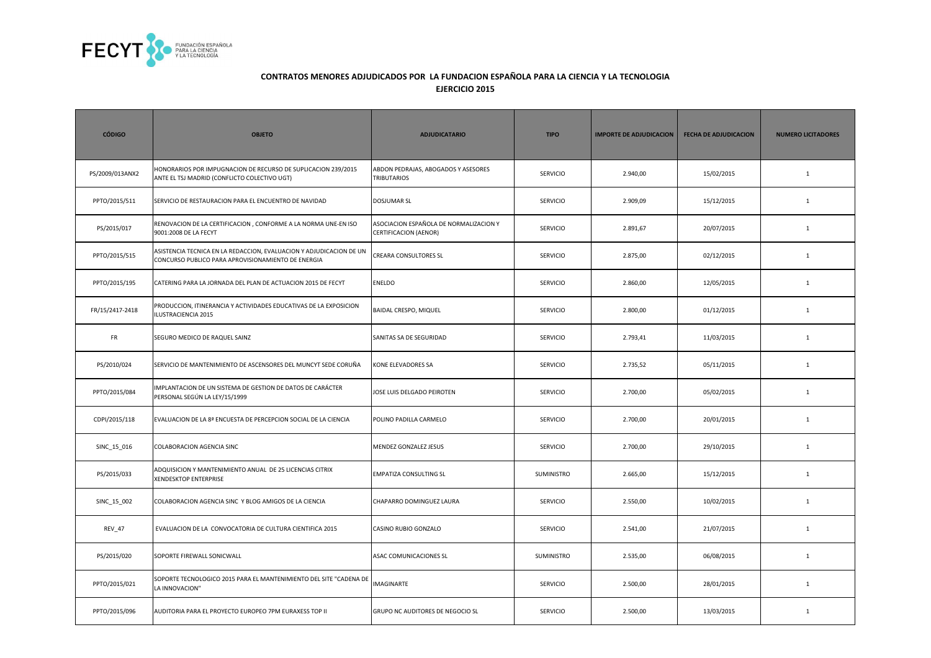

| <b>CÓDIGO</b>   | <b>OBJETO</b>                                                                                                             | <b>ADJUDICATARIO</b>                                            | <b>TIPO</b>       | <b>IMPORTE DE ADJUDICACION</b> | <b>FECHA DE ADJUDICACION</b> | <b>NUMERO LICITADORES</b> |
|-----------------|---------------------------------------------------------------------------------------------------------------------------|-----------------------------------------------------------------|-------------------|--------------------------------|------------------------------|---------------------------|
| PS/2009/013ANX2 | HONORARIOS POR IMPUGNACION DE RECURSO DE SUPLICACION 239/2015<br>ANTE EL TSJ MADRID (CONFLICTO COLECTIVO UGT)             | ABDON PEDRAJAS, ABOGADOS Y ASESORES<br><b>TRIBUTARIOS</b>       | <b>SERVICIO</b>   | 2.940,00                       | 15/02/2015                   | $\mathbf{1}$              |
| PPTO/2015/511   | SERVICIO DE RESTAURACION PARA EL ENCUENTRO DE NAVIDAD                                                                     | <b>DOSJUMAR SL</b>                                              | <b>SERVICIO</b>   | 2.909,09                       | 15/12/2015                   | $\mathbf{1}$              |
| PS/2015/017     | RENOVACION DE LA CERTIFICACION, CONFORME A LA NORMA UNE-EN ISO<br>9001:2008 DE LA FECYT                                   | ASOCIACION ESPAÑOLA DE NORMALIZACION Y<br>CERTIFICACION (AENOR) | <b>SERVICIO</b>   | 2.891,67                       | 20/07/2015                   | $\mathbf{1}$              |
| PPTO/2015/515   | ASISTENCIA TECNICA EN LA REDACCION, EVALUACION Y ADJUDICACION DE UN<br>CONCURSO PUBLICO PARA APROVISIONAMIENTO DE ENERGIA | CREARA CONSULTORES SL                                           | SERVICIO          | 2.875,00                       | 02/12/2015                   | $\mathbf{1}$              |
| PPTO/2015/195   | CATERING PARA LA JORNADA DEL PLAN DE ACTUACION 2015 DE FECYT                                                              | <b>ENELDO</b>                                                   | <b>SERVICIO</b>   | 2.860,00                       | 12/05/2015                   | $\mathbf{1}$              |
| FR/15/2417-2418 | PRODUCCION, ITINERANCIA Y ACTIVIDADES EDUCATIVAS DE LA EXPOSICION<br>ILUSTRACIENCIA 2015                                  | BAIDAL CRESPO, MIQUEL                                           | <b>SERVICIO</b>   | 2.800,00                       | 01/12/2015                   | $\mathbf{1}$              |
| FR              | SEGURO MEDICO DE RAQUEL SAINZ                                                                                             | SANITAS SA DE SEGURIDAD                                         | <b>SERVICIO</b>   | 2.793,41                       | 11/03/2015                   | $\mathbf{1}$              |
| PS/2010/024     | SERVICIO DE MANTENIMIENTO DE ASCENSORES DEL MUNCYT SEDE CORUÑA                                                            | KONE ELEVADORES SA                                              | <b>SERVICIO</b>   | 2.735,52                       | 05/11/2015                   | $\mathbf{1}$              |
| PPTO/2015/084   | IMPLANTACION DE UN SISTEMA DE GESTION DE DATOS DE CARÁCTER<br>PERSONAL SEGÚN LA LEY/15/1999                               | JOSE LUIS DELGADO PEIROTEN                                      | <b>SERVICIO</b>   | 2.700,00                       | 05/02/2015                   | $\mathbf{1}$              |
| CDPI/2015/118   | EVALUACION DE LA 8ª ENCUESTA DE PERCEPCION SOCIAL DE LA CIENCIA                                                           | POLINO PADILLA CARMELO                                          | <b>SERVICIO</b>   | 2.700,00                       | 20/01/2015                   | $\mathbf{1}$              |
| SINC_15_016     | COLABORACION AGENCIA SINC                                                                                                 | MENDEZ GONZALEZ JESUS                                           | <b>SERVICIO</b>   | 2.700,00                       | 29/10/2015                   | $\mathbf{1}$              |
| PS/2015/033     | ADQUISICION Y MANTENIMIENTO ANUAL DE 25 LICENCIAS CITRIX<br><b>XENDESKTOP ENTERPRISE</b>                                  | EMPATIZA CONSULTING SL                                          | SUMINISTRO        | 2.665,00                       | 15/12/2015                   | $\mathbf{1}$              |
| SINC_15_002     | COLABORACION AGENCIA SINC Y BLOG AMIGOS DE LA CIENCIA                                                                     | CHAPARRO DOMINGUEZ LAURA                                        | <b>SERVICIO</b>   | 2.550,00                       | 10/02/2015                   | $\mathbf{1}$              |
| <b>REV 47</b>   | EVALUACION DE LA CONVOCATORIA DE CULTURA CIENTIFICA 2015                                                                  | CASINO RUBIO GONZALO                                            | <b>SERVICIO</b>   | 2.541,00                       | 21/07/2015                   | 1                         |
| PS/2015/020     | SOPORTE FIREWALL SONICWALL                                                                                                | ASAC COMUNICACIONES SL                                          | <b>SUMINISTRO</b> | 2.535,00                       | 06/08/2015                   | $\mathbf{1}$              |
| PPTO/2015/021   | SOPORTE TECNOLOGICO 2015 PARA EL MANTENIMIENTO DEL SITE "CADENA DE<br>LA INNOVACION"                                      | <b>IMAGINARTE</b>                                               | <b>SERVICIO</b>   | 2.500,00                       | 28/01/2015                   | $\mathbf{1}$              |
| PPTO/2015/096   | AUDITORIA PARA EL PROYECTO EUROPEO 7PM EURAXESS TOP II                                                                    | GRUPO NC AUDITORES DE NEGOCIO SL                                | SERVICIO          | 2.500,00                       | 13/03/2015                   | $\mathbf{1}$              |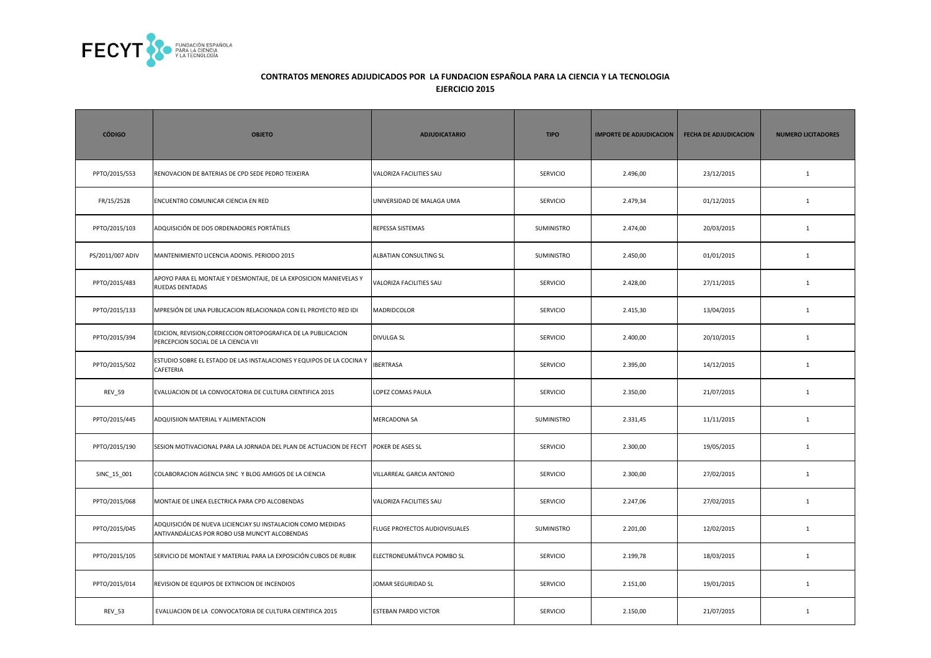

| <b>CÓDIGO</b>    | <b>OBJETO</b>                                                                                                | <b>ADJUDICATARIO</b>          | <b>TIPO</b>     | <b>IMPORTE DE ADJUDICACION</b> | <b>FECHA DE ADJUDICACION</b> | <b>NUMERO LICITADORES</b> |
|------------------|--------------------------------------------------------------------------------------------------------------|-------------------------------|-----------------|--------------------------------|------------------------------|---------------------------|
| PPTO/2015/553    | RENOVACION DE BATERIAS DE CPD SEDE PEDRO TEIXEIRA                                                            | VALORIZA FACILITIES SAU       | SERVICIO        | 2.496,00                       | 23/12/2015                   | $\mathbf{1}$              |
| FR/15/2528       | ENCUENTRO COMUNICAR CIENCIA EN RED                                                                           | UNIVERSIDAD DE MALAGA UMA     | <b>SERVICIO</b> | 2.479,34                       | 01/12/2015                   | $\mathbf{1}$              |
| PPTO/2015/103    | ADQUISICIÓN DE DOS ORDENADORES PORTÁTILES                                                                    | REPESSA SISTEMAS              | SUMINISTRO      | 2.474,00                       | 20/03/2015                   | $\mathbf{1}$              |
| PS/2011/007 ADIV | MANTENIMIENTO LICENCIA ADONIS. PERIODO 2015                                                                  | ALBATIAN CONSULTING SL        | SUMINISTRO      | 2.450,00                       | 01/01/2015                   | $\mathbf{1}$              |
| PPTO/2015/483    | APOYO PARA EL MONTAJE Y DESMONTAJE, DE LA EXPOSICION MANIEVELAS Y<br>RUEDAS DENTADAS                         | VALORIZA FACILITIES SAU       | SERVICIO        | 2.428,00                       | 27/11/2015                   | $\mathbf{1}$              |
| PPTO/2015/133    | MPRESIÓN DE UNA PUBLICACION RELACIONADA CON EL PROYECTO RED IDI                                              | MADRIDCOLOR                   | <b>SERVICIO</b> | 2.415,30                       | 13/04/2015                   | $\mathbf{1}$              |
| PPTO/2015/394    | EDICION, REVISION, CORRECCION ORTOPOGRAFICA DE LA PUBLICACION<br>PERCEPCION SOCIAL DE LA CIENCIA VII         | <b>DIVULGA SL</b>             | <b>SERVICIO</b> | 2.400,00                       | 20/10/2015                   | $\mathbf{1}$              |
| PPTO/2015/502    | ESTUDIO SOBRE EL ESTADO DE LAS INSTALACIONES Y EQUIPOS DE LA COCINA Y<br>CAFETERIA                           | <b>IBERTRASA</b>              | <b>SERVICIO</b> | 2.395,00                       | 14/12/2015                   | $\mathbf{1}$              |
| <b>REV_59</b>    | EVALUACION DE LA CONVOCATORIA DE CULTURA CIENTIFICA 2015                                                     | LOPEZ COMAS PAULA             | <b>SERVICIO</b> | 2.350,00                       | 21/07/2015                   | $\mathbf{1}$              |
| PPTO/2015/445    | ADQUISIION MATERIAL Y ALIMENTACION                                                                           | <b>MERCADONA SA</b>           | SUMINISTRO      | 2.331,45                       | 11/11/2015                   | $\mathbf{1}$              |
| PPTO/2015/190    | SESION MOTIVACIONAL PARA LA JORNADA DEL PLAN DE ACTUACION DE FECYT POKER DE ASES SL                          |                               | <b>SERVICIO</b> | 2.300,00                       | 19/05/2015                   | $\mathbf{1}$              |
| SINC_15_001      | COLABORACION AGENCIA SINC Y BLOG AMIGOS DE LA CIENCIA                                                        | VILLARREAL GARCIA ANTONIO     | <b>SERVICIO</b> | 2.300,00                       | 27/02/2015                   | $\mathbf{1}$              |
| PPTO/2015/068    | MONTAJE DE LINEA ELECTRICA PARA CPD ALCOBENDAS                                                               | VALORIZA FACILITIES SAU       | <b>SERVICIO</b> | 2.247,06                       | 27/02/2015                   | $\mathbf{1}$              |
| PPTO/2015/045    | ADQUISICIÓN DE NUEVA LICIENCIAY SU INSTALACION COMO MEDIDAS<br>ANTIVANDÁLICAS POR ROBO USB MUNCYT ALCOBENDAS | FLUGE PROYECTOS AUDIOVISUALES | SUMINISTRO      | 2.201,00                       | 12/02/2015                   | $\mathbf{1}$              |
| PPTO/2015/105    | SERVICIO DE MONTAJE Y MATERIAL PARA LA EXPOSICIÓN CUBOS DE RUBIK                                             | ELECTRONEUMÁTIVCA POMBO SL    | <b>SERVICIO</b> | 2.199,78                       | 18/03/2015                   | 1                         |
| PPTO/2015/014    | REVISION DE EQUIPOS DE EXTINCION DE INCENDIOS                                                                | JOMAR SEGURIDAD SL            | <b>SERVICIO</b> | 2.151,00                       | 19/01/2015                   | $\mathbf{1}$              |
| <b>REV_53</b>    | EVALUACION DE LA CONVOCATORIA DE CULTURA CIENTIFICA 2015                                                     | <b>ESTEBAN PARDO VICTOR</b>   | SERVICIO        | 2.150,00                       | 21/07/2015                   | 1                         |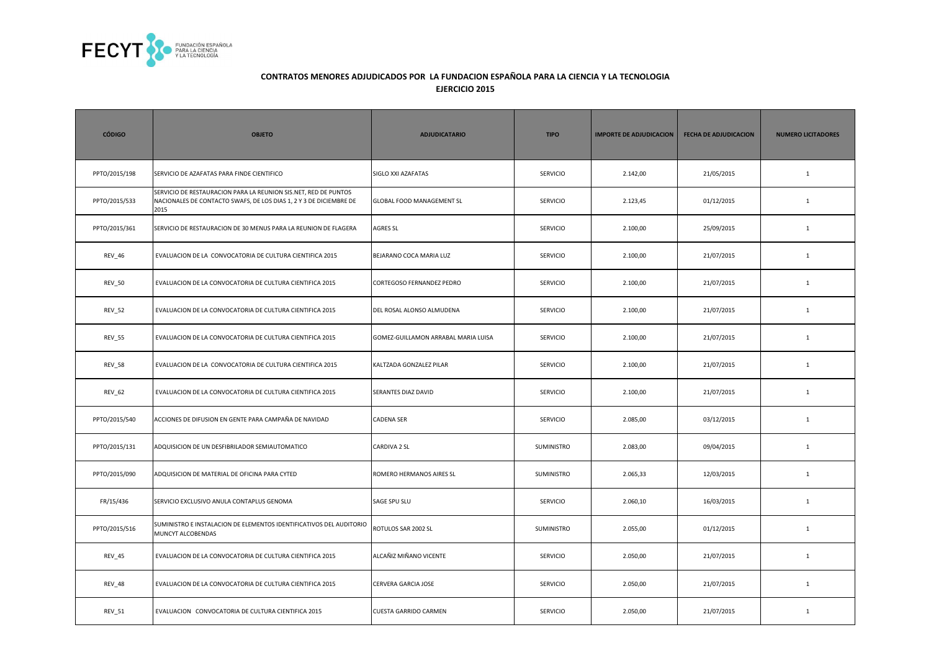

| <b>CÓDIGO</b> | <b>OBJETO</b>                                                                                                                                 | <b>ADJUDICATARIO</b>                | <b>TIPO</b>     | <b>IMPORTE DE ADJUDICACION</b> | <b>FECHA DE ADJUDICACION</b> | <b>NUMERO LICITADORES</b> |
|---------------|-----------------------------------------------------------------------------------------------------------------------------------------------|-------------------------------------|-----------------|--------------------------------|------------------------------|---------------------------|
| PPTO/2015/198 | SERVICIO DE AZAFATAS PARA FINDE CIENTIFICO                                                                                                    | SIGLO XXI AZAFATAS                  | <b>SERVICIO</b> | 2.142,00                       | 21/05/2015                   | $\mathbf{1}$              |
| PPTO/2015/533 | SERVICIO DE RESTAURACION PARA LA REUNION SIS.NET, RED DE PUNTOS<br>NACIONALES DE CONTACTO SWAFS, DE LOS DIAS 1, 2 Y 3 DE DICIEMBRE DE<br>2015 | GLOBAL FOOD MANAGEMENT SL           | <b>SERVICIO</b> | 2.123,45                       | 01/12/2015                   | $\mathbf{1}$              |
| PPTO/2015/361 | SERVICIO DE RESTAURACION DE 30 MENUS PARA LA REUNION DE FLAGERA                                                                               | <b>AGRES SL</b>                     | SERVICIO        | 2.100,00                       | 25/09/2015                   | $\mathbf{1}$              |
| REV_46        | EVALUACION DE LA CONVOCATORIA DE CULTURA CIENTIFICA 2015                                                                                      | BEJARANO COCA MARIA LUZ             | <b>SERVICIO</b> | 2.100,00                       | 21/07/2015                   | <sup>1</sup>              |
| <b>REV_50</b> | EVALUACION DE LA CONVOCATORIA DE CULTURA CIENTIFICA 2015                                                                                      | CORTEGOSO FERNANDEZ PEDRO           | <b>SERVICIO</b> | 2.100,00                       | 21/07/2015                   | <sup>1</sup>              |
| <b>REV_52</b> | EVALUACION DE LA CONVOCATORIA DE CULTURA CIENTIFICA 2015                                                                                      | DEL ROSAL ALONSO ALMUDENA           | SERVICIO        | 2.100,00                       | 21/07/2015                   | $\mathbf{1}$              |
| <b>REV_55</b> | EVALUACION DE LA CONVOCATORIA DE CULTURA CIENTIFICA 2015                                                                                      | GOMEZ-GUILLAMON ARRABAL MARIA LUISA | SERVICIO        | 2.100,00                       | 21/07/2015                   | $\mathbf{1}$              |
| <b>REV_58</b> | EVALUACION DE LA CONVOCATORIA DE CULTURA CIENTIFICA 2015                                                                                      | KALTZADA GONZALEZ PILAR             | <b>SERVICIO</b> | 2.100,00                       | 21/07/2015                   | $\mathbf{1}$              |
| REV_62        | EVALUACION DE LA CONVOCATORIA DE CULTURA CIENTIFICA 2015                                                                                      | SERANTES DIAZ DAVID                 | <b>SERVICIO</b> | 2.100,00                       | 21/07/2015                   | <sup>1</sup>              |
| PPTO/2015/540 | ACCIONES DE DIFUSION EN GENTE PARA CAMPAÑA DE NAVIDAD                                                                                         | <b>CADENA SER</b>                   | SERVICIO        | 2.085,00                       | 03/12/2015                   | $\mathbf{1}$              |
| PPTO/2015/131 | ADQUISICION DE UN DESFIBRILADOR SEMIAUTOMATICO                                                                                                | CARDIVA 2 SL                        | SUMINISTRO      | 2.083,00                       | 09/04/2015                   | $\mathbf{1}$              |
| PPTO/2015/090 | ADQUISICION DE MATERIAL DE OFICINA PARA CYTED                                                                                                 | ROMERO HERMANOS AIRES SL            | SUMINISTRO      | 2.065,33                       | 12/03/2015                   | $\mathbf{1}$              |
| FR/15/436     | SERVICIO EXCLUSIVO ANULA CONTAPLUS GENOMA                                                                                                     | SAGE SPU SLU                        | <b>SERVICIO</b> | 2.060,10                       | 16/03/2015                   | <sup>1</sup>              |
| PPTO/2015/516 | SUMINISTRO E INSTALACION DE ELEMENTOS IDENTIFICATIVOS DEL AUDITORIO<br>MUNCYT ALCOBENDAS                                                      | ROTULOS SAR 2002 SL                 | SUMINISTRO      | 2.055,00                       | 01/12/2015                   | $\mathbf{1}$              |
| REV_45        | EVALUACION DE LA CONVOCATORIA DE CULTURA CIENTIFICA 2015                                                                                      | ALCAÑIZ MIÑANO VICENTE              | SERVICIO        | 2.050,00                       | 21/07/2015                   | $\mathbf{1}$              |
| <b>REV_48</b> | EVALUACION DE LA CONVOCATORIA DE CULTURA CIENTIFICA 2015                                                                                      | CERVERA GARCIA JOSE                 | <b>SERVICIO</b> | 2.050,00                       | 21/07/2015                   | <sup>1</sup>              |
| REV_51        | EVALUACION CONVOCATORIA DE CULTURA CIENTIFICA 2015                                                                                            | <b>CUESTA GARRIDO CARMEN</b>        | SERVICIO        | 2.050,00                       | 21/07/2015                   | <sup>1</sup>              |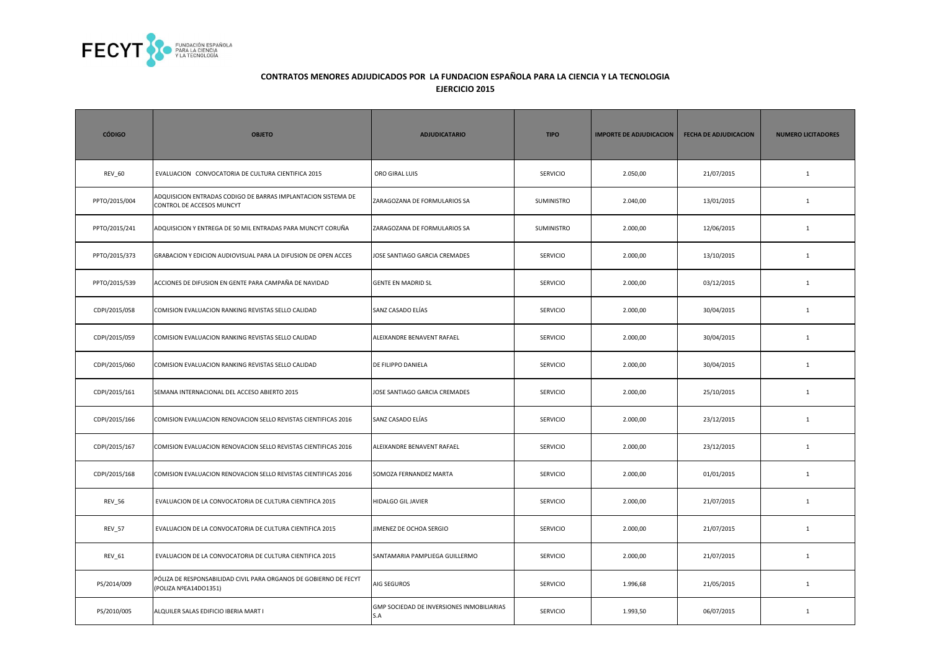

| <b>CÓDIGO</b> | <b>OBJETO</b>                                                                              | <b>ADJUDICATARIO</b>                             | <b>TIPO</b>       | <b>IMPORTE DE ADJUDICACION</b> | <b>FECHA DE ADJUDICACION</b> | <b>NUMERO LICITADORES</b> |
|---------------|--------------------------------------------------------------------------------------------|--------------------------------------------------|-------------------|--------------------------------|------------------------------|---------------------------|
| <b>REV_60</b> | EVALUACION CONVOCATORIA DE CULTURA CIENTIFICA 2015                                         | ORO GIRAL LUIS                                   | <b>SERVICIO</b>   | 2.050,00                       | 21/07/2015                   | $\mathbf{1}$              |
| PPTO/2015/004 | ADQUISICION ENTRADAS CODIGO DE BARRAS IMPLANTACION SISTEMA DE<br>CONTROL DE ACCESOS MUNCYT | ZARAGOZANA DE FORMULARIOS SA                     | SUMINISTRO        | 2.040,00                       | 13/01/2015                   | $\mathbf{1}$              |
| PPTO/2015/241 | ADQUISICION Y ENTREGA DE 50 MIL ENTRADAS PARA MUNCYT CORUÑA                                | ZARAGOZANA DE FORMULARIOS SA                     | <b>SUMINISTRO</b> | 2.000,00                       | 12/06/2015                   | $\mathbf{1}$              |
| PPTO/2015/373 | GRABACION Y EDICION AUDIOVISUAL PARA LA DIFUSION DE OPEN ACCES                             | JOSE SANTIAGO GARCIA CREMADES                    | <b>SERVICIO</b>   | 2.000,00                       | 13/10/2015                   | 1                         |
| PPTO/2015/539 | ACCIONES DE DIFUSION EN GENTE PARA CAMPAÑA DE NAVIDAD                                      | <b>GENTE EN MADRID SL</b>                        | <b>SERVICIO</b>   | 2.000,00                       | 03/12/2015                   | $\mathbf{1}$              |
| CDPI/2015/058 | COMISION EVALUACION RANKING REVISTAS SELLO CALIDAD                                         | SANZ CASADO ELÍAS                                | <b>SERVICIO</b>   | 2.000,00                       | 30/04/2015                   | $\mathbf{1}$              |
| CDPI/2015/059 | COMISION EVALUACION RANKING REVISTAS SELLO CALIDAD                                         | ALEIXANDRE BENAVENT RAFAEL                       | <b>SERVICIO</b>   | 2.000,00                       | 30/04/2015                   | $\mathbf{1}$              |
| CDPI/2015/060 | COMISION EVALUACION RANKING REVISTAS SELLO CALIDAD                                         | DE FILIPPO DANIELA                               | <b>SERVICIO</b>   | 2.000,00                       | 30/04/2015                   | $\mathbf{1}$              |
| CDPI/2015/161 | SEMANA INTERNACIONAL DEL ACCESO ABIERTO 2015                                               | JOSE SANTIAGO GARCIA CREMADES                    | <b>SERVICIO</b>   | 2.000,00                       | 25/10/2015                   | $\mathbf{1}$              |
| CDPI/2015/166 | COMISION EVALUACION RENOVACION SELLO REVISTAS CIENTIFICAS 2016                             | SANZ CASADO ELÍAS                                | <b>SERVICIO</b>   | 2.000,00                       | 23/12/2015                   | $\mathbf{1}$              |
| CDPI/2015/167 | COMISION EVALUACION RENOVACION SELLO REVISTAS CIENTIFICAS 2016                             | ALEIXANDRE BENAVENT RAFAEL                       | SERVICIO          | 2.000,00                       | 23/12/2015                   | $1\,$                     |
| CDPI/2015/168 | COMISION EVALUACION RENOVACION SELLO REVISTAS CIENTIFICAS 2016                             | SOMOZA FERNANDEZ MARTA                           | <b>SERVICIO</b>   | 2.000,00                       | 01/01/2015                   | $\mathbf{1}$              |
| <b>REV_56</b> | EVALUACION DE LA CONVOCATORIA DE CULTURA CIENTIFICA 2015                                   | <b>HIDALGO GIL JAVIER</b>                        | <b>SERVICIO</b>   | 2.000,00                       | 21/07/2015                   | $\mathbf{1}$              |
| <b>REV_57</b> | EVALUACION DE LA CONVOCATORIA DE CULTURA CIENTIFICA 2015                                   | JIMENEZ DE OCHOA SERGIO                          | <b>SERVICIO</b>   | 2.000,00                       | 21/07/2015                   | $\mathbf{1}$              |
| REV_61        | EVALUACION DE LA CONVOCATORIA DE CULTURA CIENTIFICA 2015                                   | SANTAMARIA PAMPLIEGA GUILLERMO                   | <b>SERVICIO</b>   | 2.000,00                       | 21/07/2015                   | $\mathbf{1}$              |
| PS/2014/009   | PÓLIZA DE RESPONSABILIDAD CIVIL PARA ORGANOS DE GOBIERNO DE FECYT<br>(POLIZA NºEA14DO1351) | AIG SEGUROS                                      | <b>SERVICIO</b>   | 1.996,68                       | 21/05/2015                   | $\mathbf{1}$              |
| PS/2010/005   | ALQUILER SALAS EDIFICIO IBERIA MART I                                                      | GMP SOCIEDAD DE INVERSIONES INMOBILIARIAS<br>S.A | <b>SERVICIO</b>   | 1.993,50                       | 06/07/2015                   | $\mathbf{1}$              |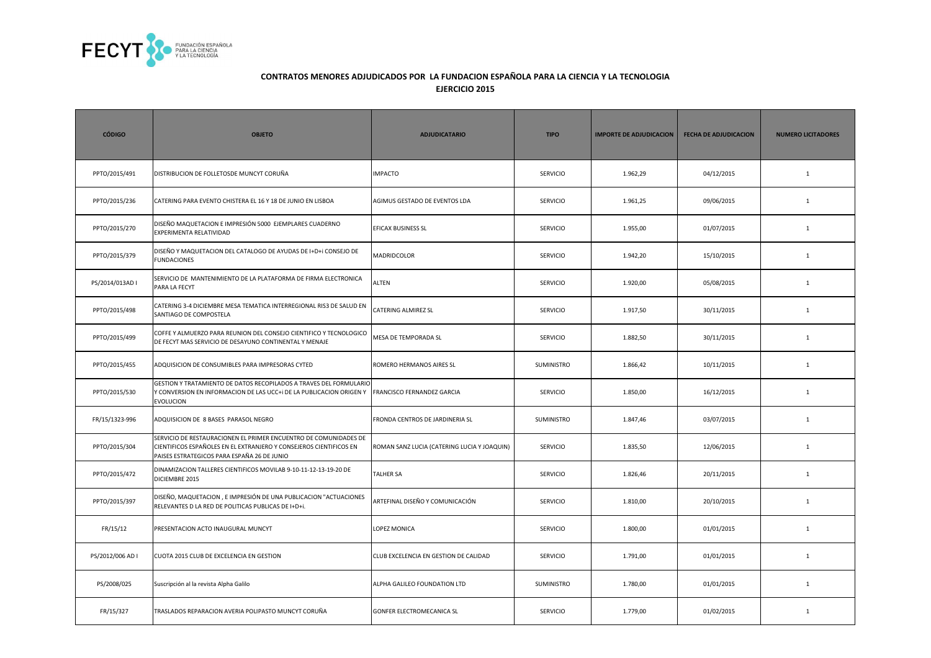

| <b>CÓDIGO</b>    | <b>OBJETO</b>                                                                                                                                                                         | <b>ADJUDICATARIO</b>                        | <b>TIPO</b>       | <b>IMPORTE DE ADJUDICACION</b> | <b>FECHA DE ADJUDICACION</b> | <b>NUMERO LICITADORES</b> |
|------------------|---------------------------------------------------------------------------------------------------------------------------------------------------------------------------------------|---------------------------------------------|-------------------|--------------------------------|------------------------------|---------------------------|
| PPTO/2015/491    | DISTRIBUCION DE FOLLETOSDE MUNCYT CORUÑA                                                                                                                                              | <b>IMPACTO</b>                              | <b>SERVICIO</b>   | 1.962,29                       | 04/12/2015                   | $\mathbf{1}$              |
| PPTO/2015/236    | CATERING PARA EVENTO CHISTERA EL 16 Y 18 DE JUNIO EN LISBOA                                                                                                                           | AGIMUS GESTADO DE EVENTOS LDA               | <b>SERVICIO</b>   | 1.961,25                       | 09/06/2015                   | $\mathbf{1}$              |
| PPTO/2015/270    | DISEÑO MAQUETACION E IMPRESIÓN 5000 EJEMPLARES CUADERNO<br>EXPERIMENTA RELATIVIDAD                                                                                                    | EFICAX BUSINESS SL                          | <b>SERVICIO</b>   | 1.955,00                       | 01/07/2015                   | $\mathbf{1}$              |
| PPTO/2015/379    | DISEÑO Y MAQUETACION DEL CATALOGO DE AYUDAS DE I+D+i CONSEJO DE<br><b>FUNDACIONES</b>                                                                                                 | <b>MADRIDCOLOR</b>                          | <b>SERVICIO</b>   | 1.942,20                       | 15/10/2015                   | $\mathbf{1}$              |
| PS/2014/013AD I  | SERVICIO DE MANTENIMIENTO DE LA PLATAFORMA DE FIRMA ELECTRONICA<br>PARA LA FECYT                                                                                                      | <b>ALTEN</b>                                | <b>SERVICIO</b>   | 1.920,00                       | 05/08/2015                   | $\mathbf{1}$              |
| PPTO/2015/498    | CATERING 3-4 DICIEMBRE MESA TEMATICA INTERREGIONAL RIS3 DE SALUD EN<br>SANTIAGO DE COMPOSTELA                                                                                         | <b>CATERING ALMIREZ SL</b>                  | <b>SERVICIO</b>   | 1.917,50                       | 30/11/2015                   | $\mathbf{1}$              |
| PPTO/2015/499    | COFFE Y ALMUERZO PARA REUNION DEL CONSEJO CIENTIFICO Y TECNOLOGICO<br>DE FECYT MAS SERVICIO DE DESAYUNO CONTINENTAL Y MENAJE                                                          | <b>MESA DE TEMPORADA SL</b>                 | <b>SERVICIO</b>   | 1.882,50                       | 30/11/2015                   | $\mathbf{1}$              |
| PPTO/2015/455    | ADQUISICION DE CONSUMIBLES PARA IMPRESORAS CYTED                                                                                                                                      | ROMERO HERMANOS AIRES SL                    | <b>SUMINISTRO</b> | 1.866,42                       | 10/11/2015                   | $\mathbf{1}$              |
| PPTO/2015/530    | GESTION Y TRATAMIENTO DE DATOS RECOPILADOS A TRAVES DEL FORMULARIO<br>Y CONVERSION EN INFORMACION DE LAS UCC+i DE LA PUBLICACION ORIGEN Y<br><b>EVOLUCION</b>                         | <b>FRANCISCO FERNANDEZ GARCIA</b>           | <b>SERVICIO</b>   | 1.850,00                       | 16/12/2015                   | $\mathbf{1}$              |
| FR/15/1323-996   | ADQUISICION DE 8 BASES PARASOL NEGRO                                                                                                                                                  | FRONDA CENTROS DE JARDINERIA SL             | SUMINISTRO        | 1.847,46                       | 03/07/2015                   | $\mathbf{1}$              |
| PPTO/2015/304    | SERVICIO DE RESTAURACIONEN EL PRIMER ENCUENTRO DE COMUNIDADES DE<br>CIENTIFICOS ESPAÑOLES EN EL EXTRANJERO Y CONSEJEROS CIENTIFICOS EN<br>PAISES ESTRATEGICOS PARA ESPAÑA 26 DE JUNIO | ROMAN SANZ LUCIA (CATERING LUCIA Y JOAQUIN) | <b>SERVICIO</b>   | 1.835,50                       | 12/06/2015                   | 1                         |
| PPTO/2015/472    | DINAMIZACION TALLERES CIENTIFICOS MOVILAB 9-10-11-12-13-19-20 DE<br>DICIEMBRE 2015                                                                                                    | <b>TALHER SA</b>                            | <b>SERVICIO</b>   | 1.826,46                       | 20/11/2015                   | 1                         |
| PPTO/2015/397    | DISEÑO, MAQUETACION, E IMPRESIÓN DE UNA PUBLICACION "ACTUACIONES<br>RELEVANTES D LA RED DE POLITICAS PUBLICAS DE I+D+i.                                                               | ARTEFINAL DISEÑO Y COMUNICACIÓN             | <b>SERVICIO</b>   | 1.810,00                       | 20/10/2015                   | 1                         |
| FR/15/12         | PRESENTACION ACTO INAUGURAL MUNCYT                                                                                                                                                    | LOPEZ MONICA                                | <b>SERVICIO</b>   | 1.800,00                       | 01/01/2015                   | $\mathbf{1}$              |
| PS/2012/006 AD I | CUOTA 2015 CLUB DE EXCELENCIA EN GESTION                                                                                                                                              | CLUB EXCELENCIA EN GESTION DE CALIDAD       | <b>SERVICIO</b>   | 1.791,00                       | 01/01/2015                   | $\mathbf{1}$              |
| PS/2008/025      | Suscripción al la revista Alpha Galilo                                                                                                                                                | ALPHA GALILEO FOUNDATION LTD                | SUMINISTRO        | 1.780,00                       | 01/01/2015                   | $\mathbf{1}$              |
| FR/15/327        | TRASLADOS REPARACION AVERIA POLIPASTO MUNCYT CORUÑA                                                                                                                                   | GONFER ELECTROMECANICA SL                   | <b>SERVICIO</b>   | 1.779,00                       | 01/02/2015                   | $\mathbf{1}$              |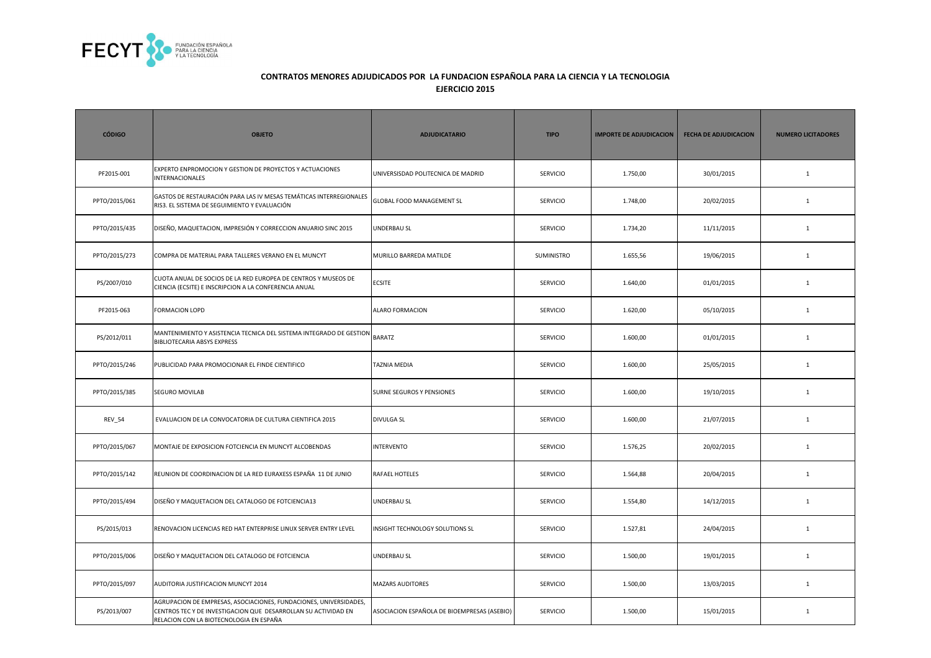

| <b>CÓDIGO</b> | <b>OBJETO</b>                                                                                                                                                                  | <b>ADJUDICATARIO</b>                        | <b>TIPO</b>       | <b>IMPORTE DE ADJUDICACION</b> | <b>FECHA DE ADJUDICACION</b> | <b>NUMERO LICITADORES</b> |
|---------------|--------------------------------------------------------------------------------------------------------------------------------------------------------------------------------|---------------------------------------------|-------------------|--------------------------------|------------------------------|---------------------------|
| PF2015-001    | EXPERTO ENPROMOCION Y GESTION DE PROYECTOS Y ACTUACIONES<br><b>INTERNACIONALES</b>                                                                                             | UNIVERSISDAD POLITECNICA DE MADRID          | SERVICIO          | 1.750,00                       | 30/01/2015                   | $\mathbf{1}$              |
| PPTO/2015/061 | GASTOS DE RESTAURACIÓN PARA LAS IV MESAS TEMÁTICAS INTERREGIONALES<br>RIS3. EL SISTEMA DE SEGUIMIENTO Y EVALUACIÓN                                                             | <b>GLOBAL FOOD MANAGEMENT SL</b>            | <b>SERVICIO</b>   | 1.748,00                       | 20/02/2015                   | $\mathbf{1}$              |
| PPTO/2015/435 | DISEÑO, MAQUETACION, IMPRESIÓN Y CORRECCION ANUARIO SINC 2015                                                                                                                  | UNDERBAU SL                                 | <b>SERVICIO</b>   | 1.734,20                       | 11/11/2015                   | $\mathbf{1}$              |
| PPTO/2015/273 | COMPRA DE MATERIAL PARA TALLERES VERANO EN EL MUNCYT                                                                                                                           | MURILLO BARREDA MATILDE                     | <b>SUMINISTRO</b> | 1.655,56                       | 19/06/2015                   | $\mathbf{1}$              |
| PS/2007/010   | CUOTA ANUAL DE SOCIOS DE LA RED EUROPEA DE CENTROS Y MUSEOS DE<br>CIENCIA (ECSITE) E INSCRIPCION A LA CONFERENCIA ANUAL                                                        | <b>ECSITE</b>                               | <b>SERVICIO</b>   | 1.640,00                       | 01/01/2015                   | $\mathbf{1}$              |
| PF2015-063    | <b>FORMACION LOPD</b>                                                                                                                                                          | ALARO FORMACION                             | <b>SERVICIO</b>   | 1.620,00                       | 05/10/2015                   | $\mathbf{1}$              |
| PS/2012/011   | MANTENIMIENTO Y ASISTENCIA TECNICA DEL SISTEMA INTEGRADO DE GESTION BARATZ<br><b>BIBLIOTECARIA ABSYS EXPRESS</b>                                                               |                                             | <b>SERVICIO</b>   | 1.600,00                       | 01/01/2015                   | $\mathbf{1}$              |
| PPTO/2015/246 | PUBLICIDAD PARA PROMOCIONAR EL FINDE CIENTIFICO                                                                                                                                | <b>TAZNIA MEDIA</b>                         | <b>SERVICIO</b>   | 1.600,00                       | 25/05/2015                   | $\mathbf{1}$              |
| PPTO/2015/385 | <b>SEGURO MOVILAB</b>                                                                                                                                                          | SURNE SEGUROS Y PENSIONES                   | <b>SERVICIO</b>   | 1.600,00                       | 19/10/2015                   | $\mathbf{1}$              |
| <b>REV_54</b> | EVALUACION DE LA CONVOCATORIA DE CULTURA CIENTIFICA 2015                                                                                                                       | <b>DIVULGA SL</b>                           | <b>SERVICIO</b>   | 1.600,00                       | 21/07/2015                   | $\mathbf{1}$              |
| PPTO/2015/067 | MONTAJE DE EXPOSICION FOTCIENCIA EN MUNCYT ALCOBENDAS                                                                                                                          | <b>INTERVENTO</b>                           | SERVICIO          | 1.576,25                       | 20/02/2015                   | $\mathbf{1}$              |
| PPTO/2015/142 | REUNION DE COORDINACION DE LA RED EURAXESS ESPAÑA 11 DE JUNIO                                                                                                                  | <b>RAFAEL HOTELES</b>                       | SERVICIO          | 1.564,88                       | 20/04/2015                   | $\mathbf 1$               |
| PPTO/2015/494 | DISEÑO Y MAQUETACION DEL CATALOGO DE FOTCIENCIA13                                                                                                                              | UNDERBAU SL                                 | <b>SERVICIO</b>   | 1.554,80                       | 14/12/2015                   | $\mathbf{1}$              |
| PS/2015/013   | RENOVACION LICENCIAS RED HAT ENTERPRISE LINUX SERVER ENTRY LEVEL                                                                                                               | INSIGHT TECHNOLOGY SOLUTIONS SL             | SERVICIO          | 1.527,81                       | 24/04/2015                   | $\mathbf{1}$              |
| PPTO/2015/006 | DISEÑO Y MAQUETACION DEL CATALOGO DE FOTCIENCIA                                                                                                                                | UNDERBAU SL                                 | <b>SERVICIO</b>   | 1.500,00                       | 19/01/2015                   | $\mathbf{1}$              |
| PPTO/2015/097 | AUDITORIA JUSTIFICACION MUNCYT 2014                                                                                                                                            | <b>MAZARS AUDITORES</b>                     | SERVICIO          | 1.500,00                       | 13/03/2015                   | $\mathbf 1$               |
| PS/2013/007   | AGRUPACION DE EMPRESAS, ASOCIACIONES, FUNDACIONES, UNIVERSIDADES,<br>CENTROS TEC Y DE INVESTIGACION QUE DESARROLLAN SU ACTIVIDAD EN<br>RELACION CON LA BIOTECNOLOGIA EN ESPAÑA | ASOCIACION ESPAÑOLA DE BIOEMPRESAS (ASEBIO) | <b>SERVICIO</b>   | 1.500,00                       | 15/01/2015                   | $\mathbf{1}$              |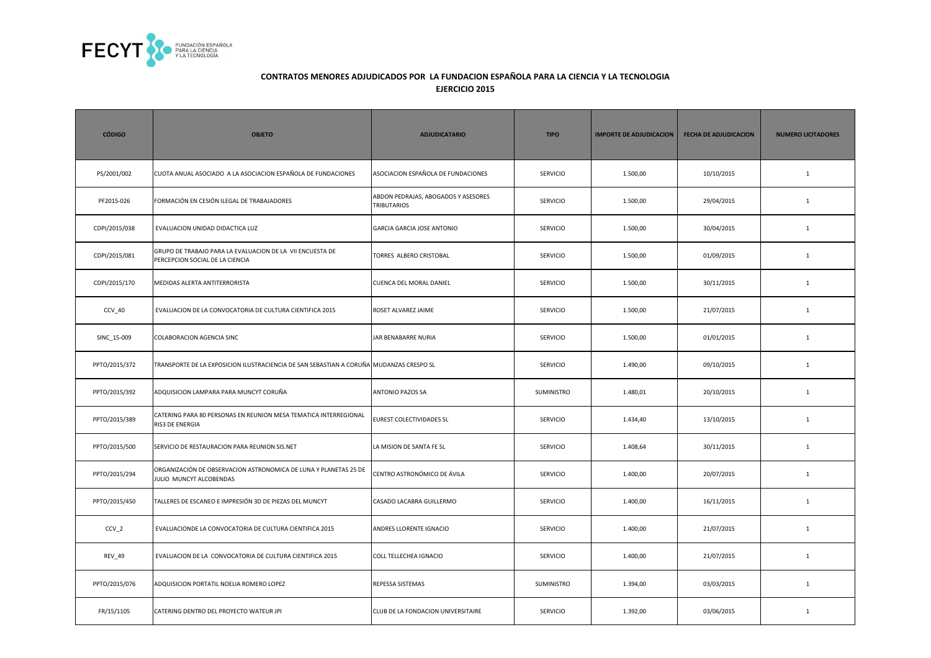

| <b>CÓDIGO</b>    | <b>OBJETO</b>                                                                                | <b>ADJUDICATARIO</b>                                      | <b>TIPO</b>       | <b>IMPORTE DE ADJUDICACION</b> | <b>FECHA DE ADJUDICACION</b> | <b>NUMERO LICITADORES</b> |
|------------------|----------------------------------------------------------------------------------------------|-----------------------------------------------------------|-------------------|--------------------------------|------------------------------|---------------------------|
| PS/2001/002      | CUOTA ANUAL ASOCIADO A LA ASOCIACION ESPAÑOLA DE FUNDACIONES                                 | ASOCIACION ESPAÑOLA DE FUNDACIONES                        | <b>SERVICIO</b>   | 1.500,00                       | 10/10/2015                   | $\mathbf{1}$              |
| PF2015-026       | FORMACIÓN EN CESIÓN ILEGAL DE TRABAJADORES                                                   | ABDON PEDRAJAS, ABOGADOS Y ASESORES<br><b>TRIBUTARIOS</b> | <b>SERVICIO</b>   | 1.500,00                       | 29/04/2015                   | $\mathbf{1}$              |
| CDPI/2015/038    | EVALUACION UNIDAD DIDACTICA LUZ                                                              | <b>GARCIA GARCIA JOSE ANTONIO</b>                         | <b>SERVICIO</b>   | 1.500,00                       | 30/04/2015                   | $\mathbf{1}$              |
| CDPI/2015/081    | GRUPO DE TRABAJO PARA LA EVALUACION DE LA VII ENCUESTA DE<br>PERCEPCION SOCIAL DE LA CIENCIA | TORRES ALBERO CRISTOBAL                                   | SERVICIO          | 1.500,00                       | 01/09/2015                   | $\mathbf{1}$              |
| CDPI/2015/170    | MEDIDAS ALERTA ANTITERRORISTA                                                                | <b>CUENCA DEL MORAL DANIEL</b>                            | <b>SERVICIO</b>   | 1.500,00                       | 30/11/2015                   | $\mathbf{1}$              |
| CCV_40           | EVALUACION DE LA CONVOCATORIA DE CULTURA CIENTIFICA 2015                                     | ROSET ALVAREZ JAIME                                       | <b>SERVICIO</b>   | 1.500,00                       | 21/07/2015                   | $\mathbf{1}$              |
| SINC 15-009      | COLABORACION AGENCIA SINC                                                                    | JAR BENABARRE NURIA                                       | <b>SERVICIO</b>   | 1.500,00                       | 01/01/2015                   | $\mathbf{1}$              |
| PPTO/2015/372    | TRANSPORTE DE LA EXPOSICION ILUSTRACIENCIA DE SAN SEBASTIAN A CORUÑA MUDANZAS CRESPO SL      |                                                           | SERVICIO          | 1.490,00                       | 09/10/2015                   | $\mathbf{1}$              |
| PPTO/2015/392    | ADQUISICION LAMPARA PARA MUNCYT CORUÑA                                                       | <b>ANTONIO PAZOS SA</b>                                   | <b>SUMINISTRO</b> | 1.480,01                       | 20/10/2015                   | $\mathbf{1}$              |
| PPTO/2015/389    | CATERING PARA 80 PERSONAS EN REUNION MESA TEMATICA INTERREGIONAL<br>RIS3 DE ENERGIA          | EUREST COLECTIVIDADES SL                                  | <b>SERVICIO</b>   | 1.434,40                       | 13/10/2015                   | $\mathbf{1}$              |
| PPTO/2015/500    | SERVICIO DE RESTAURACION PARA REUNION SIS.NET                                                | LA MISION DE SANTA FE SL                                  | <b>SERVICIO</b>   | 1.408,64                       | 30/11/2015                   | $\mathbf{1}$              |
| PPTO/2015/294    | ORGANIZACIÓN DE OBSERVACION ASTRONOMICA DE LUNA Y PLANETAS 25 DE<br>JULIO MUNCYT ALCOBENDAS  | CENTRO ASTRONÓMICO DE ÁVILA                               | <b>SERVICIO</b>   | 1.400,00                       | 20/07/2015                   | $\mathbf{1}$              |
| PPTO/2015/450    | TALLERES DE ESCANEO E IMPRESIÓN 3D DE PIEZAS DEL MUNCYT                                      | CASADO LACABRA GUILLERMO                                  | <b>SERVICIO</b>   | 1.400,00                       | 16/11/2015                   | $\mathbf{1}$              |
| CCV <sub>2</sub> | EVALUACIONDE LA CONVOCATORIA DE CULTURA CIENTIFICA 2015                                      | ANDRES LLORENTE IGNACIO                                   | <b>SERVICIO</b>   | 1.400,00                       | 21/07/2015                   | $\mathbf{1}$              |
| <b>REV 49</b>    | EVALUACION DE LA CONVOCATORIA DE CULTURA CIENTIFICA 2015                                     | COLL TELLECHEA IGNACIO                                    | <b>SERVICIO</b>   | 1.400,00                       | 21/07/2015                   | $\mathbf{1}$              |
| PPTO/2015/076    | ADQUISICION PORTATIL NOELIA ROMERO LOPEZ                                                     | REPESSA SISTEMAS                                          | SUMINISTRO        | 1.394,00                       | 03/03/2015                   | $\mathbf{1}$              |
| FR/15/1105       | CATERING DENTRO DEL PROYECTO WATEUR JPI                                                      | CLUB DE LA FONDACION UNIVERSITAIRE                        | SERVICIO          | 1.392,00                       | 03/06/2015                   | $\mathbf{1}$              |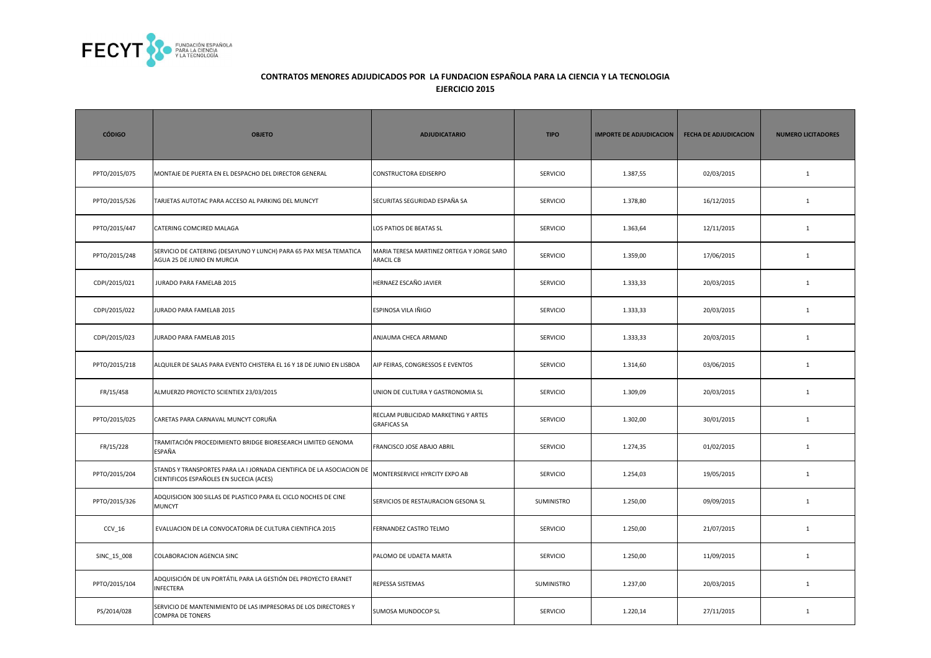

| <b>CÓDIGO</b> | <b>OBJETO</b>                                                                                                    | <b>ADJUDICATARIO</b>                                          | <b>TIPO</b>       | <b>IMPORTE DE ADJUDICACION</b> | <b>FECHA DE ADJUDICACION</b> | <b>NUMERO LICITADORES</b> |
|---------------|------------------------------------------------------------------------------------------------------------------|---------------------------------------------------------------|-------------------|--------------------------------|------------------------------|---------------------------|
| PPTO/2015/075 | MONTAJE DE PUERTA EN EL DESPACHO DEL DIRECTOR GENERAL                                                            | <b>CONSTRUCTORA EDISERPO</b>                                  | SERVICIO          | 1.387,55                       | 02/03/2015                   | $\mathbf{1}$              |
| PPTO/2015/526 | TARJETAS AUTOTAC PARA ACCESO AL PARKING DEL MUNCYT                                                               | SECURITAS SEGURIDAD ESPAÑA SA                                 | SERVICIO          | 1.378,80                       | 16/12/2015                   | $\mathbf 1$               |
| PPTO/2015/447 | CATERING COMCIRED MALAGA                                                                                         | LOS PATIOS DE BEATAS SL                                       | <b>SERVICIO</b>   | 1.363,64                       | 12/11/2015                   | $\mathbf{1}$              |
| PPTO/2015/248 | SERVICIO DE CATERING (DESAYUNO Y LUNCH) PARA 65 PAX MESA TEMATICA<br>AGUA 25 DE JUNIO EN MURCIA                  | MARIA TERESA MARTINEZ ORTEGA Y JORGE SARO<br><b>ARACIL CB</b> | SERVICIO          | 1.359,00                       | 17/06/2015                   | $\mathbf{1}$              |
| CDPI/2015/021 | JURADO PARA FAMELAB 2015                                                                                         | HERNAEZ ESCAÑO JAVIER                                         | <b>SERVICIO</b>   | 1.333,33                       | 20/03/2015                   | $\mathbf{1}$              |
| CDPI/2015/022 | <b>URADO PARA FAMELAB 2015</b>                                                                                   | ESPINOSA VILA IÑIGO                                           | <b>SERVICIO</b>   | 1.333,33                       | 20/03/2015                   | $\mathbf{1}$              |
| CDPI/2015/023 | JURADO PARA FAMELAB 2015                                                                                         | ANJAUMA CHECA ARMAND                                          | <b>SERVICIO</b>   | 1.333,33                       | 20/03/2015                   | $\mathbf{1}$              |
| PPTO/2015/218 | ALQUILER DE SALAS PARA EVENTO CHISTERA EL 16 Y 18 DE JUNIO EN LISBOA                                             | AIP FEIRAS, CONGRESSOS E EVENTOS                              | <b>SERVICIO</b>   | 1.314,60                       | 03/06/2015                   | 1                         |
| FR/15/458     | ALMUERZO PROYECTO SCIENTIEX 23/03/2015                                                                           | UNION DE CULTURA Y GASTRONOMIA SL                             | <b>SERVICIO</b>   | 1.309,09                       | 20/03/2015                   | $\mathbf{1}$              |
| PPTO/2015/025 | CARETAS PARA CARNAVAL MUNCYT CORUÑA                                                                              | RECLAM PUBLICIDAD MARKETING Y ARTES<br><b>GRAFICAS SA</b>     | SERVICIO          | 1.302,00                       | 30/01/2015                   | $\mathbf{1}$              |
| FR/15/228     | TRAMITACIÓN PROCEDIMIENTO BRIDGE BIORESEARCH LIMITED GENOMA<br>ESPAÑA                                            | FRANCISCO JOSE ABAJO ABRIL                                    | <b>SERVICIO</b>   | 1.274,35                       | 01/02/2015                   | $\mathbf{1}$              |
| PPTO/2015/204 | STANDS Y TRANSPORTES PARA LA I JORNADA CIENTIFICA DE LA ASOCIACION DE<br>CIENTIFICOS ESPAÑOLES EN SUCECIA (ACES) | MONTERSERVICE HYRCITY EXPO AB                                 | SERVICIO          | 1.254,03                       | 19/05/2015                   | $\mathbf{1}$              |
| PPTO/2015/326 | ADQUISICION 300 SILLAS DE PLASTICO PARA EL CICLO NOCHES DE CINE<br><b>MUNCYT</b>                                 | SERVICIOS DE RESTAURACION GESONA SL                           | SUMINISTRO        | 1.250,00                       | 09/09/2015                   | $\mathbf{1}$              |
| CCV 16        | EVALUACION DE LA CONVOCATORIA DE CULTURA CIENTIFICA 2015                                                         | FERNANDEZ CASTRO TELMO                                        | <b>SERVICIO</b>   | 1.250,00                       | 21/07/2015                   | $\mathbf{1}$              |
| SINC_15_008   | COLABORACION AGENCIA SINC                                                                                        | PALOMO DE UDAETA MARTA                                        | <b>SERVICIO</b>   | 1.250,00                       | 11/09/2015                   | $\mathbf{1}$              |
| PPTO/2015/104 | ADQUISICIÓN DE UN PORTÁTIL PARA LA GESTIÓN DEL PROYECTO ERANET<br>INFECTERA                                      | REPESSA SISTEMAS                                              | <b>SUMINISTRO</b> | 1.237,00                       | 20/03/2015                   | $\mathbf{1}$              |
| PS/2014/028   | SERVICIO DE MANTENIMIENTO DE LAS IMPRESORAS DE LOS DIRECTORES Y<br>COMPRA DE TONERS                              | SUMOSA MUNDOCOP SL                                            | <b>SERVICIO</b>   | 1.220,14                       | 27/11/2015                   | $\mathbf{1}$              |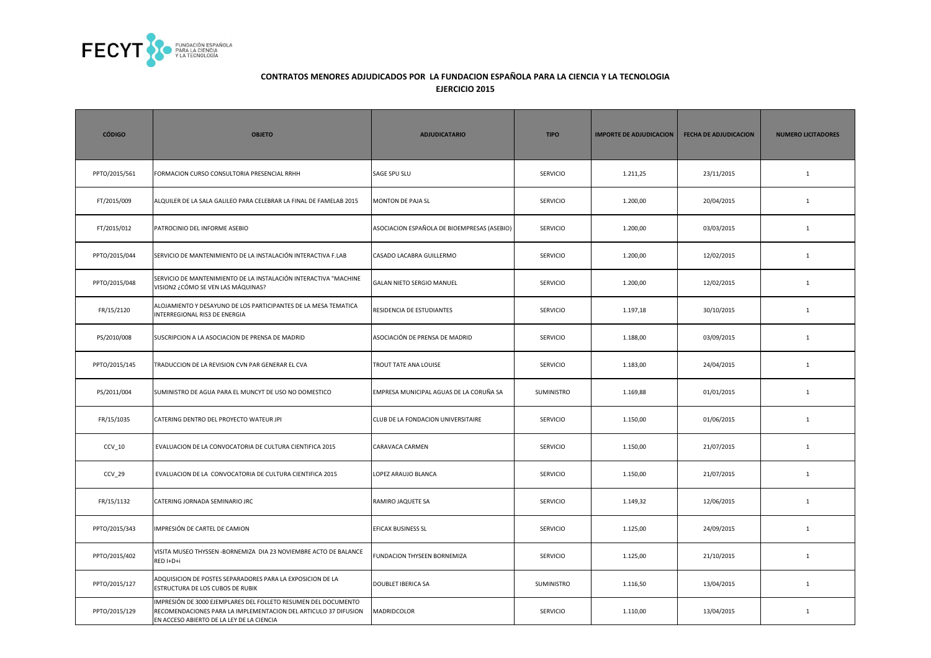

| <b>CÓDIGO</b> | <b>OBJETO</b>                                                                                                                                                                  | <b>ADJUDICATARIO</b>                        | <b>TIPO</b>       | <b>IMPORTE DE ADJUDICACION</b> | <b>FECHA DE ADJUDICACION</b> | <b>NUMERO LICITADORES</b> |
|---------------|--------------------------------------------------------------------------------------------------------------------------------------------------------------------------------|---------------------------------------------|-------------------|--------------------------------|------------------------------|---------------------------|
| PPTO/2015/561 | FORMACION CURSO CONSULTORIA PRESENCIAL RRHH                                                                                                                                    | <b>SAGE SPU SLU</b>                         | <b>SERVICIO</b>   | 1.211,25                       | 23/11/2015                   | $\mathbf{1}$              |
| FT/2015/009   | ALQUILER DE LA SALA GALILEO PARA CELEBRAR LA FINAL DE FAMELAB 2015                                                                                                             | <b>MONTON DE PAJA SL</b>                    | <b>SERVICIO</b>   | 1.200,00                       | 20/04/2015                   | $\mathbf{1}$              |
| FT/2015/012   | PATROCINIO DEL INFORME ASEBIO                                                                                                                                                  | ASOCIACION ESPAÑOLA DE BIOEMPRESAS (ASEBIO) | <b>SERVICIO</b>   | 1.200,00                       | 03/03/2015                   | $\mathbf{1}$              |
| PPTO/2015/044 | SERVICIO DE MANTENIMIENTO DE LA INSTALACIÓN INTERACTIVA F.LAB                                                                                                                  | CASADO LACABRA GUILLERMO                    | <b>SERVICIO</b>   | 1.200,00                       | 12/02/2015                   | $\mathbf{1}$              |
| PPTO/2015/048 | SERVICIO DE MANTENIMIENTO DE LA INSTALACIÓN INTERACTIVA "MACHINE<br>VISION2 ¿CÓMO SE VEN LAS MÁQUINAS?                                                                         | <b>GALAN NIETO SERGIO MANUEL</b>            | <b>SERVICIO</b>   | 1.200,00                       | 12/02/2015                   | 1                         |
| FR/15/2120    | ALOJAMIENTO Y DESAYUNO DE LOS PARTICIPANTES DE LA MESA TEMATICA<br>INTERREGIONAL RIS3 DE ENERGIA                                                                               | RESIDENCIA DE ESTUDIANTES                   | <b>SERVICIO</b>   | 1.197,18                       | 30/10/2015                   | $\mathbf{1}$              |
| PS/2010/008   | SUSCRIPCION A LA ASOCIACION DE PRENSA DE MADRID                                                                                                                                | ASOCIACIÓN DE PRENSA DE MADRID              | SERVICIO          | 1.188,00                       | 03/09/2015                   | $\mathbf{1}$              |
| PPTO/2015/145 | TRADUCCION DE LA REVISION CVN PAR GENERAR EL CVA                                                                                                                               | TROUT TATE ANA LOUISE                       | <b>SERVICIO</b>   | 1.183,00                       | 24/04/2015                   | $\mathbf{1}$              |
| PS/2011/004   | SUMINISTRO DE AGUA PARA EL MUNCYT DE USO NO DOMESTICO                                                                                                                          | EMPRESA MUNICIPAL AGUAS DE LA CORUÑA SA     | <b>SUMINISTRO</b> | 1.169,88                       | 01/01/2015                   | $\mathbf{1}$              |
| FR/15/1035    | CATERING DENTRO DEL PROYECTO WATEUR JPI                                                                                                                                        | CLUB DE LA FONDACION UNIVERSITAIRE          | SERVICIO          | 1.150,00                       | 01/06/2015                   | $\mathbf{1}$              |
| $CCV_10$      | EVALUACION DE LA CONVOCATORIA DE CULTURA CIENTIFICA 2015                                                                                                                       | CARAVACA CARMEN                             | <b>SERVICIO</b>   | 1.150,00                       | 21/07/2015                   | $\mathbf{1}$              |
| CCV_29        | EVALUACION DE LA CONVOCATORIA DE CULTURA CIENTIFICA 2015                                                                                                                       | LOPEZ ARAUJO BLANCA                         | <b>SERVICIO</b>   | 1.150,00                       | 21/07/2015                   | $\mathbf{1}$              |
| FR/15/1132    | CATERING JORNADA SEMINARIO JRC                                                                                                                                                 | RAMIRO JAQUETE SA                           | <b>SERVICIO</b>   | 1.149,32                       | 12/06/2015                   | $\mathbf{1}$              |
| PPTO/2015/343 | IMPRESIÓN DE CARTEL DE CAMION                                                                                                                                                  | EFICAX BUSINESS SL                          | <b>SERVICIO</b>   | 1.125,00                       | 24/09/2015                   | $\mathbf{1}$              |
| PPTO/2015/402 | VISITA MUSEO THYSSEN - BORNEMIZA DIA 23 NOVIEMBRE ACTO DE BALANCE<br>RED I+D+i                                                                                                 | FUNDACION THYSEEN BORNEMIZA                 | <b>SERVICIO</b>   | 1.125,00                       | 21/10/2015                   | $\mathbf{1}$              |
| PPTO/2015/127 | ADQUISICION DE POSTES SEPARADORES PARA LA EXPOSICION DE LA<br>ESTRUCTURA DE LOS CUBOS DE RUBIK                                                                                 | <b>DOUBLET IBERICA SA</b>                   | <b>SUMINISTRO</b> | 1.116,50                       | 13/04/2015                   | $\mathbf{1}$              |
| PPTO/2015/129 | IMPRESIÓN DE 3000 EJEMPLARES DEL FOLLETO RESUMEN DEL DOCUMENTO<br>RECOMENDACIONES PARA LA IMPLEMENTACION DEL ARTICULO 37 DIFUSION<br>EN ACCESO ABIERTO DE LA LEY DE LA CIENCIA | MADRIDCOLOR                                 | <b>SERVICIO</b>   | 1.110,00                       | 13/04/2015                   | $\mathbf{1}$              |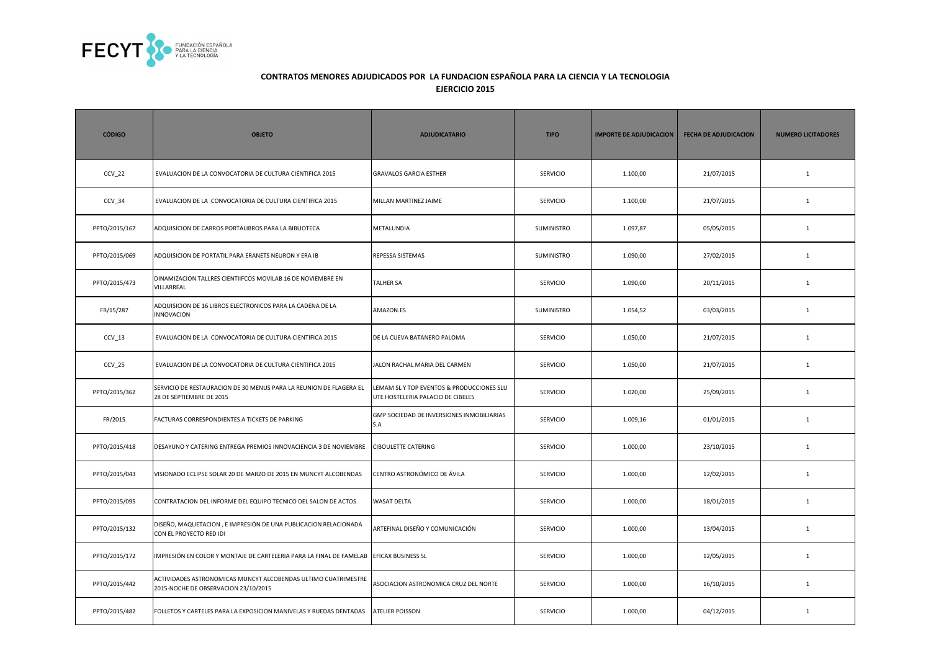

| <b>CÓDIGO</b> | <b>OBJETO</b>                                                                                          | <b>ADJUDICATARIO</b>                                                          | <b>TIPO</b>       | <b>IMPORTE DE ADJUDICACION</b> | <b>FECHA DE ADJUDICACION</b> | <b>NUMERO LICITADORES</b> |
|---------------|--------------------------------------------------------------------------------------------------------|-------------------------------------------------------------------------------|-------------------|--------------------------------|------------------------------|---------------------------|
| $CCV_22$      | EVALUACION DE LA CONVOCATORIA DE CULTURA CIENTIFICA 2015                                               | <b>GRAVALOS GARCIA ESTHER</b>                                                 | <b>SERVICIO</b>   | 1.100,00                       | 21/07/2015                   | <sup>1</sup>              |
| $CCV_34$      | EVALUACION DE LA CONVOCATORIA DE CULTURA CIENTIFICA 2015                                               | MILLAN MARTINEZ JAIME                                                         | <b>SERVICIO</b>   | 1.100,00                       | 21/07/2015                   | $\mathbf{1}$              |
| PPTO/2015/167 | ADQUISICION DE CARROS PORTALIBROS PARA LA BIBLIOTECA                                                   | METALUNDIA                                                                    | SUMINISTRO        | 1.097,87                       | 05/05/2015                   | <sup>1</sup>              |
| PPTO/2015/069 | ADQUISICION DE PORTATIL PARA ERANETS NEURON Y ERA IB                                                   | REPESSA SISTEMAS                                                              | <b>SUMINISTRO</b> | 1.090,00                       | 27/02/2015                   | <sup>1</sup>              |
| PPTO/2015/473 | DINAMIZACION TALLRES CIENTIIFCOS MOVILAB 16 DE NOVIEMBRE EN<br>VILLARREAL                              | <b>TALHER SA</b>                                                              | <b>SERVICIO</b>   | 1.090,00                       | 20/11/2015                   | $\mathbf{1}$              |
| FR/15/287     | ADQUISICION DE 16 LIBROS ELECTRONICOS PARA LA CADENA DE LA<br><b>INNOVACION</b>                        | AMAZON.ES                                                                     | SUMINISTRO        | 1.054,52                       | 03/03/2015                   | $\mathbf{1}$              |
| $CCV_13$      | EVALUACION DE LA CONVOCATORIA DE CULTURA CIENTIFICA 2015                                               | DE LA CUEVA BATANERO PALOMA                                                   | <b>SERVICIO</b>   | 1.050,00                       | 21/07/2015                   | <sup>1</sup>              |
| $CCV_25$      | EVALUACION DE LA CONVOCATORIA DE CULTURA CIENTIFICA 2015                                               | JALON RACHAL MARIA DEL CARMEN                                                 | SERVICIO          | 1.050,00                       | 21/07/2015                   | $\mathbf{1}$              |
| PPTO/2015/362 | SERVICIO DE RESTAURACION DE 30 MENUS PARA LA REUNION DE FLAGERA EL<br>28 DE SEPTIEMBRE DE 2015         | LEMAM SLY TOP EVENTOS & PRODUCCIONES SLU<br>UTE HOSTELERIA PALACIO DE CIBELES | <b>SERVICIO</b>   | 1.020,00                       | 25/09/2015                   | $\mathbf{1}$              |
| FR/2015       | FACTURAS CORRESPONDIENTES A TICKETS DE PARKING                                                         | GMP SOCIEDAD DE INVERSIONES INMOBILIARIAS<br>S.A                              | <b>SERVICIO</b>   | 1.009,16                       | 01/01/2015                   | <sup>1</sup>              |
| PPTO/2015/418 | DESAYUNO Y CATERING ENTREGA PREMIOS INNOVACIENCIA 3 DE NOVIEMBRE                                       | <b>CIBOULETTE CATERING</b>                                                    | SERVICIO          | 1.000,00                       | 23/10/2015                   | $\mathbf{1}$              |
| PPTO/2015/043 | VISIONADO ECLIPSE SOLAR 20 DE MARZO DE 2015 EN MUNCYT ALCOBENDAS                                       | CENTRO ASTRONÓMICO DE ÁVILA                                                   | SERVICIO          | 1.000,00                       | 12/02/2015                   | $\mathbf{1}$              |
| PPTO/2015/095 | CONTRATACION DEL INFORME DEL EQUIPO TECNICO DEL SALON DE ACTOS                                         | <b>WASAT DELTA</b>                                                            | <b>SERVICIO</b>   | 1.000,00                       | 18/01/2015                   | $\mathbf{1}$              |
| PPTO/2015/132 | DISEÑO, MAQUETACION, E IMPRESIÓN DE UNA PUBLICACION RELACIONADA<br>CON EL PROYECTO RED IDI             | ARTEFINAL DISEÑO Y COMUNICACIÓN                                               | <b>SERVICIO</b>   | 1.000,00                       | 13/04/2015                   | <sup>1</sup>              |
| PPTO/2015/172 | IMPRESIÓN EN COLOR Y MONTAJE DE CARTELERIA PARA LA FINAL DE FAMELAB                                    | EFICAX BUSINESS SL                                                            | <b>SERVICIO</b>   | 1.000,00                       | 12/05/2015                   | $\mathbf{1}$              |
| PPTO/2015/442 | ACTIVIDADES ASTRONOMICAS MUNCYT ALCOBENDAS ULTIMO CUATRIMESTRE<br>2015-NOCHE DE OBSERVACION 23/10/2015 | ASOCIACION ASTRONOMICA CRUZ DEL NORTE                                         | <b>SERVICIO</b>   | 1.000,00                       | 16/10/2015                   | <sup>1</sup>              |
| PPTO/2015/482 | FOLLETOS Y CARTELES PARA LA EXPOSICION MANIVELAS Y RUEDAS DENTADAS                                     | <b>ATELIER POISSON</b>                                                        | <b>SERVICIO</b>   | 1.000,00                       | 04/12/2015                   | 1                         |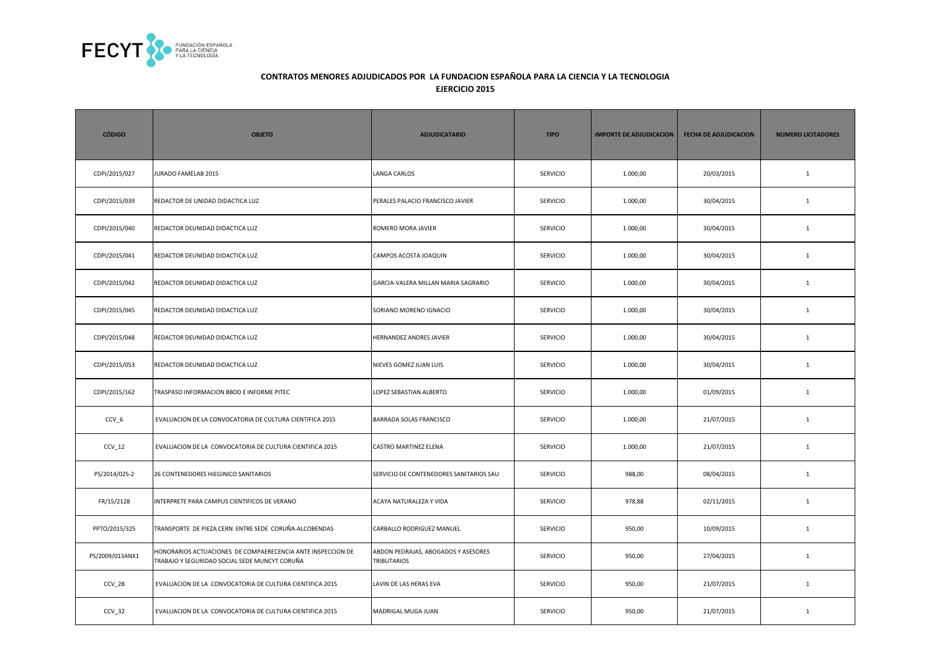

| <b>CÓDIGO</b>   | <b>OBJETO</b>                                                                                                | <b>ADJUDICATARIO</b>                                      | <b>TIPO</b>     | <b>IMPORTE DE ADJUDICACION</b> | <b>FECHA DE ADJUDICACION</b> | <b>NUMERO LICITADORES</b> |
|-----------------|--------------------------------------------------------------------------------------------------------------|-----------------------------------------------------------|-----------------|--------------------------------|------------------------------|---------------------------|
| CDPI/2015/027   | <b>JURADO FAMELAB 2015</b>                                                                                   | <b>LANGA CARLOS</b>                                       | SERVICIO        | 1.000,00                       | 20/03/2015                   | $\mathbf{1}$              |
| CDPI/2015/039   | REDACTOR DE UNIDAD DIDACTICA LUZ                                                                             | PERALES PALACIO FRANCISCO JAVIER                          | <b>SERVICIO</b> | 1.000,00                       | 30/04/2015                   | $\mathbf{1}$              |
| CDPI/2015/040   | REDACTOR DEUNIDAD DIDACTICA LUZ                                                                              | ROMERO MORA JAVIER                                        | <b>SERVICIO</b> | 1.000,00                       | 30/04/2015                   | $\mathbf{1}$              |
| CDPI/2015/041   | REDACTOR DEUNIDAD DIDACTICA LUZ                                                                              | CAMPOS ACOSTA JOAQUIN                                     | <b>SERVICIO</b> | 1.000,00                       | 30/04/2015                   | $\mathbf{1}$              |
| CDPI/2015/042   | REDACTOR DEUNIDAD DIDACTICA LUZ                                                                              | GARCIA-VALERA MILLAN MARIA SAGRARIO                       | <b>SERVICIO</b> | 1.000,00                       | 30/04/2015                   | $\mathbf{1}$              |
| CDPI/2015/045   | REDACTOR DEUNIDAD DIDACTICA LUZ                                                                              | SORIANO MORENO IGNACIO                                    | <b>SERVICIO</b> | 1.000,00                       | 30/04/2015                   | $\mathbf{1}$              |
| CDPI/2015/048   | REDACTOR DEUNIDAD DIDACTICA LUZ                                                                              | HERNANDEZ ANDRES JAVIER                                   | <b>SERVICIO</b> | 1.000,00                       | 30/04/2015                   | $\mathbf{1}$              |
| CDPI/2015/053   | REDACTOR DEUNIDAD DIDACTICA LUZ                                                                              | NIEVES GOMEZ JUAN LUIS                                    | <b>SERVICIO</b> | 1.000,00                       | 30/04/2015                   | $\mathbf{1}$              |
| CDPI/2015/162   | TRASPASO INFORMACION BBDD E INFORME PITEC                                                                    | LOPEZ SEBASTIAN ALBERTO                                   | <b>SERVICIO</b> | 1.000,00                       | 01/09/2015                   | $\mathbf{1}$              |
| $CCV_6$         | EVALUACION DE LA CONVOCATORIA DE CULTURA CIENTIFICA 2015                                                     | <b>BARRADA SOLAS FRANCISCO</b>                            | <b>SERVICIO</b> | 1.000,00                       | 21/07/2015                   | $\mathbf{1}$              |
| $CCV_12$        | EVALUACION DE LA CONVOCATORIA DE CULTURA CIENTIFICA 2015                                                     | CASTRO MARTINEZ ELENA                                     | <b>SERVICIO</b> | 1.000,00                       | 21/07/2015                   | $\mathbf{1}$              |
| PS/2014/025-2   | 26 CONTENEDORES HIEGINICO SANITARIOS                                                                         | SERVICIO DE CONTENEDORES SANITARIOS SAU                   | <b>SERVICIO</b> | 988,00                         | 08/04/2015                   | $\mathbf{1}$              |
| FR/15/2128      | NTERPRETE PARA CAMPUS CIENTIFICOS DE VERANO                                                                  | ACAYA NATURALEZA Y VIDA                                   | <b>SERVICIO</b> | 978,88                         | 02/11/2015                   | 1                         |
| PPTO/2015/325   | TRANSPORTE DE PIEZA CERN ENTRE SEDE CORUÑA-ALCOBENDAS                                                        | CARBALLO RODRIGUEZ MANUEL                                 | <b>SERVICIO</b> | 950,00                         | 10/09/2015                   | $\mathbf{1}$              |
| PS/2009/013ANX1 | HONORARIOS ACTUACIONES DE COMPAERECENCIA ANTE INSPECCION DE<br>TRABAJO Y SEGURIDAD SOCIAL SEDE MUNCYT CORUÑA | ABDON PEDRAJAS, ABOGADOS Y ASESORES<br><b>TRIBUTARIOS</b> | <b>SERVICIO</b> | 950,00                         | 27/04/2015                   | $\mathbf{1}$              |
| CCV_28          | EVALUACION DE LA CONVOCATORIA DE CULTURA CIENTIFICA 2015                                                     | LAVIN DE LAS HERAS EVA                                    | SERVICIO        | 950,00                         | 21/07/2015                   | $\mathbf 1$               |
| CCV_32          | EVALUACION DE LA CONVOCATORIA DE CULTURA CIENTIFICA 2015                                                     | MADRIGAL MUGA JUAN                                        | SERVICIO        | 950,00                         | 21/07/2015                   | $\mathbf{1}$              |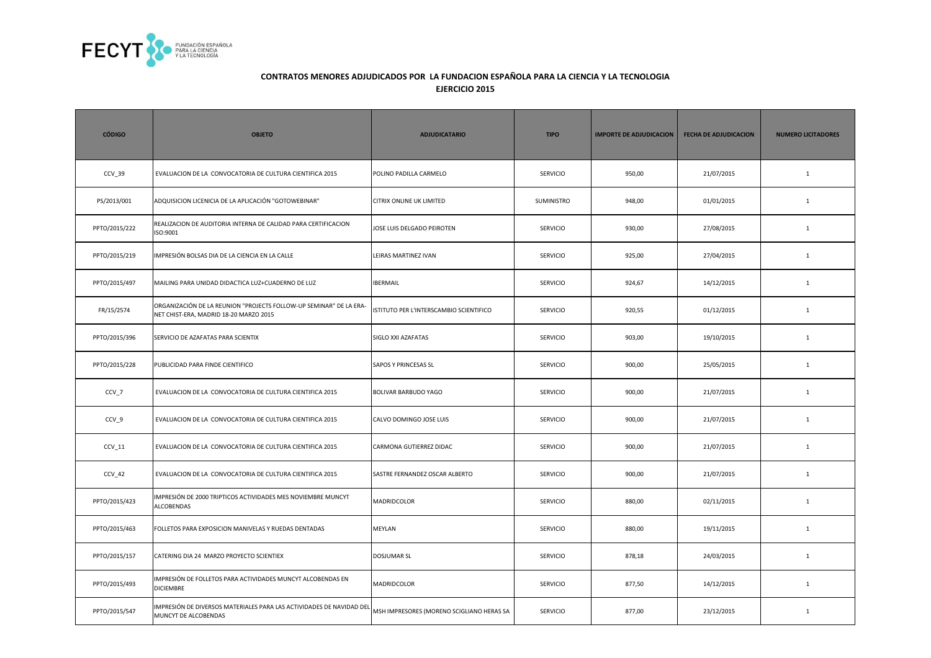

| <b>CÓDIGO</b> | <b>OBJETO</b>                                                                                                | <b>ADJUDICATARIO</b>                      | <b>TIPO</b>     | <b>IMPORTE DE ADJUDICACION</b> | <b>FECHA DE ADJUDICACION</b> | <b>NUMERO LICITADORES</b> |
|---------------|--------------------------------------------------------------------------------------------------------------|-------------------------------------------|-----------------|--------------------------------|------------------------------|---------------------------|
| CCV 39        | EVALUACION DE LA CONVOCATORIA DE CULTURA CIENTIFICA 2015                                                     | POLINO PADILLA CARMELO                    | <b>SERVICIO</b> | 950,00                         | 21/07/2015                   | $\mathbf{1}$              |
| PS/2013/001   | ADQUISICION LICENICIA DE LA APLICACIÓN "GOTOWEBINAR"                                                         | <b>CITRIX ONLINE UK LIMITED</b>           | SUMINISTRO      | 948,00                         | 01/01/2015                   | $\mathbf{1}$              |
| PPTO/2015/222 | REALIZACION DE AUDITORIA INTERNA DE CALIDAD PARA CERTIFICACION<br>ISO:9001                                   | JOSE LUIS DELGADO PEIROTEN                | SERVICIO        | 930,00                         | 27/08/2015                   | $\mathbf{1}$              |
| PPTO/2015/219 | MPRESIÓN BOLSAS DIA DE LA CIENCIA EN LA CALLE                                                                | LEIRAS MARTINEZ IVAN                      | SERVICIO        | 925,00                         | 27/04/2015                   | $\mathbf 1$               |
| PPTO/2015/497 | MAILING PARA UNIDAD DIDACTICA LUZ+CUADERNO DE LUZ                                                            | <b>IBERMAIL</b>                           | <b>SERVICIO</b> | 924,67                         | 14/12/2015                   | $\mathbf{1}$              |
| FR/15/2574    | ORGANIZACIÓN DE LA REUNION "PROJECTS FOLLOW-UP SEMINAR" DE LA ERA-<br>NET CHIST-ERA, MADRID 18-20 MARZO 2015 | ISTITUTO PER L'INTERSCAMBIO SCIENTIFICO   | <b>SERVICIO</b> | 920,55                         | 01/12/2015                   | $\mathbf{1}$              |
| PPTO/2015/396 | SERVICIO DE AZAFATAS PARA SCIENTIX                                                                           | SIGLO XXI AZAFATAS                        | <b>SERVICIO</b> | 903,00                         | 19/10/2015                   | $\mathbf{1}$              |
| PPTO/2015/228 | PUBLICIDAD PARA FINDE CIENTIFICO                                                                             | <b>SAPOS Y PRINCESAS SL</b>               | <b>SERVICIO</b> | 900,00                         | 25/05/2015                   | $\mathbf{1}$              |
| CCV_7         | EVALUACION DE LA CONVOCATORIA DE CULTURA CIENTIFICA 2015                                                     | <b>BOLIVAR BARBUDO YAGO</b>               | <b>SERVICIO</b> | 900,00                         | 21/07/2015                   | $\mathbf{1}$              |
| CCV_9         | EVALUACION DE LA CONVOCATORIA DE CULTURA CIENTIFICA 2015                                                     | CALVO DOMINGO JOSE LUIS                   | <b>SERVICIO</b> | 900,00                         | 21/07/2015                   | $\mathbf{1}$              |
| CCV 11        | EVALUACION DE LA CONVOCATORIA DE CULTURA CIENTIFICA 2015                                                     | CARMONA GUTIERREZ DIDAC                   | <b>SERVICIO</b> | 900,00                         | 21/07/2015                   | $\mathbf{1}$              |
| $CCV_42$      | EVALUACION DE LA CONVOCATORIA DE CULTURA CIENTIFICA 2015                                                     | SASTRE FERNANDEZ OSCAR ALBERTO            | <b>SERVICIO</b> | 900,00                         | 21/07/2015                   | $\mathbf{1}$              |
| PPTO/2015/423 | MPRESIÓN DE 2000 TRIPTICOS ACTIVIDADES MES NOVIEMBRE MUNCYT<br><b>ALCOBENDAS</b>                             | <b>MADRIDCOLOR</b>                        | <b>SERVICIO</b> | 880,00                         | 02/11/2015                   | $\mathbf{1}$              |
| PPTO/2015/463 | FOLLETOS PARA EXPOSICION MANIVELAS Y RUEDAS DENTADAS                                                         | <b>MEYLAN</b>                             | <b>SERVICIO</b> | 880,00                         | 19/11/2015                   | 1                         |
| PPTO/2015/157 | CATERING DIA 24 MARZO PROYECTO SCIENTIEX                                                                     | <b>DOSJUMAR SL</b>                        | <b>SERVICIO</b> | 878,18                         | 24/03/2015                   | $\mathbf{1}$              |
| PPTO/2015/493 | MPRESIÓN DE FOLLETOS PARA ACTIVIDADES MUNCYT ALCOBENDAS EN<br><b>DICIEMBRE</b>                               | <b>MADRIDCOLOR</b>                        | <b>SERVICIO</b> | 877,50                         | 14/12/2015                   | $\mathbf{1}$              |
| PPTO/2015/547 | MPRESIÓN DE DIVERSOS MATERIALES PARA LAS ACTIVIDADES DE NAVIDAD DEL<br>MUNCYT DE ALCOBENDAS                  | MSH IMPRESORES (MORENO SCIGLIANO HERAS SA | SERVICIO        | 877,00                         | 23/12/2015                   | $\mathbf{1}$              |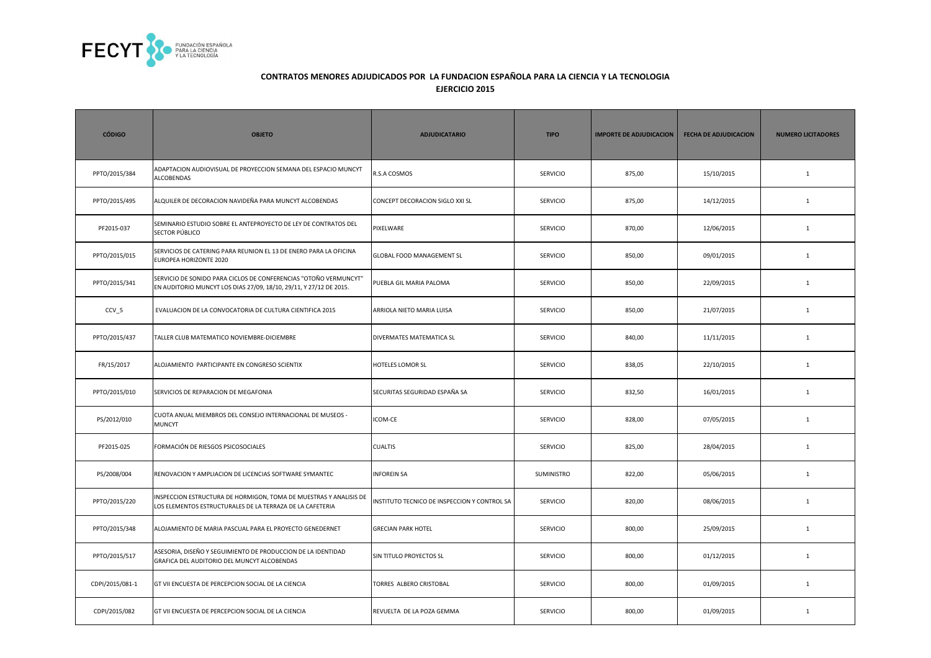

| <b>CÓDIGO</b>    | <b>OBJETO</b>                                                                                                                          | <b>ADJUDICATARIO</b>                         | <b>TIPO</b>     | <b>IMPORTE DE ADJUDICACION</b> | <b>FECHA DE ADJUDICACION</b> | <b>NUMERO LICITADORES</b> |
|------------------|----------------------------------------------------------------------------------------------------------------------------------------|----------------------------------------------|-----------------|--------------------------------|------------------------------|---------------------------|
| PPTO/2015/384    | ADAPTACION AUDIOVISUAL DE PROYECCION SEMANA DEL ESPACIO MUNCYT<br>ALCOBENDAS                                                           | R.S.A COSMOS                                 | SERVICIO        | 875,00                         | 15/10/2015                   | $\mathbf{1}$              |
| PPTO/2015/495    | ALQUILER DE DECORACION NAVIDEÑA PARA MUNCYT ALCOBENDAS                                                                                 | CONCEPT DECORACION SIGLO XXI SL              | SERVICIO        | 875,00                         | 14/12/2015                   | $\mathbf{1}$              |
| PF2015-037       | SEMINARIO ESTUDIO SOBRE EL ANTEPROYECTO DE LEY DE CONTRATOS DEL<br>SECTOR PÚBLICO                                                      | PIXELWARE                                    | <b>SERVICIO</b> | 870,00                         | 12/06/2015                   | $\mathbf{1}$              |
| PPTO/2015/015    | SERVICIOS DE CATERING PARA REUNION EL 13 DE ENERO PARA LA OFICINA<br>EUROPEA HORIZONTE 2020                                            | GLOBAL FOOD MANAGEMENT SL                    | <b>SERVICIO</b> | 850,00                         | 09/01/2015                   | $\mathbf{1}$              |
| PPTO/2015/341    | SERVICIO DE SONIDO PARA CICLOS DE CONFERENCIAS "OTOÑO VERMUNCYT"<br>EN AUDITORIO MUNCYT LOS DIAS 27/09, 18/10, 29/11, Y 27/12 DE 2015. | PUEBLA GIL MARIA PALOMA                      | <b>SERVICIO</b> | 850,00                         | 22/09/2015                   | $\mathbf{1}$              |
| CCV <sub>5</sub> | EVALUACION DE LA CONVOCATORIA DE CULTURA CIENTIFICA 2015                                                                               | ARRIOLA NIETO MARIA LUISA                    | <b>SERVICIO</b> | 850,00                         | 21/07/2015                   | $\mathbf{1}$              |
| PPTO/2015/437    | TALLER CLUB MATEMATICO NOVIEMBRE-DICIEMBRE                                                                                             | DIVERMATES MATEMATICA SL                     | SERVICIO        | 840,00                         | 11/11/2015                   | $\mathbf 1$               |
| FR/15/2017       | ALOJAMIENTO PARTICIPANTE EN CONGRESO SCIENTIX                                                                                          | <b>HOTELES LOMOR SL</b>                      | SERVICIO        | 838,05                         | 22/10/2015                   | $\mathbf 1$               |
| PPTO/2015/010    | SERVICIOS DE REPARACION DE MEGAFONIA                                                                                                   | SECURITAS SEGURIDAD ESPAÑA SA                | SERVICIO        | 832,50                         | 16/01/2015                   | $\mathbf 1$               |
| PS/2012/010      | CUOTA ANUAL MIEMBROS DEL CONSEJO INTERNACIONAL DE MUSEOS -<br>MUNCYT                                                                   | <b>ICOM-CE</b>                               | <b>SERVICIO</b> | 828,00                         | 07/05/2015                   | $\mathbf{1}$              |
| PF2015-025       | FORMACIÓN DE RIESGOS PSICOSOCIALES                                                                                                     | <b>CUALTIS</b>                               | <b>SERVICIO</b> | 825,00                         | 28/04/2015                   | $\mathbf{1}$              |
| PS/2008/004      | RENOVACION Y AMPLIACION DE LICENCIAS SOFTWARE SYMANTEC                                                                                 | <b>INFOREIN SA</b>                           | SUMINISTRO      | 822,00                         | 05/06/2015                   | $\mathbf{1}$              |
| PPTO/2015/220    | INSPECCION ESTRUCTURA DE HORMIGON, TOMA DE MUESTRAS Y ANALISIS DE<br>LOS ELEMENTOS ESTRUCTURALES DE LA TERRAZA DE LA CAFETERIA         | INSTITUTO TECNICO DE INSPECCION Y CONTROL SA | <b>SERVICIO</b> | 820,00                         | 08/06/2015                   | $\mathbf{1}$              |
| PPTO/2015/348    | ALOJAMIENTO DE MARIA PASCUAL PARA EL PROYECTO GENEDERNET                                                                               | <b>GRECIAN PARK HOTEL</b>                    | <b>SERVICIO</b> | 800,00                         | 25/09/2015                   | $\mathbf{1}$              |
| PPTO/2015/517    | ASESORIA, DISEÑO Y SEGUIMIENTO DE PRODUCCION DE LA IDENTIDAD<br>GRAFICA DEL AUDITORIO DEL MUNCYT ALCOBENDAS                            | SIN TITULO PROYECTOS SL                      | <b>SERVICIO</b> | 800,00                         | 01/12/2015                   | $\mathbf{1}$              |
| CDPI/2015/081-1  | GT VII ENCUESTA DE PERCEPCION SOCIAL DE LA CIENCIA                                                                                     | TORRES ALBERO CRISTOBAL                      | <b>SERVICIO</b> | 800,00                         | 01/09/2015                   | $\mathbf{1}$              |
| CDPI/2015/082    | GT VII ENCUESTA DE PERCEPCION SOCIAL DE LA CIENCIA                                                                                     | REVUELTA DE LA POZA GEMMA                    | <b>SERVICIO</b> | 800,00                         | 01/09/2015                   | $\mathbf{1}$              |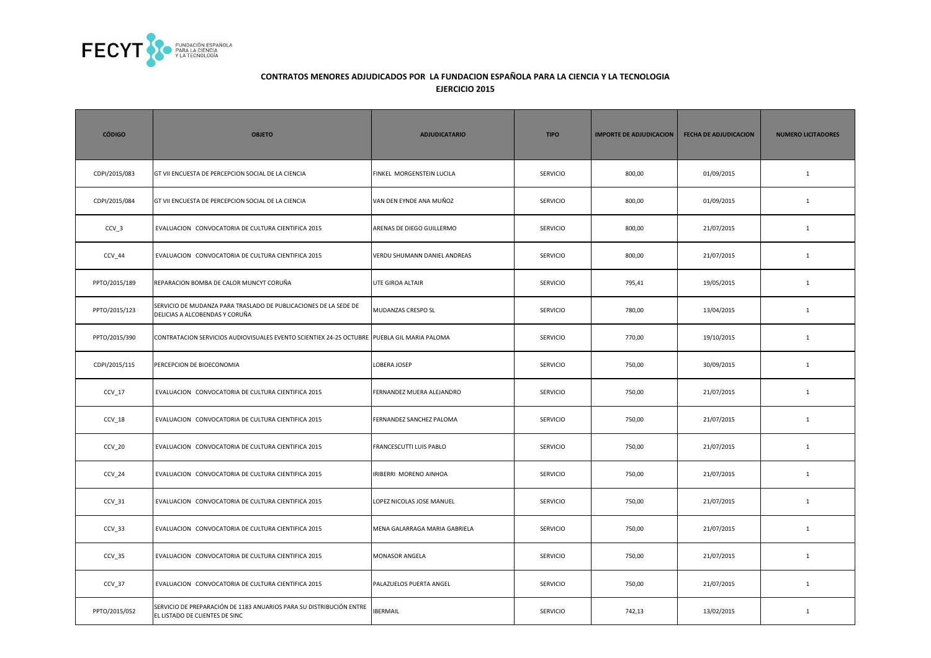

| <b>CÓDIGO</b> | <b>OBJETO</b>                                                                                         | <b>ADJUDICATARIO</b>          | <b>TIPO</b>     | <b>IMPORTE DE ADJUDICACION</b> | <b>FECHA DE ADJUDICACION</b> | <b>NUMERO LICITADORES</b> |
|---------------|-------------------------------------------------------------------------------------------------------|-------------------------------|-----------------|--------------------------------|------------------------------|---------------------------|
| CDPI/2015/083 | GT VII ENCUESTA DE PERCEPCION SOCIAL DE LA CIENCIA                                                    | FINKEL MORGENSTEIN LUCILA     | <b>SERVICIO</b> | 800,00                         | 01/09/2015                   | $\mathbf{1}$              |
| CDPI/2015/084 | GT VII ENCUESTA DE PERCEPCION SOCIAL DE LA CIENCIA                                                    | VAN DEN EYNDE ANA MUÑOZ       | SERVICIO        | 800,00                         | 01/09/2015                   | $\mathbf{1}$              |
| $CCV_3$       | EVALUACION CONVOCATORIA DE CULTURA CIENTIFICA 2015                                                    | ARENAS DE DIEGO GUILLERMO     | <b>SERVICIO</b> | 800,00                         | 21/07/2015                   | $\mathbf{1}$              |
| CCV 44        | EVALUACION CONVOCATORIA DE CULTURA CIENTIFICA 2015                                                    | VERDU SHUMANN DANIEL ANDREAS  | <b>SERVICIO</b> | 800,00                         | 21/07/2015                   | $\mathbf{1}$              |
| PPTO/2015/189 | REPARACION BOMBA DE CALOR MUNCYT CORUÑA                                                               | <b>UTE GIROA ALTAIR</b>       | <b>SERVICIO</b> | 795,41                         | 19/05/2015                   | $\mathbf{1}$              |
| PPTO/2015/123 | SERVICIO DE MUDANZA PARA TRASLADO DE PUBLICACIONES DE LA SEDE DE<br>DELICIAS A ALCOBENDAS Y CORUÑA    | MUDANZAS CRESPO SL            | <b>SERVICIO</b> | 780,00                         | 13/04/2015                   | $\mathbf{1}$              |
| PPTO/2015/390 | CONTRATACION SERVICIOS AUDIOVISUALES EVENTO SCIENTIEX 24-25 OCTUBRE PUEBLA GIL MARIA PALOMA           |                               | <b>SERVICIO</b> | 770,00                         | 19/10/2015                   | $\mathbf{1}$              |
| CDPI/2015/115 | PERCEPCION DE BIOECONOMIA                                                                             | LOBERA JOSEP                  | <b>SERVICIO</b> | 750,00                         | 30/09/2015                   | $\mathbf{1}$              |
| CCV 17        | EVALUACION CONVOCATORIA DE CULTURA CIENTIFICA 2015                                                    | FERNANDEZ MUERA ALEJANDRO     | SERVICIO        | 750,00                         | 21/07/2015                   | $\mathbf{1}$              |
| CCV 18        | EVALUACION CONVOCATORIA DE CULTURA CIENTIFICA 2015                                                    | FERNANDEZ SANCHEZ PALOMA      | <b>SERVICIO</b> | 750,00                         | 21/07/2015                   | $\mathbf{1}$              |
| $CCV_2$       | EVALUACION CONVOCATORIA DE CULTURA CIENTIFICA 2015                                                    | FRANCESCUTTI LUIS PABLO       | SERVICIO        | 750,00                         | 21/07/2015                   | $\mathbf{1}$              |
| $CCV_24$      | EVALUACION CONVOCATORIA DE CULTURA CIENTIFICA 2015                                                    | IRIBERRI MORENO AINHOA        | SERVICIO        | 750,00                         | 21/07/2015                   | $\mathbf{1}$              |
| CCV 31        | EVALUACION CONVOCATORIA DE CULTURA CIENTIFICA 2015                                                    | LOPEZ NICOLAS JOSE MANUEL     | <b>SERVICIO</b> | 750,00                         | 21/07/2015                   | $\mathbf{1}$              |
| $CCV_33$      | EVALUACION CONVOCATORIA DE CULTURA CIENTIFICA 2015                                                    | MENA GALARRAGA MARIA GABRIELA | <b>SERVICIO</b> | 750,00                         | 21/07/2015                   | $\mathbf{1}$              |
| CCV 35        | EVALUACION CONVOCATORIA DE CULTURA CIENTIFICA 2015                                                    | MONASOR ANGELA                | <b>SERVICIO</b> | 750,00                         | 21/07/2015                   | $\mathbf{1}$              |
| CCV 37        | EVALUACION CONVOCATORIA DE CULTURA CIENTIFICA 2015                                                    | PALAZUELOS PUERTA ANGEL       | <b>SERVICIO</b> | 750,00                         | 21/07/2015                   | $\mathbf{1}$              |
| PPTO/2015/052 | SERVICIO DE PREPARACIÓN DE 1183 ANUARIOS PARA SU DISTRIBUCIÓN ENTRE<br>EL LISTADO DE CLIENTES DE SINC | <b>IBERMAIL</b>               | <b>SERVICIO</b> | 742,13                         | 13/02/2015                   | $\mathbf{1}$              |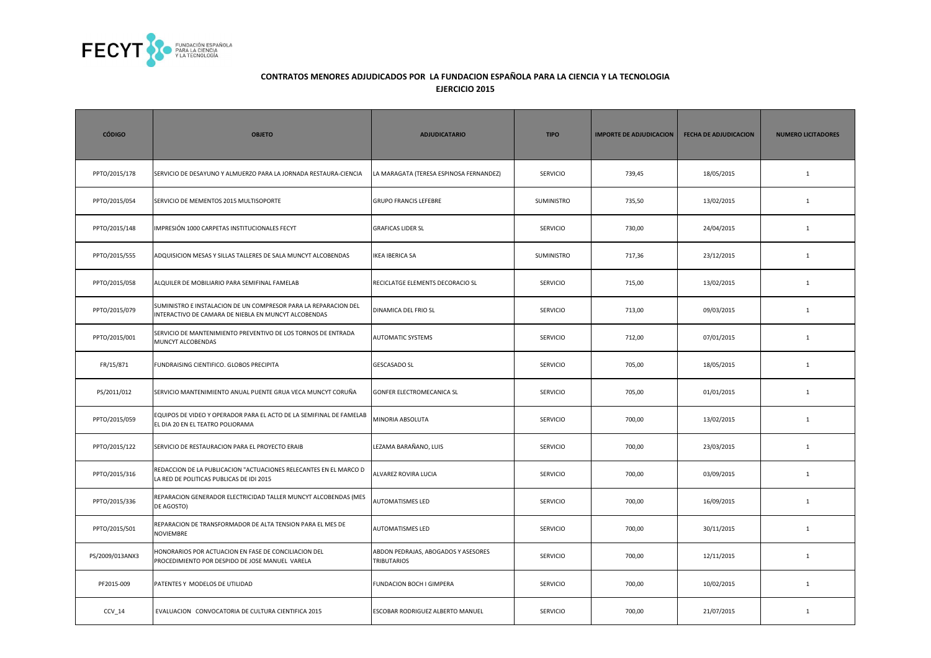

| <b>CÓDIGO</b>   | <b>OBJETO</b>                                                                                                           | <b>ADJUDICATARIO</b>                                      | <b>TIPO</b>       | <b>IMPORTE DE ADJUDICACION</b> | <b>FECHA DE ADJUDICACION</b> | <b>NUMERO LICITADORES</b> |
|-----------------|-------------------------------------------------------------------------------------------------------------------------|-----------------------------------------------------------|-------------------|--------------------------------|------------------------------|---------------------------|
| PPTO/2015/178   | SERVICIO DE DESAYUNO Y ALMUERZO PARA LA JORNADA RESTAURA-CIENCIA                                                        | LA MARAGATA (TERESA ESPINOSA FERNANDEZ)                   | <b>SERVICIO</b>   | 739,45                         | 18/05/2015                   | $\mathbf{1}$              |
| PPTO/2015/054   | SERVICIO DE MEMENTOS 2015 MULTISOPORTE                                                                                  | <b>GRUPO FRANCIS LEFEBRE</b>                              | <b>SUMINISTRO</b> | 735,50                         | 13/02/2015                   | $\mathbf{1}$              |
| PPTO/2015/148   | IMPRESIÓN 1000 CARPETAS INSTITUCIONALES FECYT                                                                           | <b>GRAFICAS LIDER SL</b>                                  | <b>SERVICIO</b>   | 730,00                         | 24/04/2015                   | $\mathbf{1}$              |
| PPTO/2015/555   | ADQUISICION MESAS Y SILLAS TALLERES DE SALA MUNCYT ALCOBENDAS                                                           | <b>IKEA IBERICA SA</b>                                    | SUMINISTRO        | 717,36                         | 23/12/2015                   | $\mathbf{1}$              |
| PPTO/2015/058   | ALQUILER DE MOBILIARIO PARA SEMIFINAL FAMELAB                                                                           | RECICLATGE ELEMENTS DECORACIO SL                          | SERVICIO          | 715,00                         | 13/02/2015                   | $\mathbf{1}$              |
| PPTO/2015/079   | SUMINISTRO E INSTALACION DE UN COMPRESOR PARA LA REPARACION DEL<br>INTERACTIVO DE CAMARA DE NIEBLA EN MUNCYT ALCOBENDAS | DINAMICA DEL FRIO SL                                      | <b>SERVICIO</b>   | 713,00                         | 09/03/2015                   | $\mathbf{1}$              |
| PPTO/2015/001   | SERVICIO DE MANTENIMIENTO PREVENTIVO DE LOS TORNOS DE ENTRADA<br>MUNCYT ALCOBENDAS                                      | AUTOMATIC SYSTEMS                                         | <b>SERVICIO</b>   | 712,00                         | 07/01/2015                   | $\mathbf{1}$              |
| FR/15/871       | FUNDRAISING CIENTIFICO. GLOBOS PRECIPITA                                                                                | <b>GESCASADO SL</b>                                       | <b>SERVICIO</b>   | 705,00                         | 18/05/2015                   | $\mathbf{1}$              |
| PS/2011/012     | SERVICIO MANTENIMIENTO ANUAL PUENTE GRUA VECA MUNCYT CORUÑA                                                             | <b>GONFER ELECTROMECANICA SL</b>                          | <b>SERVICIO</b>   | 705,00                         | 01/01/2015                   | $\mathbf{1}$              |
| PPTO/2015/059   | EQUIPOS DE VIDEO Y OPERADOR PARA EL ACTO DE LA SEMIFINAL DE FAMELAB<br>EL DIA 20 EN EL TEATRO POLIORAMA                 | MINORIA ABSOLUTA                                          | <b>SERVICIO</b>   | 700,00                         | 13/02/2015                   | $\mathbf{1}$              |
| PPTO/2015/122   | SERVICIO DE RESTAURACION PARA EL PROYECTO ERAIB                                                                         | LEZAMA BARAÑANO, LUIS                                     | <b>SERVICIO</b>   | 700,00                         | 23/03/2015                   | $\mathbf{1}$              |
| PPTO/2015/316   | REDACCION DE LA PUBLICACION "ACTUACIONES RELECANTES EN EL MARCO D<br>LA RED DE POLITICAS PUBLICAS DE IDI 2015           | ALVAREZ ROVIRA LUCIA                                      | <b>SERVICIO</b>   | 700,00                         | 03/09/2015                   | $\mathbf{1}$              |
| PPTO/2015/336   | REPARACION GENERADOR ELECTRICIDAD TALLER MUNCYT ALCOBENDAS (MES<br>DE AGOSTO)                                           | <b>AUTOMATISMES LED</b>                                   | <b>SERVICIO</b>   | 700,00                         | 16/09/2015                   | $\mathbf{1}$              |
| PPTO/2015/501   | REPARACION DE TRANSFORMADOR DE ALTA TENSION PARA EL MES DE<br>NOVIEMBRE                                                 | <b>AUTOMATISMES LED</b>                                   | <b>SERVICIO</b>   | 700,00                         | 30/11/2015                   | $\mathbf{1}$              |
| PS/2009/013ANX3 | HONORARIOS POR ACTUACION EN FASE DE CONCILIACION DEL<br>PROCEDIMIENTO POR DESPIDO DE JOSE MANUEL VARELA                 | ABDON PEDRAJAS, ABOGADOS Y ASESORES<br><b>TRIBUTARIOS</b> | <b>SERVICIO</b>   | 700,00                         | 12/11/2015                   | $\mathbf{1}$              |
| PF2015-009      | PATENTES Y MODELOS DE UTILIDAD                                                                                          | FUNDACION BOCH I GIMPERA                                  | <b>SERVICIO</b>   | 700,00                         | 10/02/2015                   | $\mathbf{1}$              |
| $CCV_14$        | EVALUACION CONVOCATORIA DE CULTURA CIENTIFICA 2015                                                                      | ESCOBAR RODRIGUEZ ALBERTO MANUEL                          | SERVICIO          | 700,00                         | 21/07/2015                   | $\mathbf{1}$              |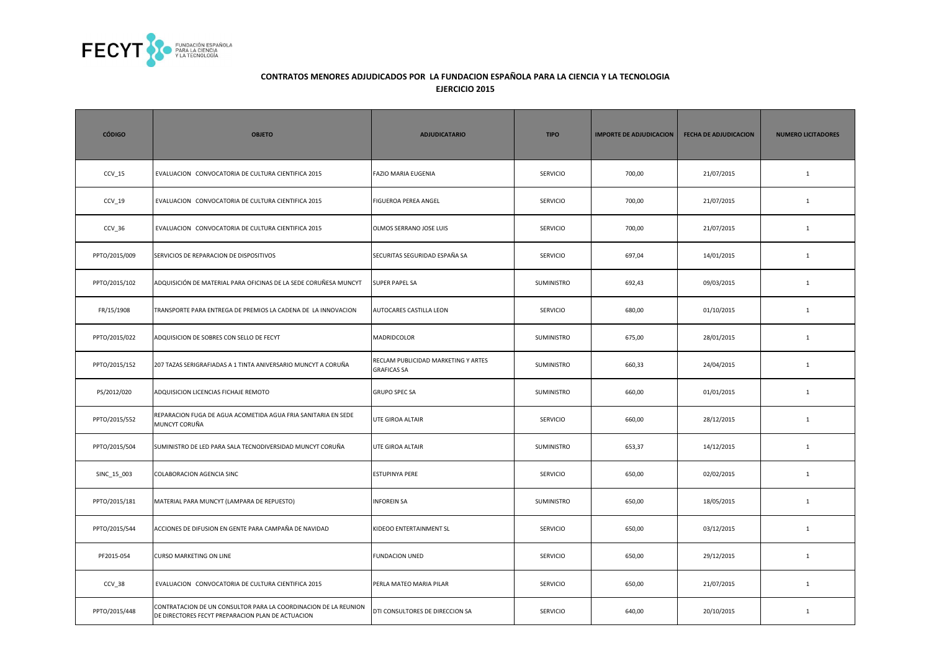

| <b>CÓDIGO</b> | <b>OBJETO</b>                                                                                                        | <b>ADJUDICATARIO</b>                                      | <b>TIPO</b>     | <b>IMPORTE DE ADJUDICACION</b> | <b>FECHA DE ADJUDICACION</b> | <b>NUMERO LICITADORES</b> |
|---------------|----------------------------------------------------------------------------------------------------------------------|-----------------------------------------------------------|-----------------|--------------------------------|------------------------------|---------------------------|
| $CCV_15$      | EVALUACION CONVOCATORIA DE CULTURA CIENTIFICA 2015                                                                   | FAZIO MARIA EUGENIA                                       | <b>SERVICIO</b> | 700,00                         | 21/07/2015                   | $\mathbf{1}$              |
| $CCV_19$      | EVALUACION CONVOCATORIA DE CULTURA CIENTIFICA 2015                                                                   | FIGUEROA PEREA ANGEL                                      | SERVICIO        | 700,00                         | 21/07/2015                   | $\mathbf{1}$              |
| $CCV_36$      | EVALUACION CONVOCATORIA DE CULTURA CIENTIFICA 2015                                                                   | OLMOS SERRANO JOSE LUIS                                   | <b>SERVICIO</b> | 700,00                         | 21/07/2015                   | $\mathbf{1}$              |
| PPTO/2015/009 | SERVICIOS DE REPARACION DE DISPOSITIVOS                                                                              | SECURITAS SEGURIDAD ESPAÑA SA                             | <b>SERVICIO</b> | 697,04                         | 14/01/2015                   | $\mathbf{1}$              |
| PPTO/2015/102 | ADQUISICIÓN DE MATERIAL PARA OFICINAS DE LA SEDE CORUÑESA MUNCYT                                                     | <b>SUPER PAPEL SA</b>                                     | SUMINISTRO      | 692,43                         | 09/03/2015                   | $\mathbf{1}$              |
| FR/15/1908    | TRANSPORTE PARA ENTREGA DE PREMIOS LA CADENA DE LA INNOVACION                                                        | AUTOCARES CASTILLA LEON                                   | SERVICIO        | 680,00                         | 01/10/2015                   | $1\,$                     |
| PPTO/2015/022 | ADQUISICION DE SOBRES CON SELLO DE FECYT                                                                             | MADRIDCOLOR                                               | SUMINISTRO      | 675,00                         | 28/01/2015                   | $\mathbf{1}$              |
| PPTO/2015/152 | 207 TAZAS SERIGRAFIADAS A 1 TINTA ANIVERSARIO MUNCYT A CORUÑA                                                        | RECLAM PUBLICIDAD MARKETING Y ARTES<br><b>GRAFICAS SA</b> | SUMINISTRO      | 660,33                         | 24/04/2015                   | $\mathbf{1}$              |
| PS/2012/020   | ADQUISICION LICENCIAS FICHAJE REMOTO                                                                                 | <b>GRUPO SPEC SA</b>                                      | SUMINISTRO      | 660,00                         | 01/01/2015                   | 1                         |
| PPTO/2015/552 | REPARACION FUGA DE AGUA ACOMETIDA AGUA FRIA SANITARIA EN SEDE<br>MUNCYT CORUÑA                                       | UTE GIROA ALTAIR                                          | SERVICIO        | 660,00                         | 28/12/2015                   | $\mathbf{1}$              |
| PPTO/2015/504 | SUMINISTRO DE LED PARA SALA TECNODIVERSIDAD MUNCYT CORUÑA                                                            | UTE GIROA ALTAIR                                          | SUMINISTRO      | 653,37                         | 14/12/2015                   | $1\,$                     |
| SINC_15_003   | <b>COLABORACION AGENCIA SINC</b>                                                                                     | <b>ESTUPINYA PERE</b>                                     | <b>SERVICIO</b> | 650,00                         | 02/02/2015                   | $\mathbf{1}$              |
| PPTO/2015/181 | MATERIAL PARA MUNCYT (LAMPARA DE REPUESTO)                                                                           | <b>INFOREIN SA</b>                                        | SUMINISTRO      | 650,00                         | 18/05/2015                   | $\mathbf{1}$              |
| PPTO/2015/544 | ACCIONES DE DIFUSION EN GENTE PARA CAMPAÑA DE NAVIDAD                                                                | KIDEOO ENTERTAINMENT SL                                   | <b>SERVICIO</b> | 650,00                         | 03/12/2015                   | $\mathbf{1}$              |
| PF2015-054    | <b>CURSO MARKETING ON LINE</b>                                                                                       | <b>FUNDACION UNED</b>                                     | <b>SERVICIO</b> | 650,00                         | 29/12/2015                   | $\mathbf{1}$              |
| CCV_38        | EVALUACION CONVOCATORIA DE CULTURA CIENTIFICA 2015                                                                   | PERLA MATEO MARIA PILAR                                   | <b>SERVICIO</b> | 650,00                         | 21/07/2015                   | $\mathbf{1}$              |
| PPTO/2015/448 | CONTRATACION DE UN CONSULTOR PARA LA COORDINACION DE LA REUNION<br>DE DIRECTORES FECYT PREPARACION PLAN DE ACTUACION | DTI CONSULTORES DE DIRECCION SA                           | <b>SERVICIO</b> | 640,00                         | 20/10/2015                   | $\mathbf{1}$              |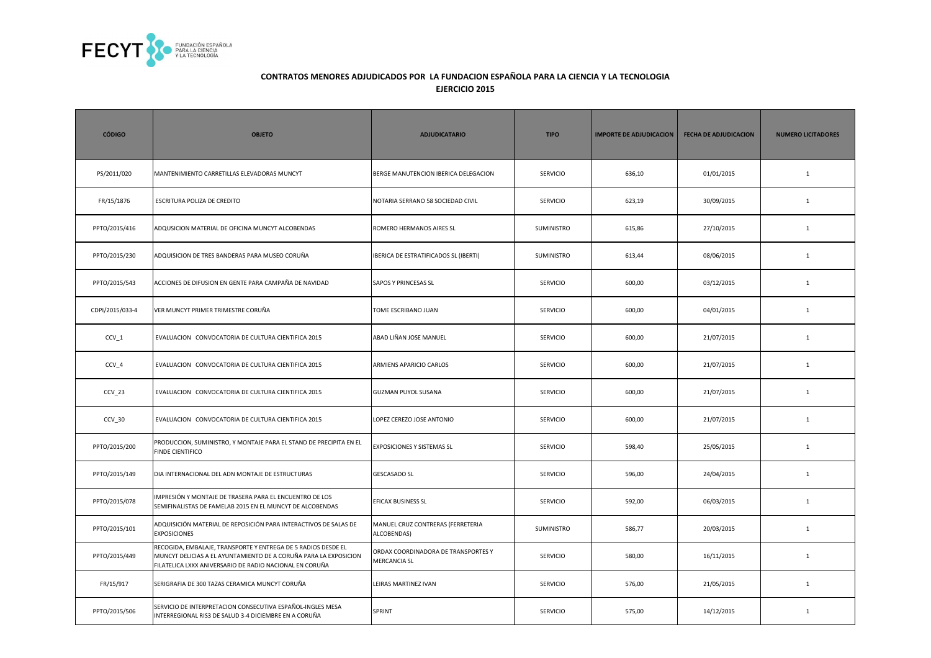

| <b>CÓDIGO</b>   | <b>OBJETO</b>                                                                                                                                                                                | <b>ADJUDICATARIO</b>                                       | <b>TIPO</b>       | <b>IMPORTE DE ADJUDICACION</b> | <b>FECHA DE ADJUDICACION</b> | <b>NUMERO LICITADORES</b> |
|-----------------|----------------------------------------------------------------------------------------------------------------------------------------------------------------------------------------------|------------------------------------------------------------|-------------------|--------------------------------|------------------------------|---------------------------|
| PS/2011/020     | MANTENIMIENTO CARRETILLAS ELEVADORAS MUNCYT                                                                                                                                                  | BERGE MANUTENCION IBERICA DELEGACION                       | <b>SERVICIO</b>   | 636,10                         | 01/01/2015                   | $\mathbf{1}$              |
| FR/15/1876      | ESCRITURA POLIZA DE CREDITO                                                                                                                                                                  | NOTARIA SERRANO 58 SOCIEDAD CIVIL                          | <b>SERVICIO</b>   | 623,19                         | 30/09/2015                   | $\mathbf{1}$              |
| PPTO/2015/416   | ADQUSICION MATERIAL DE OFICINA MUNCYT ALCOBENDAS                                                                                                                                             | ROMERO HERMANOS AIRES SL                                   | SUMINISTRO        | 615,86                         | 27/10/2015                   | $\mathbf{1}$              |
| PPTO/2015/230   | ADQUISICION DE TRES BANDERAS PARA MUSEO CORUÑA                                                                                                                                               | IBERICA DE ESTRATIFICADOS SL (IBERTI)                      | SUMINISTRO        | 613,44                         | 08/06/2015                   | $\mathbf{1}$              |
| PPTO/2015/543   | ACCIONES DE DIFUSION EN GENTE PARA CAMPAÑA DE NAVIDAD                                                                                                                                        | <b>SAPOS Y PRINCESAS SL</b>                                | <b>SERVICIO</b>   | 600,00                         | 03/12/2015                   | $\mathbf{1}$              |
| CDPI/2015/033-4 | VER MUNCYT PRIMER TRIMESTRE CORUÑA                                                                                                                                                           | TOME ESCRIBANO JUAN                                        | <b>SERVICIO</b>   | 600,00                         | 04/01/2015                   | $\mathbf{1}$              |
| CCV 1           | EVALUACION CONVOCATORIA DE CULTURA CIENTIFICA 2015                                                                                                                                           | ABAD LIÑAN JOSE MANUEL                                     | <b>SERVICIO</b>   | 600,00                         | 21/07/2015                   | $\mathbf{1}$              |
| CCV_4           | EVALUACION CONVOCATORIA DE CULTURA CIENTIFICA 2015                                                                                                                                           | ARMIENS APARICIO CARLOS                                    | <b>SERVICIO</b>   | 600,00                         | 21/07/2015                   | $\mathbf{1}$              |
| CCV_23          | EVALUACION CONVOCATORIA DE CULTURA CIENTIFICA 2015                                                                                                                                           | <b>GUZMAN PUYOL SUSANA</b>                                 | <b>SERVICIO</b>   | 600,00                         | 21/07/2015                   | $\mathbf{1}$              |
| CCV 30          | EVALUACION CONVOCATORIA DE CULTURA CIENTIFICA 2015                                                                                                                                           | LOPEZ CEREZO JOSE ANTONIO                                  | <b>SERVICIO</b>   | 600,00                         | 21/07/2015                   | $\mathbf{1}$              |
| PPTO/2015/200   | PRODUCCION, SUMINISTRO, Y MONTAJE PARA EL STAND DE PRECIPITA EN EL<br><b>FINDE CIENTIFICO</b>                                                                                                | <b>EXPOSICIONES Y SISTEMAS SL</b>                          | <b>SERVICIO</b>   | 598,40                         | 25/05/2015                   | $\mathbf{1}$              |
| PPTO/2015/149   | DIA INTERNACIONAL DEL ADN MONTAJE DE ESTRUCTURAS                                                                                                                                             | <b>GESCASADO SL</b>                                        | <b>SERVICIO</b>   | 596,00                         | 24/04/2015                   | $\mathbf{1}$              |
| PPTO/2015/078   | IMPRESIÓN Y MONTAJE DE TRASERA PARA EL ENCUENTRO DE LOS<br>SEMIFINALISTAS DE FAMELAB 2015 EN EL MUNCYT DE ALCOBENDAS                                                                         | <b>EFICAX BUSINESS SL</b>                                  | <b>SERVICIO</b>   | 592,00                         | 06/03/2015                   | $\mathbf{1}$              |
| PPTO/2015/101   | ADQUISICIÓN MATERIAL DE REPOSICIÓN PARA INTERACTIVOS DE SALAS DE<br><b>EXPOSICIONES</b>                                                                                                      | MANUEL CRUZ CONTRERAS (FERRETERIA<br>ALCOBENDAS)           | <b>SUMINISTRO</b> | 586,77                         | 20/03/2015                   | $\mathbf{1}$              |
| PPTO/2015/449   | RECOGIDA, EMBALAJE, TRANSPORTE Y ENTREGA DE 5 RADIOS DESDE EL<br>MUNCYT DELICIAS A EL AYUNTAMIENTO DE A CORUÑA PARA LA EXPOSICION<br>FILATELICA LXXX ANIVERSARIO DE RADIO NACIONAL EN CORUÑA | ORDAX COORDINADORA DE TRANSPORTES Y<br><b>MERCANCIA SL</b> | <b>SERVICIO</b>   | 580,00                         | 16/11/2015                   | $\mathbf{1}$              |
| FR/15/917       | SERIGRAFIA DE 300 TAZAS CERAMICA MUNCYT CORUÑA                                                                                                                                               | LEIRAS MARTINEZ IVAN                                       | <b>SERVICIO</b>   | 576,00                         | 21/05/2015                   | $\mathbf{1}$              |
| PPTO/2015/506   | SERVICIO DE INTERPRETACION CONSECUTIVA ESPAÑOL-INGLES MESA<br>INTERREGIONAL RIS3 DE SALUD 3-4 DICIEMBRE EN A CORUÑA                                                                          | SPRINT                                                     | SERVICIO          | 575,00                         | 14/12/2015                   | $\mathbf{1}$              |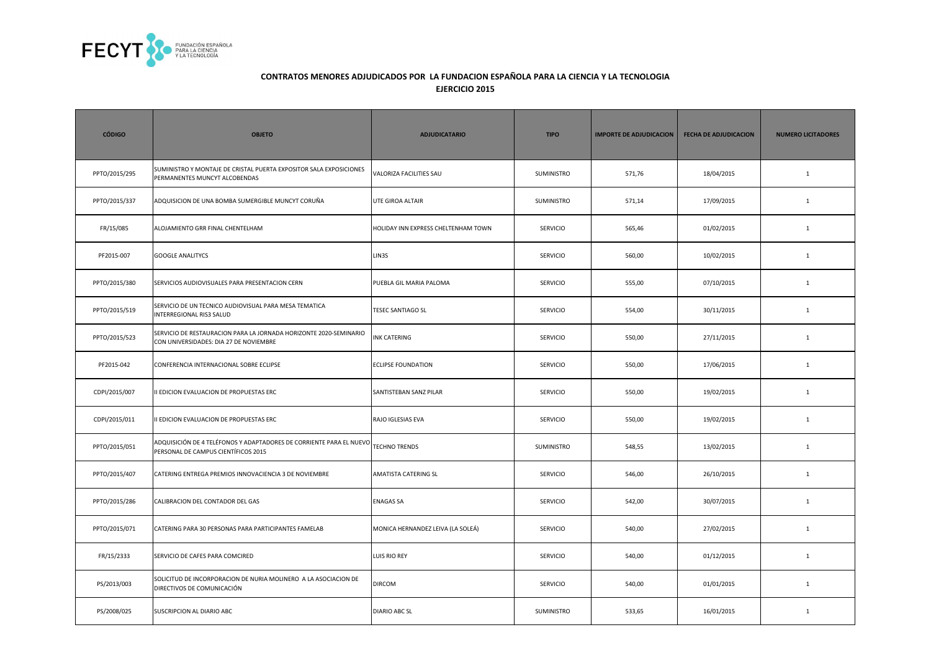

| <b>CÓDIGO</b> | <b>OBJETO</b>                                                                                               | <b>ADJUDICATARIO</b>                | <b>TIPO</b>       | <b>IMPORTE DE ADJUDICACION</b> | <b>FECHA DE ADJUDICACION</b> | <b>NUMERO LICITADORES</b> |
|---------------|-------------------------------------------------------------------------------------------------------------|-------------------------------------|-------------------|--------------------------------|------------------------------|---------------------------|
| PPTO/2015/295 | SUMINISTRO Y MONTAJE DE CRISTAL PUERTA EXPOSITOR SALA EXPOSICIONES<br>PERMANENTES MUNCYT ALCOBENDAS         | VALORIZA FACILITIES SAU             | SUMINISTRO        | 571,76                         | 18/04/2015                   | $\mathbf{1}$              |
| PPTO/2015/337 | ADQUISICION DE UNA BOMBA SUMERGIBLE MUNCYT CORUÑA                                                           | UTE GIROA ALTAIR                    | SUMINISTRO        | 571,14                         | 17/09/2015                   | $\mathbf{1}$              |
| FR/15/085     | ALOJAMIENTO GRR FINAL CHENTELHAM                                                                            | HOLIDAY INN EXPRESS CHELTENHAM TOWN | <b>SERVICIO</b>   | 565,46                         | 01/02/2015                   | $\mathbf{1}$              |
| PF2015-007    | <b>GOOGLE ANALITYCS</b>                                                                                     | LIN3S                               | SERVICIO          | 560,00                         | 10/02/2015                   | $\mathbf{1}$              |
| PPTO/2015/380 | SERVICIOS AUDIOVISUALES PARA PRESENTACION CERN                                                              | PUEBLA GIL MARIA PALOMA             | SERVICIO          | 555,00                         | 07/10/2015                   | $\mathbf{1}$              |
| PPTO/2015/519 | SERVICIO DE UN TECNICO AUDIOVISUAL PARA MESA TEMATICA<br>INTERREGIONAL RIS3 SALUD                           | <b>TESEC SANTIAGO SL</b>            | <b>SERVICIO</b>   | 554,00                         | 30/11/2015                   | $\mathbf{1}$              |
| PPTO/2015/523 | SERVICIO DE RESTAURACION PARA LA JORNADA HORIZONTE 2020-SEMINARIO<br>CON UNIVERSIDADES: DIA 27 DE NOVIEMBRE | INK CATERING                        | <b>SERVICIO</b>   | 550,00                         | 27/11/2015                   | $\mathbf{1}$              |
| PF2015-042    | CONFERENCIA INTERNACIONAL SOBRE ECLIPSE                                                                     | <b>ECLIPSE FOUNDATION</b>           | <b>SERVICIO</b>   | 550,00                         | 17/06/2015                   | $\mathbf{1}$              |
| CDPI/2015/007 | II EDICION EVALUACION DE PROPUESTAS ERC                                                                     | SANTISTEBAN SANZ PILAR              | <b>SERVICIO</b>   | 550,00                         | 19/02/2015                   | $\mathbf{1}$              |
| CDPI/2015/011 | II EDICION EVALUACION DE PROPUESTAS ERC                                                                     | RAJO IGLESIAS EVA                   | <b>SERVICIO</b>   | 550,00                         | 19/02/2015                   | $\mathbf{1}$              |
| PPTO/2015/051 | ADQUISICIÓN DE 4 TELÉFONOS Y ADAPTADORES DE CORRIENTE PARA EL NUEVO<br>PERSONAL DE CAMPUS CIENTÍFICOS 2015  | <b>TECHNO TRENDS</b>                | <b>SUMINISTRO</b> | 548,55                         | 13/02/2015                   | $\mathbf{1}$              |
| PPTO/2015/407 | CATERING ENTREGA PREMIOS INNOVACIENCIA 3 DE NOVIEMBRE                                                       | AMATISTA CATERING SL                | <b>SERVICIO</b>   | 546,00                         | 26/10/2015                   | $\mathbf{1}$              |
| PPTO/2015/286 | CALIBRACION DEL CONTADOR DEL GAS                                                                            | <b>ENAGAS SA</b>                    | <b>SERVICIO</b>   | 542,00                         | 30/07/2015                   | $\mathbf{1}$              |
| PPTO/2015/071 | CATERING PARA 30 PERSONAS PARA PARTICIPANTES FAMELAB                                                        | MONICA HERNANDEZ LEIVA (LA SOLEÁ)   | <b>SERVICIO</b>   | 540,00                         | 27/02/2015                   | 1                         |
| FR/15/2333    | SERVICIO DE CAFES PARA COMCIRED                                                                             | LUIS RIO REY                        | <b>SERVICIO</b>   | 540,00                         | 01/12/2015                   | $\mathbf{1}$              |
| PS/2013/003   | SOLICITUD DE INCORPORACION DE NURIA MOLINERO A LA ASOCIACION DE<br>DIRECTIVOS DE COMUNICACIÓN               | <b>DIRCOM</b>                       | <b>SERVICIO</b>   | 540,00                         | 01/01/2015                   | $\mathbf{1}$              |
| PS/2008/025   | SUSCRIPCION AL DIARIO ABC                                                                                   | <b>DIARIO ABC SL</b>                | SUMINISTRO        | 533,65                         | 16/01/2015                   | $\mathbf{1}$              |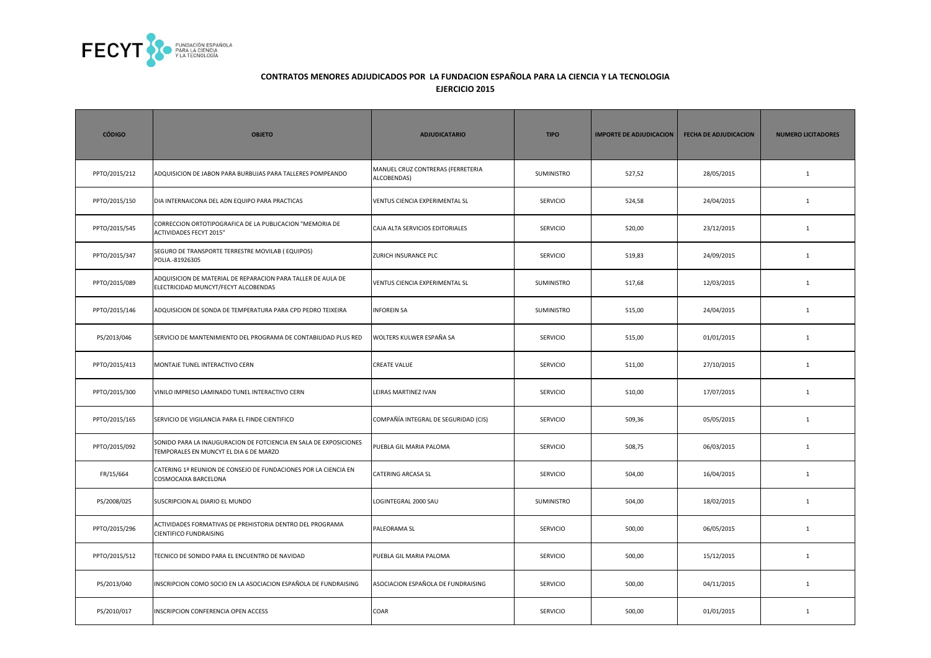

| <b>CÓDIGO</b> | <b>OBJETO</b>                                                                                               | <b>ADJUDICATARIO</b>                             | <b>TIPO</b>     | <b>IMPORTE DE ADJUDICACION</b> | <b>FECHA DE ADJUDICACION</b> | <b>NUMERO LICITADORES</b> |
|---------------|-------------------------------------------------------------------------------------------------------------|--------------------------------------------------|-----------------|--------------------------------|------------------------------|---------------------------|
| PPTO/2015/212 | ADQUISICION DE JABON PARA BURBUJAS PARA TALLERES POMPEANDO                                                  | MANUEL CRUZ CONTRERAS (FERRETERIA<br>ALCOBENDAS) | SUMINISTRO      | 527,52                         | 28/05/2015                   | $\mathbf{1}$              |
| PPTO/2015/150 | DIA INTERNAICONA DEL ADN EQUIPO PARA PRACTICAS                                                              | VENTUS CIENCIA EXPERIMENTAL SL                   | SERVICIO        | 524,58                         | 24/04/2015                   | $\mathbf 1$               |
| PPTO/2015/545 | CORRECCION ORTOTIPOGRAFICA DE LA PUBLICACION "MEMORIA DE<br><b>ACTIVIDADES FECYT 2015"</b>                  | CAJA ALTA SERVICIOS EDITORIALES                  | <b>SERVICIO</b> | 520,00                         | 23/12/2015                   | $\mathbf{1}$              |
| PPTO/2015/347 | SEGURO DE TRANSPORTE TERRESTRE MOVILAB (EQUIPOS)<br>POLIA.-81926305                                         | ZURICH INSURANCE PLC                             | <b>SERVICIO</b> | 519,83                         | 24/09/2015                   | $\mathbf{1}$              |
| PPTO/2015/089 | ADQUISICION DE MATERIAL DE REPARACION PARA TALLER DE AULA DE<br>ELECTRICIDAD MUNCYT/FECYT ALCOBENDAS        | VENTUS CIENCIA EXPERIMENTAL SL                   | SUMINISTRO      | 517,68                         | 12/03/2015                   | $\mathbf{1}$              |
| PPTO/2015/146 | ADQUISICION DE SONDA DE TEMPERATURA PARA CPD PEDRO TEIXEIRA                                                 | <b>INFOREIN SA</b>                               | SUMINISTRO      | 515,00                         | 24/04/2015                   | $\mathbf{1}$              |
| PS/2013/046   | SERVICIO DE MANTENIMIENTO DEL PROGRAMA DE CONTABILIDAD PLUS RED                                             | WOLTERS KULWER ESPAÑA SA                         | SERVICIO        | 515,00                         | 01/01/2015                   | $\mathbf 1$               |
| PPTO/2015/413 | MONTAJE TUNEL INTERACTIVO CERN                                                                              | <b>CREATE VALUE</b>                              | SERVICIO        | 511,00                         | 27/10/2015                   | $\mathbf{1}$              |
| PPTO/2015/300 | VINILO IMPRESO LAMINADO TUNEL INTERACTIVO CERN                                                              | LEIRAS MARTINEZ IVAN                             | SERVICIO        | 510,00                         | 17/07/2015                   | $\mathbf 1$               |
| PPTO/2015/165 | SERVICIO DE VIGILANCIA PARA EL FINDE CIENTIFICO                                                             | COMPAÑÍA INTEGRAL DE SEGURIDAD (CIS)             | SERVICIO        | 509,36                         | 05/05/2015                   | $\mathbf{1}$              |
| PPTO/2015/092 | SONIDO PARA LA INAUGURACION DE FOTCIENCIA EN SALA DE EXPOSICIONES<br>TEMPORALES EN MUNCYT EL DIA 6 DE MARZO | PUEBLA GIL MARIA PALOMA                          | <b>SERVICIO</b> | 508,75                         | 06/03/2015                   | $\mathbf{1}$              |
| FR/15/664     | CATERING 1ª REUNION DE CONSEJO DE FUNDACIONES POR LA CIENCIA EN<br>COSMOCAIXA BARCELONA                     | CATERING ARCASA SL                               | <b>SERVICIO</b> | 504,00                         | 16/04/2015                   | $\mathbf{1}$              |
| PS/2008/025   | SUSCRIPCION AL DIARIO EL MUNDO                                                                              | LOGINTEGRAL 2000 SAU                             | SUMINISTRO      | 504,00                         | 18/02/2015                   | $\mathbf{1}$              |
| PPTO/2015/296 | ACTIVIDADES FORMATIVAS DE PREHISTORIA DENTRO DEL PROGRAMA<br>CIENTIFICO FUNDRAISING                         | PALEORAMA SL                                     | <b>SERVICIO</b> | 500,00                         | 06/05/2015                   | $\mathbf{1}$              |
| PPTO/2015/512 | TECNICO DE SONIDO PARA EL ENCUENTRO DE NAVIDAD                                                              | PUEBLA GIL MARIA PALOMA                          | SERVICIO        | 500,00                         | 15/12/2015                   | $\mathbf{1}$              |
| PS/2013/040   | INSCRIPCION COMO SOCIO EN LA ASOCIACION ESPAÑOLA DE FUNDRAISING                                             | ASOCIACION ESPAÑOLA DE FUNDRAISING               | <b>SERVICIO</b> | 500,00                         | 04/11/2015                   | $\mathbf{1}$              |
| PS/2010/017   | <b>NSCRIPCION CONFERENCIA OPEN ACCESS</b>                                                                   | COAR                                             | <b>SERVICIO</b> | 500,00                         | 01/01/2015                   | $\mathbf{1}$              |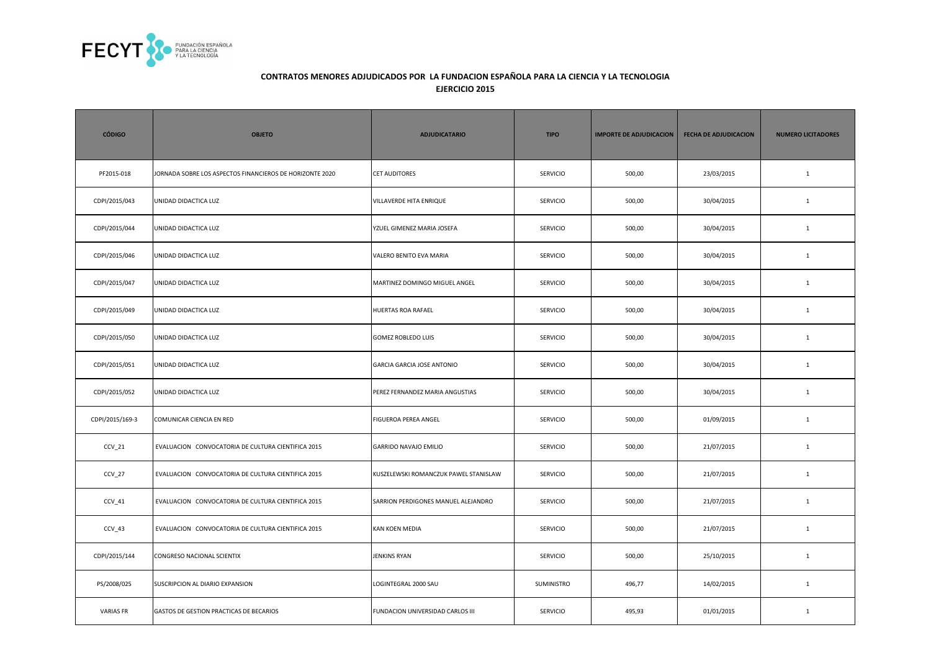

| <b>CÓDIGO</b>    | <b>OBJETO</b>                                            | <b>ADJUDICATARIO</b>                  | <b>TIPO</b>     | <b>IMPORTE DE ADJUDICACION</b> | <b>FECHA DE ADJUDICACION</b> | <b>NUMERO LICITADORES</b> |
|------------------|----------------------------------------------------------|---------------------------------------|-----------------|--------------------------------|------------------------------|---------------------------|
| PF2015-018       | JORNADA SOBRE LOS ASPECTOS FINANCIEROS DE HORIZONTE 2020 | <b>CET AUDITORES</b>                  | <b>SERVICIO</b> | 500,00                         | 23/03/2015                   | $\mathbf{1}$              |
| CDPI/2015/043    | UNIDAD DIDACTICA LUZ                                     | VILLAVERDE HITA ENRIQUE               | <b>SERVICIO</b> | 500,00                         | 30/04/2015                   | $\mathbf{1}$              |
| CDPI/2015/044    | UNIDAD DIDACTICA LUZ                                     | YZUEL GIMENEZ MARIA JOSEFA            | <b>SERVICIO</b> | 500,00                         | 30/04/2015                   | 1                         |
| CDPI/2015/046    | UNIDAD DIDACTICA LUZ                                     | VALERO BENITO EVA MARIA               | <b>SERVICIO</b> | 500,00                         | 30/04/2015                   | $\mathbf{1}$              |
| CDPI/2015/047    | UNIDAD DIDACTICA LUZ                                     | MARTINEZ DOMINGO MIGUEL ANGEL         | SERVICIO        | 500,00                         | 30/04/2015                   | $\mathbf{1}$              |
| CDPI/2015/049    | UNIDAD DIDACTICA LUZ                                     | HUERTAS ROA RAFAEL                    | SERVICIO        | 500,00                         | 30/04/2015                   | $\mathbf{1}$              |
| CDPI/2015/050    | UNIDAD DIDACTICA LUZ                                     | <b>GOMEZ ROBLEDO LUIS</b>             | <b>SERVICIO</b> | 500,00                         | 30/04/2015                   | $\mathbf{1}$              |
| CDPI/2015/051    | UNIDAD DIDACTICA LUZ                                     | <b>GARCIA GARCIA JOSE ANTONIO</b>     | <b>SERVICIO</b> | 500,00                         | 30/04/2015                   | $\mathbf{1}$              |
| CDPI/2015/052    | UNIDAD DIDACTICA LUZ                                     | PEREZ FERNANDEZ MARIA ANGUSTIAS       | <b>SERVICIO</b> | 500,00                         | 30/04/2015                   | $\mathbf{1}$              |
| CDPI/2015/169-3  | COMUNICAR CIENCIA EN RED                                 | FIGUEROA PEREA ANGEL                  | SERVICIO        | 500,00                         | 01/09/2015                   | $\mathbf{1}$              |
| $CCV_21$         | EVALUACION CONVOCATORIA DE CULTURA CIENTIFICA 2015       | GARRIDO NAVAJO EMILIO                 | SERVICIO        | 500,00                         | 21/07/2015                   | $\mathbf 1$               |
| $CCV_2$          | EVALUACION CONVOCATORIA DE CULTURA CIENTIFICA 2015       | KUSZELEWSKI ROMANCZUK PAWEL STANISLAW | SERVICIO        | 500,00                         | 21/07/2015                   | $\mathbf{1}$              |
| $CCV_41$         | EVALUACION CONVOCATORIA DE CULTURA CIENTIFICA 2015       | SARRION PERDIGONES MANUEL ALEJANDRO   | <b>SERVICIO</b> | 500,00                         | 21/07/2015                   | $\mathbf{1}$              |
| $CCV_43$         | EVALUACION CONVOCATORIA DE CULTURA CIENTIFICA 2015       | KAN KOEN MEDIA                        | <b>SERVICIO</b> | 500,00                         | 21/07/2015                   | $\mathbf{1}$              |
| CDPI/2015/144    | CONGRESO NACIONAL SCIENTIX                               | JENKINS RYAN                          | <b>SERVICIO</b> | 500,00                         | 25/10/2015                   | $\mathbf{1}$              |
| PS/2008/025      | SUSCRIPCION AL DIARIO EXPANSION                          | LOGINTEGRAL 2000 SAU                  | SUMINISTRO      | 496,77                         | 14/02/2015                   | $\mathbf{1}$              |
| <b>VARIAS FR</b> | GASTOS DE GESTION PRACTICAS DE BECARIOS                  | FUNDACION UNIVERSIDAD CARLOS III      | <b>SERVICIO</b> | 495,93                         | 01/01/2015                   | $\mathbf{1}$              |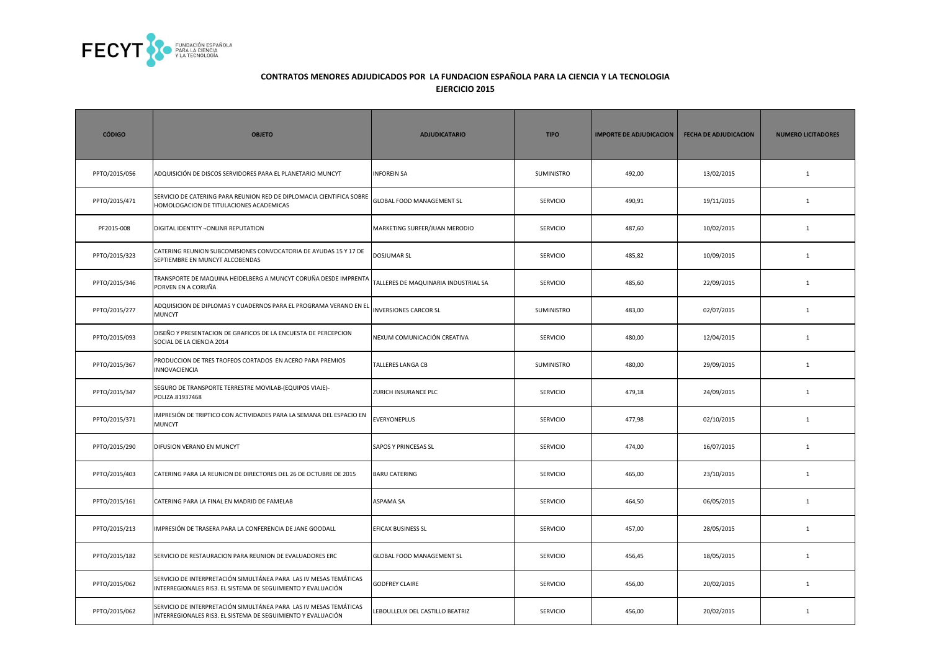

| <b>CÓDIGO</b> | <b>OBJETO</b>                                                                                                                     | <b>ADJUDICATARIO</b>                 | <b>TIPO</b>       | <b>IMPORTE DE ADJUDICACION</b> | <b>FECHA DE ADJUDICACION</b> | <b>NUMERO LICITADORES</b> |
|---------------|-----------------------------------------------------------------------------------------------------------------------------------|--------------------------------------|-------------------|--------------------------------|------------------------------|---------------------------|
| PPTO/2015/056 | ADQUISICIÓN DE DISCOS SERVIDORES PARA EL PLANETARIO MUNCYT                                                                        | <b>INFOREIN SA</b>                   | SUMINISTRO        | 492,00                         | 13/02/2015                   | $\mathbf{1}$              |
| PPTO/2015/471 | SERVICIO DE CATERING PARA REUNION RED DE DIPLOMACIA CIENTIFICA SOBRE<br>HOMOLOGACION DE TITULACIONES ACADEMICAS                   | <b>GLOBAL FOOD MANAGEMENT SL</b>     | SERVICIO          | 490,91                         | 19/11/2015                   | $\mathbf{1}$              |
| PF2015-008    | DIGITAL IDENTITY - ONLINR REPUTATION                                                                                              | MARKETING SURFER/JUAN MERODIO        | <b>SERVICIO</b>   | 487,60                         | 10/02/2015                   | $\mathbf{1}$              |
| PPTO/2015/323 | CATERING REUNION SUBCOMISIONES CONVOCATORIA DE AYUDAS 15 Y 17 DE<br>SEPTIEMBRE EN MUNCYT ALCOBENDAS                               | <b>DOSJUMAR SL</b>                   | <b>SERVICIO</b>   | 485,82                         | 10/09/2015                   | $\mathbf{1}$              |
| PPTO/2015/346 | TRANSPORTE DE MAQUINA HEIDELBERG A MUNCYT CORUÑA DESDE IMPRENTA<br>PORVEN EN A CORUÑA                                             | TALLERES DE MAQUINARIA INDUSTRIAL SA | <b>SERVICIO</b>   | 485,60                         | 22/09/2015                   | $\mathbf{1}$              |
| PPTO/2015/277 | ADQUISICION DE DIPLOMAS Y CUADERNOS PARA EL PROGRAMA VERANO EN EL <b> </b> INVERSIONES CARCOR SL<br><b>MUNCYT</b>                 |                                      | <b>SUMINISTRO</b> | 483,00                         | 02/07/2015                   | $\mathbf{1}$              |
| PPTO/2015/093 | DISEÑO Y PRESENTACION DE GRAFICOS DE LA ENCUESTA DE PERCEPCION<br>SOCIAL DE LA CIENCIA 2014                                       | NEXUM COMUNICACIÓN CREATIVA          | SERVICIO          | 480,00                         | 12/04/2015                   | $\mathbf{1}$              |
| PPTO/2015/367 | PRODUCCION DE TRES TROFEOS CORTADOS EN ACERO PARA PREMIOS<br>INNOVACIENCIA                                                        | <b>TALLERES LANGA CB</b>             | SUMINISTRO        | 480,00                         | 29/09/2015                   | $\mathbf{1}$              |
| PPTO/2015/347 | SEGURO DE TRANSPORTE TERRESTRE MOVILAB-(EQUIPOS VIAJE)-<br>POLIZA.81937468                                                        | ZURICH INSURANCE PLC                 | SERVICIO          | 479,18                         | 24/09/2015                   | $\mathbf{1}$              |
| PPTO/2015/371 | MPRESIÓN DE TRIPTICO CON ACTIVIDADES PARA LA SEMANA DEL ESPACIO EN<br><b>MUNCYT</b>                                               | <b>EVERYONEPLUS</b>                  | <b>SERVICIO</b>   | 477,98                         | 02/10/2015                   | $\mathbf{1}$              |
| PPTO/2015/290 | DIFUSION VERANO EN MUNCYT                                                                                                         | <b>SAPOS Y PRINCESAS SL</b>          | <b>SERVICIO</b>   | 474,00                         | 16/07/2015                   | $\mathbf{1}$              |
| PPTO/2015/403 | CATERING PARA LA REUNION DE DIRECTORES DEL 26 DE OCTUBRE DE 2015                                                                  | <b>BARU CATERING</b>                 | <b>SERVICIO</b>   | 465,00                         | 23/10/2015                   | $\mathbf{1}$              |
| PPTO/2015/161 | CATERING PARA LA FINAL EN MADRID DE FAMELAB                                                                                       | <b>ASPAMA SA</b>                     | <b>SERVICIO</b>   | 464,50                         | 06/05/2015                   | $\mathbf{1}$              |
| PPTO/2015/213 | MPRESIÓN DE TRASERA PARA LA CONFERENCIA DE JANE GOODALL                                                                           | EFICAX BUSINESS SL                   | <b>SERVICIO</b>   | 457,00                         | 28/05/2015                   | $\mathbf{1}$              |
| PPTO/2015/182 | SERVICIO DE RESTAURACION PARA REUNION DE EVALUADORES ERC                                                                          | <b>GLOBAL FOOD MANAGEMENT SL</b>     | SERVICIO          | 456,45                         | 18/05/2015                   | $\mathbf{1}$              |
| PPTO/2015/062 | SERVICIO DE INTERPRETACIÓN SIMULTÁNEA PARA LAS IV MESAS TEMÁTICAS<br>INTERREGIONALES RIS3. EL SISTEMA DE SEGUIMIENTO Y EVALUACIÓN | <b>GODFREY CLAIRE</b>                | <b>SERVICIO</b>   | 456,00                         | 20/02/2015                   | $\mathbf{1}$              |
| PPTO/2015/062 | SERVICIO DE INTERPRETACIÓN SIMULTÁNEA PARA LAS IV MESAS TEMÁTICAS<br>INTERREGIONALES RIS3. EL SISTEMA DE SEGUIMIENTO Y EVALUACIÓN | LEBOULLEUX DEL CASTILLO BEATRIZ      | SERVICIO          | 456,00                         | 20/02/2015                   | $\mathbf{1}$              |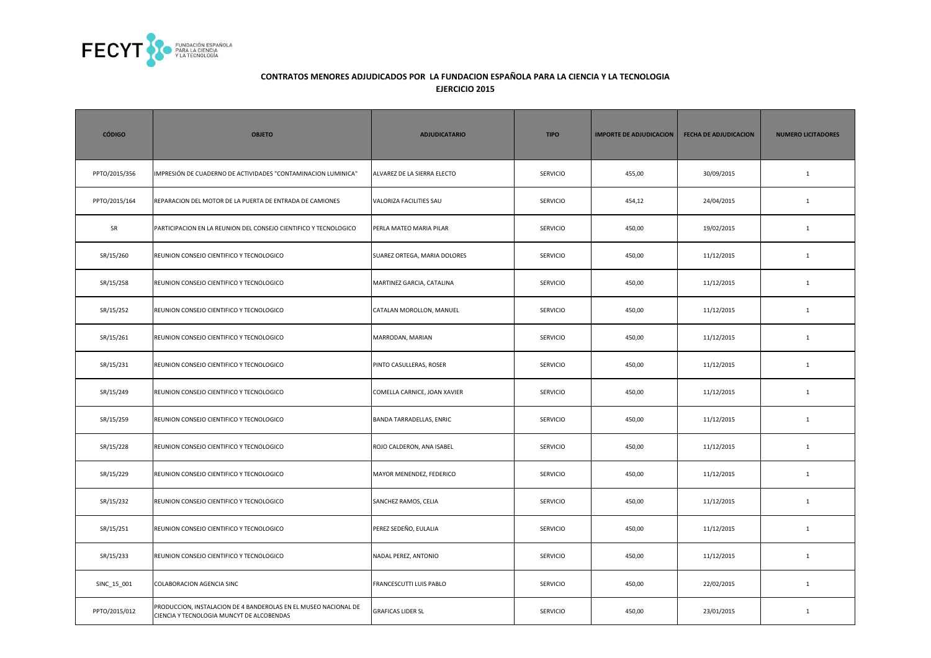

| <b>CÓDIGO</b> | <b>OBJETO</b>                                                                                                | <b>ADJUDICATARIO</b>         | <b>TIPO</b>     | <b>IMPORTE DE ADJUDICACION</b> | <b>FECHA DE ADJUDICACION</b> | <b>NUMERO LICITADORES</b> |
|---------------|--------------------------------------------------------------------------------------------------------------|------------------------------|-----------------|--------------------------------|------------------------------|---------------------------|
| PPTO/2015/356 | IMPRESIÓN DE CUADERNO DE ACTIVIDADES "CONTAMINACION LUMINICA"                                                | ALVAREZ DE LA SIERRA ELECTO  | <b>SERVICIO</b> | 455,00                         | 30/09/2015                   | $\mathbf{1}$              |
| PPTO/2015/164 | REPARACION DEL MOTOR DE LA PUERTA DE ENTRADA DE CAMIONES                                                     | VALORIZA FACILITIES SAU      | <b>SERVICIO</b> | 454,12                         | 24/04/2015                   | $\mathbf{1}$              |
| SR            | PARTICIPACION EN LA REUNION DEL CONSEJO CIENTIFICO Y TECNOLOGICO                                             | PERLA MATEO MARIA PILAR      | <b>SERVICIO</b> | 450,00                         | 19/02/2015                   | $\mathbf{1}$              |
| SR/15/260     | REUNION CONSEJO CIENTIFICO Y TECNOLOGICO                                                                     | SUAREZ ORTEGA, MARIA DOLORES | <b>SERVICIO</b> | 450,00                         | 11/12/2015                   | $\mathbf{1}$              |
| SR/15/258     | REUNION CONSEJO CIENTIFICO Y TECNOLOGICO                                                                     | MARTINEZ GARCIA, CATALINA    | SERVICIO        | 450,00                         | 11/12/2015                   | $1\,$                     |
| SR/15/252     | REUNION CONSEJO CIENTIFICO Y TECNOLOGICO                                                                     | CATALAN MOROLLON, MANUEL     | SERVICIO        | 450,00                         | 11/12/2015                   | $\mathbf{1}$              |
| SR/15/261     | REUNION CONSEJO CIENTIFICO Y TECNOLOGICO                                                                     | MARRODAN, MARIAN             | <b>SERVICIO</b> | 450,00                         | 11/12/2015                   | $\mathbf{1}$              |
| SR/15/231     | REUNION CONSEJO CIENTIFICO Y TECNOLOGICO                                                                     | PINTO CASULLERAS, ROSER      | <b>SERVICIO</b> | 450,00                         | 11/12/2015                   | $\mathbf{1}$              |
| SR/15/249     | REUNION CONSEJO CIENTIFICO Y TECNOLOGICO                                                                     | COMELLA CARNICE, JOAN XAVIER | <b>SERVICIO</b> | 450,00                         | 11/12/2015                   | $\mathbf{1}$              |
| SR/15/259     | REUNION CONSEJO CIENTIFICO Y TECNOLOGICO                                                                     | BANDA TARRADELLAS, ENRIC     | SERVICIO        | 450,00                         | 11/12/2015                   | $\mathbf{1}$              |
| SR/15/228     | REUNION CONSEJO CIENTIFICO Y TECNOLOGICO                                                                     | ROJO CALDERON, ANA ISABEL    | SERVICIO        | 450,00                         | 11/12/2015                   | $1\,$                     |
| SR/15/229     | REUNION CONSEJO CIENTIFICO Y TECNOLOGICO                                                                     | MAYOR MENENDEZ, FEDERICO     | SERVICIO        | 450,00                         | 11/12/2015                   | $\mathbf{1}$              |
| SR/15/232     | REUNION CONSEJO CIENTIFICO Y TECNOLOGICO                                                                     | SANCHEZ RAMOS, CELIA         | <b>SERVICIO</b> | 450,00                         | 11/12/2015                   | $\mathbf{1}$              |
| SR/15/251     | REUNION CONSEJO CIENTIFICO Y TECNOLOGICO                                                                     | PEREZ SEDEÑO, EULALIA        | <b>SERVICIO</b> | 450,00                         | 11/12/2015                   | $\mathbf{1}$              |
| SR/15/233     | REUNION CONSEJO CIENTIFICO Y TECNOLOGICO                                                                     | NADAL PEREZ, ANTONIO         | <b>SERVICIO</b> | 450,00                         | 11/12/2015                   | $\mathbf{1}$              |
| SINC_15_001   | <b>COLABORACION AGENCIA SINC</b>                                                                             | FRANCESCUTTI LUIS PABLO      | <b>SERVICIO</b> | 450,00                         | 22/02/2015                   | $\mathbf{1}$              |
| PPTO/2015/012 | PRODUCCION, INSTALACION DE 4 BANDEROLAS EN EL MUSEO NACIONAL DE<br>CIENCIA Y TECNOLOGIA MUNCYT DE ALCOBENDAS | <b>GRAFICAS LIDER SL</b>     | <b>SERVICIO</b> | 450,00                         | 23/01/2015                   | $\mathbf{1}$              |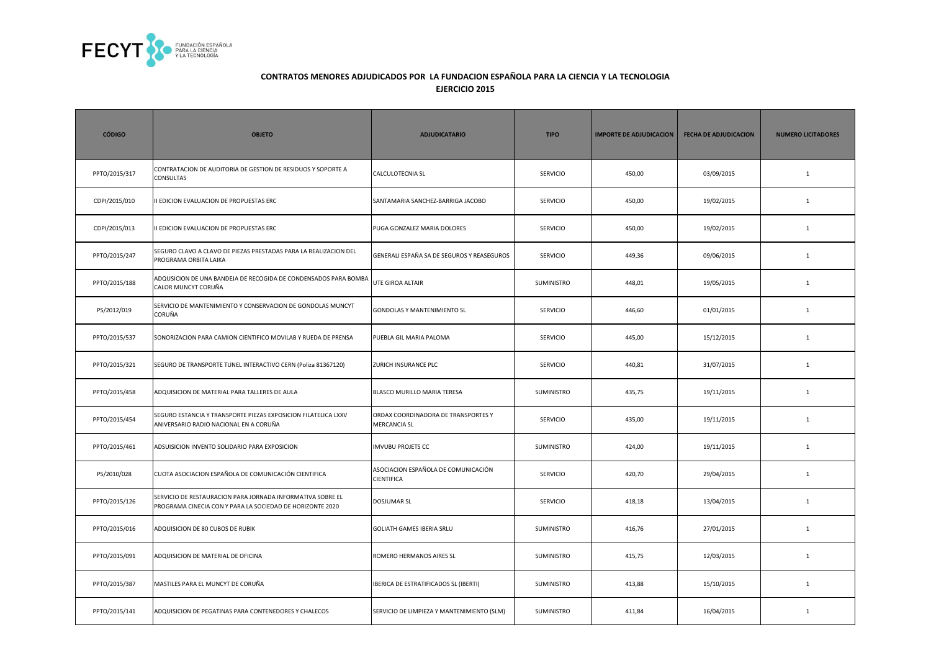

| <b>CÓDIGO</b> | <b>OBJETO</b>                                                                                                           | <b>ADJUDICATARIO</b>                                       | <b>TIPO</b>       | <b>IMPORTE DE ADJUDICACION</b> | <b>FECHA DE ADJUDICACION</b> | <b>NUMERO LICITADORES</b> |
|---------------|-------------------------------------------------------------------------------------------------------------------------|------------------------------------------------------------|-------------------|--------------------------------|------------------------------|---------------------------|
| PPTO/2015/317 | CONTRATACION DE AUDITORIA DE GESTION DE RESIDUOS Y SOPORTE A<br>CONSULTAS                                               | CALCULOTECNIA SL                                           | SERVICIO          | 450,00                         | 03/09/2015                   | $\mathbf{1}$              |
| CDPI/2015/010 | I EDICION EVALUACION DE PROPUESTAS ERC                                                                                  | SANTAMARIA SANCHEZ-BARRIGA JACOBO                          | <b>SERVICIO</b>   | 450,00                         | 19/02/2015                   | $\mathbf{1}$              |
| CDPI/2015/013 | I EDICION EVALUACION DE PROPUESTAS ERC                                                                                  | PUGA GONZALEZ MARIA DOLORES                                | <b>SERVICIO</b>   | 450,00                         | 19/02/2015                   | $\mathbf{1}$              |
| PPTO/2015/247 | SEGURO CLAVO A CLAVO DE PIEZAS PRESTADAS PARA LA REALIZACION DEL<br>PROGRAMA ORBITA LAIKA                               | GENERALI ESPAÑA SA DE SEGUROS Y REASEGUROS                 | <b>SERVICIO</b>   | 449,36                         | 09/06/2015                   | $\mathbf{1}$              |
| PPTO/2015/188 | ADQUSICION DE UNA BANDEJA DE RECOGIDA DE CONDENSADOS PARA BOMBA<br>CALOR MUNCYT CORUÑA                                  | UTE GIROA ALTAIR                                           | SUMINISTRO        | 448,01                         | 19/05/2015                   | $\mathbf{1}$              |
| PS/2012/019   | SERVICIO DE MANTENIMIENTO Y CONSERVACION DE GONDOLAS MUNCYT<br>CORUÑA                                                   | <b>GONDOLAS Y MANTENIMIENTO SL</b>                         | <b>SERVICIO</b>   | 446,60                         | 01/01/2015                   | $\mathbf{1}$              |
| PPTO/2015/537 | SONORIZACION PARA CAMION CIENTIFICO MOVILAB Y RUEDA DE PRENSA                                                           | PUEBLA GIL MARIA PALOMA                                    | <b>SERVICIO</b>   | 445,00                         | 15/12/2015                   | $\mathbf{1}$              |
| PPTO/2015/321 | SEGURO DE TRANSPORTE TUNEL INTERACTIVO CERN (Poliza 81367120)                                                           | <b>ZURICH INSURANCE PLC</b>                                | <b>SERVICIO</b>   | 440,81                         | 31/07/2015                   | $\mathbf{1}$              |
| PPTO/2015/458 | ADQUISICION DE MATERIAL PARA TALLERES DE AULA                                                                           | <b>BLASCO MURILLO MARIA TERESA</b>                         | SUMINISTRO        | 435,75                         | 19/11/2015                   | $\mathbf{1}$              |
| PPTO/2015/454 | SEGURO ESTANCIA Y TRANSPORTE PIEZAS EXPOSICION FILATELICA LXXV<br>ANIVERSARIO RADIO NACIONAL EN A CORUÑA                | ORDAX COORDINADORA DE TRANSPORTES Y<br><b>MERCANCIA SL</b> | <b>SERVICIO</b>   | 435,00                         | 19/11/2015                   | $\mathbf{1}$              |
| PPTO/2015/461 | ADSUISICION INVENTO SOLIDARIO PARA EXPOSICION                                                                           | <b>IMVUBU PROJETS CC</b>                                   | SUMINISTRO        | 424,00                         | 19/11/2015                   | $\mathbf{1}$              |
| PS/2010/028   | CUOTA ASOCIACION ESPAÑOLA DE COMUNICACIÓN CIENTIFICA                                                                    | ASOCIACION ESPAÑOLA DE COMUNICACIÓN<br><b>CIENTIFICA</b>   | <b>SERVICIO</b>   | 420,70                         | 29/04/2015                   | $\mathbf{1}$              |
| PPTO/2015/126 | SERVICIO DE RESTAURACION PARA JORNADA INFORMATIVA SOBRE EL<br>PROGRAMA CINECIA CON Y PARA LA SOCIEDAD DE HORIZONTE 2020 | <b>DOSJUMAR SL</b>                                         | <b>SERVICIO</b>   | 418,18                         | 13/04/2015                   | 1                         |
| PPTO/2015/016 | ADQUISICION DE 80 CUBOS DE RUBIK                                                                                        | <b>GOLIATH GAMES IBERIA SRLU</b>                           | <b>SUMINISTRO</b> | 416,76                         | 27/01/2015                   | 1                         |
| PPTO/2015/091 | ADQUISICION DE MATERIAL DE OFICINA                                                                                      | ROMERO HERMANOS AIRES SL                                   | SUMINISTRO        | 415,75                         | 12/03/2015                   | $\mathbf{1}$              |
| PPTO/2015/387 | MASTILES PARA EL MUNCYT DE CORUÑA                                                                                       | IBERICA DE ESTRATIFICADOS SL (IBERTI)                      | SUMINISTRO        | 413,88                         | 15/10/2015                   | $\mathbf{1}$              |
| PPTO/2015/141 | ADQUISICION DE PEGATINAS PARA CONTENEDORES Y CHALECOS                                                                   | SERVICIO DE LIMPIEZA Y MANTENIMIENTO (SLM)                 | SUMINISTRO        | 411,84                         | 16/04/2015                   | $\mathbf{1}$              |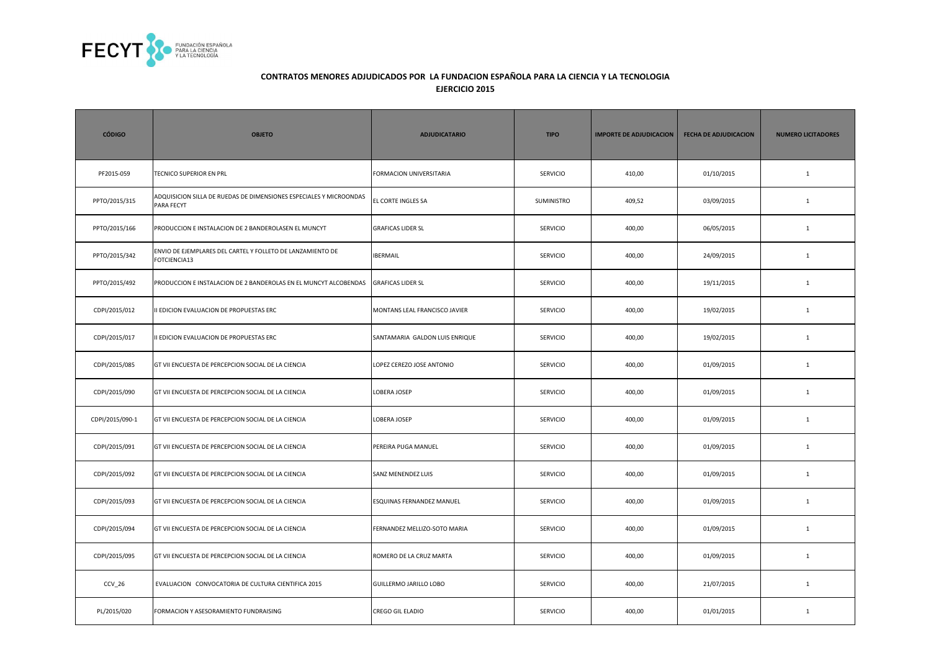

| <b>CÓDIGO</b>   | <b>OBJETO</b>                                                                    | <b>ADJUDICATARIO</b>           | <b>TIPO</b>     | <b>IMPORTE DE ADJUDICACION</b> | <b>FECHA DE ADJUDICACION</b> | <b>NUMERO LICITADORES</b> |
|-----------------|----------------------------------------------------------------------------------|--------------------------------|-----------------|--------------------------------|------------------------------|---------------------------|
| PF2015-059      | TECNICO SUPERIOR EN PRL                                                          | FORMACION UNIVERSITARIA        | SERVICIO        | 410,00                         | 01/10/2015                   | $\mathbf{1}$              |
| PPTO/2015/315   | ADQUISICION SILLA DE RUEDAS DE DIMENSIONES ESPECIALES Y MICROONDAS<br>PARA FECYT | EL CORTE INGLES SA             | SUMINISTRO      | 409,52                         | 03/09/2015                   | $\mathbf 1$               |
| PPTO/2015/166   | PRODUCCION E INSTALACION DE 2 BANDEROLASEN EL MUNCYT                             | <b>GRAFICAS LIDER SL</b>       | <b>SERVICIO</b> | 400,00                         | 06/05/2015                   | $\mathbf{1}$              |
| PPTO/2015/342   | ENVIO DE EJEMPLARES DEL CARTEL Y FOLLETO DE LANZAMIENTO DE<br>FOTCIENCIA13       | <b>IBERMAIL</b>                | <b>SERVICIO</b> | 400,00                         | 24/09/2015                   | $\mathbf{1}$              |
| PPTO/2015/492   | PRODUCCION E INSTALACION DE 2 BANDEROLAS EN EL MUNCYT ALCOBENDAS                 | <b>GRAFICAS LIDER SL</b>       | <b>SERVICIO</b> | 400,00                         | 19/11/2015                   | $\mathbf{1}$              |
| CDPI/2015/012   | I EDICION EVALUACION DE PROPUESTAS ERC                                           | MONTANS LEAL FRANCISCO JAVIER  | <b>SERVICIO</b> | 400,00                         | 19/02/2015                   | $\mathbf{1}$              |
| CDPI/2015/017   | I EDICION EVALUACION DE PROPUESTAS ERC                                           | SANTAMARIA GALDON LUIS ENRIQUE | SERVICIO        | 400,00                         | 19/02/2015                   | $\mathbf{1}$              |
| CDPI/2015/085   | GT VII ENCUESTA DE PERCEPCION SOCIAL DE LA CIENCIA                               | LOPEZ CEREZO JOSE ANTONIO      | SERVICIO        | 400,00                         | 01/09/2015                   | $\mathbf{1}$              |
| CDPI/2015/090   | GT VII ENCUESTA DE PERCEPCION SOCIAL DE LA CIENCIA                               | LOBERA JOSEP                   | SERVICIO        | 400,00                         | 01/09/2015                   | $\mathbf{1}$              |
| CDPI/2015/090-1 | GT VII ENCUESTA DE PERCEPCION SOCIAL DE LA CIENCIA                               | LOBERA JOSEP                   | SERVICIO        | 400,00                         | 01/09/2015                   | $\mathbf{1}$              |
| CDPI/2015/091   | GT VII ENCUESTA DE PERCEPCION SOCIAL DE LA CIENCIA                               | PEREIRA PUGA MANUEL            | <b>SERVICIO</b> | 400,00                         | 01/09/2015                   | $\mathbf{1}$              |
| CDPI/2015/092   | GT VII ENCUESTA DE PERCEPCION SOCIAL DE LA CIENCIA                               | SANZ MENENDEZ LUIS             | <b>SERVICIO</b> | 400,00                         | 01/09/2015                   | $\mathbf{1}$              |
| CDPI/2015/093   | GT VII ENCUESTA DE PERCEPCION SOCIAL DE LA CIENCIA                               | ESQUINAS FERNANDEZ MANUEL      | <b>SERVICIO</b> | 400,00                         | 01/09/2015                   | $\mathbf{1}$              |
| CDPI/2015/094   | GT VII ENCUESTA DE PERCEPCION SOCIAL DE LA CIENCIA                               | FERNANDEZ MELLIZO-SOTO MARIA   | <b>SERVICIO</b> | 400,00                         | 01/09/2015                   | $\mathbf{1}$              |
| CDPI/2015/095   | GT VII ENCUESTA DE PERCEPCION SOCIAL DE LA CIENCIA                               | ROMERO DE LA CRUZ MARTA        | SERVICIO        | 400,00                         | 01/09/2015                   | $\mathbf{1}$              |
| $CCV_26$        | EVALUACION CONVOCATORIA DE CULTURA CIENTIFICA 2015                               | <b>GUILLERMO JARILLO LOBO</b>  | <b>SERVICIO</b> | 400,00                         | 21/07/2015                   | $\mathbf{1}$              |
| PL/2015/020     | FORMACION Y ASESORAMIENTO FUNDRAISING                                            | <b>CREGO GIL ELADIO</b>        | <b>SERVICIO</b> | 400,00                         | 01/01/2015                   | $\mathbf{1}$              |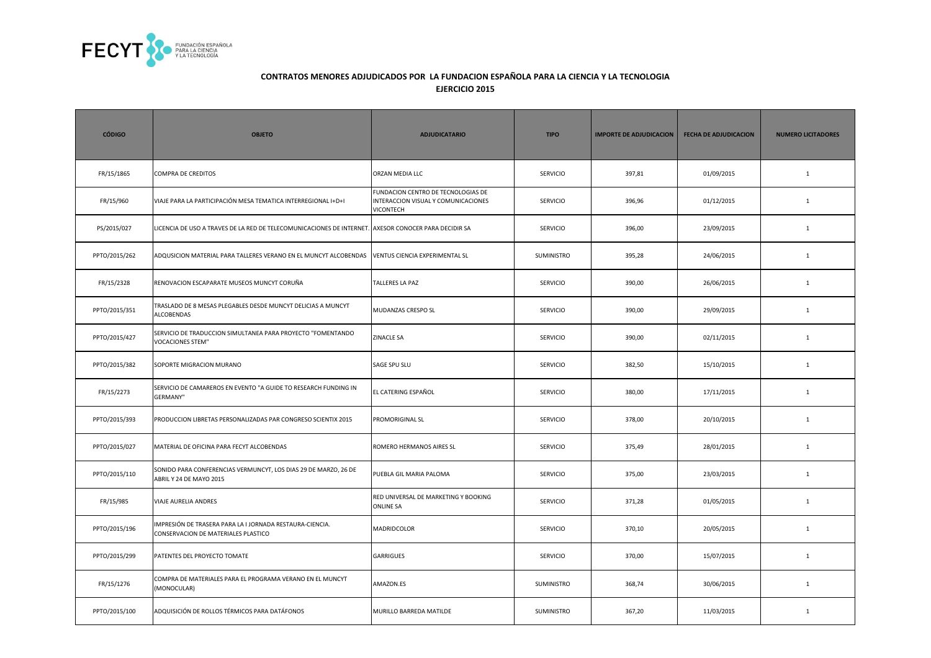

| <b>CÓDIGO</b> | <b>OBJETO</b>                                                                                        | <b>ADJUDICATARIO</b>                                                                          | <b>TIPO</b>       | <b>IMPORTE DE ADJUDICACION</b> | <b>FECHA DE ADJUDICACION</b> | <b>NUMERO LICITADORES</b> |
|---------------|------------------------------------------------------------------------------------------------------|-----------------------------------------------------------------------------------------------|-------------------|--------------------------------|------------------------------|---------------------------|
| FR/15/1865    | <b>COMPRA DE CREDITOS</b>                                                                            | ORZAN MEDIA LLC                                                                               | <b>SERVICIO</b>   | 397,81                         | 01/09/2015                   | $\mathbf{1}$              |
| FR/15/960     | VIAJE PARA LA PARTICIPACIÓN MESA TEMATICA INTERREGIONAL I+D+I                                        | FUNDACION CENTRO DE TECNOLOGIAS DE<br>INTERACCION VISUAL Y COMUNICACIONES<br><b>VICONTECH</b> | <b>SERVICIO</b>   | 396,96                         | 01/12/2015                   | $1\,$                     |
| PS/2015/027   | LICENCIA DE USO A TRAVES DE LA RED DE TELECOMUNICACIONES DE INTERNET. AXESOR CONOCER PARA DECIDIR SA |                                                                                               | <b>SERVICIO</b>   | 396,00                         | 23/09/2015                   | $\mathbf{1}$              |
| PPTO/2015/262 | ADQUSICION MATERIAL PARA TALLERES VERANO EN EL MUNCYT ALCOBENDAS                                     | VENTUS CIENCIA EXPERIMENTAL SL                                                                | <b>SUMINISTRO</b> | 395,28                         | 24/06/2015                   | $\mathbf{1}$              |
| FR/15/2328    | RENOVACION ESCAPARATE MUSEOS MUNCYT CORUÑA                                                           | TALLERES LA PAZ                                                                               | <b>SERVICIO</b>   | 390,00                         | 26/06/2015                   | $\mathbf{1}$              |
| PPTO/2015/351 | TRASLADO DE 8 MESAS PLEGABLES DESDE MUNCYT DELICIAS A MUNCYT<br>ALCOBENDAS                           | MUDANZAS CRESPO SL                                                                            | SERVICIO          | 390,00                         | 29/09/2015                   | $1\,$                     |
| PPTO/2015/427 | SERVICIO DE TRADUCCION SIMULTANEA PARA PROYECTO "FOMENTANDO<br><b>VOCACIONES STEM"</b>               | <b>ZINACLE SA</b>                                                                             | <b>SERVICIO</b>   | 390,00                         | 02/11/2015                   | $\mathbf{1}$              |
| PPTO/2015/382 | SOPORTE MIGRACION MURANO                                                                             | SAGE SPU SLU                                                                                  | <b>SERVICIO</b>   | 382,50                         | 15/10/2015                   | $\mathbf{1}$              |
| FR/15/2273    | SERVICIO DE CAMAREROS EN EVENTO "A GUIDE TO RESEARCH FUNDING IN<br><b>GERMANY"</b>                   | EL CATERING ESPAÑOL                                                                           | <b>SERVICIO</b>   | 380,00                         | 17/11/2015                   | 1                         |
| PPTO/2015/393 | PRODUCCION LIBRETAS PERSONALIZADAS PAR CONGRESO SCIENTIX 2015                                        | PROMORIGINAL SL                                                                               | SERVICIO          | 378,00                         | 20/10/2015                   | $\mathbf{1}$              |
| PPTO/2015/027 | MATERIAL DE OFICINA PARA FECYT ALCOBENDAS                                                            | ROMERO HERMANOS AIRES SL                                                                      | SERVICIO          | 375,49                         | 28/01/2015                   | $\mathbf 1$               |
| PPTO/2015/110 | SONIDO PARA CONFERENCIAS VERMUNCYT, LOS DIAS 29 DE MARZO, 26 DE<br>ABRIL Y 24 DE MAYO 2015           | PUEBLA GIL MARIA PALOMA                                                                       | <b>SERVICIO</b>   | 375,00                         | 23/03/2015                   | $\mathbf{1}$              |
| FR/15/985     | VIAJE AURELIA ANDRES                                                                                 | RED UNIVERSAL DE MARKETING Y BOOKING<br><b>ONLINE SA</b>                                      | <b>SERVICIO</b>   | 371,28                         | 01/05/2015                   | $\mathbf{1}$              |
| PPTO/2015/196 | IMPRESIÓN DE TRASERA PARA LA I JORNADA RESTAURA-CIENCIA.<br>CONSERVACION DE MATERIALES PLASTICO      | MADRIDCOLOR                                                                                   | <b>SERVICIO</b>   | 370,10                         | 20/05/2015                   | $\mathbf{1}$              |
| PPTO/2015/299 | PATENTES DEL PROYECTO TOMATE                                                                         | <b>GARRIGUES</b>                                                                              | <b>SERVICIO</b>   | 370,00                         | 15/07/2015                   | $\mathbf{1}$              |
| FR/15/1276    | COMPRA DE MATERIALES PARA EL PROGRAMA VERANO EN EL MUNCYT<br>(MONOCULAR)                             | AMAZON.ES                                                                                     | SUMINISTRO        | 368,74                         | 30/06/2015                   | $\mathbf{1}$              |
| PPTO/2015/100 | ADQUISICIÓN DE ROLLOS TÉRMICOS PARA DATÁFONOS                                                        | MURILLO BARREDA MATILDE                                                                       | SUMINISTRO        | 367,20                         | 11/03/2015                   | $\mathbf{1}$              |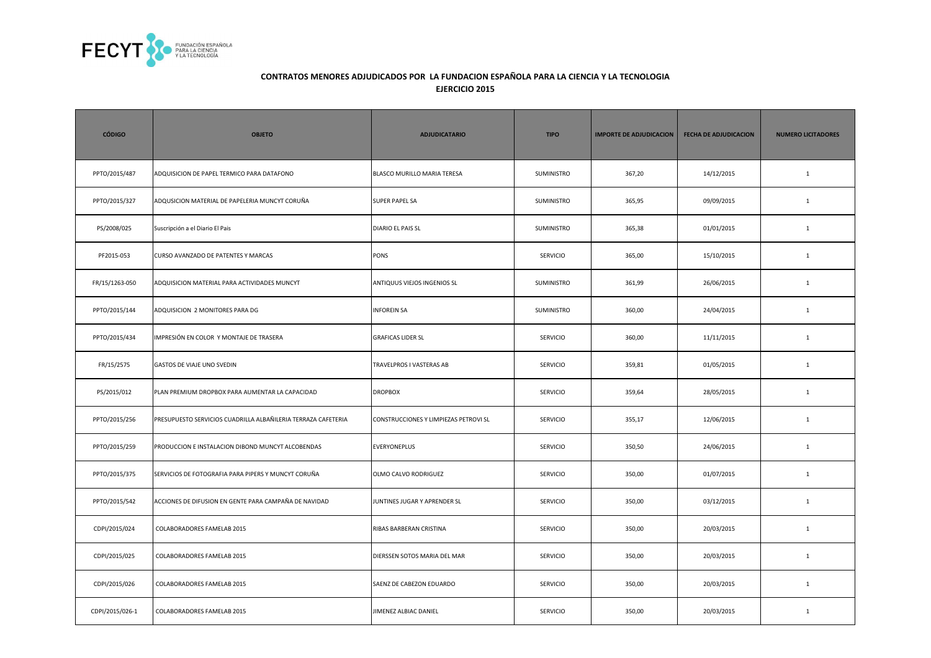

| <b>CÓDIGO</b>   | <b>OBJETO</b>                                                 | <b>ADJUDICATARIO</b>                  | <b>TIPO</b>       | <b>IMPORTE DE ADJUDICACION</b> | <b>FECHA DE ADJUDICACION</b> | <b>NUMERO LICITADORES</b> |
|-----------------|---------------------------------------------------------------|---------------------------------------|-------------------|--------------------------------|------------------------------|---------------------------|
| PPTO/2015/487   | ADQUISICION DE PAPEL TERMICO PARA DATAFONO                    | BLASCO MURILLO MARIA TERESA           | SUMINISTRO        | 367,20                         | 14/12/2015                   | $\mathbf{1}$              |
| PPTO/2015/327   | ADQUSICION MATERIAL DE PAPELERIA MUNCYT CORUÑA                | <b>SUPER PAPEL SA</b>                 | <b>SUMINISTRO</b> | 365,95                         | 09/09/2015                   | $\mathbf{1}$              |
| PS/2008/025     | Suscripción a el Diario El Pais                               | DIARIO EL PAIS SL                     | <b>SUMINISTRO</b> | 365,38                         | 01/01/2015                   | $\mathbf{1}$              |
| PF2015-053      | CURSO AVANZADO DE PATENTES Y MARCAS                           | PONS                                  | SERVICIO          | 365,00                         | 15/10/2015                   | $\mathbf 1$               |
| FR/15/1263-050  | ADQUISICION MATERIAL PARA ACTIVIDADES MUNCYT                  | ANTIQUUS VIEJOS INGENIOS SL           | SUMINISTRO        | 361,99                         | 26/06/2015                   | $\mathbf{1}$              |
| PPTO/2015/144   | ADQUISICION 2 MONITORES PARA DG                               | <b>INFOREIN SA</b>                    | SUMINISTRO        | 360,00                         | 24/04/2015                   | $\mathbf{1}$              |
| PPTO/2015/434   | MPRESIÓN EN COLOR Y MONTAJE DE TRASERA                        | <b>GRAFICAS LIDER SL</b>              | <b>SERVICIO</b>   | 360,00                         | 11/11/2015                   | $\mathbf{1}$              |
| FR/15/2575      | GASTOS DE VIAJE UNO SVEDIN                                    | TRAVELPROS I VASTERAS AB              | SERVICIO          | 359,81                         | 01/05/2015                   | $\mathbf{1}$              |
| PS/2015/012     | PLAN PREMIUM DROPBOX PARA AUMENTAR LA CAPACIDAD               | <b>DROPBOX</b>                        | <b>SERVICIO</b>   | 359,64                         | 28/05/2015                   | $\mathbf{1}$              |
| PPTO/2015/256   | PRESUPUESTO SERVICIOS CUADRILLA ALBAÑILERIA TERRAZA CAFETERIA | CONSTRUCCIONES Y LIMPIEZAS PETROVI SL | <b>SERVICIO</b>   | 355,17                         | 12/06/2015                   | $\mathbf{1}$              |
| PPTO/2015/259   | PRODUCCION E INSTALACION DIBOND MUNCYT ALCOBENDAS             | <b>EVERYONEPLUS</b>                   | <b>SERVICIO</b>   | 350,50                         | 24/06/2015                   | $\mathbf{1}$              |
| PPTO/2015/375   | SERVICIOS DE FOTOGRAFIA PARA PIPERS Y MUNCYT CORUÑA           | OLMO CALVO RODRIGUEZ                  | <b>SERVICIO</b>   | 350,00                         | 01/07/2015                   | $\mathbf{1}$              |
| PPTO/2015/542   | ACCIONES DE DIFUSION EN GENTE PARA CAMPAÑA DE NAVIDAD         | JUNTINES JUGAR Y APRENDER SL          | <b>SERVICIO</b>   | 350,00                         | 03/12/2015                   | $\mathbf{1}$              |
| CDPI/2015/024   | COLABORADORES FAMELAB 2015                                    | RIBAS BARBERAN CRISTINA               | <b>SERVICIO</b>   | 350,00                         | 20/03/2015                   | $\mathbf{1}$              |
| CDPI/2015/025   | COLABORADORES FAMELAB 2015                                    | DIERSSEN SOTOS MARIA DEL MAR          | SERVICIO          | 350,00                         | 20/03/2015                   | $\mathbf{1}$              |
| CDPI/2015/026   | COLABORADORES FAMELAB 2015                                    | SAENZ DE CABEZON EDUARDO              | <b>SERVICIO</b>   | 350,00                         | 20/03/2015                   | $\mathbf{1}$              |
| CDPI/2015/026-1 | COLABORADORES FAMELAB 2015                                    | JIMENEZ ALBIAC DANIEL                 | SERVICIO          | 350,00                         | 20/03/2015                   | $\mathbf{1}$              |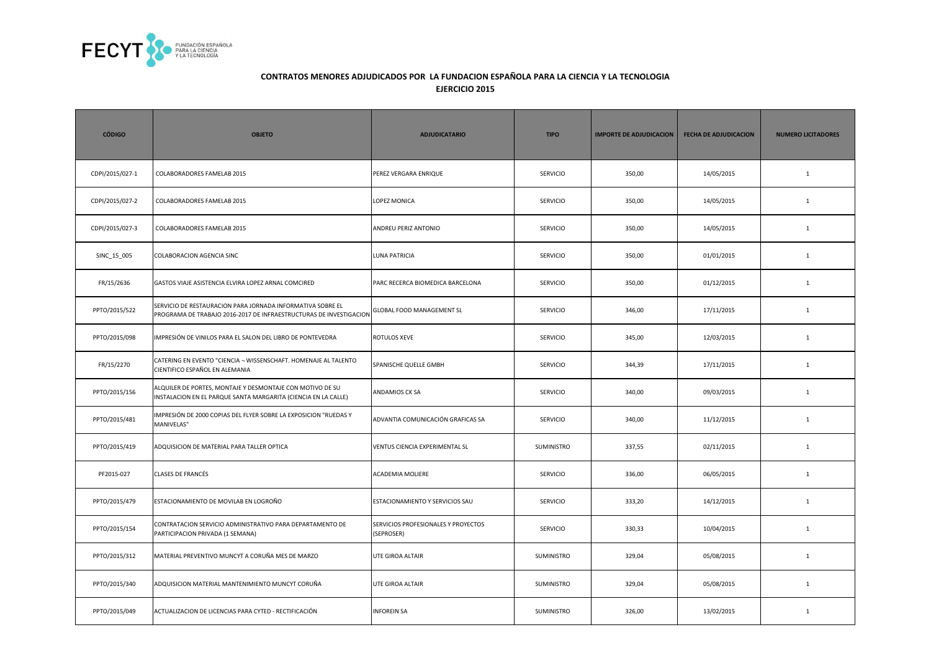

| <b>CÓDIGO</b>   | <b>OBJETO</b>                                                                                                                    | <b>ADJUDICATARIO</b>                              | <b>TIPO</b>       | <b>IMPORTE DE ADJUDICACION</b> | <b>FECHA DE ADJUDICACION</b> | <b>NUMERO LICITADORES</b> |
|-----------------|----------------------------------------------------------------------------------------------------------------------------------|---------------------------------------------------|-------------------|--------------------------------|------------------------------|---------------------------|
| CDPI/2015/027-1 | COLABORADORES FAMELAB 2015                                                                                                       | PEREZ VERGARA ENRIQUE                             | <b>SERVICIO</b>   | 350,00                         | 14/05/2015                   | $\mathbf{1}$              |
| CDPI/2015/027-2 | COLABORADORES FAMELAB 2015                                                                                                       | LOPEZ MONICA                                      | <b>SERVICIO</b>   | 350,00                         | 14/05/2015                   | $\mathbf{1}$              |
| CDPI/2015/027-3 | COLABORADORES FAMELAB 2015                                                                                                       | ANDREU PERIZ ANTONIO                              | <b>SERVICIO</b>   | 350,00                         | 14/05/2015                   | $\mathbf{1}$              |
| SINC_15_005     | COLABORACION AGENCIA SINC                                                                                                        | <b>LUNA PATRICIA</b>                              | SERVICIO          | 350,00                         | 01/01/2015                   | $\mathbf{1}$              |
| FR/15/2636      | GASTOS VIAJE ASISTENCIA ELVIRA LOPEZ ARNAL COMCIRED                                                                              | PARC RECERCA BIOMEDICA BARCELONA                  | <b>SERVICIO</b>   | 350,00                         | 01/12/2015                   | $\mathbf{1}$              |
| PPTO/2015/522   | SERVICIO DE RESTAURACION PARA JORNADA INFORMATIVA SOBRE EL<br>PROGRAMA DE TRABAJO 2016-2017 DE INFRAESTRUCTURAS DE INVESTIGACION | GLOBAL FOOD MANAGEMENT SL                         | <b>SERVICIO</b>   | 346,00                         | 17/11/2015                   | $\mathbf{1}$              |
| PPTO/2015/098   | MPRESIÓN DE VINILOS PARA EL SALON DEL LIBRO DE PONTEVEDRA                                                                        | ROTULOS XEVE                                      | <b>SERVICIO</b>   | 345,00                         | 12/03/2015                   | $\mathbf{1}$              |
| FR/15/2270      | CATERING EN EVENTO "CIENCIA - WISSENSCHAFT. HOMENAJE AL TALENTO<br>CIENTIFICO ESPAÑOL EN ALEMANIA                                | SPANISCHE QUELLE GMBH                             | <b>SERVICIO</b>   | 344,39                         | 17/11/2015                   | $\mathbf{1}$              |
| PPTO/2015/156   | ALQUILER DE PORTES, MONTAJE Y DESMONTAJE CON MOTIVO DE SU<br>INSTALACION EN EL PARQUE SANTA MARGARITA (CIENCIA EN LA CALLE)      | ANDAMIOS CK SA                                    | <b>SERVICIO</b>   | 340,00                         | 09/03/2015                   | $\mathbf{1}$              |
| PPTO/2015/481   | MPRESIÓN DE 2000 COPIAS DEL FLYER SOBRE LA EXPOSICION "RUEDAS Y<br>MANIVELAS"                                                    | ADVANTIA COMUNICACIÓN GRAFICAS SA                 | <b>SERVICIO</b>   | 340,00                         | 11/12/2015                   | $\mathbf{1}$              |
| PPTO/2015/419   | ADQUISICION DE MATERIAL PARA TALLER OPTICA                                                                                       | VENTUS CIENCIA EXPERIMENTAL SL                    | <b>SUMINISTRO</b> | 337,55                         | 02/11/2015                   | $\mathbf{1}$              |
| PF2015-027      | CLASES DE FRANCÉS                                                                                                                | ACADEMIA MOLIERE                                  | SERVICIO          | 336,00                         | 06/05/2015                   | $\mathbf{1}$              |
| PPTO/2015/479   | ESTACIONAMIENTO DE MOVILAB EN LOGROÑO                                                                                            | ESTACIONAMIENTO Y SERVICIOS SAU                   | <b>SERVICIO</b>   | 333,20                         | 14/12/2015                   | $\mathbf{1}$              |
| PPTO/2015/154   | CONTRATACION SERVICIO ADMINISTRATIVO PARA DEPARTAMENTO DE<br>PARTICIPACION PRIVADA (1 SEMANA)                                    | SERVICIOS PROFESIONALES Y PROYECTOS<br>(SEPROSER) | <b>SERVICIO</b>   | 330,33                         | 10/04/2015                   | $\mathbf{1}$              |
| PPTO/2015/312   | MATERIAL PREVENTIVO MUNCYT A CORUÑA MES DE MARZO                                                                                 | UTE GIROA ALTAIR                                  | SUMINISTRO        | 329,04                         | 05/08/2015                   | $\mathbf{1}$              |
| PPTO/2015/340   | ADQUISICION MATERIAL MANTENIMIENTO MUNCYT CORUÑA                                                                                 | UTE GIROA ALTAIR                                  | SUMINISTRO        | 329,04                         | 05/08/2015                   | $\mathbf{1}$              |
| PPTO/2015/049   | ACTUALIZACION DE LICENCIAS PARA CYTED - RECTIFICACIÓN                                                                            | <b>INFOREIN SA</b>                                | SUMINISTRO        | 326,00                         | 13/02/2015                   | $\mathbf{1}$              |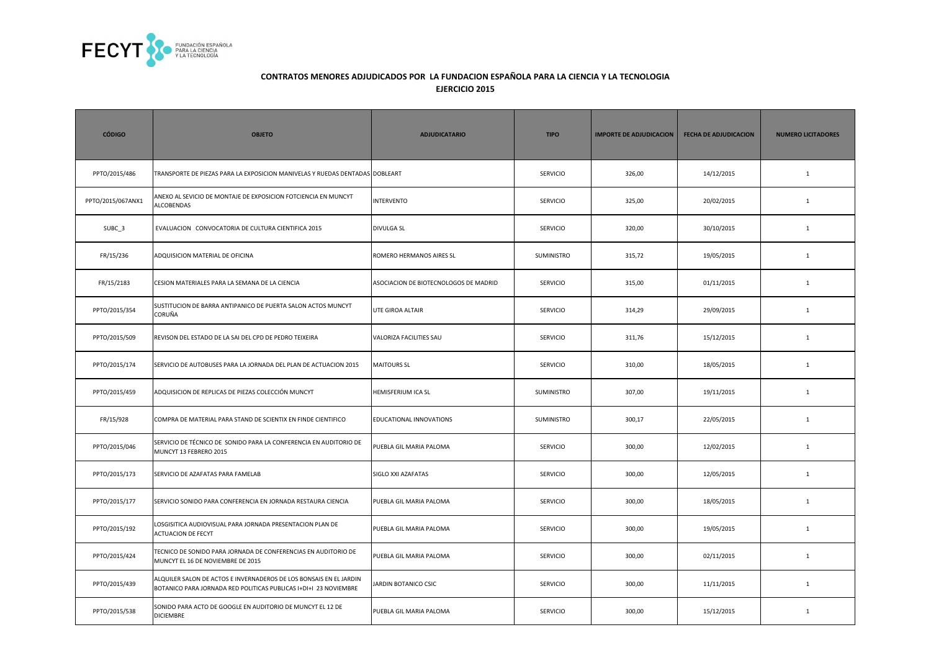

| <b>CÓDIGO</b>     | <b>OBJETO</b>                                                                                                                          | <b>ADJUDICATARIO</b>                  | <b>TIPO</b>       | <b>IMPORTE DE ADJUDICACION</b> | <b>FECHA DE ADJUDICACION</b> | <b>NUMERO LICITADORES</b> |
|-------------------|----------------------------------------------------------------------------------------------------------------------------------------|---------------------------------------|-------------------|--------------------------------|------------------------------|---------------------------|
| PPTO/2015/486     | TRANSPORTE DE PIEZAS PARA LA EXPOSICION MANIVELAS Y RUEDAS DENTADAS DOBLEART                                                           |                                       | SERVICIO          | 326,00                         | 14/12/2015                   | $\mathbf{1}$              |
| PPTO/2015/067ANX1 | ANEXO AL SEVICIO DE MONTAJE DE EXPOSICION FOTCIENCIA EN MUNCYT<br><b>ALCOBENDAS</b>                                                    | <b>INTERVENTO</b>                     | <b>SERVICIO</b>   | 325,00                         | 20/02/2015                   | $\mathbf{1}$              |
| SUBC <sub>3</sub> | EVALUACION CONVOCATORIA DE CULTURA CIENTIFICA 2015                                                                                     | <b>DIVULGA SL</b>                     | <b>SERVICIO</b>   | 320,00                         | 30/10/2015                   | <sup>1</sup>              |
| FR/15/236         | ADQUISICION MATERIAL DE OFICINA                                                                                                        | ROMERO HERMANOS AIRES SL              | <b>SUMINISTRO</b> | 315,72                         | 19/05/2015                   | <sup>1</sup>              |
| FR/15/2183        | CESION MATERIALES PARA LA SEMANA DE LA CIENCIA                                                                                         | ASOCIACION DE BIOTECNOLOGOS DE MADRID | <b>SERVICIO</b>   | 315,00                         | 01/11/2015                   | $\mathbf{1}$              |
| PPTO/2015/354     | SUSTITUCION DE BARRA ANTIPANICO DE PUERTA SALON ACTOS MUNCYT<br>CORUÑA                                                                 | UTE GIROA ALTAIR                      | <b>SERVICIO</b>   | 314,29                         | 29/09/2015                   | $\mathbf{1}$              |
| PPTO/2015/509     | REVISON DEL ESTADO DE LA SAI DEL CPD DE PEDRO TEIXEIRA                                                                                 | VALORIZA FACILITIES SAU               | <b>SERVICIO</b>   | 311,76                         | 15/12/2015                   | $\mathbf{1}$              |
| PPTO/2015/174     | SERVICIO DE AUTOBUSES PARA LA JORNADA DEL PLAN DE ACTUACION 2015                                                                       | <b>MAITOURS SL</b>                    | <b>SERVICIO</b>   | 310,00                         | 18/05/2015                   | <sup>1</sup>              |
| PPTO/2015/459     | ADQUISICION DE REPLICAS DE PIEZAS COLECCIÓN MUNCYT                                                                                     | <b>HEMISFERIUM ICA SL</b>             | <b>SUMINISTRO</b> | 307,00                         | 19/11/2015                   | <sup>1</sup>              |
| FR/15/928         | COMPRA DE MATERIAL PARA STAND DE SCIENTIX EN FINDE CIENTIFICO                                                                          | EDUCATIONAL INNOVATIONS               | <b>SUMINISTRO</b> | 300,17                         | 22/05/2015                   | <sup>1</sup>              |
| PPTO/2015/046     | SERVICIO DE TÉCNICO DE SONIDO PARA LA CONFERENCIA EN AUDITORIO DE<br>MUNCYT 13 FEBRERO 2015                                            | PUEBLA GIL MARIA PALOMA               | <b>SERVICIO</b>   | 300,00                         | 12/02/2015                   | $\mathbf{1}$              |
| PPTO/2015/173     | SERVICIO DE AZAFATAS PARA FAMELAB                                                                                                      | SIGLO XXI AZAFATAS                    | <b>SERVICIO</b>   | 300,00                         | 12/05/2015                   | $\mathbf{1}$              |
| PPTO/2015/177     | SERVICIO SONIDO PARA CONFERENCIA EN JORNADA RESTAURA CIENCIA                                                                           | PUEBLA GIL MARIA PALOMA               | <b>SERVICIO</b>   | 300,00                         | 18/05/2015                   | <sup>1</sup>              |
| PPTO/2015/192     | LOSGISITICA AUDIOVISUAL PARA JORNADA PRESENTACION PLAN DE<br><b>ACTUACION DE FECYT</b>                                                 | PUEBLA GIL MARIA PALOMA               | <b>SERVICIO</b>   | 300,00                         | 19/05/2015                   | <sup>1</sup>              |
| PPTO/2015/424     | TECNICO DE SONIDO PARA JORNADA DE CONFERENCIAS EN AUDITORIO DE<br>MUNCYT EL 16 DE NOVIEMBRE DE 2015                                    | PUEBLA GIL MARIA PALOMA               | <b>SERVICIO</b>   | 300,00                         | 02/11/2015                   | <sup>1</sup>              |
| PPTO/2015/439     | ALQUILER SALON DE ACTOS E INVERNADEROS DE LOS BONSAIS EN EL JARDIN<br>BOTANICO PARA JORNADA RED POLITICAS PUBLICAS I+DI+I 23 NOVIEMBRE | JARDIN BOTANICO CSIC                  | SERVICIO          | 300,00                         | 11/11/2015                   | $\mathbf{1}$              |
| PPTO/2015/538     | SONIDO PARA ACTO DE GOOGLE EN AUDITORIO DE MUNCYT EL 12 DE<br><b>DICIEMBRE</b>                                                         | PUEBLA GIL MARIA PALOMA               | SERVICIO          | 300,00                         | 15/12/2015                   | $\mathbf{1}$              |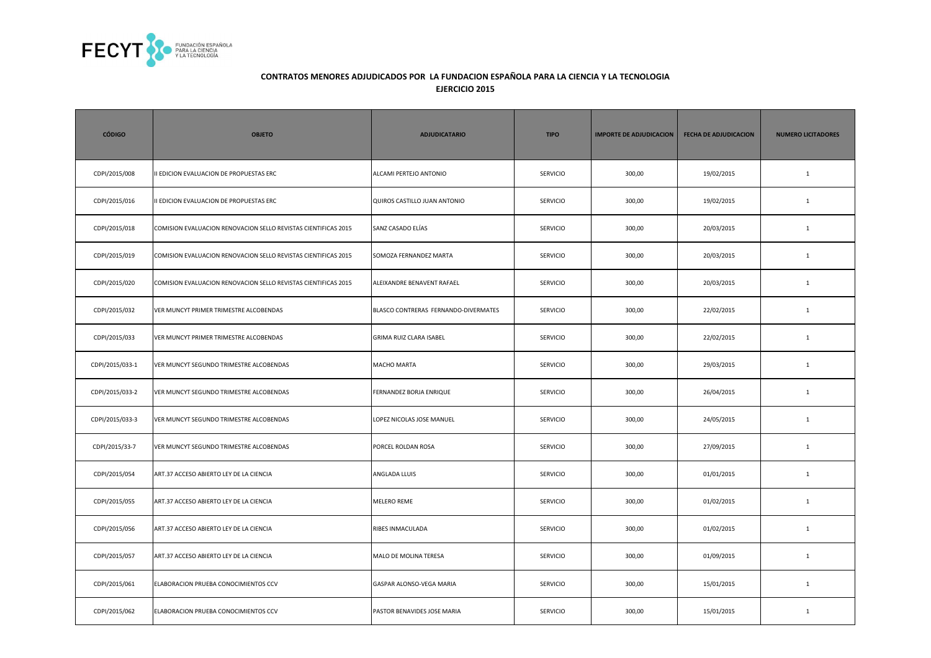

| <b>CÓDIGO</b>   | <b>OBJETO</b>                                                  | <b>ADJUDICATARIO</b>                 | <b>TIPO</b>     | <b>IMPORTE DE ADJUDICACION</b> | <b>FECHA DE ADJUDICACION</b> | <b>NUMERO LICITADORES</b> |
|-----------------|----------------------------------------------------------------|--------------------------------------|-----------------|--------------------------------|------------------------------|---------------------------|
| CDPI/2015/008   | II EDICION EVALUACION DE PROPUESTAS ERC                        | ALCAMI PERTEJO ANTONIO               | SERVICIO        | 300,00                         | 19/02/2015                   | $\mathbf 1$               |
| CDPI/2015/016   | II EDICION EVALUACION DE PROPUESTAS ERC                        | QUIROS CASTILLO JUAN ANTONIO         | SERVICIO        | 300,00                         | 19/02/2015                   | $\mathbf{1}$              |
| CDPI/2015/018   | COMISION EVALUACION RENOVACION SELLO REVISTAS CIENTIFICAS 2015 | SANZ CASADO ELÍAS                    | <b>SERVICIO</b> | 300,00                         | 20/03/2015                   | $\mathbf{1}$              |
| CDPI/2015/019   | COMISION EVALUACION RENOVACION SELLO REVISTAS CIENTIFICAS 2015 | SOMOZA FERNANDEZ MARTA               | <b>SERVICIO</b> | 300,00                         | 20/03/2015                   | $\mathbf{1}$              |
| CDPI/2015/020   | COMISION EVALUACION RENOVACION SELLO REVISTAS CIENTIFICAS 2015 | ALEIXANDRE BENAVENT RAFAEL           | SERVICIO        | 300,00                         | 20/03/2015                   | $\mathbf 1$               |
| CDPI/2015/032   | VER MUNCYT PRIMER TRIMESTRE ALCOBENDAS                         | BLASCO CONTRERAS FERNANDO-DIVERMATES | SERVICIO        | 300,00                         | 22/02/2015                   | $\mathbf 1$               |
| CDPI/2015/033   | VER MUNCYT PRIMER TRIMESTRE ALCOBENDAS                         | <b>GRIMA RUIZ CLARA ISABEL</b>       | <b>SERVICIO</b> | 300,00                         | 22/02/2015                   | $\mathbf{1}$              |
| CDPI/2015/033-1 | VER MUNCYT SEGUNDO TRIMESTRE ALCOBENDAS                        | <b>MACHO MARTA</b>                   | SERVICIO        | 300,00                         | 29/03/2015                   | $\mathbf{1}$              |
| CDPI/2015/033-2 | VER MUNCYT SEGUNDO TRIMESTRE ALCOBENDAS                        | FERNANDEZ BORJA ENRIQUE              | SERVICIO        | 300,00                         | 26/04/2015                   | $\mathbf{1}$              |
| CDPI/2015/033-3 | VER MUNCYT SEGUNDO TRIMESTRE ALCOBENDAS                        | LOPEZ NICOLAS JOSE MANUEL            | SERVICIO        | 300,00                         | 24/05/2015                   | $\mathbf{1}$              |
| CDPI/2015/33-7  | VER MUNCYT SEGUNDO TRIMESTRE ALCOBENDAS                        | PORCEL ROLDAN ROSA                   | SERVICIO        | 300,00                         | 27/09/2015                   | $\mathbf{1}$              |
| CDPI/2015/054   | ART.37 ACCESO ABIERTO LEY DE LA CIENCIA                        | ANGLADA LLUIS                        | SERVICIO        | 300,00                         | 01/01/2015                   | $\mathbf{1}$              |
| CDPI/2015/055   | ART.37 ACCESO ABIERTO LEY DE LA CIENCIA                        | MELERO REME                          | <b>SERVICIO</b> | 300,00                         | 01/02/2015                   | $\mathbf{1}$              |
| CDPI/2015/056   | ART.37 ACCESO ABIERTO LEY DE LA CIENCIA                        | RIBES INMACULADA                     | <b>SERVICIO</b> | 300,00                         | 01/02/2015                   | $\mathbf{1}$              |
| CDPI/2015/057   | ART.37 ACCESO ABIERTO LEY DE LA CIENCIA                        | MALO DE MOLINA TERESA                | <b>SERVICIO</b> | 300,00                         | 01/09/2015                   | $\mathbf{1}$              |
| CDPI/2015/061   | ELABORACION PRUEBA CONOCIMIENTOS CCV                           | GASPAR ALONSO-VEGA MARIA             | SERVICIO        | 300,00                         | 15/01/2015                   | $\mathbf{1}$              |
| CDPI/2015/062   | ELABORACION PRUEBA CONOCIMIENTOS CCV                           | PASTOR BENAVIDES JOSE MARIA          | SERVICIO        | 300,00                         | 15/01/2015                   | 1                         |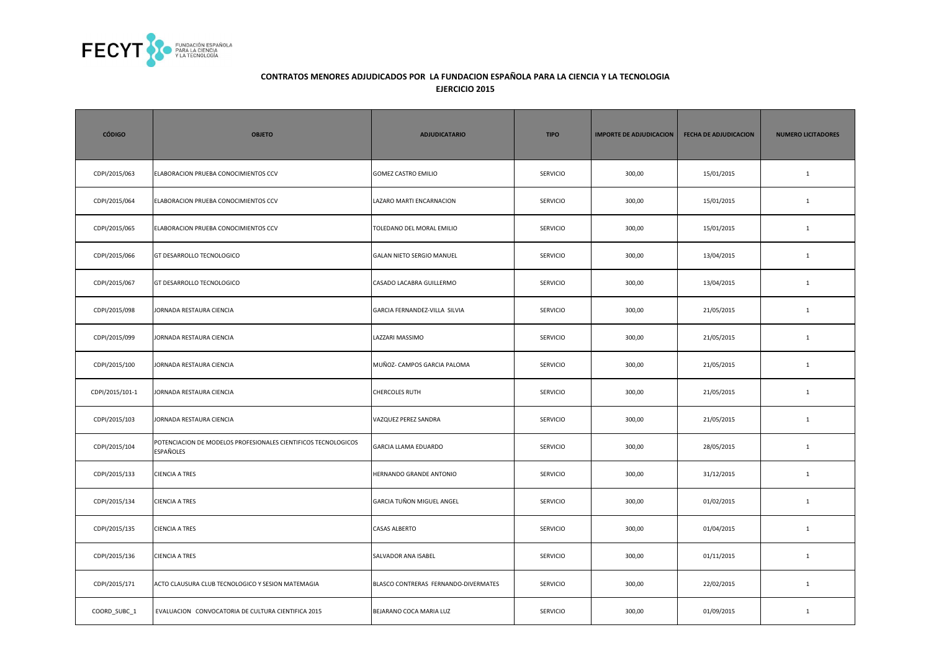

| <b>CÓDIGO</b>   | <b>OBJETO</b>                                                               | <b>ADJUDICATARIO</b>                 | <b>TIPO</b>     | <b>IMPORTE DE ADJUDICACION</b> | <b>FECHA DE ADJUDICACION</b> | <b>NUMERO LICITADORES</b> |
|-----------------|-----------------------------------------------------------------------------|--------------------------------------|-----------------|--------------------------------|------------------------------|---------------------------|
| CDPI/2015/063   | ELABORACION PRUEBA CONOCIMIENTOS CCV                                        | <b>GOMEZ CASTRO EMILIO</b>           | <b>SERVICIO</b> | 300,00                         | 15/01/2015                   | $\mathbf{1}$              |
| CDPI/2015/064   | ELABORACION PRUEBA CONOCIMIENTOS CCV                                        | LAZARO MARTI ENCARNACION             | SERVICIO        | 300,00                         | 15/01/2015                   | $\mathbf{1}$              |
| CDPI/2015/065   | ELABORACION PRUEBA CONOCIMIENTOS CCV                                        | TOLEDANO DEL MORAL EMILIO            | <b>SERVICIO</b> | 300,00                         | 15/01/2015                   | $\mathbf{1}$              |
| CDPI/2015/066   | GT DESARROLLO TECNOLOGICO                                                   | GALAN NIETO SERGIO MANUEL            | <b>SERVICIO</b> | 300,00                         | 13/04/2015                   | $\mathbf{1}$              |
| CDPI/2015/067   | GT DESARROLLO TECNOLOGICO                                                   | CASADO LACABRA GUILLERMO             | <b>SERVICIO</b> | 300,00                         | 13/04/2015                   | $\mathbf{1}$              |
| CDPI/2015/098   | JORNADA RESTAURA CIENCIA                                                    | GARCIA FERNANDEZ-VILLA SILVIA        | SERVICIO        | 300,00                         | 21/05/2015                   | $1\,$                     |
| CDPI/2015/099   | JORNADA RESTAURA CIENCIA                                                    | LAZZARI MASSIMO                      | SERVICIO        | 300,00                         | 21/05/2015                   | $\mathbf{1}$              |
| CDPI/2015/100   | JORNADA RESTAURA CIENCIA                                                    | MUÑOZ- CAMPOS GARCIA PALOMA          | <b>SERVICIO</b> | 300,00                         | 21/05/2015                   | $\mathbf{1}$              |
| CDPI/2015/101-1 | JORNADA RESTAURA CIENCIA                                                    | <b>CHERCOLES RUTH</b>                | <b>SERVICIO</b> | 300,00                         | 21/05/2015                   | $\mathbf{1}$              |
| CDPI/2015/103   | JORNADA RESTAURA CIENCIA                                                    | VAZQUEZ PEREZ SANDRA                 | SERVICIO        | 300,00                         | 21/05/2015                   | $\mathbf{1}$              |
| CDPI/2015/104   | POTENCIACION DE MODELOS PROFESIONALES CIENTIFICOS TECNOLOGICOS<br>ESPAÑOLES | GARCIA LLAMA EDUARDO                 | SERVICIO        | 300,00                         | 28/05/2015                   | $\mathbf 1$               |
| CDPI/2015/133   | <b>CIENCIA A TRES</b>                                                       | HERNANDO GRANDE ANTONIO              | <b>SERVICIO</b> | 300,00                         | 31/12/2015                   | $\mathbf{1}$              |
| CDPI/2015/134   | <b>CIENCIA A TRES</b>                                                       | GARCIA TUÑON MIGUEL ANGEL            | <b>SERVICIO</b> | 300,00                         | 01/02/2015                   | $\mathbf{1}$              |
| CDPI/2015/135   | <b>CIENCIA A TRES</b>                                                       | <b>CASAS ALBERTO</b>                 | <b>SERVICIO</b> | 300,00                         | 01/04/2015                   | $\mathbf{1}$              |
| CDPI/2015/136   | <b>CIENCIA A TRES</b>                                                       | SALVADOR ANA ISABEL                  | <b>SERVICIO</b> | 300,00                         | 01/11/2015                   | $\mathbf{1}$              |
| CDPI/2015/171   | ACTO CLAUSURA CLUB TECNOLOGICO Y SESION MATEMAGIA                           | BLASCO CONTRERAS FERNANDO-DIVERMATES | <b>SERVICIO</b> | 300,00                         | 22/02/2015                   | $\mathbf{1}$              |
| COORD_SUBC_1    | EVALUACION CONVOCATORIA DE CULTURA CIENTIFICA 2015                          | BEJARANO COCA MARIA LUZ              | <b>SERVICIO</b> | 300,00                         | 01/09/2015                   | $\mathbf{1}$              |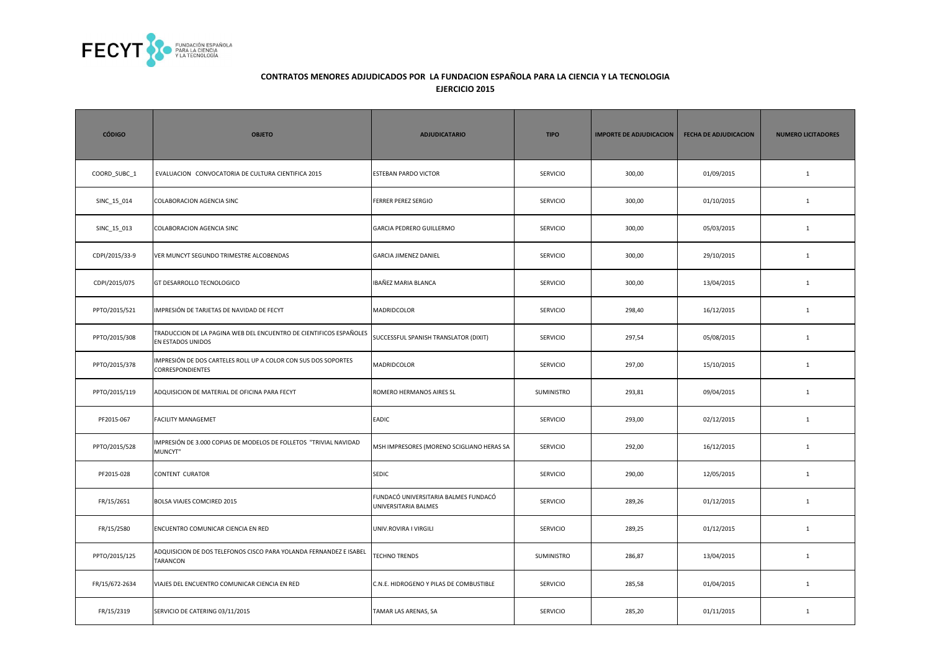

| <b>CÓDIGO</b>  | <b>OBJETO</b>                                                                             | <b>ADJUDICATARIO</b>                                         | <b>TIPO</b>       | <b>IMPORTE DE ADJUDICACION</b> | <b>FECHA DE ADJUDICACION</b> | <b>NUMERO LICITADORES</b> |
|----------------|-------------------------------------------------------------------------------------------|--------------------------------------------------------------|-------------------|--------------------------------|------------------------------|---------------------------|
| COORD SUBC 1   | EVALUACION CONVOCATORIA DE CULTURA CIENTIFICA 2015                                        | <b>ESTEBAN PARDO VICTOR</b>                                  | <b>SERVICIO</b>   | 300,00                         | 01/09/2015                   | $\mathbf{1}$              |
| SINC_15_014    | COLABORACION AGENCIA SINC                                                                 | <b>FERRER PEREZ SERGIO</b>                                   | <b>SERVICIO</b>   | 300,00                         | 01/10/2015                   | $\mathbf{1}$              |
| SINC_15_013    | COLABORACION AGENCIA SINC                                                                 | GARCIA PEDRERO GUILLERMO                                     | <b>SERVICIO</b>   | 300,00                         | 05/03/2015                   | $\mathbf{1}$              |
| CDPI/2015/33-9 | VER MUNCYT SEGUNDO TRIMESTRE ALCOBENDAS                                                   | <b>GARCIA JIMENEZ DANIEL</b>                                 | SERVICIO          | 300,00                         | 29/10/2015                   | $\mathbf{1}$              |
| CDPI/2015/075  | GT DESARROLLO TECNOLOGICO                                                                 | IBAÑEZ MARIA BLANCA                                          | <b>SERVICIO</b>   | 300,00                         | 13/04/2015                   | $\mathbf{1}$              |
| PPTO/2015/521  | IMPRESIÓN DE TARJETAS DE NAVIDAD DE FECYT                                                 | MADRIDCOLOR                                                  | <b>SERVICIO</b>   | 298,40                         | 16/12/2015                   | $\mathbf{1}$              |
| PPTO/2015/308  | TRADUCCION DE LA PAGINA WEB DEL ENCUENTRO DE CIENTIFICOS ESPAÑOLES<br>EN ESTADOS UNIDOS   | SUCCESSFUL SPANISH TRANSLATOR (DIXIT)                        | <b>SERVICIO</b>   | 297,54                         | 05/08/2015                   | $\mathbf{1}$              |
| PPTO/2015/378  | IMPRESIÓN DE DOS CARTELES ROLL UP A COLOR CON SUS DOS SOPORTES<br><b>CORRESPONDIENTES</b> | MADRIDCOLOR                                                  | <b>SERVICIO</b>   | 297,00                         | 15/10/2015                   | $\mathbf{1}$              |
| PPTO/2015/119  | ADQUISICION DE MATERIAL DE OFICINA PARA FECYT                                             | ROMERO HERMANOS AIRES SL                                     | <b>SUMINISTRO</b> | 293,81                         | 09/04/2015                   | $\mathbf{1}$              |
| PF2015-067     | FACILITY MANAGEMET                                                                        | EADIC                                                        | <b>SERVICIO</b>   | 293,00                         | 02/12/2015                   | $\mathbf{1}$              |
| PPTO/2015/528  | MPRESIÓN DE 3.000 COPIAS DE MODELOS DE FOLLETOS "TRIVIAL NAVIDAD<br>MUNCYT"               | MSH IMPRESORES (MORENO SCIGLIANO HERAS SA                    | <b>SERVICIO</b>   | 292,00                         | 16/12/2015                   | $\mathbf{1}$              |
| PF2015-028     | CONTENT CURATOR                                                                           | <b>SEDIC</b>                                                 | SERVICIO          | 290,00                         | 12/05/2015                   | $\mathbf{1}$              |
| FR/15/2651     | BOLSA VIAJES COMCIRED 2015                                                                | FUNDACÓ UNIVERSITARIA BALMES FUNDACÓ<br>UNIVERSITARIA BALMES | <b>SERVICIO</b>   | 289,26                         | 01/12/2015                   | $\mathbf{1}$              |
| FR/15/2580     | ENCUENTRO COMUNICAR CIENCIA EN RED                                                        | UNIV.ROVIRA I VIRGILI                                        | <b>SERVICIO</b>   | 289,25                         | 01/12/2015                   | $\mathbf{1}$              |
| PPTO/2015/125  | ADQUISICION DE DOS TELEFONOS CISCO PARA YOLANDA FERNANDEZ E ISABEL<br>TARANCON            | <b>TECHNO TRENDS</b>                                         | SUMINISTRO        | 286,87                         | 13/04/2015                   | $\mathbf{1}$              |
| FR/15/672-2634 | VIAJES DEL ENCUENTRO COMUNICAR CIENCIA EN RED                                             | C.N.E. HIDROGENO Y PILAS DE COMBUSTIBLE                      | <b>SERVICIO</b>   | 285,58                         | 01/04/2015                   | $\mathbf{1}$              |
| FR/15/2319     | SERVICIO DE CATERING 03/11/2015                                                           | TAMAR LAS ARENAS, SA                                         | SERVICIO          | 285,20                         | 01/11/2015                   | $\mathbf{1}$              |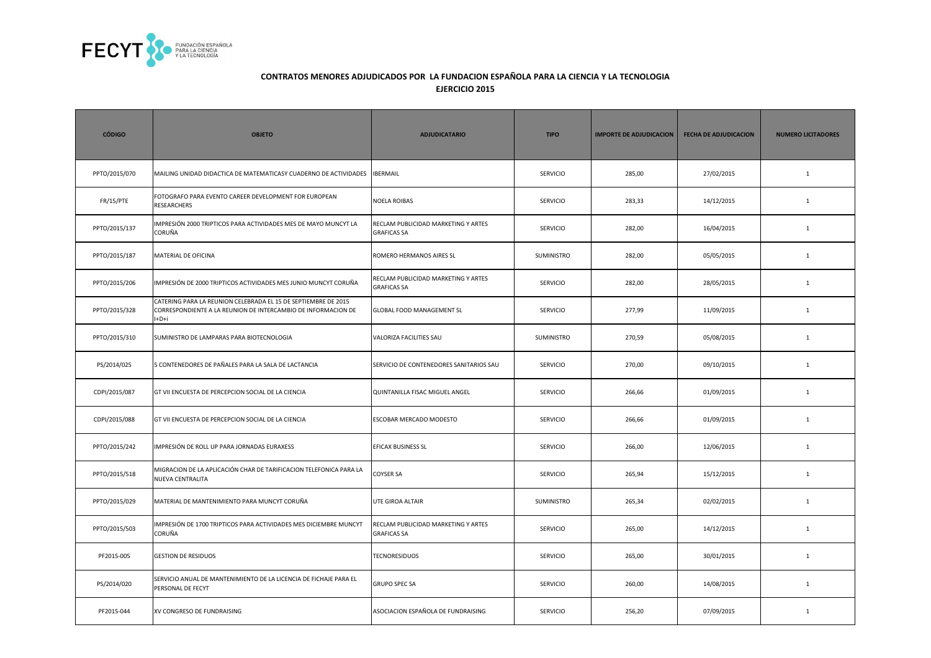

| <b>CÓDIGO</b>    | <b>OBJETO</b>                                                                                                                             | <b>ADJUDICATARIO</b>                                      | <b>TIPO</b>     | <b>IMPORTE DE ADJUDICACION</b> | <b>FECHA DE ADJUDICACION</b> | <b>NUMERO LICITADORES</b> |
|------------------|-------------------------------------------------------------------------------------------------------------------------------------------|-----------------------------------------------------------|-----------------|--------------------------------|------------------------------|---------------------------|
| PPTO/2015/070    | MAILING UNIDAD DIDACTICA DE MATEMATICASY CUADERNO DE ACTIVIDADES                                                                          | <b>IBERMAIL</b>                                           | <b>SERVICIO</b> | 285,00                         | 27/02/2015                   | $\mathbf{1}$              |
| <b>FR/15/PTE</b> | FOTOGRAFO PARA EVENTO CAREER DEVELOPMENT FOR EUROPEAN<br>RESEARCHERS                                                                      | <b>NOELA ROIBAS</b>                                       | <b>SERVICIO</b> | 283,33                         | 14/12/2015                   | $\mathbf{1}$              |
| PPTO/2015/137    | IMPRESIÓN 2000 TRIPTICOS PARA ACTIVIDADES MES DE MAYO MUNCYT LA<br>CORUÑA                                                                 | RECLAM PUBLICIDAD MARKETING Y ARTES<br><b>GRAFICAS SA</b> | <b>SERVICIO</b> | 282,00                         | 16/04/2015                   | $\mathbf{1}$              |
| PPTO/2015/187    | MATERIAL DE OFICINA                                                                                                                       | ROMERO HERMANOS AIRES SL                                  | SUMINISTRO      | 282,00                         | 05/05/2015                   | $\mathbf{1}$              |
| PPTO/2015/206    | IMPRESIÓN DE 2000 TRIPTICOS ACTIVIDADES MES JUNIO MUNCYT CORUÑA                                                                           | RECLAM PUBLICIDAD MARKETING Y ARTES<br><b>GRAFICAS SA</b> | <b>SERVICIO</b> | 282,00                         | 28/05/2015                   | $\mathbf{1}$              |
| PPTO/2015/328    | CATERING PARA LA REUNION CELEBRADA EL 15 DE SEPTIEMBRE DE 2015<br>CORRESPONDIENTE A LA REUNION DE INTERCAMBIO DE INFORMACION DE<br>$+D+i$ | <b>GLOBAL FOOD MANAGEMENT SL</b>                          | <b>SERVICIO</b> | 277,99                         | 11/09/2015                   | $\mathbf{1}$              |
| PPTO/2015/310    | SUMINISTRO DE LAMPARAS PARA BIOTECNOLOGIA                                                                                                 | VALORIZA FACILITIES SAU                                   | SUMINISTRO      | 270,59                         | 05/08/2015                   | $\mathbf{1}$              |
| PS/2014/025      | 5 CONTENEDORES DE PAÑALES PARA LA SALA DE LACTANCIA                                                                                       | SERVICIO DE CONTENEDORES SANITARIOS SAU                   | SERVICIO        | 270,00                         | 09/10/2015                   | $\mathbf{1}$              |
| CDPI/2015/087    | GT VII ENCUESTA DE PERCEPCION SOCIAL DE LA CIENCIA                                                                                        | QUINTANILLA FISAC MIGUEL ANGEL                            | <b>SERVICIO</b> | 266,66                         | 01/09/2015                   | $\mathbf{1}$              |
| CDPI/2015/088    | GT VII ENCUESTA DE PERCEPCION SOCIAL DE LA CIENCIA                                                                                        | <b>ESCOBAR MERCADO MODESTO</b>                            | <b>SERVICIO</b> | 266,66                         | 01/09/2015                   | $\mathbf{1}$              |
| PPTO/2015/242    | MPRESIÓN DE ROLL UP PARA JORNADAS EURAXESS                                                                                                | EFICAX BUSINESS SL                                        | <b>SERVICIO</b> | 266,00                         | 12/06/2015                   | $\mathbf{1}$              |
| PPTO/2015/518    | MIGRACION DE LA APLICACIÓN CHAR DE TARIFICACION TELEFONICA PARA LA<br>NUEVA CENTRALITA                                                    | <b>COYSER SA</b>                                          | SERVICIO        | 265,94                         | 15/12/2015                   | $\mathbf{1}$              |
| PPTO/2015/029    | MATERIAL DE MANTENIMIENTO PARA MUNCYT CORUÑA                                                                                              | <b>UTE GIROA ALTAIR</b>                                   | SUMINISTRO      | 265,34                         | 02/02/2015                   | $\mathbf{1}$              |
| PPTO/2015/503    | MPRESIÓN DE 1700 TRIPTICOS PARA ACTIVIDADES MES DICIEMBRE MUNCYT<br>CORUÑA                                                                | RECLAM PUBLICIDAD MARKETING Y ARTES<br><b>GRAFICAS SA</b> | <b>SERVICIO</b> | 265,00                         | 14/12/2015                   | 1                         |
| PF2015-005       | <b>GESTION DE RESIDUOS</b>                                                                                                                | <b>TECNORESIDUOS</b>                                      | <b>SERVICIO</b> | 265,00                         | 30/01/2015                   | $\mathbf{1}$              |
| PS/2014/020      | SERVICIO ANUAL DE MANTENIMIENTO DE LA LICENCIA DE FICHAJE PARA EL<br>PERSONAL DE FECYT                                                    | <b>GRUPO SPEC SA</b>                                      | <b>SERVICIO</b> | 260,00                         | 14/08/2015                   | $\mathbf{1}$              |
| PF2015-044       | XV CONGRESO DE FUNDRAISING                                                                                                                | ASOCIACION ESPAÑOLA DE FUNDRAISING                        | SERVICIO        | 256,20                         | 07/09/2015                   | $\mathbf{1}$              |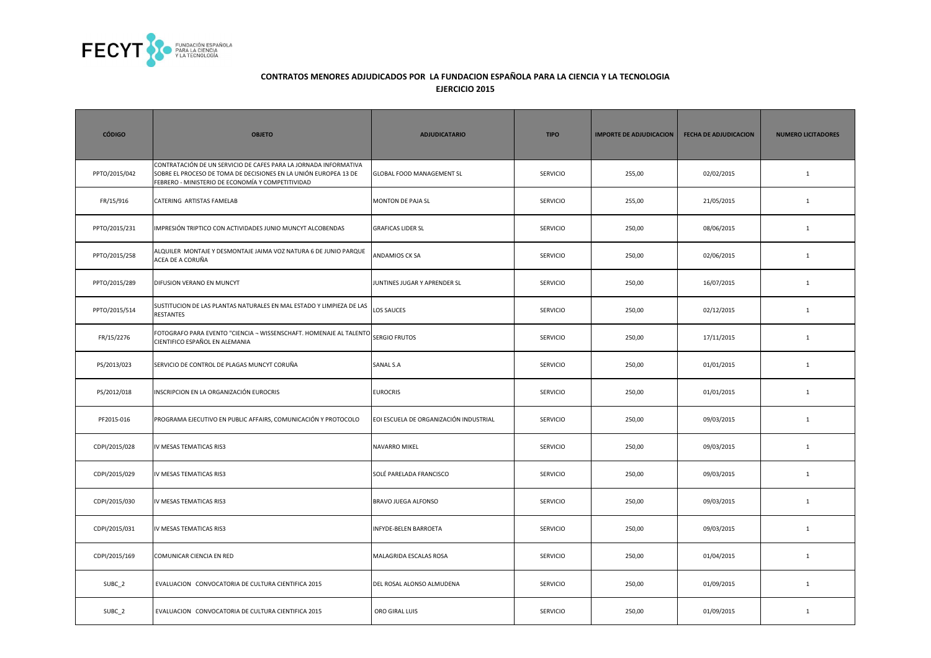

| <b>CÓDIGO</b>     | <b>OBJETO</b>                                                                                                                                                                             | <b>ADJUDICATARIO</b>                   | <b>TIPO</b>     | <b>IMPORTE DE ADJUDICACION</b> | <b>FECHA DE ADJUDICACION</b> | <b>NUMERO LICITADORES</b> |
|-------------------|-------------------------------------------------------------------------------------------------------------------------------------------------------------------------------------------|----------------------------------------|-----------------|--------------------------------|------------------------------|---------------------------|
| PPTO/2015/042     | CONTRATACIÓN DE UN SERVICIO DE CAFES PARA LA JORNADA INFORMATIVA<br>SOBRE EL PROCESO DE TOMA DE DECISIONES EN LA UNIÓN EUROPEA 13 DE<br>FEBRERO - MINISTERIO DE ECONOMÍA Y COMPETITIVIDAD | GLOBAL FOOD MANAGEMENT SL              | <b>SERVICIO</b> | 255,00                         | 02/02/2015                   | $\mathbf{1}$              |
| FR/15/916         | CATERING ARTISTAS FAMELAB                                                                                                                                                                 | MONTON DE PAJA SL                      | <b>SERVICIO</b> | 255,00                         | 21/05/2015                   | $\mathbf{1}$              |
| PPTO/2015/231     | IMPRESIÓN TRIPTICO CON ACTIVIDADES JUNIO MUNCYT ALCOBENDAS                                                                                                                                | <b>GRAFICAS LIDER SL</b>               | <b>SERVICIO</b> | 250,00                         | 08/06/2015                   | $\mathbf{1}$              |
| PPTO/2015/258     | ALQUILER MONTAJE Y DESMONTAJE JAIMA VOZ NATURA 6 DE JUNIO PARQUE<br>ACEA DE A CORUÑA                                                                                                      | ANDAMIOS CK SA                         | SERVICIO        | 250,00                         | 02/06/2015                   | $\mathbf{1}$              |
| PPTO/2015/289     | DIFUSION VERANO EN MUNCYT                                                                                                                                                                 | JUNTINES JUGAR Y APRENDER SL           | <b>SERVICIO</b> | 250,00                         | 16/07/2015                   | $\mathbf{1}$              |
| PPTO/2015/514     | SUSTITUCION DE LAS PLANTAS NATURALES EN MAL ESTADO Y LIMPIEZA DE LAS<br><b>RESTANTES</b>                                                                                                  | LOS SAUCES                             | <b>SERVICIO</b> | 250,00                         | 02/12/2015                   | $\mathbf{1}$              |
| FR/15/2276        | FOTOGRAFO PARA EVENTO "CIENCIA - WISSENSCHAFT. HOMENAJE AL TALENTO<br>CIENTIFICO ESPAÑOL EN ALEMANIA                                                                                      | <b>SERGIO FRUTOS</b>                   | <b>SERVICIO</b> | 250,00                         | 17/11/2015                   | $\mathbf{1}$              |
| PS/2013/023       | SERVICIO DE CONTROL DE PLAGAS MUNCYT CORUÑA                                                                                                                                               | SANAL S.A                              | <b>SERVICIO</b> | 250,00                         | 01/01/2015                   | $\mathbf{1}$              |
| PS/2012/018       | INSCRIPCION EN LA ORGANIZACIÓN EUROCRIS                                                                                                                                                   | <b>EUROCRIS</b>                        | <b>SERVICIO</b> | 250,00                         | 01/01/2015                   | $\mathbf{1}$              |
| PF2015-016        | PROGRAMA EJECUTIVO EN PUBLIC AFFAIRS, COMUNICACIÓN Y PROTOCOLO                                                                                                                            | EOI ESCUELA DE ORGANIZACIÓN INDUSTRIAL | <b>SERVICIO</b> | 250,00                         | 09/03/2015                   | $\mathbf{1}$              |
| CDPI/2015/028     | IV MESAS TEMATICAS RIS3                                                                                                                                                                   | NAVARRO MIKEL                          | <b>SERVICIO</b> | 250,00                         | 09/03/2015                   | $\mathbf{1}$              |
| CDPI/2015/029     | IV MESAS TEMATICAS RIS3                                                                                                                                                                   | SOLÉ PARELADA FRANCISCO                | SERVICIO        | 250,00                         | 09/03/2015                   | $\mathbf{1}$              |
| CDPI/2015/030     | IV MESAS TEMATICAS RIS3                                                                                                                                                                   | BRAVO JUEGA ALFONSO                    | <b>SERVICIO</b> | 250,00                         | 09/03/2015                   | $\mathbf{1}$              |
| CDPI/2015/031     | IV MESAS TEMATICAS RIS3                                                                                                                                                                   | INFYDE-BELEN BARROETA                  | <b>SERVICIO</b> | 250,00                         | 09/03/2015                   | 1                         |
| CDPI/2015/169     | COMUNICAR CIENCIA EN RED                                                                                                                                                                  | MALAGRIDA ESCALAS ROSA                 | <b>SERVICIO</b> | 250,00                         | 01/04/2015                   | $\mathbf{1}$              |
| SUBC <sub>2</sub> | EVALUACION CONVOCATORIA DE CULTURA CIENTIFICA 2015                                                                                                                                        | DEL ROSAL ALONSO ALMUDENA              | <b>SERVICIO</b> | 250,00                         | 01/09/2015                   | $\mathbf{1}$              |
| SUBC_2            | EVALUACION CONVOCATORIA DE CULTURA CIENTIFICA 2015                                                                                                                                        | ORO GIRAL LUIS                         | SERVICIO        | 250,00                         | 01/09/2015                   | $\mathbf{1}$              |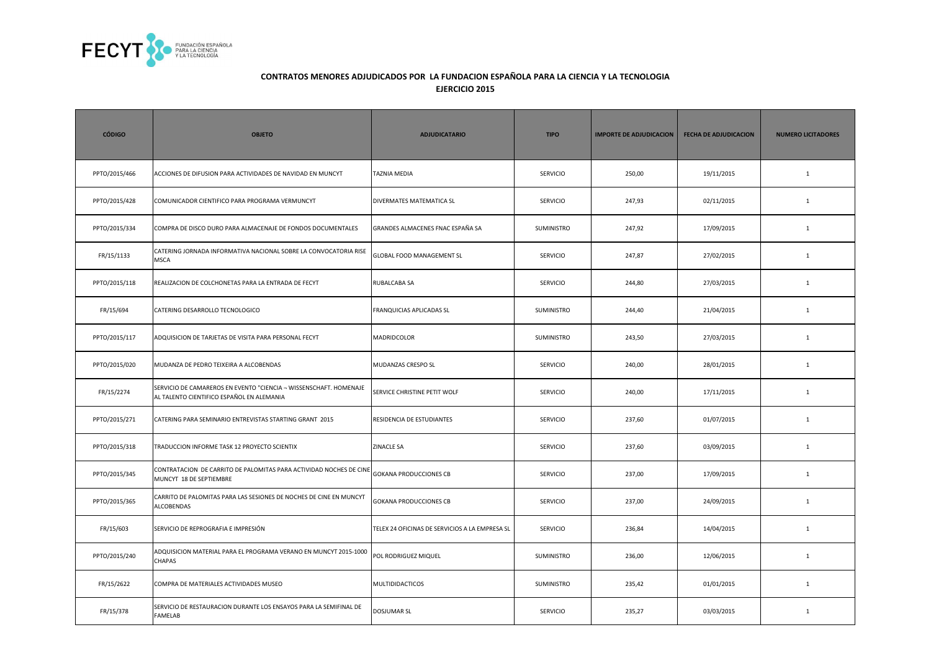

| <b>CÓDIGO</b> | <b>OBJETO</b>                                                                                                  | <b>ADJUDICATARIO</b>                           | <b>TIPO</b>       | <b>IMPORTE DE ADJUDICACION</b> | <b>FECHA DE ADJUDICACION</b> | <b>NUMERO LICITADORES</b> |
|---------------|----------------------------------------------------------------------------------------------------------------|------------------------------------------------|-------------------|--------------------------------|------------------------------|---------------------------|
| PPTO/2015/466 | ACCIONES DE DIFUSION PARA ACTIVIDADES DE NAVIDAD EN MUNCYT                                                     | <b>TAZNIA MEDIA</b>                            | <b>SERVICIO</b>   | 250,00                         | 19/11/2015                   | $\mathbf{1}$              |
| PPTO/2015/428 | COMUNICADOR CIENTIFICO PARA PROGRAMA VERMUNCYT                                                                 | DIVERMATES MATEMATICA SL                       | <b>SERVICIO</b>   | 247,93                         | 02/11/2015                   | $\mathbf{1}$              |
| PPTO/2015/334 | COMPRA DE DISCO DURO PARA ALMACENAJE DE FONDOS DOCUMENTALES                                                    | GRANDES ALMACENES FNAC ESPAÑA SA               | <b>SUMINISTRO</b> | 247,92                         | 17/09/2015                   | $\mathbf{1}$              |
| FR/15/1133    | CATERING JORNADA INFORMATIVA NACIONAL SOBRE LA CONVOCATORIA RISE<br>MSCA                                       | <b>GLOBAL FOOD MANAGEMENT SL</b>               | <b>SERVICIO</b>   | 247,87                         | 27/02/2015                   | 1                         |
| PPTO/2015/118 | REALIZACION DE COLCHONETAS PARA LA ENTRADA DE FECYT                                                            | RUBALCABA SA                                   | <b>SERVICIO</b>   | 244,80                         | 27/03/2015                   | $\mathbf{1}$              |
| FR/15/694     | CATERING DESARROLLO TECNOLOGICO                                                                                | FRANQUICIAS APLICADAS SL                       | SUMINISTRO        | 244,40                         | 21/04/2015                   | $\mathbf{1}$              |
| PPTO/2015/117 | ADQUISICION DE TARJETAS DE VISITA PARA PERSONAL FECYT                                                          | MADRIDCOLOR                                    | SUMINISTRO        | 243,50                         | 27/03/2015                   | $\mathbf{1}$              |
| PPTO/2015/020 | MUDANZA DE PEDRO TEIXEIRA A ALCOBENDAS                                                                         | MUDANZAS CRESPO SL                             | <b>SERVICIO</b>   | 240,00                         | 28/01/2015                   | $\mathbf{1}$              |
| FR/15/2274    | SERVICIO DE CAMAREROS EN EVENTO "CIENCIA - WISSENSCHAFT. HOMENAJE<br>AL TALENTO CIENTIFICO ESPAÑOL EN ALEMANIA | SERVICE CHRISTINE PETIT WOLF                   | <b>SERVICIO</b>   | 240,00                         | 17/11/2015                   | $\mathbf{1}$              |
| PPTO/2015/271 | CATERING PARA SEMINARIO ENTREVISTAS STARTING GRANT 2015                                                        | RESIDENCIA DE ESTUDIANTES                      | <b>SERVICIO</b>   | 237,60                         | 01/07/2015                   | $\mathbf{1}$              |
| PPTO/2015/318 | TRADUCCION INFORME TASK 12 PROYECTO SCIENTIX                                                                   | <b>ZINACLE SA</b>                              | SERVICIO          | 237,60                         | 03/09/2015                   | $1\,$                     |
| PPTO/2015/345 | CONTRATACION DE CARRITO DE PALOMITAS PARA ACTIVIDAD NOCHES DE CINI<br>MUNCYT 18 DE SEPTIEMBRE                  | <b>GOKANA PRODUCCIONES CB</b>                  | SERVICIO          | 237,00                         | 17/09/2015                   | $\mathbf{1}$              |
| PPTO/2015/365 | CARRITO DE PALOMITAS PARA LAS SESIONES DE NOCHES DE CINE EN MUNCYT<br>ALCOBENDAS                               | <b>GOKANA PRODUCCIONES CB</b>                  | <b>SERVICIO</b>   | 237,00                         | 24/09/2015                   | $\mathbf{1}$              |
| FR/15/603     | SERVICIO DE REPROGRAFIA E IMPRESIÓN                                                                            | TELEX 24 OFICINAS DE SERVICIOS A LA EMPRESA SL | <b>SERVICIO</b>   | 236,84                         | 14/04/2015                   | $\mathbf{1}$              |
| PPTO/2015/240 | ADQUISICION MATERIAL PARA EL PROGRAMA VERANO EN MUNCYT 2015-1000<br>CHAPAS                                     | POL RODRIGUEZ MIQUEL                           | SUMINISTRO        | 236,00                         | 12/06/2015                   | $\mathbf{1}$              |
| FR/15/2622    | COMPRA DE MATERIALES ACTIVIDADES MUSEO                                                                         | <b>MULTIDIDACTICOS</b>                         | SUMINISTRO        | 235,42                         | 01/01/2015                   | $\mathbf{1}$              |
| FR/15/378     | SERVICIO DE RESTAURACION DURANTE LOS ENSAYOS PARA LA SEMIFINAL DE<br>FAMELAB                                   | <b>DOSJUMAR SL</b>                             | <b>SERVICIO</b>   | 235,27                         | 03/03/2015                   | $\mathbf{1}$              |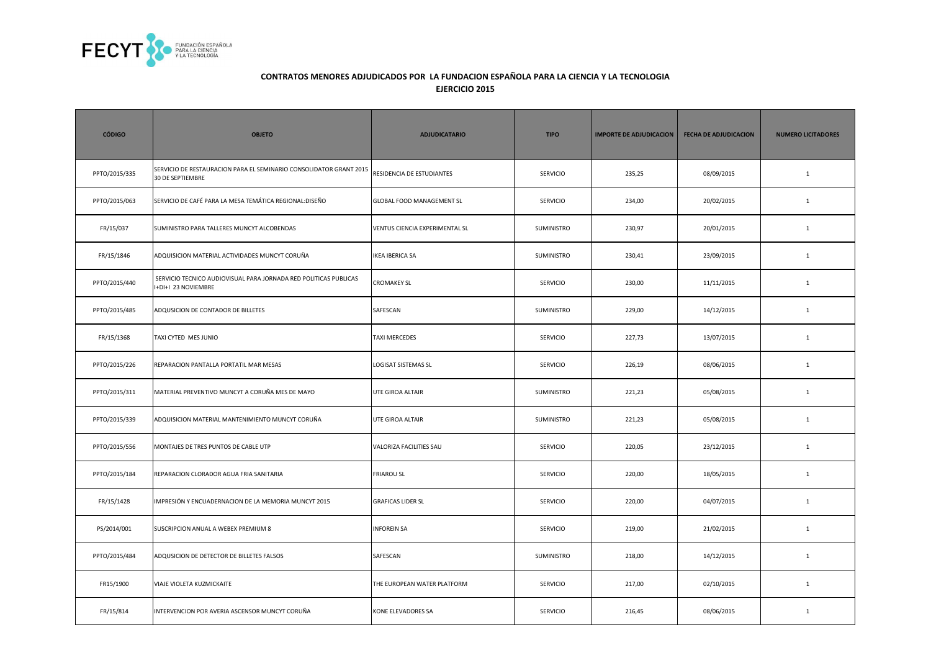

| <b>CÓDIGO</b> | <b>OBJETO</b>                                                                          | <b>ADJUDICATARIO</b>           | <b>TIPO</b>       | <b>IMPORTE DE ADJUDICACION</b> | <b>FECHA DE ADJUDICACION</b> | <b>NUMERO LICITADORES</b> |
|---------------|----------------------------------------------------------------------------------------|--------------------------------|-------------------|--------------------------------|------------------------------|---------------------------|
| PPTO/2015/335 | SERVICIO DE RESTAURACION PARA EL SEMINARIO CONSOLIDATOR GRANT 2015<br>30 DE SEPTIEMBRE | RESIDENCIA DE ESTUDIANTES      | <b>SERVICIO</b>   | 235,25                         | 08/09/2015                   | $\mathbf{1}$              |
| PPTO/2015/063 | SERVICIO DE CAFÉ PARA LA MESA TEMÁTICA REGIONAL:DISEÑO                                 | GLOBAL FOOD MANAGEMENT SL      | <b>SERVICIO</b>   | 234,00                         | 20/02/2015                   | $\mathbf{1}$              |
| FR/15/037     | SUMINISTRO PARA TALLERES MUNCYT ALCOBENDAS                                             | VENTUS CIENCIA EXPERIMENTAL SL | SUMINISTRO        | 230,97                         | 20/01/2015                   | $\mathbf{1}$              |
| FR/15/1846    | ADQUISICION MATERIAL ACTIVIDADES MUNCYT CORUÑA                                         | <b>IKEA IBERICA SA</b>         | SUMINISTRO        | 230,41                         | 23/09/2015                   | $\mathbf{1}$              |
| PPTO/2015/440 | SERVICIO TECNICO AUDIOVISUAL PARA JORNADA RED POLITICAS PUBLICAS<br>+DI+I 23 NOVIEMBRE | <b>CROMAKEY SL</b>             | <b>SERVICIO</b>   | 230,00                         | 11/11/2015                   | $\mathbf{1}$              |
| PPTO/2015/485 | ADQUSICION DE CONTADOR DE BILLETES                                                     | SAFESCAN                       | SUMINISTRO        | 229,00                         | 14/12/2015                   | $\mathbf{1}$              |
| FR/15/1368    | TAXI CYTED MES JUNIO                                                                   | <b>TAXI MERCEDES</b>           | <b>SERVICIO</b>   | 227,73                         | 13/07/2015                   | $\mathbf{1}$              |
| PPTO/2015/226 | REPARACION PANTALLA PORTATIL MAR MESAS                                                 | LOGISAT SISTEMAS SL            | <b>SERVICIO</b>   | 226,19                         | 08/06/2015                   | $\mathbf{1}$              |
| PPTO/2015/311 | MATERIAL PREVENTIVO MUNCYT A CORUÑA MES DE MAYO                                        | UTE GIROA ALTAIR               | <b>SUMINISTRO</b> | 221,23                         | 05/08/2015                   | $\mathbf{1}$              |
| PPTO/2015/339 | ADQUISICION MATERIAL MANTENIMIENTO MUNCYT CORUÑA                                       | UTE GIROA ALTAIR               | SUMINISTRO        | 221,23                         | 05/08/2015                   | $\mathbf{1}$              |
| PPTO/2015/556 | MONTAJES DE TRES PUNTOS DE CABLE UTP                                                   | VALORIZA FACILITIES SAU        | <b>SERVICIO</b>   | 220,05                         | 23/12/2015                   | $\mathbf{1}$              |
| PPTO/2015/184 | REPARACION CLORADOR AGUA FRIA SANITARIA                                                | <b>FRIAROU SL</b>              | <b>SERVICIO</b>   | 220,00                         | 18/05/2015                   | $\mathbf{1}$              |
| FR/15/1428    | MPRESIÓN Y ENCUADERNACION DE LA MEMORIA MUNCYT 2015                                    | <b>GRAFICAS LIDER SL</b>       | <b>SERVICIO</b>   | 220,00                         | 04/07/2015                   | $\mathbf{1}$              |
| PS/2014/001   | SUSCRIPCION ANUAL A WEBEX PREMIUM 8                                                    | <b>INFOREIN SA</b>             | <b>SERVICIO</b>   | 219,00                         | 21/02/2015                   | $\mathbf{1}$              |
| PPTO/2015/484 | ADQUSICION DE DETECTOR DE BILLETES FALSOS                                              | SAFESCAN                       | SUMINISTRO        | 218,00                         | 14/12/2015                   | $\mathbf{1}$              |
| FR15/1900     | VIAJE VIOLETA KUZMICKAITE                                                              | THE EUROPEAN WATER PLATFORM    | <b>SERVICIO</b>   | 217,00                         | 02/10/2015                   | $\mathbf{1}$              |
| FR/15/814     | INTERVENCION POR AVERIA ASCENSOR MUNCYT CORUÑA                                         | KONE ELEVADORES SA             | SERVICIO          | 216,45                         | 08/06/2015                   | $\mathbf{1}$              |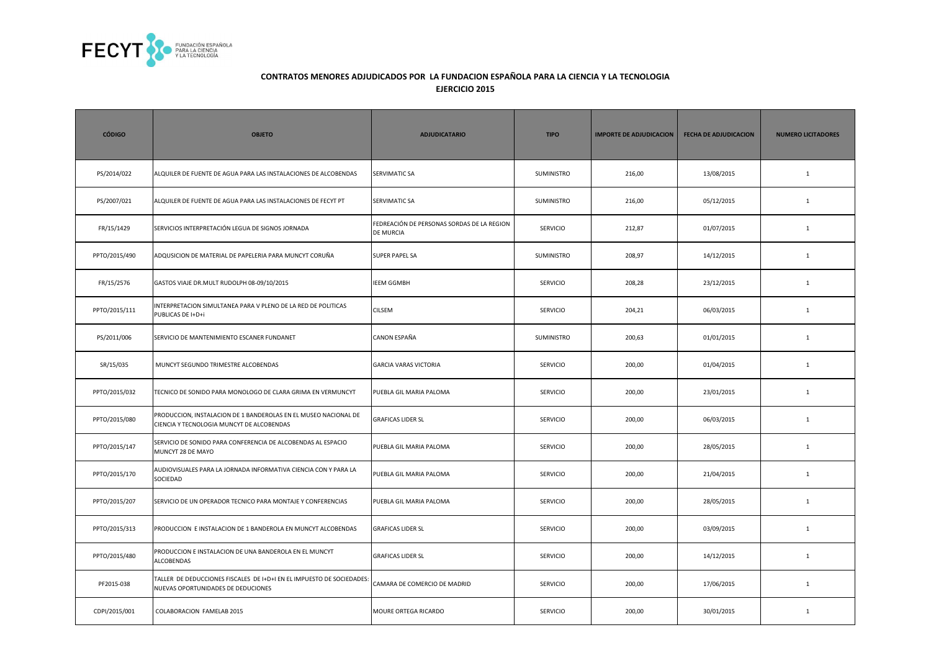

| <b>CÓDIGO</b> | <b>OBJETO</b>                                                                                                | <b>ADJUDICATARIO</b>                                    | <b>TIPO</b>     | <b>IMPORTE DE ADJUDICACION</b> | <b>FECHA DE ADJUDICACION</b> | <b>NUMERO LICITADORES</b> |
|---------------|--------------------------------------------------------------------------------------------------------------|---------------------------------------------------------|-----------------|--------------------------------|------------------------------|---------------------------|
| PS/2014/022   | ALQUILER DE FUENTE DE AGUA PARA LAS INSTALACIONES DE ALCOBENDAS                                              | SERVIMATIC SA                                           | SUMINISTRO      | 216,00                         | 13/08/2015                   | $\mathbf{1}$              |
| PS/2007/021   | ALQUILER DE FUENTE DE AGUA PARA LAS INSTALACIONES DE FECYT PT                                                | SERVIMATIC SA                                           | SUMINISTRO      | 216,00                         | 05/12/2015                   | $\mathbf{1}$              |
| FR/15/1429    | SERVICIOS INTERPRETACIÓN LEGUA DE SIGNOS JORNADA                                                             | FEDREACIÓN DE PERSONAS SORDAS DE LA REGION<br>DE MURCIA | <b>SERVICIO</b> | 212,87                         | 01/07/2015                   | $\mathbf{1}$              |
| PPTO/2015/490 | ADQUSICION DE MATERIAL DE PAPELERIA PARA MUNCYT CORUÑA                                                       | <b>SUPER PAPEL SA</b>                                   | SUMINISTRO      | 208,97                         | 14/12/2015                   | $\mathbf{1}$              |
| FR/15/2576    | GASTOS VIAJE DR. MULT RUDOLPH 08-09/10/2015                                                                  | <b>IEEM GGMBH</b>                                       | <b>SERVICIO</b> | 208,28                         | 23/12/2015                   | $\mathbf{1}$              |
| PPTO/2015/111 | INTERPRETACION SIMULTANEA PARA V PLENO DE LA RED DE POLITICAS<br>PUBLICAS DE I+D+i                           | <b>CILSEM</b>                                           | <b>SERVICIO</b> | 204,21                         | 06/03/2015                   | $\mathbf{1}$              |
| PS/2011/006   | SERVICIO DE MANTENIMIENTO ESCANER FUNDANET                                                                   | CANON ESPAÑA                                            | SUMINISTRO      | 200,63                         | 01/01/2015                   | $\mathbf{1}$              |
| SR/15/035     | MUNCYT SEGUNDO TRIMESTRE ALCOBENDAS                                                                          | <b>GARCIA VARAS VICTORIA</b>                            | <b>SERVICIO</b> | 200,00                         | 01/04/2015                   | $\mathbf{1}$              |
| PPTO/2015/032 | TECNICO DE SONIDO PARA MONOLOGO DE CLARA GRIMA EN VERMUNCYT                                                  | PUEBLA GIL MARIA PALOMA                                 | <b>SERVICIO</b> | 200,00                         | 23/01/2015                   | $\mathbf{1}$              |
| PPTO/2015/080 | PRODUCCION, INSTALACION DE 1 BANDEROLAS EN EL MUSEO NACIONAL DE<br>CIENCIA Y TECNOLOGIA MUNCYT DE ALCOBENDAS | <b>GRAFICAS LIDER SL</b>                                | <b>SERVICIO</b> | 200,00                         | 06/03/2015                   | $\mathbf{1}$              |
| PPTO/2015/147 | SERVICIO DE SONIDO PARA CONFERENCIA DE ALCOBENDAS AL ESPACIO<br>MUNCYT 28 DE MAYO                            | PUEBLA GIL MARIA PALOMA                                 | <b>SERVICIO</b> | 200,00                         | 28/05/2015                   | $\mathbf{1}$              |
| PPTO/2015/170 | AUDIOVISUALES PARA LA JORNADA INFORMATIVA CIENCIA CON Y PARA LA<br>SOCIEDAD                                  | PUEBLA GIL MARIA PALOMA                                 | <b>SERVICIO</b> | 200,00                         | 21/04/2015                   | $\mathbf{1}$              |
| PPTO/2015/207 | SERVICIO DE UN OPERADOR TECNICO PARA MONTAJE Y CONFERENCIAS                                                  | PUEBLA GIL MARIA PALOMA                                 | <b>SERVICIO</b> | 200,00                         | 28/05/2015                   | $\mathbf{1}$              |
| PPTO/2015/313 | PRODUCCION E INSTALACION DE 1 BANDEROLA EN MUNCYT ALCOBENDAS                                                 | <b>GRAFICAS LIDER SL</b>                                | <b>SERVICIO</b> | 200,00                         | 03/09/2015                   | $\mathbf{1}$              |
| PPTO/2015/480 | PRODUCCION E INSTALACION DE UNA BANDEROLA EN EL MUNCYT<br><b>ALCOBENDAS</b>                                  | <b>GRAFICAS LIDER SL</b>                                | <b>SERVICIO</b> | 200,00                         | 14/12/2015                   | $\mathbf{1}$              |
| PF2015-038    | TALLER DE DEDUCCIONES FISCALES DE I+D+I EN EL IMPUESTO DE SOCIEDADES:<br>NUEVAS OPORTUNIDADES DE DEDUCIONES  | CAMARA DE COMERCIO DE MADRID                            | SERVICIO        | 200,00                         | 17/06/2015                   | $\mathbf{1}$              |
| CDPI/2015/001 | COLABORACION FAMELAB 2015                                                                                    | MOURE ORTEGA RICARDO                                    | SERVICIO        | 200,00                         | 30/01/2015                   | $\mathbf{1}$              |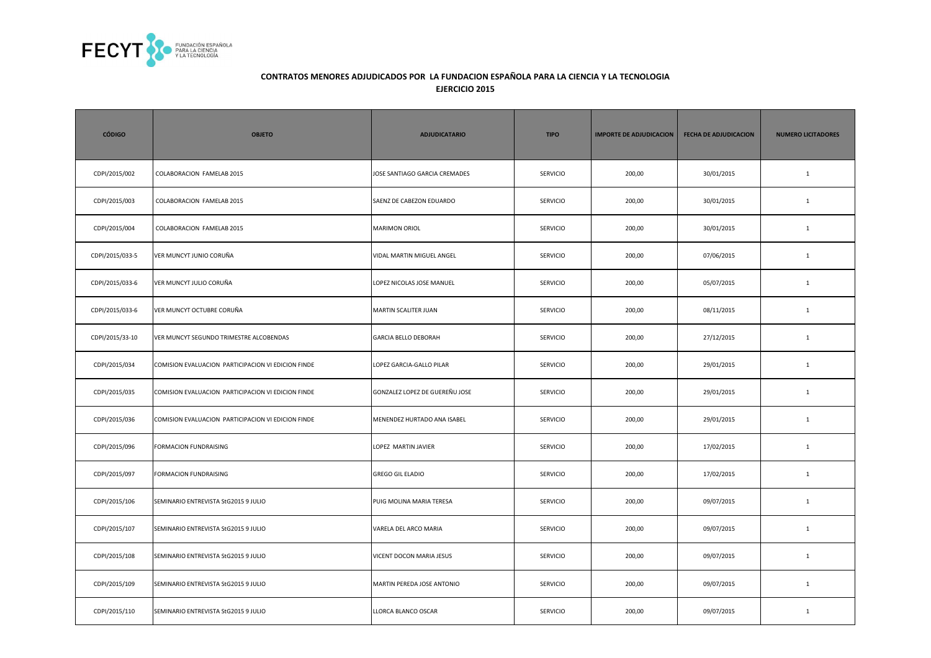

| <b>CÓDIGO</b>   | <b>OBJETO</b>                                      | <b>ADJUDICATARIO</b>           | <b>TIPO</b>     | <b>IMPORTE DE ADJUDICACION</b> | <b>FECHA DE ADJUDICACION</b> | <b>NUMERO LICITADORES</b> |
|-----------------|----------------------------------------------------|--------------------------------|-----------------|--------------------------------|------------------------------|---------------------------|
| CDPI/2015/002   | COLABORACION FAMELAB 2015                          | JOSE SANTIAGO GARCIA CREMADES  | <b>SERVICIO</b> | 200,00                         | 30/01/2015                   | $\mathbf{1}$              |
| CDPI/2015/003   | COLABORACION FAMELAB 2015                          | SAENZ DE CABEZON EDUARDO       | <b>SERVICIO</b> | 200,00                         | 30/01/2015                   | $\mathbf{1}$              |
| CDPI/2015/004   | COLABORACION FAMELAB 2015                          | <b>MARIMON ORIOL</b>           | <b>SERVICIO</b> | 200,00                         | 30/01/2015                   | $\mathbf{1}$              |
| CDPI/2015/033-5 | VER MUNCYT JUNIO CORUÑA                            | VIDAL MARTIN MIGUEL ANGEL      | SERVICIO        | 200,00                         | 07/06/2015                   | $\mathbf{1}$              |
| CDPI/2015/033-6 | VER MUNCYT JULIO CORUÑA                            | LOPEZ NICOLAS JOSE MANUEL      | <b>SERVICIO</b> | 200,00                         | 05/07/2015                   | $\mathbf{1}$              |
| CDPI/2015/033-6 | VER MUNCYT OCTUBRE CORUÑA                          | <b>MARTIN SCALITER JUAN</b>    | SERVICIO        | 200,00                         | 08/11/2015                   | $\mathbf{1}$              |
| CDPI/2015/33-10 | VER MUNCYT SEGUNDO TRIMESTRE ALCOBENDAS            | <b>GARCIA BELLO DEBORAH</b>    | <b>SERVICIO</b> | 200,00                         | 27/12/2015                   | $\mathbf{1}$              |
| CDPI/2015/034   | COMISION EVALUACION PARTICIPACION VI EDICION FINDE | LOPEZ GARCIA-GALLO PILAR       | <b>SERVICIO</b> | 200,00                         | 29/01/2015                   | $\mathbf{1}$              |
| CDPI/2015/035   | COMISION EVALUACION PARTICIPACION VI EDICION FINDE | GONZALEZ LOPEZ DE GUEREÑU JOSE | <b>SERVICIO</b> | 200,00                         | 29/01/2015                   | $\mathbf{1}$              |
| CDPI/2015/036   | COMISION EVALUACION PARTICIPACION VI EDICION FINDE | MENENDEZ HURTADO ANA ISABEL    | <b>SERVICIO</b> | 200,00                         | 29/01/2015                   | $\mathbf{1}$              |
| CDPI/2015/096   | FORMACION FUNDRAISING                              | LOPEZ MARTIN JAVIER            | <b>SERVICIO</b> | 200,00                         | 17/02/2015                   | $\mathbf{1}$              |
| CDPI/2015/097   | FORMACION FUNDRAISING                              | <b>GREGO GIL ELADIO</b>        | SERVICIO        | 200,00                         | 17/02/2015                   | $\mathbf{1}$              |
| CDPI/2015/106   | SEMINARIO ENTREVISTA StG2015 9 JULIO               | PUIG MOLINA MARIA TERESA       | SERVICIO        | 200,00                         | 09/07/2015                   | $\mathbf{1}$              |
| CDPI/2015/107   | SEMINARIO ENTREVISTA StG2015 9 JULIO               | VARELA DEL ARCO MARIA          | <b>SERVICIO</b> | 200,00                         | 09/07/2015                   | $\mathbf{1}$              |
| CDPI/2015/108   | SEMINARIO ENTREVISTA StG2015 9 JULIO               | VICENT DOCON MARIA JESUS       | <b>SERVICIO</b> | 200,00                         | 09/07/2015                   | $\mathbf{1}$              |
| CDPI/2015/109   | SEMINARIO ENTREVISTA StG2015 9 JULIO               | MARTIN PEREDA JOSE ANTONIO     | SERVICIO        | 200,00                         | 09/07/2015                   | $\mathbf{1}$              |
| CDPI/2015/110   | SEMINARIO ENTREVISTA StG2015 9 JULIO               | LLORCA BLANCO OSCAR            | SERVICIO        | 200,00                         | 09/07/2015                   | $\mathbf{1}$              |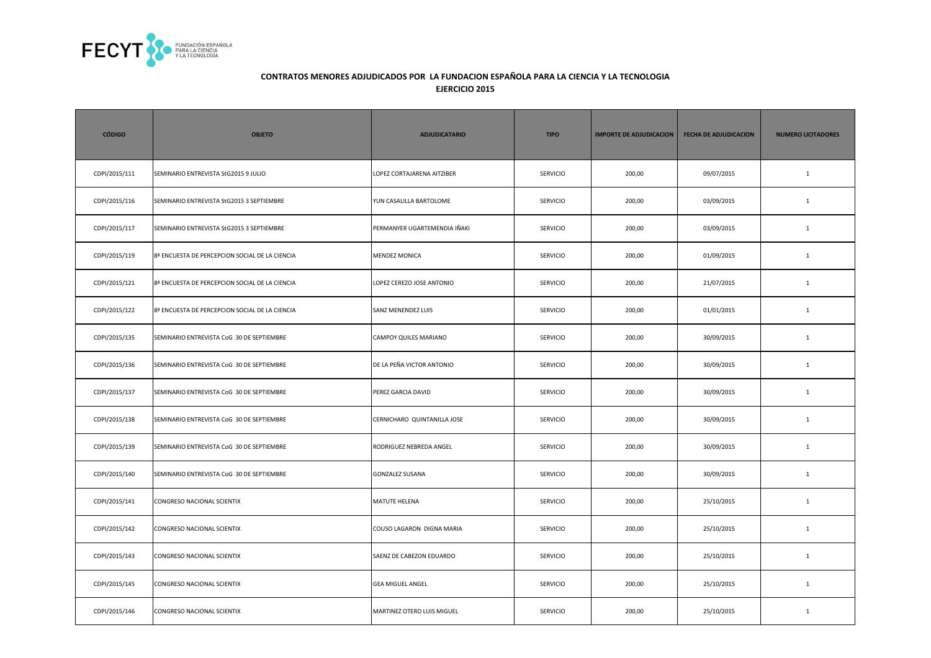

| <b>CÓDIGO</b> | <b>OBJETO</b>                                  | <b>ADJUDICATARIO</b>         | <b>TIPO</b>     | <b>IMPORTE DE ADJUDICACION</b> | <b>FECHA DE ADJUDICACION</b> | <b>NUMERO LICITADORES</b> |
|---------------|------------------------------------------------|------------------------------|-----------------|--------------------------------|------------------------------|---------------------------|
| CDPI/2015/111 | SEMINARIO ENTREVISTA StG2015 9 JULIO           | LOPEZ CORTAJARENA AITZIBER   | <b>SERVICIO</b> | 200,00                         | 09/07/2015                   | $\mathbf{1}$              |
| CDPI/2015/116 | SEMINARIO ENTREVISTA StG2015 3 SEPTIEMBRE      | YUN CASALILLA BARTOLOME      | SERVICIO        | 200,00                         | 03/09/2015                   | $\mathbf{1}$              |
| CDPI/2015/117 | SEMINARIO ENTREVISTA StG2015 3 SEPTIEMBRE      | PERMANYER UGARTEMENDIA IÑAKI | SERVICIO        | 200,00                         | 03/09/2015                   | $\mathbf{1}$              |
| CDPI/2015/119 | 8ª ENCUESTA DE PERCEPCION SOCIAL DE LA CIENCIA | <b>MENDEZ MONICA</b>         | <b>SERVICIO</b> | 200,00                         | 01/09/2015                   | $\mathbf{1}$              |
| CDPI/2015/121 | 8ª ENCUESTA DE PERCEPCION SOCIAL DE LA CIENCIA | LOPEZ CEREZO JOSE ANTONIO    | <b>SERVICIO</b> | 200,00                         | 21/07/2015                   | $\mathbf{1}$              |
| CDPI/2015/122 | 8ª ENCUESTA DE PERCEPCION SOCIAL DE LA CIENCIA | SANZ MENENDEZ LUIS           | SERVICIO        | 200,00                         | 01/01/2015                   | $\mathbf{1}$              |
| CDPI/2015/135 | SEMINARIO ENTREVISTA CoG 30 DE SEPTIEMBRE      | CAMPOY QUILES MARIANO        | SERVICIO        | 200,00                         | 30/09/2015                   | $\mathbf{1}$              |
| CDPI/2015/136 | SEMINARIO ENTREVISTA CoG 30 DE SEPTIEMBRE      | DE LA PEÑA VICTOR ANTONIO    | <b>SERVICIO</b> | 200,00                         | 30/09/2015                   | $\mathbf{1}$              |
| CDPI/2015/137 | SEMINARIO ENTREVISTA CoG 30 DE SEPTIEMBRE      | PEREZ GARCIA DAVID           | <b>SERVICIO</b> | 200,00                         | 30/09/2015                   | $\mathbf{1}$              |
| CDPI/2015/138 | SEMINARIO ENTREVISTA CoG 30 DE SEPTIEMBRE      | CERNICHARO QUINTANILLA JOSE  | SERVICIO        | 200,00                         | 30/09/2015                   | $1\,$                     |
| CDPI/2015/139 | SEMINARIO ENTREVISTA CoG 30 DE SEPTIEMBRE      | RODRIGUEZ NEBREDA ANGEL      | SERVICIO        | 200,00                         | 30/09/2015                   | $\mathbf 1$               |
| CDPI/2015/140 | SEMINARIO ENTREVISTA CoG 30 DE SEPTIEMBRE      | <b>GONZALEZ SUSANA</b>       | <b>SERVICIO</b> | 200,00                         | 30/09/2015                   | $\mathbf{1}$              |
| CDPI/2015/141 | CONGRESO NACIONAL SCIENTIX                     | MATUTE HELENA                | <b>SERVICIO</b> | 200,00                         | 25/10/2015                   | $\mathbf{1}$              |
| CDPI/2015/142 | CONGRESO NACIONAL SCIENTIX                     | COUSO LAGARON DIGNA MARIA    | SERVICIO        | 200,00                         | 25/10/2015                   | $\mathbf{1}$              |
| CDPI/2015/143 | CONGRESO NACIONAL SCIENTIX                     | SAENZ DE CABEZON EDUARDO     | <b>SERVICIO</b> | 200,00                         | 25/10/2015                   | $\mathbf{1}$              |
| CDPI/2015/145 | CONGRESO NACIONAL SCIENTIX                     | <b>GEA MIGUEL ANGEL</b>      | <b>SERVICIO</b> | 200,00                         | 25/10/2015                   | $\mathbf{1}$              |
| CDPI/2015/146 | CONGRESO NACIONAL SCIENTIX                     | MARTINEZ OTERO LUIS MIGUEL   | <b>SERVICIO</b> | 200,00                         | 25/10/2015                   | $\mathbf{1}$              |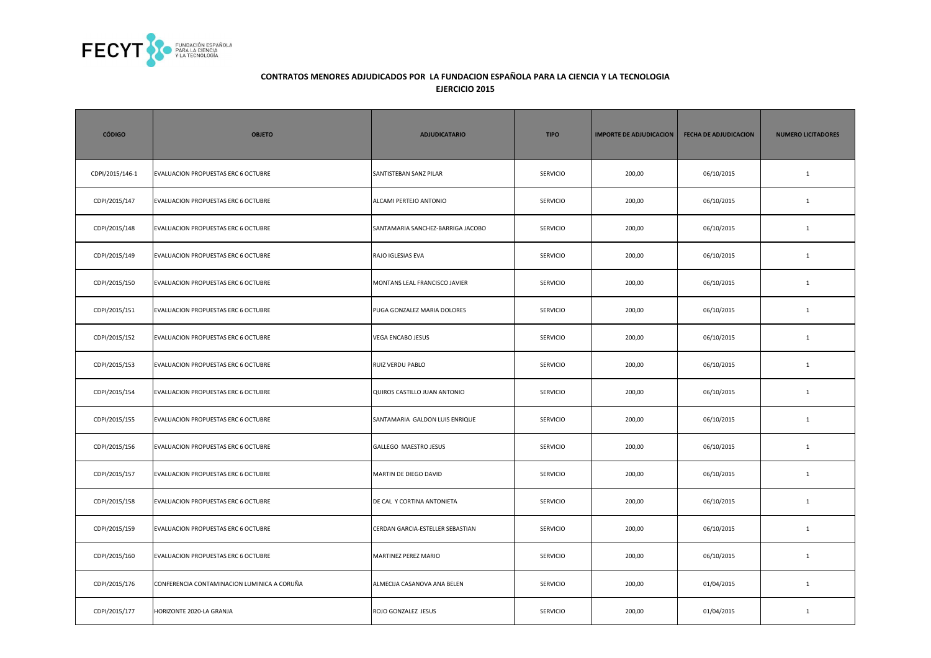

| <b>CÓDIGO</b>   | <b>OBJETO</b>                               | <b>ADJUDICATARIO</b>              | <b>TIPO</b>     | <b>IMPORTE DE ADJUDICACION</b> | <b>FECHA DE ADJUDICACION</b> | <b>NUMERO LICITADORES</b> |
|-----------------|---------------------------------------------|-----------------------------------|-----------------|--------------------------------|------------------------------|---------------------------|
| CDPI/2015/146-1 | EVALUACION PROPUESTAS ERC 6 OCTUBRE         | SANTISTEBAN SANZ PILAR            | <b>SERVICIO</b> | 200,00                         | 06/10/2015                   | $\mathbf{1}$              |
| CDPI/2015/147   | EVALUACION PROPUESTAS ERC 6 OCTUBRE         | ALCAMI PERTEJO ANTONIO            | SERVICIO        | 200,00                         | 06/10/2015                   | $\mathbf{1}$              |
| CDPI/2015/148   | EVALUACION PROPUESTAS ERC 6 OCTUBRE         | SANTAMARIA SANCHEZ-BARRIGA JACOBO | SERVICIO        | 200,00                         | 06/10/2015                   | $\mathbf{1}$              |
| CDPI/2015/149   | EVALUACION PROPUESTAS ERC 6 OCTUBRE         | RAJO IGLESIAS EVA                 | SERVICIO        | 200,00                         | 06/10/2015                   | $\mathbf{1}$              |
| CDPI/2015/150   | EVALUACION PROPUESTAS ERC 6 OCTUBRE         | MONTANS LEAL FRANCISCO JAVIER     | SERVICIO        | 200,00                         | 06/10/2015                   | $\mathbf 1$               |
| CDPI/2015/151   | EVALUACION PROPUESTAS ERC 6 OCTUBRE         | PUGA GONZALEZ MARIA DOLORES       | <b>SERVICIO</b> | 200,00                         | 06/10/2015                   | $\mathbf{1}$              |
| CDPI/2015/152   | EVALUACION PROPUESTAS ERC 6 OCTUBRE         | <b>VEGA ENCABO JESUS</b>          | <b>SERVICIO</b> | 200,00                         | 06/10/2015                   | $\mathbf{1}$              |
| CDPI/2015/153   | EVALUACION PROPUESTAS ERC 6 OCTUBRE         | RUIZ VERDU PABLO                  | <b>SERVICIO</b> | 200,00                         | 06/10/2015                   | $\mathbf{1}$              |
| CDPI/2015/154   | EVALUACION PROPUESTAS ERC 6 OCTUBRE         | QUIROS CASTILLO JUAN ANTONIO      | SERVICIO        | 200,00                         | 06/10/2015                   | $\mathbf 1$               |
| CDPI/2015/155   | EVALUACION PROPUESTAS ERC 6 OCTUBRE         | SANTAMARIA GALDON LUIS ENRIQUE    | <b>SERVICIO</b> | 200,00                         | 06/10/2015                   | $\mathbf{1}$              |
| CDPI/2015/156   | EVALUACION PROPUESTAS ERC 6 OCTUBRE         | <b>GALLEGO MAESTRO JESUS</b>      | <b>SERVICIO</b> | 200,00                         | 06/10/2015                   | $\mathbf{1}$              |
| CDPI/2015/157   | EVALUACION PROPUESTAS ERC 6 OCTUBRE         | MARTIN DE DIEGO DAVID             | <b>SERVICIO</b> | 200,00                         | 06/10/2015                   | $\mathbf{1}$              |
| CDPI/2015/158   | EVALUACION PROPUESTAS ERC 6 OCTUBRE         | DE CAL Y CORTINA ANTONIETA        | <b>SERVICIO</b> | 200,00                         | 06/10/2015                   | $\mathbf{1}$              |
| CDPI/2015/159   | EVALUACION PROPUESTAS ERC 6 OCTUBRE         | CERDAN GARCIA-ESTELLER SEBASTIAN  | <b>SERVICIO</b> | 200,00                         | 06/10/2015                   | $\mathbf{1}$              |
| CDPI/2015/160   | EVALUACION PROPUESTAS ERC 6 OCTUBRE         | MARTINEZ PEREZ MARIO              | <b>SERVICIO</b> | 200,00                         | 06/10/2015                   | $\mathbf{1}$              |
| CDPI/2015/176   | CONFERENCIA CONTAMINACION LUMINICA A CORUÑA | ALMECIJA CASANOVA ANA BELEN       | SERVICIO        | 200,00                         | 01/04/2015                   | $\mathbf{1}$              |
| CDPI/2015/177   | HORIZONTE 2020-LA GRANJA                    | ROJO GONZALEZ JESUS               | SERVICIO        | 200,00                         | 01/04/2015                   | $\mathbf{1}$              |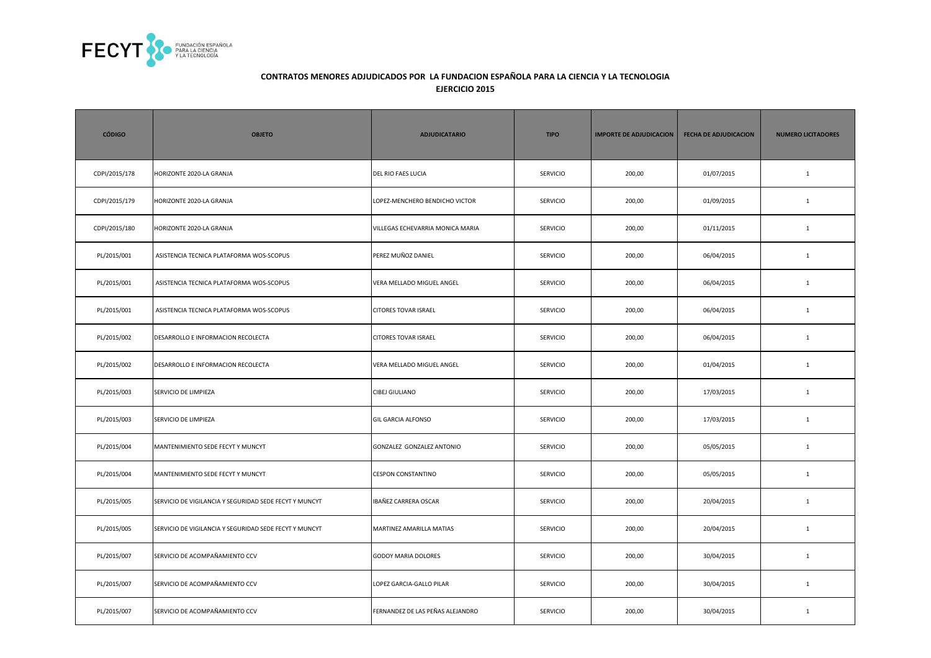

| <b>CÓDIGO</b> | <b>OBJETO</b>                                          | <b>ADJUDICATARIO</b>             | <b>TIPO</b>     | <b>IMPORTE DE ADJUDICACION</b> | <b>FECHA DE ADJUDICACION</b> | <b>NUMERO LICITADORES</b> |
|---------------|--------------------------------------------------------|----------------------------------|-----------------|--------------------------------|------------------------------|---------------------------|
| CDPI/2015/178 | HORIZONTE 2020-LA GRANJA                               | DEL RIO FAES LUCIA               | <b>SERVICIO</b> | 200,00                         | 01/07/2015                   | $\mathbf{1}$              |
| CDPI/2015/179 | HORIZONTE 2020-LA GRANJA                               | LOPEZ-MENCHERO BENDICHO VICTOR   | <b>SERVICIO</b> | 200,00                         | 01/09/2015                   | $\mathbf{1}$              |
| CDPI/2015/180 | HORIZONTE 2020-LA GRANJA                               | VILLEGAS ECHEVARRIA MONICA MARIA | <b>SERVICIO</b> | 200,00                         | 01/11/2015                   | $\mathbf{1}$              |
| PL/2015/001   | ASISTENCIA TECNICA PLATAFORMA WOS-SCOPUS               | PEREZ MUÑOZ DANIEL               | SERVICIO        | 200,00                         | 06/04/2015                   | $\mathbf{1}$              |
| PL/2015/001   | ASISTENCIA TECNICA PLATAFORMA WOS-SCOPUS               | VERA MELLADO MIGUEL ANGEL        | SERVICIO        | 200,00                         | 06/04/2015                   | $\mathbf{1}$              |
| PL/2015/001   | ASISTENCIA TECNICA PLATAFORMA WOS-SCOPUS               | <b>CITORES TOVAR ISRAEL</b>      | <b>SERVICIO</b> | 200,00                         | 06/04/2015                   | $\mathbf{1}$              |
| PL/2015/002   | DESARROLLO E INFORMACION RECOLECTA                     | <b>CITORES TOVAR ISRAEL</b>      | <b>SERVICIO</b> | 200,00                         | 06/04/2015                   | $\mathbf{1}$              |
| PL/2015/002   | DESARROLLO E INFORMACION RECOLECTA                     | VERA MELLADO MIGUEL ANGEL        | SERVICIO        | 200,00                         | 01/04/2015                   | $\mathbf{1}$              |
| PL/2015/003   | SERVICIO DE LIMPIEZA                                   | <b>CIBEJ GIULIANO</b>            | SERVICIO        | 200,00                         | 17/03/2015                   | $\mathbf{1}$              |
| PL/2015/003   | SERVICIO DE LIMPIEZA                                   | <b>GIL GARCIA ALFONSO</b>        | <b>SERVICIO</b> | 200,00                         | 17/03/2015                   | $\mathbf{1}$              |
| PL/2015/004   | MANTENIMIENTO SEDE FECYT Y MUNCYT                      | GONZALEZ GONZALEZ ANTONIO        | <b>SERVICIO</b> | 200,00                         | 05/05/2015                   | $\mathbf{1}$              |
| PL/2015/004   | MANTENIMIENTO SEDE FECYT Y MUNCYT                      | <b>CESPON CONSTANTINO</b>        | <b>SERVICIO</b> | 200,00                         | 05/05/2015                   | $\mathbf{1}$              |
| PL/2015/005   | SERVICIO DE VIGILANCIA Y SEGURIDAD SEDE FECYT Y MUNCYT | IBAÑEZ CARRERA OSCAR             | <b>SERVICIO</b> | 200,00                         | 20/04/2015                   | $\mathbf{1}$              |
| PL/2015/005   | SERVICIO DE VIGILANCIA Y SEGURIDAD SEDE FECYT Y MUNCYT | MARTINEZ AMARILLA MATIAS         | <b>SERVICIO</b> | 200,00                         | 20/04/2015                   | $\mathbf{1}$              |
| PL/2015/007   | SERVICIO DE ACOMPAÑAMIENTO CCV                         | <b>GODOY MARIA DOLORES</b>       | <b>SERVICIO</b> | 200,00                         | 30/04/2015                   | $\mathbf{1}$              |
| PL/2015/007   | SERVICIO DE ACOMPAÑAMIENTO CCV                         | LOPEZ GARCIA-GALLO PILAR         | <b>SERVICIO</b> | 200,00                         | 30/04/2015                   | $\mathbf{1}$              |
| PL/2015/007   | SERVICIO DE ACOMPAÑAMIENTO CCV                         | FERNANDEZ DE LAS PEÑAS ALEJANDRO | SERVICIO        | 200,00                         | 30/04/2015                   | $\mathbf{1}$              |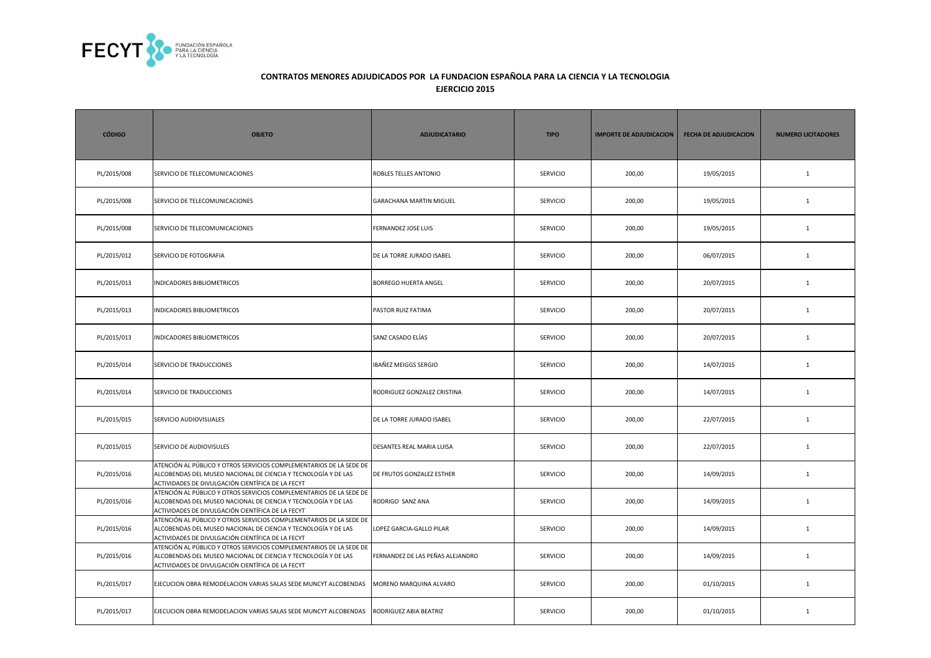

| <b>CÓDIGO</b> | <b>OBJETO</b>                                                                                                                                                                              | <b>ADJUDICATARIO</b>             | <b>TIPO</b>     | <b>IMPORTE DE ADJUDICACION</b> | <b>FECHA DE ADJUDICACION</b> | <b>NUMERO LICITADORES</b> |
|---------------|--------------------------------------------------------------------------------------------------------------------------------------------------------------------------------------------|----------------------------------|-----------------|--------------------------------|------------------------------|---------------------------|
| PL/2015/008   | SERVICIO DE TELECOMUNICACIONES                                                                                                                                                             | ROBLES TELLES ANTONIO            | SERVICIO        | 200,00                         | 19/05/2015                   | $\mathbf 1$               |
| PL/2015/008   | SERVICIO DE TELECOMUNICACIONES                                                                                                                                                             | GARACHANA MARTIN MIGUEL          | SERVICIO        | 200,00                         | 19/05/2015                   | $\mathbf{1}$              |
| PL/2015/008   | SERVICIO DE TELECOMUNICACIONES                                                                                                                                                             | FERNANDEZ JOSE LUIS              | SERVICIO        | 200,00                         | 19/05/2015                   | $\mathbf 1$               |
| PL/2015/012   | SERVICIO DE FOTOGRAFIA                                                                                                                                                                     | DE LA TORRE JURADO ISABEL        | SERVICIO        | 200,00                         | 06/07/2015                   | $\mathbf 1$               |
| PL/2015/013   | INDICADORES BIBLIOMETRICOS                                                                                                                                                                 | <b>BORREGO HUERTA ANGEL</b>      | SERVICIO        | 200,00                         | 20/07/2015                   | $\mathbf 1$               |
| PL/2015/013   | INDICADORES BIBLIOMETRICOS                                                                                                                                                                 | PASTOR RUIZ FATIMA               | <b>SERVICIO</b> | 200,00                         | 20/07/2015                   | $\mathbf{1}$              |
| PL/2015/013   | INDICADORES BIBLIOMETRICOS                                                                                                                                                                 | SANZ CASADO ELÍAS                | <b>SERVICIO</b> | 200,00                         | 20/07/2015                   | $\mathbf{1}$              |
| PL/2015/014   | SERVICIO DE TRADUCCIONES                                                                                                                                                                   | IBAÑEZ MEIGGS SERGIO             | SERVICIO        | 200,00                         | 14/07/2015                   | $\mathbf{1}$              |
| PL/2015/014   | SERVICIO DE TRADUCCIONES                                                                                                                                                                   | RODRIGUEZ GONZALEZ CRISTINA      | SERVICIO        | 200,00                         | 14/07/2015                   | $\mathbf{1}$              |
| PL/2015/015   | SERVICIO AUDIOVISUALES                                                                                                                                                                     | DE LA TORRE JURADO ISABEL        | <b>SERVICIO</b> | 200,00                         | 22/07/2015                   | $\mathbf{1}$              |
| PL/2015/015   | SERVICIO DE AUDIOVISULES                                                                                                                                                                   | DESANTES REAL MARIA LUISA        | <b>SERVICIO</b> | 200,00                         | 22/07/2015                   | $\mathbf{1}$              |
| PL/2015/016   | ATENCIÓN AL PÚBLICO Y OTROS SERVICIOS COMPLEMENTARIOS DE LA SEDE DE<br>ALCOBENDAS DEL MUSEO NACIONAL DE CIENCIA Y TECNOLOGÍA Y DE LAS<br>ACTIVIDADES DE DIVULGACIÓN CIENTÍFICA DE LA FECYT | DE FRUTOS GONZALEZ ESTHER        | <b>SERVICIO</b> | 200,00                         | 14/09/2015                   | $\mathbf{1}$              |
| PL/2015/016   | ATENCIÓN AL PÚBLICO Y OTROS SERVICIOS COMPLEMENTARIOS DE LA SEDE DE<br>ALCOBENDAS DEL MUSEO NACIONAL DE CIENCIA Y TECNOLOGÍA Y DE LAS<br>ACTIVIDADES DE DIVULGACIÓN CIENTÍFICA DE LA FECYT | RODRIGO SANZ ANA                 | <b>SERVICIO</b> | 200,00                         | 14/09/2015                   | $\mathbf{1}$              |
| PL/2015/016   | ATENCIÓN AL PÚBLICO Y OTROS SERVICIOS COMPLEMENTARIOS DE LA SEDE DE<br>ALCOBENDAS DEL MUSEO NACIONAL DE CIENCIA Y TECNOLOGÍA Y DE LAS<br>ACTIVIDADES DE DIVULGACIÓN CIENTÍFICA DE LA FECYT | LOPEZ GARCIA-GALLO PILAR         | SERVICIO        | 200,00                         | 14/09/2015                   | $\mathbf{1}$              |
| PL/2015/016   | ATENCIÓN AL PÚBLICO Y OTROS SERVICIOS COMPLEMENTARIOS DE LA SEDE DE<br>ALCOBENDAS DEL MUSEO NACIONAL DE CIENCIA Y TECNOLOGÍA Y DE LAS<br>ACTIVIDADES DE DIVULGACIÓN CIENTÍFICA DE LA FECYT | FERNANDEZ DE LAS PEÑAS ALEJANDRO | <b>SERVICIO</b> | 200,00                         | 14/09/2015                   | $\mathbf{1}$              |
| PL/2015/017   | EJECUCION OBRA REMODELACION VARIAS SALAS SEDE MUNCYT ALCOBENDAS                                                                                                                            | MORENO MARQUINA ALVARO           | SERVICIO        | 200,00                         | 01/10/2015                   | $\mathbf{1}$              |
| PL/2015/017   | EJECUCION OBRA REMODELACION VARIAS SALAS SEDE MUNCYT ALCOBENDAS                                                                                                                            | RODRIGUEZ ABIA BEATRIZ           | <b>SERVICIO</b> | 200,00                         | 01/10/2015                   | $\mathbf{1}$              |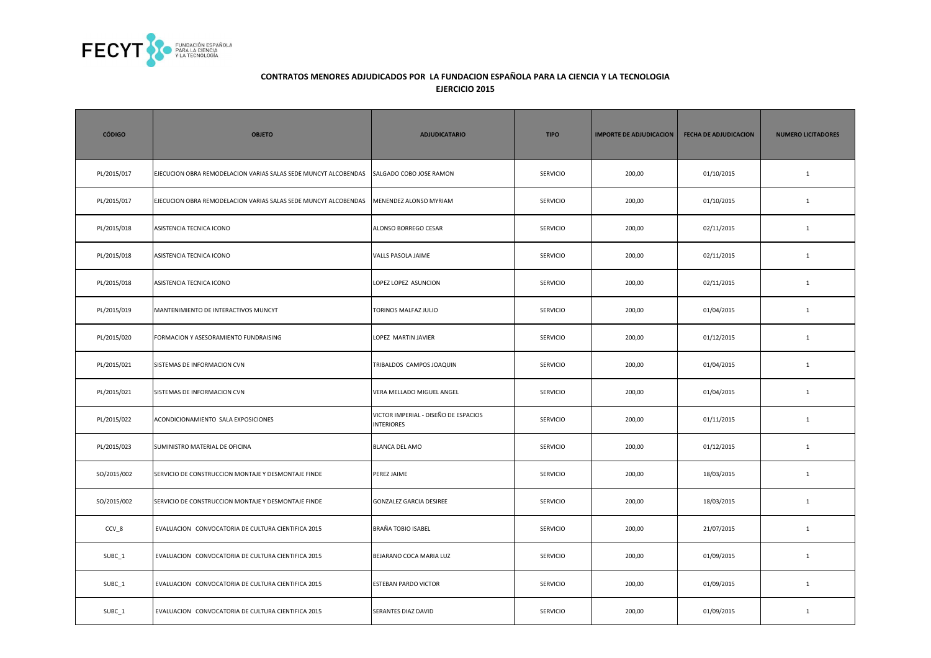

| <b>CÓDIGO</b> | <b>OBJETO</b>                                                   | <b>ADJUDICATARIO</b>                                      | <b>TIPO</b>     | <b>IMPORTE DE ADJUDICACION</b> | <b>FECHA DE ADJUDICACION</b> | <b>NUMERO LICITADORES</b> |
|---------------|-----------------------------------------------------------------|-----------------------------------------------------------|-----------------|--------------------------------|------------------------------|---------------------------|
| PL/2015/017   | EJECUCION OBRA REMODELACION VARIAS SALAS SEDE MUNCYT ALCOBENDAS | SALGADO COBO JOSE RAMON                                   | SERVICIO        | 200,00                         | 01/10/2015                   | $\mathbf{1}$              |
| PL/2015/017   | EJECUCION OBRA REMODELACION VARIAS SALAS SEDE MUNCYT ALCOBENDAS | MENENDEZ ALONSO MYRIAM                                    | SERVICIO        | 200,00                         | 01/10/2015                   | $\mathbf{1}$              |
| PL/2015/018   | ASISTENCIA TECNICA ICONO                                        | ALONSO BORREGO CESAR                                      | SERVICIO        | 200,00                         | 02/11/2015                   | $\mathbf{1}$              |
| PL/2015/018   | ASISTENCIA TECNICA ICONO                                        | VALLS PASOLA JAIME                                        | <b>SERVICIO</b> | 200,00                         | 02/11/2015                   | $\mathbf{1}$              |
| PL/2015/018   | ASISTENCIA TECNICA ICONO                                        | LOPEZ LOPEZ ASUNCION                                      | SERVICIO        | 200,00                         | 02/11/2015                   | $\mathbf{1}$              |
| PL/2015/019   | MANTENIMIENTO DE INTERACTIVOS MUNCYT                            | TORINOS MALFAZ JULIO                                      | SERVICIO        | 200,00                         | 01/04/2015                   | $\mathbf{1}$              |
| PL/2015/020   | FORMACION Y ASESORAMIENTO FUNDRAISING                           | LOPEZ MARTIN JAVIER                                       | SERVICIO        | 200,00                         | 01/12/2015                   | $\mathbf{1}$              |
| PL/2015/021   | SISTEMAS DE INFORMACION CVN                                     | TRIBALDOS CAMPOS JOAQUIN                                  | SERVICIO        | 200,00                         | 01/04/2015                   | $\mathbf{1}$              |
| PL/2015/021   | SISTEMAS DE INFORMACION CVN                                     | VERA MELLADO MIGUEL ANGEL                                 | <b>SERVICIO</b> | 200,00                         | 01/04/2015                   | $\mathbf{1}$              |
| PL/2015/022   | ACONDICIONAMIENTO SALA EXPOSICIONES                             | VICTOR IMPERIAL - DISEÑO DE ESPACIOS<br><b>INTERIORES</b> | SERVICIO        | 200,00                         | 01/11/2015                   | $\mathbf{1}$              |
| PL/2015/023   | SUMINISTRO MATERIAL DE OFICINA                                  | <b>BLANCA DEL AMO</b>                                     | SERVICIO        | 200,00                         | 01/12/2015                   | $\mathbf{1}$              |
| SO/2015/002   | SERVICIO DE CONSTRUCCION MONTAJE Y DESMONTAJE FINDE             | PEREZ JAIME                                               | <b>SERVICIO</b> | 200,00                         | 18/03/2015                   | $\mathbf{1}$              |
| SO/2015/002   | SERVICIO DE CONSTRUCCION MONTAJE Y DESMONTAJE FINDE             | <b>GONZALEZ GARCIA DESIREE</b>                            | <b>SERVICIO</b> | 200,00                         | 18/03/2015                   | $\mathbf{1}$              |
| CCV_8         | EVALUACION CONVOCATORIA DE CULTURA CIENTIFICA 2015              | BRAÑA TOBIO ISABEL                                        | <b>SERVICIO</b> | 200,00                         | 21/07/2015                   | $\mathbf{1}$              |
| SUBC_1        | EVALUACION CONVOCATORIA DE CULTURA CIENTIFICA 2015              | BEJARANO COCA MARIA LUZ                                   | <b>SERVICIO</b> | 200,00                         | 01/09/2015                   | $\mathbf{1}$              |
| SUBC_1        | EVALUACION CONVOCATORIA DE CULTURA CIENTIFICA 2015              | <b>ESTEBAN PARDO VICTOR</b>                               | <b>SERVICIO</b> | 200,00                         | 01/09/2015                   | $\mathbf{1}$              |
| SUBC_1        | EVALUACION CONVOCATORIA DE CULTURA CIENTIFICA 2015              | SERANTES DIAZ DAVID                                       | SERVICIO        | 200,00                         | 01/09/2015                   | $\mathbf{1}$              |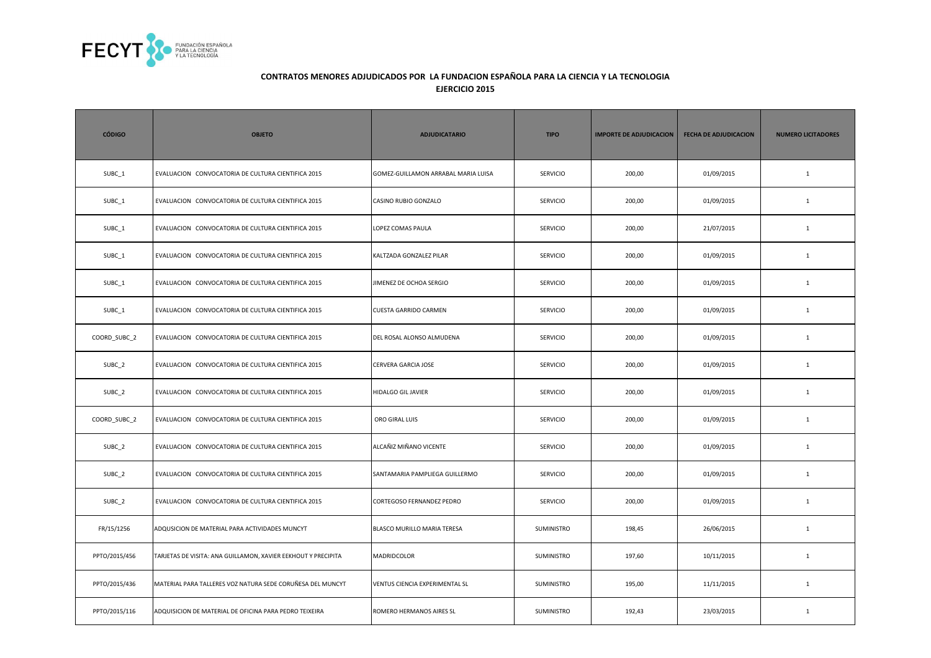

| <b>CÓDIGO</b> | <b>OBJETO</b>                                                 | <b>ADJUDICATARIO</b>                | <b>TIPO</b>     | <b>IMPORTE DE ADJUDICACION</b> | <b>FECHA DE ADJUDICACION</b> | <b>NUMERO LICITADORES</b> |
|---------------|---------------------------------------------------------------|-------------------------------------|-----------------|--------------------------------|------------------------------|---------------------------|
| SUBC_1        | EVALUACION CONVOCATORIA DE CULTURA CIENTIFICA 2015            | GOMEZ-GUILLAMON ARRABAL MARIA LUISA | <b>SERVICIO</b> | 200,00                         | 01/09/2015                   | $\mathbf{1}$              |
| SUBC_1        | EVALUACION CONVOCATORIA DE CULTURA CIENTIFICA 2015            | CASINO RUBIO GONZALO                | SERVICIO        | 200,00                         | 01/09/2015                   | $\mathbf{1}$              |
| SUBC_1        | EVALUACION CONVOCATORIA DE CULTURA CIENTIFICA 2015            | LOPEZ COMAS PAULA                   | <b>SERVICIO</b> | 200,00                         | 21/07/2015                   | $\mathbf{1}$              |
| SUBC_1        | EVALUACION CONVOCATORIA DE CULTURA CIENTIFICA 2015            | KALTZADA GONZALEZ PILAR             | <b>SERVICIO</b> | 200,00                         | 01/09/2015                   | $\mathbf{1}$              |
| SUBC_1        | EVALUACION CONVOCATORIA DE CULTURA CIENTIFICA 2015            | JIMENEZ DE OCHOA SERGIO             | <b>SERVICIO</b> | 200,00                         | 01/09/2015                   | $\mathbf{1}$              |
| SUBC_1        | EVALUACION CONVOCATORIA DE CULTURA CIENTIFICA 2015            | <b>CUESTA GARRIDO CARMEN</b>        | SERVICIO        | 200,00                         | 01/09/2015                   | $1\,$                     |
| COORD_SUBC_2  | EVALUACION CONVOCATORIA DE CULTURA CIENTIFICA 2015            | DEL ROSAL ALONSO ALMUDENA           | SERVICIO        | 200,00                         | 01/09/2015                   | $\mathbf{1}$              |
| SUBC_2        | EVALUACION CONVOCATORIA DE CULTURA CIENTIFICA 2015            | CERVERA GARCIA JOSE                 | <b>SERVICIO</b> | 200,00                         | 01/09/2015                   | $\mathbf{1}$              |
| SUBC_2        | EVALUACION CONVOCATORIA DE CULTURA CIENTIFICA 2015            | HIDALGO GIL JAVIER                  | <b>SERVICIO</b> | 200,00                         | 01/09/2015                   | $\mathbf{1}$              |
| COORD_SUBC_2  | EVALUACION CONVOCATORIA DE CULTURA CIENTIFICA 2015            | ORO GIRAL LUIS                      | SERVICIO        | 200,00                         | 01/09/2015                   | $\mathbf{1}$              |
| SUBC_2        | EVALUACION CONVOCATORIA DE CULTURA CIENTIFICA 2015            | ALCAÑIZ MIÑANO VICENTE              | SERVICIO        | 200,00                         | 01/09/2015                   | $\mathbf 1$               |
| SUBC_2        | EVALUACION CONVOCATORIA DE CULTURA CIENTIFICA 2015            | SANTAMARIA PAMPLIEGA GUILLERMO      | <b>SERVICIO</b> | 200,00                         | 01/09/2015                   | $\mathbf{1}$              |
| SUBC_2        | EVALUACION CONVOCATORIA DE CULTURA CIENTIFICA 2015            | CORTEGOSO FERNANDEZ PEDRO           | <b>SERVICIO</b> | 200,00                         | 01/09/2015                   | $\mathbf{1}$              |
| FR/15/1256    | ADQUSICION DE MATERIAL PARA ACTIVIDADES MUNCYT                | BLASCO MURILLO MARIA TERESA         | SUMINISTRO      | 198,45                         | 26/06/2015                   | $\mathbf{1}$              |
| PPTO/2015/456 | TARJETAS DE VISITA: ANA GUILLAMON, XAVIER EEKHOUT Y PRECIPITA | MADRIDCOLOR                         | SUMINISTRO      | 197,60                         | 10/11/2015                   | $\mathbf{1}$              |
| PPTO/2015/436 | MATERIAL PARA TALLERES VOZ NATURA SEDE CORUÑESA DEL MUNCYT    | VENTUS CIENCIA EXPERIMENTAL SL      | SUMINISTRO      | 195,00                         | 11/11/2015                   | $\mathbf{1}$              |
| PPTO/2015/116 | ADQUISICION DE MATERIAL DE OFICINA PARA PEDRO TEIXEIRA        | ROMERO HERMANOS AIRES SL            | SUMINISTRO      | 192,43                         | 23/03/2015                   | $\mathbf{1}$              |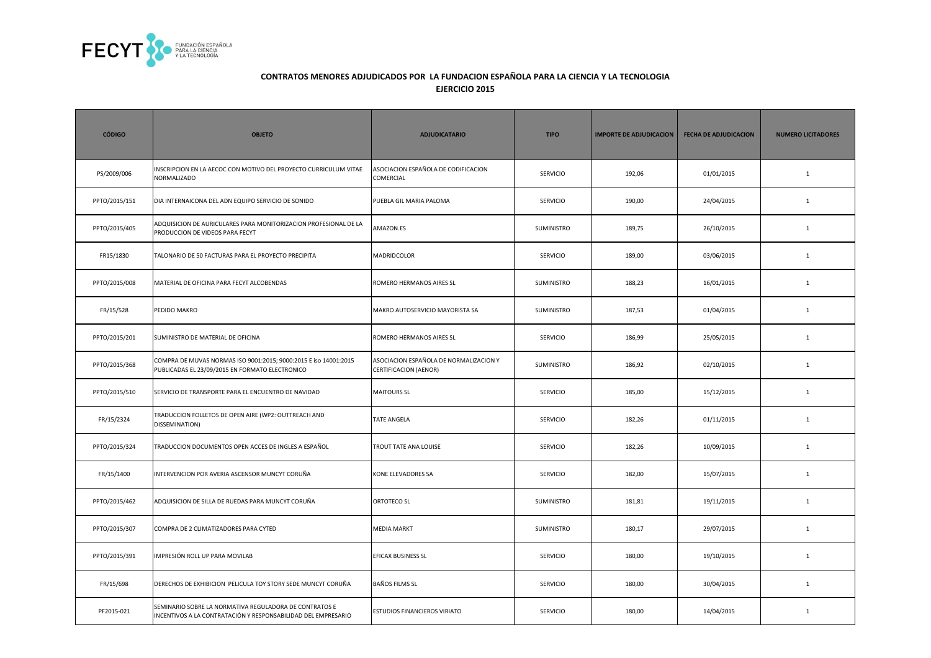

| <b>CÓDIGO</b> | <b>OBJETO</b>                                                                                                           | <b>ADJUDICATARIO</b>                                            | <b>TIPO</b>       | <b>IMPORTE DE ADJUDICACION</b> | <b>FECHA DE ADJUDICACION</b> | <b>NUMERO LICITADORES</b> |
|---------------|-------------------------------------------------------------------------------------------------------------------------|-----------------------------------------------------------------|-------------------|--------------------------------|------------------------------|---------------------------|
| PS/2009/006   | INSCRIPCION EN LA AECOC CON MOTIVO DEL PROYECTO CURRICULUM VITAE<br>NORMALIZADO                                         | ASOCIACION ESPAÑOLA DE CODIFICACION<br>COMERCIAL                | <b>SERVICIO</b>   | 192,06                         | 01/01/2015                   | $\mathbf{1}$              |
| PPTO/2015/151 | DIA INTERNAICONA DEL ADN EQUIPO SERVICIO DE SONIDO                                                                      | PUEBLA GIL MARIA PALOMA                                         | <b>SERVICIO</b>   | 190,00                         | 24/04/2015                   | $1\,$                     |
| PPTO/2015/405 | ADQUISICION DE AURICULARES PARA MONITORIZACION PROFESIONAL DE LA<br>PRODUCCION DE VIDEOS PARA FECYT                     | AMAZON.ES                                                       | SUMINISTRO        | 189,75                         | 26/10/2015                   | $\mathbf{1}$              |
| FR15/1830     | TALONARIO DE 50 FACTURAS PARA EL PROYECTO PRECIPITA                                                                     | MADRIDCOLOR                                                     | <b>SERVICIO</b>   | 189,00                         | 03/06/2015                   | 1                         |
| PPTO/2015/008 | MATERIAL DE OFICINA PARA FECYT ALCOBENDAS                                                                               | ROMERO HERMANOS AIRES SL                                        | <b>SUMINISTRO</b> | 188,23                         | 16/01/2015                   | $\mathbf{1}$              |
| FR/15/528     | PEDIDO MAKRO                                                                                                            | MAKRO AUTOSERVICIO MAYORISTA SA                                 | SUMINISTRO        | 187,53                         | 01/04/2015                   | $1\,$                     |
| PPTO/2015/201 | SUMINISTRO DE MATERIAL DE OFICINA                                                                                       | ROMERO HERMANOS AIRES SL                                        | SERVICIO          | 186,99                         | 25/05/2015                   | $\mathbf{1}$              |
| PPTO/2015/368 | COMPRA DE MUVAS NORMAS ISO 9001:2015; 9000:2015 E iso 14001:2015<br>PUBLICADAS EL 23/09/2015 EN FORMATO ELECTRONICO     | ASOCIACION ESPAÑOLA DE NORMALIZACION Y<br>CERTIFICACION (AENOR) | SUMINISTRO        | 186,92                         | 02/10/2015                   | $\mathbf{1}$              |
| PPTO/2015/510 | SERVICIO DE TRANSPORTE PARA EL ENCUENTRO DE NAVIDAD                                                                     | <b>MAITOURS SL</b>                                              | <b>SERVICIO</b>   | 185,00                         | 15/12/2015                   | $\mathbf{1}$              |
| FR/15/2324    | TRADUCCION FOLLETOS DE OPEN AIRE (WP2: OUTTREACH AND<br>DISSEMINATION)                                                  | <b>TATE ANGELA</b>                                              | SERVICIO          | 182,26                         | 01/11/2015                   | $\mathbf 1$               |
| PPTO/2015/324 | TRADUCCION DOCUMENTOS OPEN ACCES DE INGLES A ESPAÑOL                                                                    | TROUT TATE ANA LOUISE                                           | SERVICIO          | 182,26                         | 10/09/2015                   | $\mathbf 1$               |
| FR/15/1400    | INTERVENCION POR AVERIA ASCENSOR MUNCYT CORUÑA                                                                          | KONE ELEVADORES SA                                              | <b>SERVICIO</b>   | 182,00                         | 15/07/2015                   | $\mathbf{1}$              |
| PPTO/2015/462 | ADQUISICION DE SILLA DE RUEDAS PARA MUNCYT CORUÑA                                                                       | ORTOTECO SL                                                     | SUMINISTRO        | 181,81                         | 19/11/2015                   | $\mathbf{1}$              |
| PPTO/2015/307 | COMPRA DE 2 CLIMATIZADORES PARA CYTED                                                                                   | <b>MEDIA MARKT</b>                                              | SUMINISTRO        | 180,17                         | 29/07/2015                   | $\mathbf{1}$              |
| PPTO/2015/391 | IMPRESIÓN ROLL UP PARA MOVILAB                                                                                          | EFICAX BUSINESS SL                                              | <b>SERVICIO</b>   | 180,00                         | 19/10/2015                   | $\mathbf{1}$              |
| FR/15/698     | DERECHOS DE EXHIBICION PELICULA TOY STORY SEDE MUNCYT CORUÑA                                                            | <b>BAÑOS FILMS SL</b>                                           | <b>SERVICIO</b>   | 180,00                         | 30/04/2015                   | $\mathbf{1}$              |
| PF2015-021    | SEMINARIO SOBRE LA NORMATIVA REGULADORA DE CONTRATOS E<br>INCENTIVOS A LA CONTRATACIÓN Y RESPONSABILIDAD DEL EMPRESARIO | ESTUDIOS FINANCIEROS VIRIATO                                    | <b>SERVICIO</b>   | 180,00                         | 14/04/2015                   | $\mathbf{1}$              |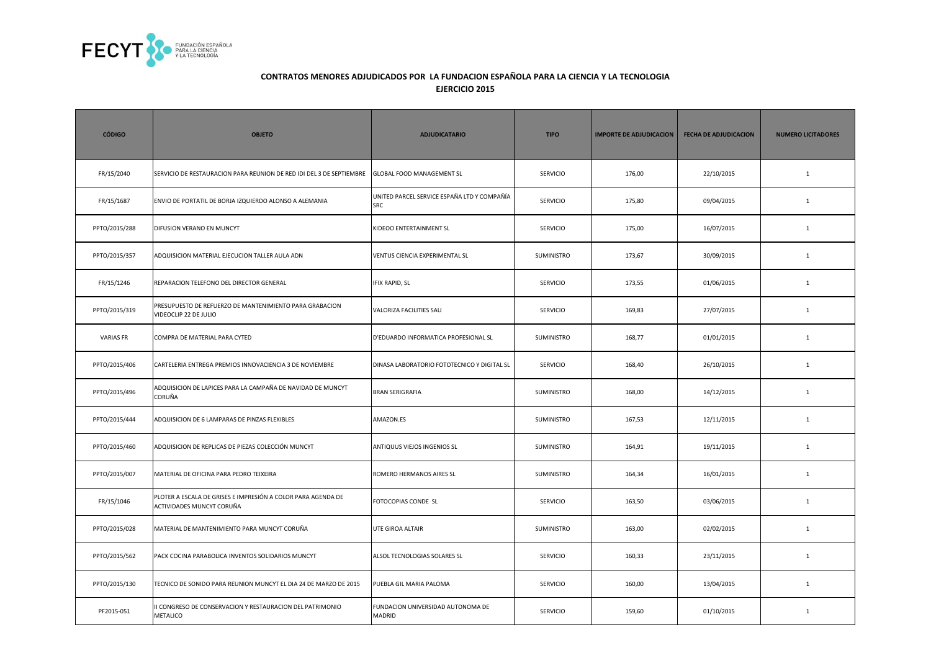

| <b>CÓDIGO</b>    | <b>OBJETO</b>                                                                             | <b>ADJUDICATARIO</b>                                      | <b>TIPO</b>       | <b>IMPORTE DE ADJUDICACION</b> | <b>FECHA DE ADJUDICACION</b> | <b>NUMERO LICITADORES</b> |
|------------------|-------------------------------------------------------------------------------------------|-----------------------------------------------------------|-------------------|--------------------------------|------------------------------|---------------------------|
| FR/15/2040       | SERVICIO DE RESTAURACION PARA REUNION DE RED IDI DEL 3 DE SEPTIEMBRE                      | <b>GLOBAL FOOD MANAGEMENT SL</b>                          | <b>SERVICIO</b>   | 176,00                         | 22/10/2015                   | $\mathbf{1}$              |
| FR/15/1687       | ENVIO DE PORTATIL DE BORJA IZQUIERDO ALONSO A ALEMANIA                                    | UNITED PARCEL SERVICE ESPAÑA LTD Y COMPAÑÍA<br><b>SRC</b> | <b>SERVICIO</b>   | 175,80                         | 09/04/2015                   | $\mathbf{1}$              |
| PPTO/2015/288    | DIFUSION VERANO EN MUNCYT                                                                 | KIDEOO ENTERTAINMENT SL                                   | <b>SERVICIO</b>   | 175,00                         | 16/07/2015                   | $\mathbf{1}$              |
| PPTO/2015/357    | ADQUISICION MATERIAL EJECUCION TALLER AULA ADN                                            | VENTUS CIENCIA EXPERIMENTAL SL                            | SUMINISTRO        | 173,67                         | 30/09/2015                   | $\mathbf{1}$              |
| FR/15/1246       | REPARACION TELEFONO DEL DIRECTOR GENERAL                                                  | <b>IFIX RAPID, SL</b>                                     | <b>SERVICIO</b>   | 173,55                         | 01/06/2015                   | $\mathbf{1}$              |
| PPTO/2015/319    | PRESUPUESTO DE REFUERZO DE MANTENIMIENTO PARA GRABACION<br>VIDEOCLIP 22 DE JULIO          | VALORIZA FACILITIES SAU                                   | <b>SERVICIO</b>   | 169,83                         | 27/07/2015                   | $\mathbf{1}$              |
| <b>VARIAS FR</b> | COMPRA DE MATERIAL PARA CYTED                                                             | D'EDUARDO INFORMATICA PROFESIONAL SL                      | SUMINISTRO        | 168,77                         | 01/01/2015                   | $\mathbf{1}$              |
| PPTO/2015/406    | CARTELERIA ENTREGA PREMIOS INNOVACIENCIA 3 DE NOVIEMBRE                                   | DINASA LABORATORIO FOTOTECNICO Y DIGITAL SL               | <b>SERVICIO</b>   | 168,40                         | 26/10/2015                   | $\mathbf{1}$              |
| PPTO/2015/496    | ADQUISICION DE LAPICES PARA LA CAMPAÑA DE NAVIDAD DE MUNCYT<br>CORUÑA                     | <b>BRAN SERIGRAFIA</b>                                    | <b>SUMINISTRO</b> | 168,00                         | 14/12/2015                   | $\mathbf{1}$              |
| PPTO/2015/444    | ADQUISICION DE 6 LAMPARAS DE PINZAS FLEXIBLES                                             | AMAZON.ES                                                 | SUMINISTRO        | 167,53                         | 12/11/2015                   | $\mathbf{1}$              |
| PPTO/2015/460    | ADQUISICION DE REPLICAS DE PIEZAS COLECCIÓN MUNCYT                                        | ANTIQUUS VIEJOS INGENIOS SL                               | SUMINISTRO        | 164,91                         | 19/11/2015                   | $\mathbf{1}$              |
| PPTO/2015/007    | MATERIAL DE OFICINA PARA PEDRO TEIXEIRA                                                   | ROMERO HERMANOS AIRES SL                                  | <b>SUMINISTRO</b> | 164,34                         | 16/01/2015                   | $\mathbf{1}$              |
| FR/15/1046       | PLOTER A ESCALA DE GRISES E IMPRESIÓN A COLOR PARA AGENDA DE<br>ACTIVIDADES MUNCYT CORUÑA | FOTOCOPIAS CONDE SL                                       | <b>SERVICIO</b>   | 163,50                         | 03/06/2015                   | $\mathbf{1}$              |
| PPTO/2015/028    | MATERIAL DE MANTENIMIENTO PARA MUNCYT CORUÑA                                              | UTE GIROA ALTAIR                                          | <b>SUMINISTRO</b> | 163,00                         | 02/02/2015                   | $\mathbf{1}$              |
| PPTO/2015/562    | PACK COCINA PARABOLICA INVENTOS SOLIDARIOS MUNCYT                                         | ALSOL TECNOLOGIAS SOLARES SL                              | <b>SERVICIO</b>   | 160,33                         | 23/11/2015                   | $\mathbf{1}$              |
| PPTO/2015/130    | TECNICO DE SONIDO PARA REUNION MUNCYT EL DIA 24 DE MARZO DE 2015                          | PUEBLA GIL MARIA PALOMA                                   | <b>SERVICIO</b>   | 160,00                         | 13/04/2015                   | $\mathbf{1}$              |
| PF2015-051       | I CONGRESO DE CONSERVACION Y RESTAURACION DEL PATRIMONIO<br>METALICO                      | FUNDACION UNIVERSIDAD AUTONOMA DE<br><b>MADRID</b>        | SERVICIO          | 159,60                         | 01/10/2015                   | $\mathbf{1}$              |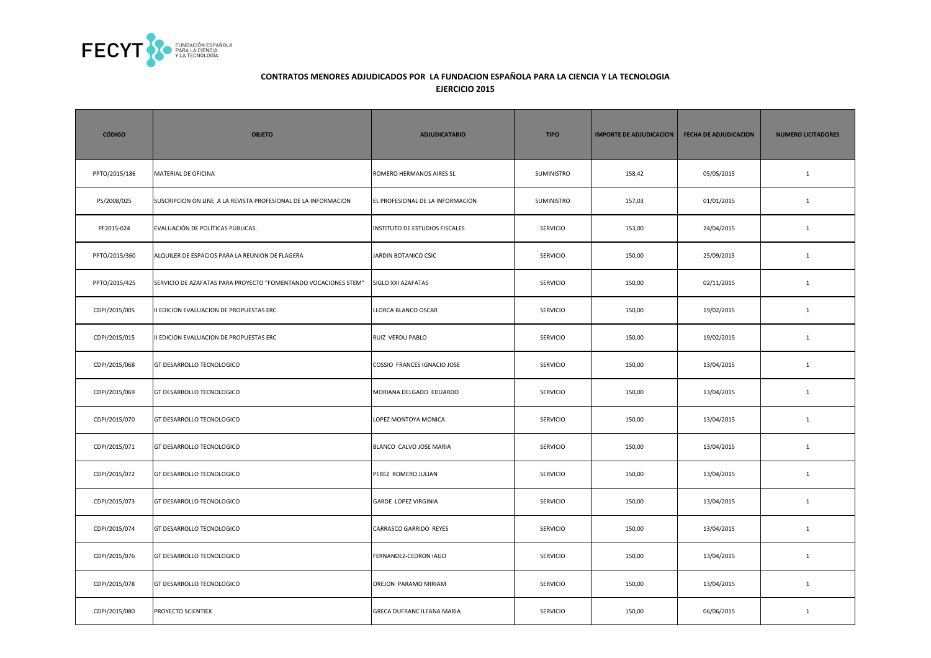

| <b>CÓDIGO</b> | <b>OBJETO</b>                                                   | <b>ADJUDICATARIO</b>             | <b>TIPO</b>     | <b>IMPORTE DE ADJUDICACION</b> | <b>FECHA DE ADJUDICACION</b> | <b>NUMERO LICITADORES</b> |
|---------------|-----------------------------------------------------------------|----------------------------------|-----------------|--------------------------------|------------------------------|---------------------------|
| PPTO/2015/186 | MATERIAL DE OFICINA                                             | ROMERO HERMANOS AIRES SL         | SUMINISTRO      | 158,42                         | 05/05/2015                   | $\mathbf{1}$              |
| PS/2008/025   | SUSCRIPCION ON LINE A LA REVISTA PROFESIONAL DE LA INFORMACION  | EL PROFESIONAL DE LA INFORMACION | SUMINISTRO      | 157,03                         | 01/01/2015                   | $\mathbf{1}$              |
| PF2015-024    | EVALUACIÓN DE POLÍTICAS PÚBLICAS.                               | INSTITUTO DE ESTUDIOS FISCALES   | <b>SERVICIO</b> | 153,00                         | 24/04/2015                   | $\mathbf{1}$              |
| PPTO/2015/360 | ALQUILER DE ESPACIOS PARA LA REUNION DE FLAGERA                 | JARDIN BOTANICO CSIC             | SERVICIO        | 150,00                         | 25/09/2015                   | $\mathbf 1$               |
| PPTO/2015/425 | SERVICIO DE AZAFATAS PARA PROYECTO "FOMENTANDO VOCACIONES STEM" | SIGLO XXI AZAFATAS               | SERVICIO        | 150,00                         | 02/11/2015                   | $\mathbf{1}$              |
| CDPI/2015/005 | II EDICION EVALUACION DE PROPUESTAS ERC                         | LLORCA BLANCO OSCAR              | <b>SERVICIO</b> | 150,00                         | 19/02/2015                   | $\mathbf{1}$              |
| CDPI/2015/015 | II EDICION EVALUACION DE PROPUESTAS ERC                         | RUIZ VERDU PABLO                 | <b>SERVICIO</b> | 150,00                         | 19/02/2015                   | $\mathbf{1}$              |
| CDPI/2015/068 | GT DESARROLLO TECNOLOGICO                                       | COSSIO FRANCES IGNACIO JOSE      | SERVICIO        | 150,00                         | 13/04/2015                   | $\mathbf{1}$              |
| CDPI/2015/069 | GT DESARROLLO TECNOLOGICO                                       | MORIANA DELGADO EDUARDO          | <b>SERVICIO</b> | 150,00                         | 13/04/2015                   | $\mathbf{1}$              |
| CDPI/2015/070 | GT DESARROLLO TECNOLOGICO                                       | LOPEZ MONTOYA MONICA             | <b>SERVICIO</b> | 150,00                         | 13/04/2015                   | $\mathbf{1}$              |
| CDPI/2015/071 | GT DESARROLLO TECNOLOGICO                                       | BLANCO CALVO JOSE MARIA          | <b>SERVICIO</b> | 150,00                         | 13/04/2015                   | $\mathbf{1}$              |
| CDPI/2015/072 | GT DESARROLLO TECNOLOGICO                                       | PEREZ ROMERO JULIAN              | <b>SERVICIO</b> | 150,00                         | 13/04/2015                   | $\mathbf{1}$              |
| CDPI/2015/073 | GT DESARROLLO TECNOLOGICO                                       | GARDE LOPEZ VIRGINIA             | <b>SERVICIO</b> | 150,00                         | 13/04/2015                   | $\mathbf{1}$              |
| CDPI/2015/074 | GT DESARROLLO TECNOLOGICO                                       | CARRASCO GARRIDO REYES           | <b>SERVICIO</b> | 150,00                         | 13/04/2015                   | $\mathbf{1}$              |
| CDPI/2015/076 | GT DESARROLLO TECNOLOGICO                                       | FERNANDEZ-CEDRON IAGO            | <b>SERVICIO</b> | 150,00                         | 13/04/2015                   | $\mathbf{1}$              |
| CDPI/2015/078 | GT DESARROLLO TECNOLOGICO                                       | OREJON PARAMO MIRIAM             | SERVICIO        | 150,00                         | 13/04/2015                   | $\mathbf{1}$              |
| CDPI/2015/080 | PROYECTO SCIENTIEX                                              | GRECA DUFRANC ILEANA MARIA       | SERVICIO        | 150,00                         | 06/06/2015                   | $\mathbf{1}$              |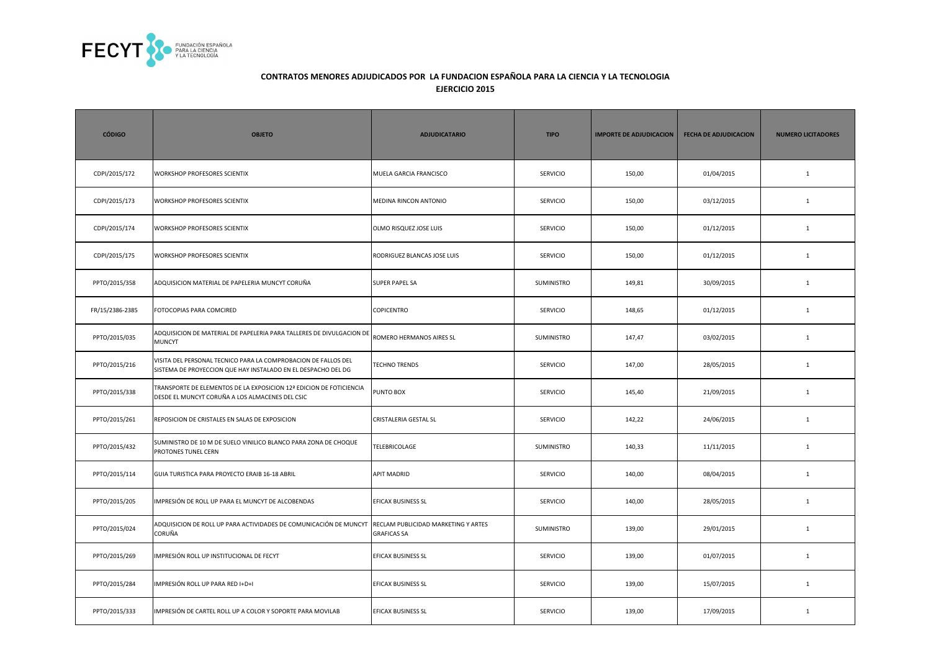

| <b>CÓDIGO</b>   | <b>OBJETO</b>                                                                                                                   | <b>ADJUDICATARIO</b>                                      | <b>TIPO</b>       | <b>IMPORTE DE ADJUDICACION</b> | <b>FECHA DE ADJUDICACION</b> | <b>NUMERO LICITADORES</b> |
|-----------------|---------------------------------------------------------------------------------------------------------------------------------|-----------------------------------------------------------|-------------------|--------------------------------|------------------------------|---------------------------|
| CDPI/2015/172   | <b>WORKSHOP PROFESORES SCIENTIX</b>                                                                                             | MUELA GARCIA FRANCISCO                                    | SERVICIO          | 150,00                         | 01/04/2015                   | $\mathbf{1}$              |
| CDPI/2015/173   | WORKSHOP PROFESORES SCIENTIX                                                                                                    | MEDINA RINCON ANTONIO                                     | <b>SERVICIO</b>   | 150,00                         | 03/12/2015                   | $\mathbf{1}$              |
| CDPI/2015/174   | <b>WORKSHOP PROFESORES SCIENTIX</b>                                                                                             | OLMO RISQUEZ JOSE LUIS                                    | SERVICIO          | 150,00                         | 01/12/2015                   | $\mathbf{1}$              |
| CDPI/2015/175   | WORKSHOP PROFESORES SCIENTIX                                                                                                    | RODRIGUEZ BLANCAS JOSE LUIS                               | <b>SERVICIO</b>   | 150,00                         | 01/12/2015                   | <sup>1</sup>              |
| PPTO/2015/358   | ADQUISICION MATERIAL DE PAPELERIA MUNCYT CORUÑA                                                                                 | <b>SUPER PAPEL SA</b>                                     | <b>SUMINISTRO</b> | 149,81                         | 30/09/2015                   | <sup>1</sup>              |
| FR/15/2386-2385 | FOTOCOPIAS PARA COMCIRED                                                                                                        | COPICENTRO                                                | SERVICIO          | 148,65                         | 01/12/2015                   | $\mathbf{1}$              |
| PPTO/2015/035   | ADQUISICION DE MATERIAL DE PAPELERIA PARA TALLERES DE DIVULGACION DE<br>MUNCYT                                                  | ROMERO HERMANOS AIRES SL                                  | SUMINISTRO        | 147,47                         | 03/02/2015                   | $\mathbf{1}$              |
| PPTO/2015/216   | VISITA DEL PERSONAL TECNICO PARA LA COMPROBACION DE FALLOS DEL<br>SISTEMA DE PROYECCION QUE HAY INSTALADO EN EL DESPACHO DEL DG | <b>TECHNO TRENDS</b>                                      | <b>SERVICIO</b>   | 147,00                         | 28/05/2015                   | $\mathbf{1}$              |
| PPTO/2015/338   | TRANSPORTE DE ELEMENTOS DE LA EXPOSICION 12ª EDICION DE FOTICIENCIA<br>DESDE EL MUNCYT CORUÑA A LOS ALMACENES DEL CSIC          | PUNTO BOX                                                 | <b>SERVICIO</b>   | 145,40                         | 21/09/2015                   | <sup>1</sup>              |
| PPTO/2015/261   | REPOSICION DE CRISTALES EN SALAS DE EXPOSICION                                                                                  | <b>CRISTALERIA GESTAL SL</b>                              | SERVICIO          | 142,22                         | 24/06/2015                   | $\mathbf{1}$              |
| PPTO/2015/432   | SUMINISTRO DE 10 M DE SUELO VINILICO BLANCO PARA ZONA DE CHOQUE<br>PROTONES TUNEL CERN                                          | TELEBRICOLAGE                                             | SUMINISTRO        | 140,33                         | 11/11/2015                   | $\mathbf{1}$              |
| PPTO/2015/114   | GUIA TURISTICA PARA PROYECTO ERAIB 16-18 ABRIL                                                                                  | <b>APIT MADRID</b>                                        | <b>SERVICIO</b>   | 140,00                         | 08/04/2015                   | $\mathbf{1}$              |
| PPTO/2015/205   | IMPRESIÓN DE ROLL UP PARA EL MUNCYT DE ALCOBENDAS                                                                               | EFICAX BUSINESS SL                                        | <b>SERVICIO</b>   | 140,00                         | 28/05/2015                   | $\mathbf{1}$              |
| PPTO/2015/024   | ADQUISICION DE ROLL UP PARA ACTIVIDADES DE COMUNICACIÓN DE MUNCYT<br>CORUÑA                                                     | RECLAM PUBLICIDAD MARKETING Y ARTES<br><b>GRAFICAS SA</b> | SUMINISTRO        | 139,00                         | 29/01/2015                   | $\mathbf{1}$              |
| PPTO/2015/269   | IMPRESIÓN ROLL UP INSTITUCIONAL DE FECYT                                                                                        | EFICAX BUSINESS SL                                        | SERVICIO          | 139,00                         | 01/07/2015                   | $\mathbf{1}$              |
| PPTO/2015/284   | IMPRESIÓN ROLL UP PARA RED I+D+I                                                                                                | EFICAX BUSINESS SL                                        | <b>SERVICIO</b>   | 139,00                         | 15/07/2015                   | <sup>1</sup>              |
| PPTO/2015/333   | IMPRESIÓN DE CARTEL ROLL UP A COLOR Y SOPORTE PARA MOVILAB                                                                      | EFICAX BUSINESS SL                                        | <b>SERVICIO</b>   | 139,00                         | 17/09/2015                   | <sup>1</sup>              |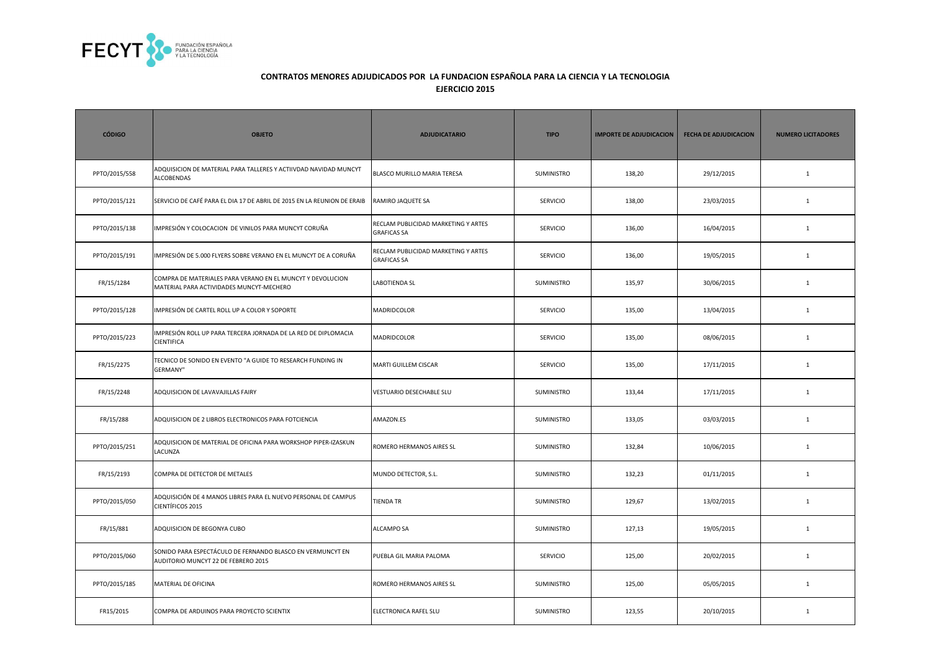

| <b>CÓDIGO</b> | <b>OBJETO</b>                                                                                          | <b>ADJUDICATARIO</b>                                      | <b>TIPO</b>       | <b>IMPORTE DE ADJUDICACION</b> | <b>FECHA DE ADJUDICACION</b> | <b>NUMERO LICITADORES</b> |
|---------------|--------------------------------------------------------------------------------------------------------|-----------------------------------------------------------|-------------------|--------------------------------|------------------------------|---------------------------|
| PPTO/2015/558 | ADQUISICION DE MATERIAL PARA TALLERES Y ACTIIVDAD NAVIDAD MUNCYT<br><b>ALCOBENDAS</b>                  | BLASCO MURILLO MARIA TERESA                               | SUMINISTRO        | 138,20                         | 29/12/2015                   | $\mathbf{1}$              |
| PPTO/2015/121 | SERVICIO DE CAFÉ PARA EL DIA 17 DE ABRIL DE 2015 EN LA REUNION DE ERAIB                                | RAMIRO JAQUETE SA                                         | <b>SERVICIO</b>   | 138,00                         | 23/03/2015                   | $\mathbf{1}$              |
| PPTO/2015/138 | IMPRESIÓN Y COLOCACION DE VINILOS PARA MUNCYT CORUÑA                                                   | RECLAM PUBLICIDAD MARKETING Y ARTES<br><b>GRAFICAS SA</b> | <b>SERVICIO</b>   | 136,00                         | 16/04/2015                   | $\mathbf{1}$              |
| PPTO/2015/191 | IMPRESIÓN DE 5.000 FLYERS SOBRE VERANO EN EL MUNCYT DE A CORUÑA                                        | RECLAM PUBLICIDAD MARKETING Y ARTES<br><b>GRAFICAS SA</b> | SERVICIO          | 136,00                         | 19/05/2015                   | $\mathbf{1}$              |
| FR/15/1284    | COMPRA DE MATERIALES PARA VERANO EN EL MUNCYT Y DEVOLUCION<br>MATERIAL PARA ACTIVIDADES MUNCYT-MECHERO | LABOTIENDA SL                                             | <b>SUMINISTRO</b> | 135,97                         | 30/06/2015                   | $\mathbf{1}$              |
| PPTO/2015/128 | IMPRESIÓN DE CARTEL ROLL UP A COLOR Y SOPORTE                                                          | MADRIDCOLOR                                               | <b>SERVICIO</b>   | 135,00                         | 13/04/2015                   | $\mathbf{1}$              |
| PPTO/2015/223 | IMPRESIÓN ROLL UP PARA TERCERA JORNADA DE LA RED DE DIPLOMACIA<br><b>CIENTIFICA</b>                    | <b>MADRIDCOLOR</b>                                        | <b>SERVICIO</b>   | 135,00                         | 08/06/2015                   | $\mathbf{1}$              |
| FR/15/2275    | TECNICO DE SONIDO EN EVENTO "A GUIDE TO RESEARCH FUNDING IN<br><b>GERMANY"</b>                         | MARTI GUILLEM CISCAR                                      | <b>SERVICIO</b>   | 135,00                         | 17/11/2015                   | $\mathbf{1}$              |
| FR/15/2248    | ADQUISICION DE LAVAVAJILLAS FAIRY                                                                      | VESTUARIO DESECHABLE SLU                                  | <b>SUMINISTRO</b> | 133,44                         | 17/11/2015                   | $\mathbf{1}$              |
| FR/15/288     | ADQUISICION DE 2 LIBROS ELECTRONICOS PARA FOTCIENCIA                                                   | AMAZON.ES                                                 | <b>SUMINISTRO</b> | 133,05                         | 03/03/2015                   | $\mathbf{1}$              |
| PPTO/2015/251 | ADQUISICION DE MATERIAL DE OFICINA PARA WORKSHOP PIPER-IZASKUN<br>LACUNZA                              | ROMERO HERMANOS AIRES SL                                  | <b>SUMINISTRO</b> | 132,84                         | 10/06/2015                   | $\mathbf{1}$              |
| FR/15/2193    | COMPRA DE DETECTOR DE METALES                                                                          | MUNDO DETECTOR, S.L.                                      | SUMINISTRO        | 132,23                         | 01/11/2015                   | $\mathbf{1}$              |
| PPTO/2015/050 | ADQUISICIÓN DE 4 MANOS LIBRES PARA EL NUEVO PERSONAL DE CAMPUS<br>CIENTÍFICOS 2015                     | <b>TIENDA TR</b>                                          | <b>SUMINISTRO</b> | 129,67                         | 13/02/2015                   | $\mathbf{1}$              |
| FR/15/881     | ADQUISICION DE BEGONYA CUBO                                                                            | <b>ALCAMPO SA</b>                                         | <b>SUMINISTRO</b> | 127,13                         | 19/05/2015                   | 1                         |
| PPTO/2015/060 | SONIDO PARA ESPECTÁCULO DE FERNANDO BLASCO EN VERMUNCYT EN<br>AUDITORIO MUNCYT 22 DE FEBRERO 2015      | PUEBLA GIL MARIA PALOMA                                   | <b>SERVICIO</b>   | 125,00                         | 20/02/2015                   | $\mathbf{1}$              |
| PPTO/2015/185 | MATERIAL DE OFICINA                                                                                    | ROMERO HERMANOS AIRES SL                                  | <b>SUMINISTRO</b> | 125,00                         | 05/05/2015                   | $\mathbf{1}$              |
| FR15/2015     | COMPRA DE ARDUINOS PARA PROYECTO SCIENTIX                                                              | ELECTRONICA RAFEL SLU                                     | <b>SUMINISTRO</b> | 123,55                         | 20/10/2015                   | $\mathbf{1}$              |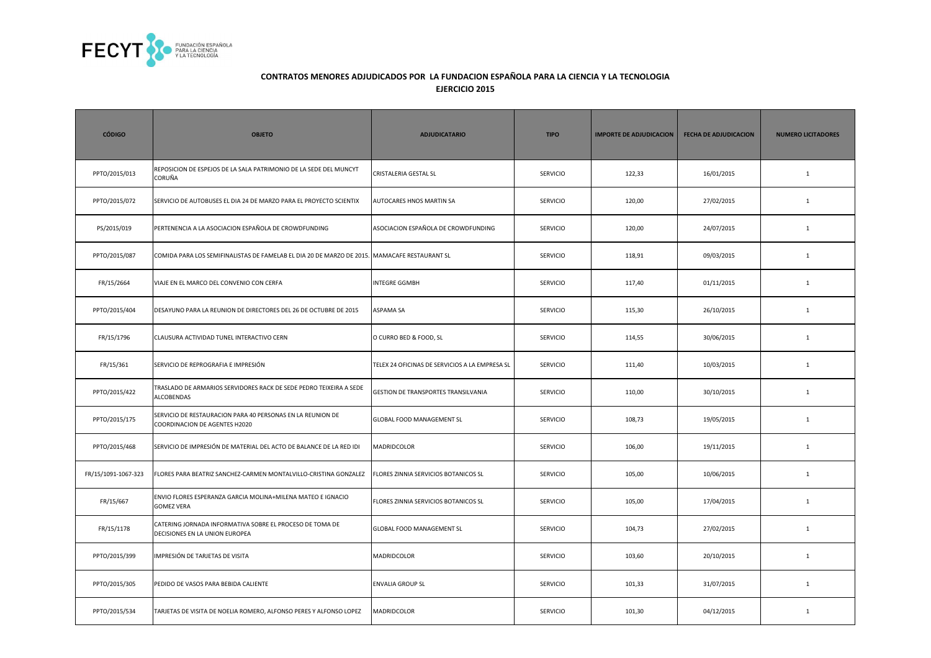

| <b>CÓDIGO</b>       | <b>OBJETO</b>                                                                                | <b>ADJUDICATARIO</b>                           | <b>TIPO</b>     | <b>IMPORTE DE ADJUDICACION</b> | <b>FECHA DE ADJUDICACION</b> | <b>NUMERO LICITADORES</b> |
|---------------------|----------------------------------------------------------------------------------------------|------------------------------------------------|-----------------|--------------------------------|------------------------------|---------------------------|
| PPTO/2015/013       | REPOSICION DE ESPEJOS DE LA SALA PATRIMONIO DE LA SEDE DEL MUNCYT<br>CORUÑA                  | <b>CRISTALERIA GESTAL SL</b>                   | <b>SERVICIO</b> | 122,33                         | 16/01/2015                   | $\mathbf{1}$              |
| PPTO/2015/072       | SERVICIO DE AUTOBUSES EL DIA 24 DE MARZO PARA EL PROYECTO SCIENTIX                           | AUTOCARES HNOS MARTIN SA                       | <b>SERVICIO</b> | 120,00                         | 27/02/2015                   | $1\,$                     |
| PS/2015/019         | PERTENENCIA A LA ASOCIACION ESPAÑOLA DE CROWDFUNDING                                         | ASOCIACION ESPAÑOLA DE CROWDFUNDING            | SERVICIO        | 120,00                         | 24/07/2015                   | $\mathbf{1}$              |
| PPTO/2015/087       | COMIDA PARA LOS SEMIFINALISTAS DE FAMELAB EL DIA 20 DE MARZO DE 2015. MAMACAFE RESTAURANT SL |                                                | <b>SERVICIO</b> | 118,91                         | 09/03/2015                   | $\mathbf{1}$              |
| FR/15/2664          | VIAJE EN EL MARCO DEL CONVENIO CON CERFA                                                     | <b>INTEGRE GGMBH</b>                           | <b>SERVICIO</b> | 117,40                         | 01/11/2015                   | $\mathbf{1}$              |
| PPTO/2015/404       | DESAYUNO PARA LA REUNION DE DIRECTORES DEL 26 DE OCTUBRE DE 2015                             | <b>ASPAMA SA</b>                               | SERVICIO        | 115,30                         | 26/10/2015                   | $1\,$                     |
| FR/15/1796          | CLAUSURA ACTIVIDAD TUNEL INTERACTIVO CERN                                                    | O CURRO BED & FOOD, SL                         | SERVICIO        | 114,55                         | 30/06/2015                   | $\mathbf{1}$              |
| FR/15/361           | SERVICIO DE REPROGRAFIA E IMPRESIÓN                                                          | TELEX 24 OFICINAS DE SERVICIOS A LA EMPRESA SL | <b>SERVICIO</b> | 111,40                         | 10/03/2015                   | $\mathbf{1}$              |
| PPTO/2015/422       | TRASLADO DE ARMARIOS SERVIDORES RACK DE SEDE PEDRO TEIXEIRA A SEDE<br>ALCOBENDAS             | GESTION DE TRANSPORTES TRANSILVANIA            | <b>SERVICIO</b> | 110,00                         | 30/10/2015                   | 1                         |
| PPTO/2015/175       | SERVICIO DE RESTAURACION PARA 40 PERSONAS EN LA REUNION DE<br>COORDINACION DE AGENTES H2020  | GLOBAL FOOD MANAGEMENT SL                      | SERVICIO        | 108,73                         | 19/05/2015                   | $\mathbf{1}$              |
| PPTO/2015/468       | SERVICIO DE IMPRESIÓN DE MATERIAL DEL ACTO DE BALANCE DE LA RED IDI                          | MADRIDCOLOR                                    | SERVICIO        | 106,00                         | 19/11/2015                   | $\mathbf 1$               |
| FR/15/1091-1067-323 | FLORES PARA BEATRIZ SANCHEZ-CARMEN MONTALVILLO-CRISTINA GONZALEZ                             | FLORES ZINNIA SERVICIOS BOTANICOS SL           | <b>SERVICIO</b> | 105,00                         | 10/06/2015                   | $\mathbf{1}$              |
| FR/15/667           | ENVIO FLORES ESPERANZA GARCIA MOLINA+MILENA MATEO E IGNACIO<br><b>GOMEZ VERA</b>             | FLORES ZINNIA SERVICIOS BOTANICOS SL           | <b>SERVICIO</b> | 105,00                         | 17/04/2015                   | $\mathbf{1}$              |
| FR/15/1178          | CATERING JORNADA INFORMATIVA SOBRE EL PROCESO DE TOMA DE<br>DECISIONES EN LA UNION EUROPEA   | <b>GLOBAL FOOD MANAGEMENT SL</b>               | <b>SERVICIO</b> | 104,73                         | 27/02/2015                   | $\mathbf{1}$              |
| PPTO/2015/399       | IMPRESIÓN DE TARJETAS DE VISITA                                                              | MADRIDCOLOR                                    | <b>SERVICIO</b> | 103,60                         | 20/10/2015                   | $\mathbf{1}$              |
| PPTO/2015/305       | PEDIDO DE VASOS PARA BEBIDA CALIENTE                                                         | <b>ENVALIA GROUP SL</b>                        | <b>SERVICIO</b> | 101,33                         | 31/07/2015                   | $\mathbf{1}$              |
| PPTO/2015/534       | TARJETAS DE VISITA DE NOELIA ROMERO, ALFONSO PERES Y ALFONSO LOPEZ                           | MADRIDCOLOR                                    | <b>SERVICIO</b> | 101,30                         | 04/12/2015                   | $\mathbf{1}$              |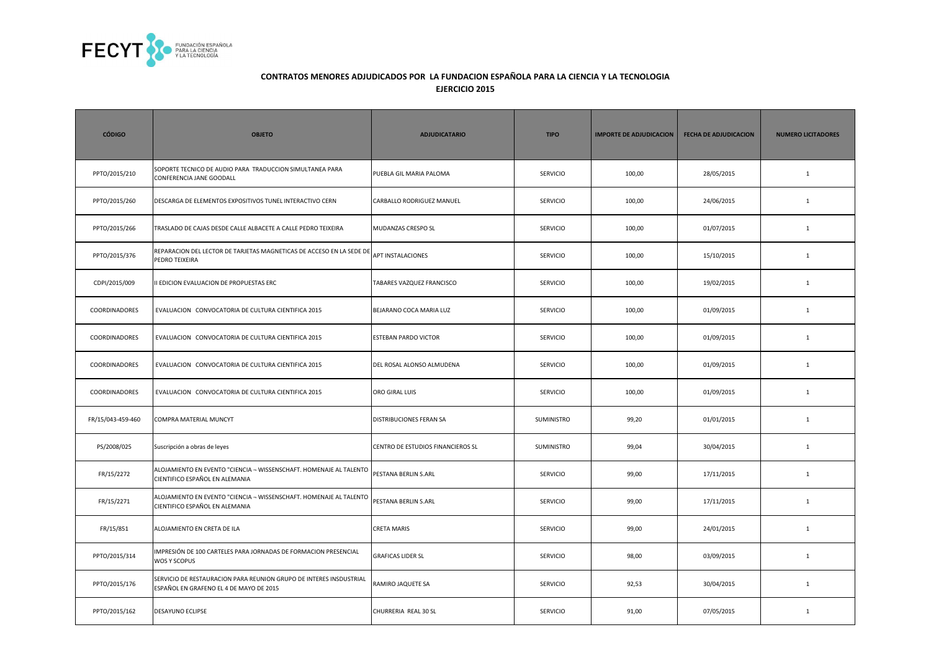

| <b>CÓDIGO</b>        | <b>OBJETO</b>                                                                                                 | <b>ADJUDICATARIO</b>              | <b>TIPO</b>     | <b>IMPORTE DE ADJUDICACION</b> | <b>FECHA DE ADJUDICACION</b> | <b>NUMERO LICITADORES</b> |
|----------------------|---------------------------------------------------------------------------------------------------------------|-----------------------------------|-----------------|--------------------------------|------------------------------|---------------------------|
| PPTO/2015/210        | SOPORTE TECNICO DE AUDIO PARA TRADUCCION SIMULTANEA PARA<br>CONFERENCIA JANE GOODALL                          | PUEBLA GIL MARIA PALOMA           | SERVICIO        | 100,00                         | 28/05/2015                   | $\mathbf{1}$              |
| PPTO/2015/260        | DESCARGA DE ELEMENTOS EXPOSITIVOS TUNEL INTERACTIVO CERN                                                      | CARBALLO RODRIGUEZ MANUEL         | <b>SERVICIO</b> | 100,00                         | 24/06/2015                   | $\mathbf{1}$              |
| PPTO/2015/266        | TRASLADO DE CAJAS DESDE CALLE ALBACETE A CALLE PEDRO TEIXEIRA                                                 | MUDANZAS CRESPO SL                | <b>SERVICIO</b> | 100,00                         | 01/07/2015                   | $\mathbf{1}$              |
| PPTO/2015/376        | REPARACION DEL LECTOR DE TARJETAS MAGNETICAS DE ACCESO EN LA SEDE DE APT INSTALACIONES<br>PEDRO TEIXEIRA      |                                   | SERVICIO        | 100,00                         | 15/10/2015                   | $\mathbf{1}$              |
| CDPI/2015/009        | I EDICION EVALUACION DE PROPUESTAS ERC                                                                        | TABARES VAZQUEZ FRANCISCO         | <b>SERVICIO</b> | 100,00                         | 19/02/2015                   | $\mathbf{1}$              |
| COORDINADORES        | EVALUACION CONVOCATORIA DE CULTURA CIENTIFICA 2015                                                            | BEJARANO COCA MARIA LUZ           | <b>SERVICIO</b> | 100,00                         | 01/09/2015                   | $\mathbf{1}$              |
| <b>COORDINADORES</b> | EVALUACION CONVOCATORIA DE CULTURA CIENTIFICA 2015                                                            | <b>ESTEBAN PARDO VICTOR</b>       | <b>SERVICIO</b> | 100,00                         | 01/09/2015                   | $\mathbf{1}$              |
| COORDINADORES        | EVALUACION CONVOCATORIA DE CULTURA CIENTIFICA 2015                                                            | DEL ROSAL ALONSO ALMUDENA         | <b>SERVICIO</b> | 100,00                         | 01/09/2015                   | $\mathbf{1}$              |
| COORDINADORES        | EVALUACION CONVOCATORIA DE CULTURA CIENTIFICA 2015                                                            | ORO GIRAL LUIS                    | <b>SERVICIO</b> | 100,00                         | 01/09/2015                   | $\mathbf{1}$              |
| FR/15/043-459-460    | COMPRA MATERIAL MUNCYT                                                                                        | <b>DISTRIBUCIONES FERAN SA</b>    | SUMINISTRO      | 99,20                          | 01/01/2015                   | $\mathbf{1}$              |
| PS/2008/025          | Suscripción a obras de leyes                                                                                  | CENTRO DE ESTUDIOS FINANCIEROS SL | SUMINISTRO      | 99,04                          | 30/04/2015                   | $\mathbf{1}$              |
| FR/15/2272           | ALOJAMIENTO EN EVENTO "CIENCIA - WISSENSCHAFT. HOMENAJE AL TALENTO<br>CIENTIFICO ESPAÑOL EN ALEMANIA          | PESTANA BERLIN S.ARL              | <b>SERVICIO</b> | 99,00                          | 17/11/2015                   | $\mathbf{1}$              |
| FR/15/2271           | ALOJAMIENTO EN EVENTO "CIENCIA - WISSENSCHAFT. HOMENAJE AL TALENTO<br>CIENTIFICO ESPAÑOL EN ALEMANIA          | PESTANA BERLIN S.ARL              | <b>SERVICIO</b> | 99,00                          | 17/11/2015                   | $\mathbf{1}$              |
| FR/15/851            | ALOJAMIENTO EN CRETA DE ILA                                                                                   | <b>CRETA MARIS</b>                | <b>SERVICIO</b> | 99,00                          | 24/01/2015                   | 1                         |
| PPTO/2015/314        | MPRESIÓN DE 100 CARTELES PARA JORNADAS DE FORMACION PRESENCIAL<br>WOS Y SCOPUS                                | <b>GRAFICAS LIDER SL</b>          | SERVICIO        | 98,00                          | 03/09/2015                   | $\mathbf{1}$              |
| PPTO/2015/176        | SERVICIO DE RESTAURACION PARA REUNION GRUPO DE INTERES INSDUSTRIAL<br>ESPAÑOL EN GRAFENO EL 4 DE MAYO DE 2015 | RAMIRO JAQUETE SA                 | <b>SERVICIO</b> | 92,53                          | 30/04/2015                   | $\mathbf{1}$              |
| PPTO/2015/162        | DESAYUNO ECLIPSE                                                                                              | CHURRERIA REAL 30 SL              | SERVICIO        | 91,00                          | 07/05/2015                   | $\mathbf{1}$              |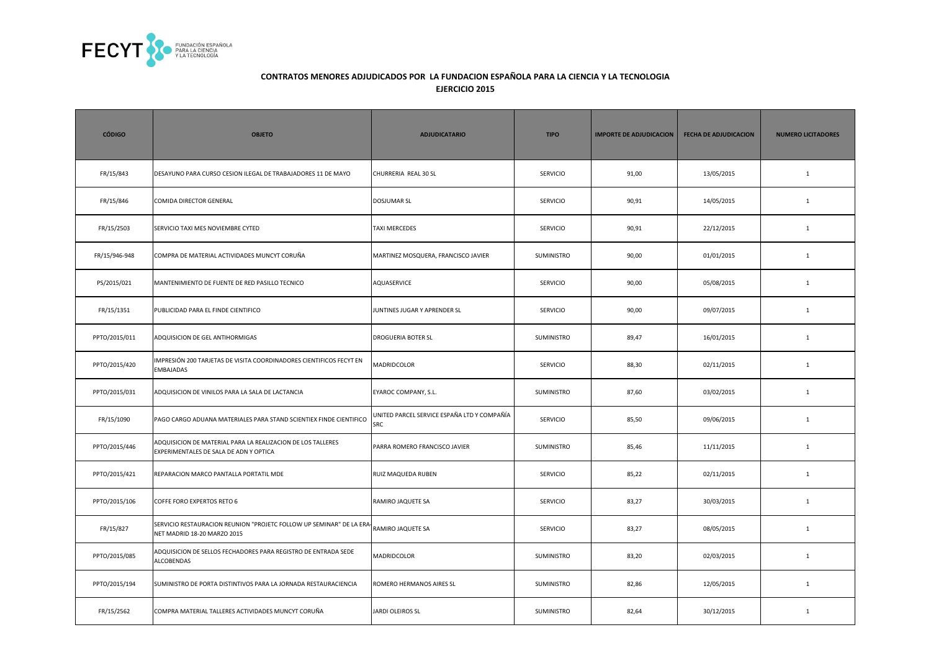

| <b>CÓDIGO</b> | <b>OBJETO</b>                                                                                         | <b>ADJUDICATARIO</b>                               | <b>TIPO</b>     | <b>IMPORTE DE ADJUDICACION</b> | <b>FECHA DE ADJUDICACION</b> | <b>NUMERO LICITADORES</b> |
|---------------|-------------------------------------------------------------------------------------------------------|----------------------------------------------------|-----------------|--------------------------------|------------------------------|---------------------------|
| FR/15/843     | DESAYUNO PARA CURSO CESION ILEGAL DE TRABAJADORES 11 DE MAYO                                          | CHURRERIA REAL 30 SL                               | <b>SERVICIO</b> | 91,00                          | 13/05/2015                   | $\mathbf{1}$              |
| FR/15/846     | COMIDA DIRECTOR GENERAL                                                                               | <b>DOSJUMAR SL</b>                                 | <b>SERVICIO</b> | 90,91                          | 14/05/2015                   | $\mathbf{1}$              |
| FR/15/2503    | SERVICIO TAXI MES NOVIEMBRE CYTED                                                                     | <b>TAXI MERCEDES</b>                               | <b>SERVICIO</b> | 90,91                          | 22/12/2015                   | $\mathbf{1}$              |
| FR/15/946-948 | COMPRA DE MATERIAL ACTIVIDADES MUNCYT CORUÑA                                                          | MARTINEZ MOSQUERA, FRANCISCO JAVIER                | SUMINISTRO      | 90,00                          | 01/01/2015                   | $\mathbf{1}$              |
| PS/2015/021   | MANTENIMIENTO DE FUENTE DE RED PASILLO TECNICO                                                        | AQUASERVICE                                        | <b>SERVICIO</b> | 90,00                          | 05/08/2015                   | $\mathbf{1}$              |
| FR/15/1351    | PUBLICIDAD PARA EL FINDE CIENTIFICO                                                                   | JUNTINES JUGAR Y APRENDER SL                       | SERVICIO        | 90,00                          | 09/07/2015                   | $1\,$                     |
| PPTO/2015/011 | ADQUISICION DE GEL ANTIHORMIGAS                                                                       | DROGUERIA BOTER SL                                 | SUMINISTRO      | 89,47                          | 16/01/2015                   | $\mathbf{1}$              |
| PPTO/2015/420 | IMPRESIÓN 200 TARJETAS DE VISITA COORDINADORES CIENTIFICOS FECYT EN<br>EMBAJADAS                      | MADRIDCOLOR                                        | <b>SERVICIO</b> | 88,30                          | 02/11/2015                   | $\mathbf{1}$              |
| PPTO/2015/031 | ADQUISICION DE VINILOS PARA LA SALA DE LACTANCIA                                                      | EYAROC COMPANY, S.L.                               | SUMINISTRO      | 87,60                          | 03/02/2015                   | $\mathbf{1}$              |
| FR/15/1090    | PAGO CARGO ADUANA MATERIALES PARA STAND SCIENTIEX FINDE CIENTIFICO                                    | UNITED PARCEL SERVICE ESPAÑA LTD Y COMPAÑÍA<br>SRC | SERVICIO        | 85,50                          | 09/06/2015                   | $\mathbf{1}$              |
| PPTO/2015/446 | ADQUISICION DE MATERIAL PARA LA REALIZACION DE LOS TALLERES<br>EXPERIMENTALES DE SALA DE ADN Y OPTICA | PARRA ROMERO FRANCISCO JAVIER                      | SUMINISTRO      | 85,46                          | 11/11/2015                   | $\mathbf 1$               |
| PPTO/2015/421 | REPARACION MARCO PANTALLA PORTATIL MDE                                                                | RUIZ MAQUEDA RUBEN                                 | <b>SERVICIO</b> | 85,22                          | 02/11/2015                   | $\mathbf{1}$              |
| PPTO/2015/106 | COFFE FORO EXPERTOS RETO 6                                                                            | RAMIRO JAQUETE SA                                  | <b>SERVICIO</b> | 83,27                          | 30/03/2015                   | $\mathbf{1}$              |
| FR/15/827     | SERVICIO RESTAURACION REUNION "PROJETC FOLLOW UP SEMINAR" DE LA ERA<br>NET MADRID 18-20 MARZO 2015    | RAMIRO JAQUETE SA                                  | <b>SERVICIO</b> | 83,27                          | 08/05/2015                   | $\mathbf{1}$              |
| PPTO/2015/085 | ADQUISICION DE SELLOS FECHADORES PARA REGISTRO DE ENTRADA SEDE<br>ALCOBENDAS                          | MADRIDCOLOR                                        | SUMINISTRO      | 83,20                          | 02/03/2015                   | $\mathbf{1}$              |
| PPTO/2015/194 | SUMINISTRO DE PORTA DISTINTIVOS PARA LA JORNADA RESTAURACIENCIA                                       | ROMERO HERMANOS AIRES SL                           | SUMINISTRO      | 82,86                          | 12/05/2015                   | $\mathbf{1}$              |
| FR/15/2562    | COMPRA MATERIAL TALLERES ACTIVIDADES MUNCYT CORUÑA                                                    | JARDI OLEIROS SL                                   | SUMINISTRO      | 82,64                          | 30/12/2015                   | $\mathbf{1}$              |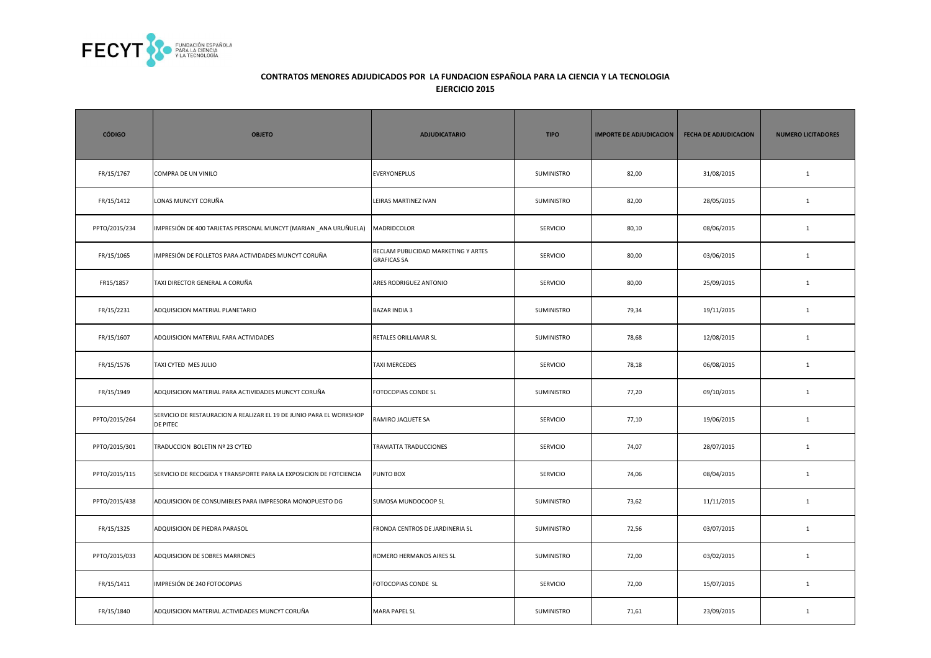

| <b>CÓDIGO</b> | <b>OBJETO</b>                                                                          | <b>ADJUDICATARIO</b>                                      | <b>TIPO</b>       | <b>IMPORTE DE ADJUDICACION</b> | <b>FECHA DE ADJUDICACION</b> | <b>NUMERO LICITADORES</b> |
|---------------|----------------------------------------------------------------------------------------|-----------------------------------------------------------|-------------------|--------------------------------|------------------------------|---------------------------|
| FR/15/1767    | COMPRA DE UN VINILO                                                                    | <b>EVERYONEPLUS</b>                                       | SUMINISTRO        | 82,00                          | 31/08/2015                   | $\mathbf{1}$              |
| FR/15/1412    | LONAS MUNCYT CORUÑA                                                                    | LEIRAS MARTINEZ IVAN                                      | SUMINISTRO        | 82,00                          | 28/05/2015                   | $\mathbf{1}$              |
| PPTO/2015/234 | IMPRESIÓN DE 400 TARJETAS PERSONAL MUNCYT (MARIAN _ANA URUÑUELA)                       | MADRIDCOLOR                                               | <b>SERVICIO</b>   | 80,10                          | 08/06/2015                   | $\mathbf{1}$              |
| FR/15/1065    | IMPRESIÓN DE FOLLETOS PARA ACTIVIDADES MUNCYT CORUÑA                                   | RECLAM PUBLICIDAD MARKETING Y ARTES<br><b>GRAFICAS SA</b> | SERVICIO          | 80,00                          | 03/06/2015                   | $\mathbf{1}$              |
| FR15/1857     | TAXI DIRECTOR GENERAL A CORUÑA                                                         | ARES RODRIGUEZ ANTONIO                                    | SERVICIO          | 80,00                          | 25/09/2015                   | $\mathbf{1}$              |
| FR/15/2231    | ADQUISICION MATERIAL PLANETARIO                                                        | <b>BAZAR INDIA 3</b>                                      | SUMINISTRO        | 79,34                          | 19/11/2015                   | $\mathbf{1}$              |
| FR/15/1607    | ADQUISICION MATERIAL FARA ACTIVIDADES                                                  | RETALES ORILLAMAR SL                                      | SUMINISTRO        | 78,68                          | 12/08/2015                   | $\mathbf{1}$              |
| FR/15/1576    | TAXI CYTED MES JULIO                                                                   | <b>TAXI MERCEDES</b>                                      | <b>SERVICIO</b>   | 78,18                          | 06/08/2015                   | $\mathbf{1}$              |
| FR/15/1949    | ADQUISICION MATERIAL PARA ACTIVIDADES MUNCYT CORUÑA                                    | FOTOCOPIAS CONDE SL                                       | SUMINISTRO        | 77,20                          | 09/10/2015                   | $\mathbf{1}$              |
| PPTO/2015/264 | SERVICIO DE RESTAURACION A REALIZAR EL 19 DE JUNIO PARA EL WORKSHOP<br><b>DE PITEC</b> | RAMIRO JAQUETE SA                                         | <b>SERVICIO</b>   | 77,10                          | 19/06/2015                   | $\mathbf{1}$              |
| PPTO/2015/301 | TRADUCCION BOLETIN Nº 23 CYTED                                                         | TRAVIATTA TRADUCCIONES                                    | <b>SERVICIO</b>   | 74,07                          | 28/07/2015                   | $\mathbf{1}$              |
| PPTO/2015/115 | SERVICIO DE RECOGIDA Y TRANSPORTE PARA LA EXPOSICION DE FOTCIENCIA                     | PUNTO BOX                                                 | <b>SERVICIO</b>   | 74,06                          | 08/04/2015                   | $\mathbf{1}$              |
| PPTO/2015/438 | ADQUISICION DE CONSUMIBLES PARA IMPRESORA MONOPUESTO DG                                | SUMOSA MUNDOCOOP SL                                       | SUMINISTRO        | 73,62                          | 11/11/2015                   | $\mathbf{1}$              |
| FR/15/1325    | ADQUISICION DE PIEDRA PARASOL                                                          | FRONDA CENTROS DE JARDINERIA SL                           | <b>SUMINISTRO</b> | 72,56                          | 03/07/2015                   | $\mathbf{1}$              |
| PPTO/2015/033 | ADQUISICION DE SOBRES MARRONES                                                         | ROMERO HERMANOS AIRES SL                                  | SUMINISTRO        | 72,00                          | 03/02/2015                   | $\mathbf{1}$              |
| FR/15/1411    | MPRESIÓN DE 240 FOTOCOPIAS                                                             | FOTOCOPIAS CONDE SL                                       | <b>SERVICIO</b>   | 72,00                          | 15/07/2015                   | $\mathbf{1}$              |
| FR/15/1840    | ADQUISICION MATERIAL ACTIVIDADES MUNCYT CORUÑA                                         | <b>MARA PAPEL SL</b>                                      | SUMINISTRO        | 71,61                          | 23/09/2015                   | $\mathbf{1}$              |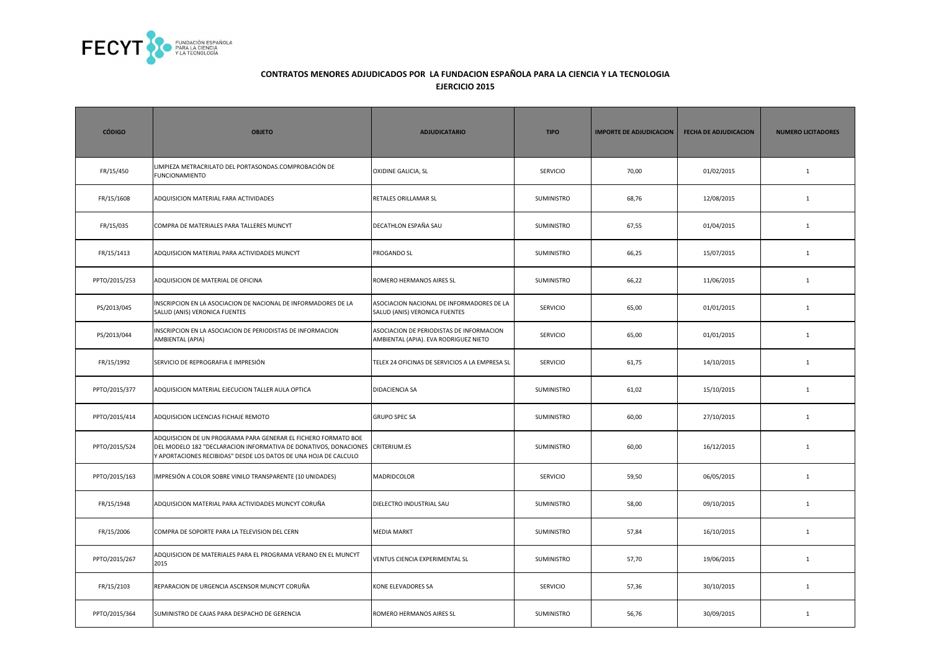

| <b>CÓDIGO</b> | <b>OBJETO</b>                                                                                                                                                                                                       | <b>ADJUDICATARIO</b>                                                              | <b>TIPO</b>     | <b>IMPORTE DE ADJUDICACION</b> | <b>FECHA DE ADJUDICACION</b> | <b>NUMERO LICITADORES</b> |
|---------------|---------------------------------------------------------------------------------------------------------------------------------------------------------------------------------------------------------------------|-----------------------------------------------------------------------------------|-----------------|--------------------------------|------------------------------|---------------------------|
| FR/15/450     | LIMPIEZA METRACRILATO DEL PORTASONDAS.COMPROBACIÓN DE<br><b>FUNCIONAMIENTO</b>                                                                                                                                      | OXIDINE GALICIA, SL                                                               | <b>SERVICIO</b> | 70,00                          | 01/02/2015                   | $\mathbf{1}$              |
| FR/15/1608    | ADQUISICION MATERIAL FARA ACTIVIDADES                                                                                                                                                                               | RETALES ORILLAMAR SL                                                              | SUMINISTRO      | 68,76                          | 12/08/2015                   | $\mathbf{1}$              |
| FR/15/035     | COMPRA DE MATERIALES PARA TALLERES MUNCYT                                                                                                                                                                           | DECATHLON ESPAÑA SAU                                                              | SUMINISTRO      | 67,55                          | 01/04/2015                   | $\mathbf{1}$              |
| FR/15/1413    | ADQUISICION MATERIAL PARA ACTIVIDADES MUNCYT                                                                                                                                                                        | PROGANDO SL                                                                       | SUMINISTRO      | 66,25                          | 15/07/2015                   | $\mathbf{1}$              |
| PPTO/2015/253 | ADQUISICION DE MATERIAL DE OFICINA                                                                                                                                                                                  | ROMERO HERMANOS AIRES SL                                                          | SUMINISTRO      | 66,22                          | 11/06/2015                   | $\mathbf{1}$              |
| PS/2013/045   | INSCRIPCION EN LA ASOCIACION DE NACIONAL DE INFORMADORES DE LA<br>SALUD (ANIS) VERONICA FUENTES                                                                                                                     | ASOCIACION NACIONAL DE INFORMADORES DE LA<br>SALUD (ANIS) VERONICA FUENTES        | SERVICIO        | 65,00                          | 01/01/2015                   | $\mathbf{1}$              |
| PS/2013/044   | INSCRIPCION EN LA ASOCIACION DE PERIODISTAS DE INFORMACION<br>AMBIENTAL (APIA)                                                                                                                                      | ASOCIACION DE PERIODISTAS DE INFORMACION<br>AMBIENTAL (APIA). EVA RODRIGUEZ NIETO | SERVICIO        | 65,00                          | 01/01/2015                   | $\mathbf{1}$              |
| FR/15/1992    | SERVICIO DE REPROGRAFIA E IMPRESIÓN                                                                                                                                                                                 | TELEX 24 OFICINAS DE SERVICIOS A LA EMPRESA SL                                    | SERVICIO        | 61,75                          | 14/10/2015                   | $\mathbf{1}$              |
| PPTO/2015/377 | ADQUISICION MATERIAL EJECUCION TALLER AULA OPTICA                                                                                                                                                                   | DIDACIENCIA SA                                                                    | SUMINISTRO      | 61,02                          | 15/10/2015                   | $\mathbf{1}$              |
| PPTO/2015/414 | ADQUISICION LICENCIAS FICHAJE REMOTO                                                                                                                                                                                | <b>GRUPO SPEC SA</b>                                                              | SUMINISTRO      | 60,00                          | 27/10/2015                   | $\mathbf{1}$              |
| PPTO/2015/524 | ADQUISICION DE UN PROGRAMA PARA GENERAR EL FICHERO FORMATO BOE<br>DEL MODELO 182 "DECLARACION INFORMATIVA DE DONATIVOS, DONACIONES CRITERIUM.ES<br>Y APORTACIONES RECIBIDAS" DESDE LOS DATOS DE UNA HOJA DE CALCULO |                                                                                   | SUMINISTRO      | 60,00                          | 16/12/2015                   | $\mathbf{1}$              |
| PPTO/2015/163 | IMPRESIÓN A COLOR SOBRE VINILO TRANSPARENTE (10 UNIDADES)                                                                                                                                                           | MADRIDCOLOR                                                                       | SERVICIO        | 59,50                          | 06/05/2015                   | $\mathbf{1}$              |
| FR/15/1948    | ADQUISICION MATERIAL PARA ACTIVIDADES MUNCYT CORUÑA                                                                                                                                                                 | DIELECTRO INDUSTRIAL SAU                                                          | SUMINISTRO      | 58,00                          | 09/10/2015                   | $\mathbf{1}$              |
| FR/15/2006    | COMPRA DE SOPORTE PARA LA TELEVISION DEL CERN                                                                                                                                                                       | <b>MEDIA MARKT</b>                                                                | SUMINISTRO      | 57,84                          | 16/10/2015                   | $\mathbf{1}$              |
| PPTO/2015/267 | ADQUISICION DE MATERIALES PARA EL PROGRAMA VERANO EN EL MUNCYT<br>2015                                                                                                                                              | VENTUS CIENCIA EXPERIMENTAL SL                                                    | SUMINISTRO      | 57,70                          | 19/06/2015                   | $\mathbf{1}$              |
| FR/15/2103    | REPARACION DE URGENCIA ASCENSOR MUNCYT CORUÑA                                                                                                                                                                       | KONE ELEVADORES SA                                                                | SERVICIO        | 57,36                          | 30/10/2015                   | $\mathbf{1}$              |
| PPTO/2015/364 | SUMINISTRO DE CAJAS PARA DESPACHO DE GERENCIA                                                                                                                                                                       | ROMERO HERMANOS AIRES SL                                                          | SUMINISTRO      | 56,76                          | 30/09/2015                   | 1                         |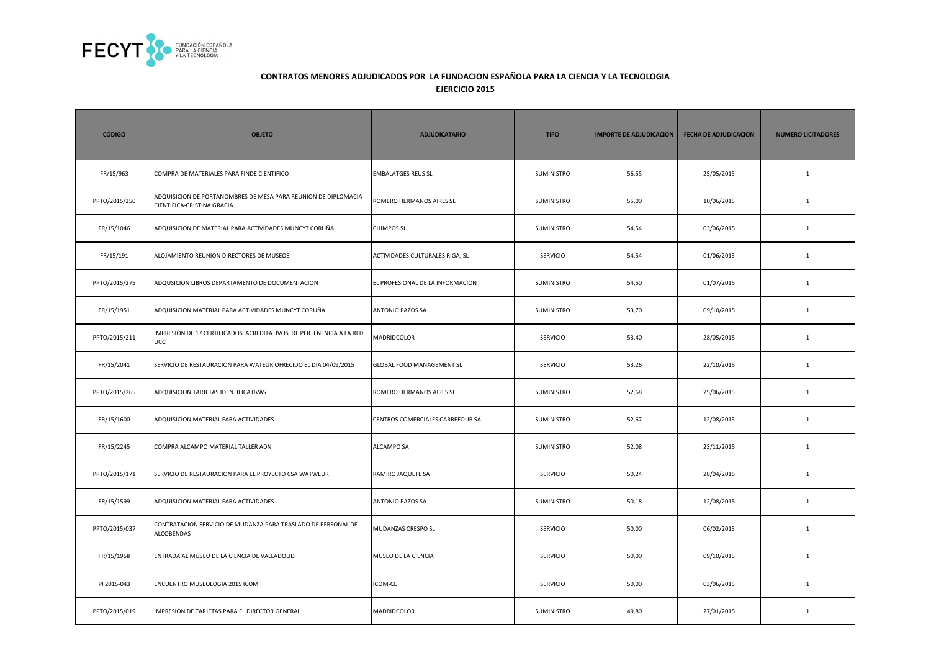

| <b>CÓDIGO</b> | <b>OBJETO</b>                                                                                | <b>ADJUDICATARIO</b>             | <b>TIPO</b>       | <b>IMPORTE DE ADJUDICACION</b> | <b>FECHA DE ADJUDICACION</b> | <b>NUMERO LICITADORES</b> |
|---------------|----------------------------------------------------------------------------------------------|----------------------------------|-------------------|--------------------------------|------------------------------|---------------------------|
| FR/15/963     | COMPRA DE MATERIALES PARA FINDE CIENTIFICO                                                   | <b>EMBALATGES REUS SL</b>        | <b>SUMINISTRO</b> | 56,55                          | 25/05/2015                   | $\mathbf{1}$              |
| PPTO/2015/250 | ADQUISICION DE PORTANOMBRES DE MESA PARA REUNION DE DIPLOMACIA<br>CIENTIFICA-CRISTINA GRACIA | ROMERO HERMANOS AIRES SL         | <b>SUMINISTRO</b> | 55,00                          | 10/06/2015                   | $\mathbf{1}$              |
| FR/15/1046    | ADQUISICION DE MATERIAL PARA ACTIVIDADES MUNCYT CORUÑA                                       | <b>CHIMPOS SL</b>                | <b>SUMINISTRO</b> | 54,54                          | 03/06/2015                   | $\mathbf{1}$              |
| FR/15/191     | ALOJAMIENTO REUNION DIRECTORES DE MUSEOS                                                     | ACTIVIDADES CULTURALES RIGA, SL  | SERVICIO          | 54,54                          | 01/06/2015                   | $\mathbf 1$               |
| PPTO/2015/275 | ADQUSICION LIBROS DEPARTAMENTO DE DOCUMENTACION                                              | EL PROFESIONAL DE LA INFORMACION | SUMINISTRO        | 54,50                          | 01/07/2015                   | $\mathbf{1}$              |
| FR/15/1951    | ADQUISICION MATERIAL PARA ACTIVIDADES MUNCYT CORUÑA                                          | ANTONIO PAZOS SA                 | <b>SUMINISTRO</b> | 53,70                          | 09/10/2015                   | $\mathbf{1}$              |
| PPTO/2015/211 | IMPRESIÓN DE 17 CERTIFICADOS ACREDITATIVOS DE PERTENENCIA A LA RED<br><b>UCC</b>             | <b>MADRIDCOLOR</b>               | <b>SERVICIO</b>   | 53,40                          | 28/05/2015                   | $\mathbf{1}$              |
| FR/15/2041    | SERVICIO DE RESTAURACION PARA WATEUR OFRECIDO EL DIA 04/09/2015                              | GLOBAL FOOD MANAGEMENT SL        | <b>SERVICIO</b>   | 53,26                          | 22/10/2015                   | $\mathbf{1}$              |
| PPTO/2015/265 | ADQUISICION TARJETAS IDENTIFICATIVAS                                                         | ROMERO HERMANOS AIRES SL         | SUMINISTRO        | 52,68                          | 25/06/2015                   | $\mathbf{1}$              |
| FR/15/1600    | ADQUISICION MATERIAL FARA ACTIVIDADES                                                        | CENTROS COMERCIALES CARREFOUR SA | <b>SUMINISTRO</b> | 52,67                          | 12/08/2015                   | $\mathbf{1}$              |
| FR/15/2245    | COMPRA ALCAMPO MATERIAL TALLER ADN                                                           | <b>ALCAMPO SA</b>                | <b>SUMINISTRO</b> | 52,08                          | 23/11/2015                   | $\mathbf{1}$              |
| PPTO/2015/171 | SERVICIO DE RESTAURACION PARA EL PROYECTO CSA WATWEUR                                        | RAMIRO JAQUETE SA                | <b>SERVICIO</b>   | 50,24                          | 28/04/2015                   | $\mathbf{1}$              |
| FR/15/1599    | ADQUISICION MATERIAL FARA ACTIVIDADES                                                        | ANTONIO PAZOS SA                 | SUMINISTRO        | 50,18                          | 12/08/2015                   | $\mathbf{1}$              |
| PPTO/2015/037 | CONTRATACION SERVICIO DE MUDANZA PARA TRASLADO DE PERSONAL DE<br>ALCOBENDAS                  | MUDANZAS CRESPO SL               | <b>SERVICIO</b>   | 50,00                          | 06/02/2015                   | 1                         |
| FR/15/1958    | ENTRADA AL MUSEO DE LA CIENCIA DE VALLADOLID                                                 | MUSEO DE LA CIENCIA              | <b>SERVICIO</b>   | 50,00                          | 09/10/2015                   | $\mathbf{1}$              |
| PF2015-043    | ENCUENTRO MUSEOLOGIA 2015 ICOM                                                               | ICOM-CE                          | <b>SERVICIO</b>   | 50,00                          | 03/06/2015                   | $\mathbf{1}$              |
| PPTO/2015/019 | IMPRESIÓN DE TARJETAS PARA EL DIRECTOR GENERAL                                               | MADRIDCOLOR                      | SUMINISTRO        | 49,80                          | 27/01/2015                   | $\mathbf{1}$              |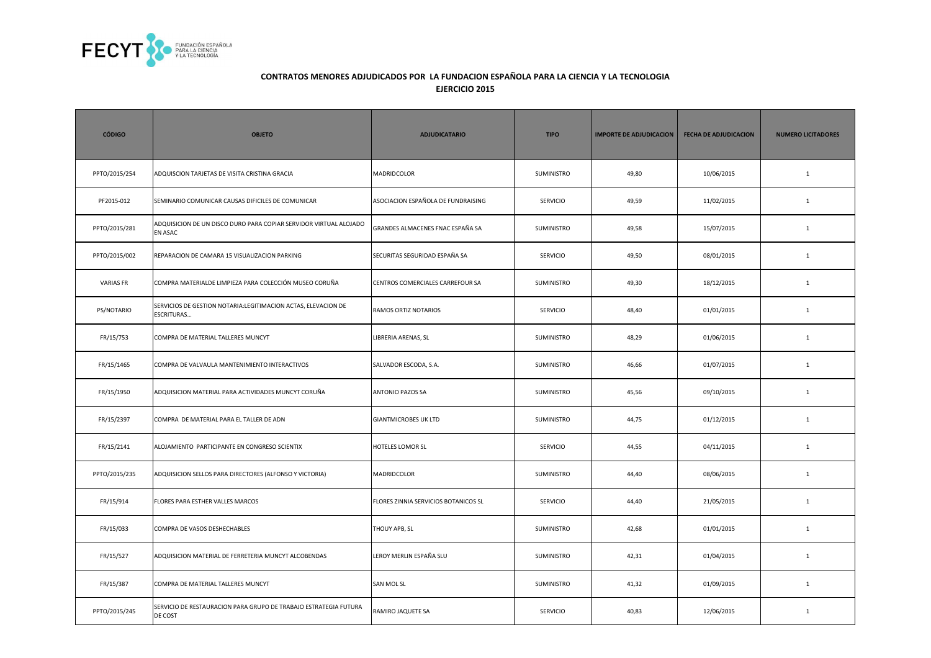

| <b>CÓDIGO</b>    | <b>OBJETO</b>                                                                      | <b>ADJUDICATARIO</b>                 | <b>TIPO</b>     | <b>IMPORTE DE ADJUDICACION</b> | <b>FECHA DE ADJUDICACION</b> | <b>NUMERO LICITADORES</b> |
|------------------|------------------------------------------------------------------------------------|--------------------------------------|-----------------|--------------------------------|------------------------------|---------------------------|
| PPTO/2015/254    | ADQUISCION TARJETAS DE VISITA CRISTINA GRACIA                                      | MADRIDCOLOR                          | SUMINISTRO      | 49,80                          | 10/06/2015                   | $\mathbf{1}$              |
| PF2015-012       | SEMINARIO COMUNICAR CAUSAS DIFICILES DE COMUNICAR                                  | ASOCIACION ESPAÑOLA DE FUNDRAISING   | SERVICIO        | 49,59                          | 11/02/2015                   | $\mathbf{1}$              |
| PPTO/2015/281    | ADQUISICION DE UN DISCO DURO PARA COPIAR SERVIDOR VIRTUAL ALOJADO<br>EN ASAC       | GRANDES ALMACENES FNAC ESPAÑA SA     | SUMINISTRO      | 49,58                          | 15/07/2015                   | $\mathbf{1}$              |
| PPTO/2015/002    | REPARACION DE CAMARA 15 VISUALIZACION PARKING                                      | SECURITAS SEGURIDAD ESPAÑA SA        | <b>SERVICIO</b> | 49,50                          | 08/01/2015                   | $\mathbf{1}$              |
| <b>VARIAS FR</b> | COMPRA MATERIALDE LIMPIEZA PARA COLECCIÓN MUSEO CORUÑA                             | CENTROS COMERCIALES CARREFOUR SA     | SUMINISTRO      | 49,30                          | 18/12/2015                   | $\mathbf{1}$              |
| PS/NOTARIO       | SERVICIOS DE GESTION NOTARIA:LEGITIMACION ACTAS, ELEVACION DE<br><b>ESCRITURAS</b> | RAMOS ORTIZ NOTARIOS                 | SERVICIO        | 48,40                          | 01/01/2015                   | $1\,$                     |
| FR/15/753        | COMPRA DE MATERIAL TALLERES MUNCYT                                                 | LIBRERIA ARENAS, SL                  | SUMINISTRO      | 48,29                          | 01/06/2015                   | $\mathbf{1}$              |
| FR/15/1465       | COMPRA DE VALVAULA MANTENIMIENTO INTERACTIVOS                                      | SALVADOR ESCODA, S.A.                | SUMINISTRO      | 46,66                          | 01/07/2015                   | $\mathbf{1}$              |
| FR/15/1950       | ADQUISICION MATERIAL PARA ACTIVIDADES MUNCYT CORUÑA                                | <b>ANTONIO PAZOS SA</b>              | SUMINISTRO      | 45,56                          | 09/10/2015                   | $\mathbf{1}$              |
| FR/15/2397       | COMPRA DE MATERIAL PARA EL TALLER DE ADN                                           | <b>GIANTMICROBES UK LTD</b>          | SUMINISTRO      | 44,75                          | 01/12/2015                   | $\mathbf{1}$              |
| FR/15/2141       | ALOJAMIENTO PARTICIPANTE EN CONGRESO SCIENTIX                                      | HOTELES LOMOR SL                     | SERVICIO        | 44,55                          | 04/11/2015                   | $1\,$                     |
| PPTO/2015/235    | ADQUISICION SELLOS PARA DIRECTORES (ALFONSO Y VICTORIA)                            | MADRIDCOLOR                          | SUMINISTRO      | 44,40                          | 08/06/2015                   | $\mathbf{1}$              |
| FR/15/914        | FLORES PARA ESTHER VALLES MARCOS                                                   | FLORES ZINNIA SERVICIOS BOTANICOS SL | <b>SERVICIO</b> | 44,40                          | 21/05/2015                   | $\mathbf{1}$              |
| FR/15/033        | COMPRA DE VASOS DESHECHABLES                                                       | THOUY APB, SL                        | SUMINISTRO      | 42,68                          | 01/01/2015                   | $\mathbf{1}$              |
| FR/15/527        | ADQUISICION MATERIAL DE FERRETERIA MUNCYT ALCOBENDAS                               | LEROY MERLIN ESPAÑA SLU              | SUMINISTRO      | 42,31                          | 01/04/2015                   | $\mathbf{1}$              |
| FR/15/387        | COMPRA DE MATERIAL TALLERES MUNCYT                                                 | <b>SAN MOL SL</b>                    | SUMINISTRO      | 41,32                          | 01/09/2015                   | $\mathbf{1}$              |
| PPTO/2015/245    | SERVICIO DE RESTAURACION PARA GRUPO DE TRABAJO ESTRATEGIA FUTURA<br>DE COST        | RAMIRO JAQUETE SA                    | <b>SERVICIO</b> | 40,83                          | 12/06/2015                   | $\mathbf{1}$              |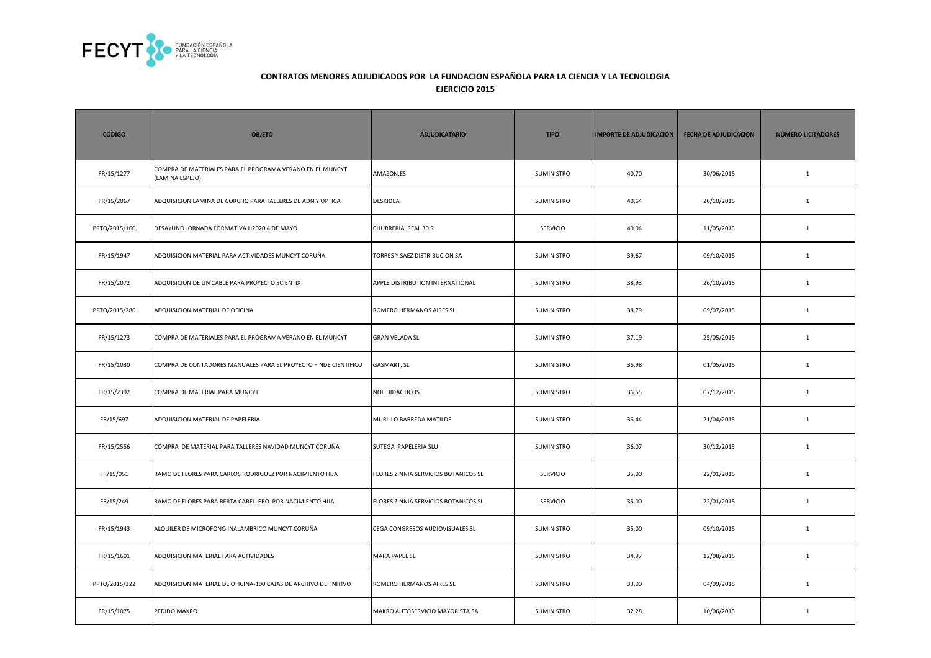

| <b>CÓDIGO</b> | <b>OBJETO</b>                                                                | <b>ADJUDICATARIO</b>                 | <b>TIPO</b>       | <b>IMPORTE DE ADJUDICACION</b> | <b>FECHA DE ADJUDICACION</b> | <b>NUMERO LICITADORES</b> |
|---------------|------------------------------------------------------------------------------|--------------------------------------|-------------------|--------------------------------|------------------------------|---------------------------|
| FR/15/1277    | COMPRA DE MATERIALES PARA EL PROGRAMA VERANO EN EL MUNCYT<br>(LAMINA ESPEJO) | AMAZON.ES                            | SUMINISTRO        | 40,70                          | 30/06/2015                   | $\mathbf{1}$              |
| FR/15/2067    | ADQUISICION LAMINA DE CORCHO PARA TALLERES DE ADN Y OPTICA                   | <b>DESKIDEA</b>                      | SUMINISTRO        | 40,64                          | 26/10/2015                   | $\mathbf{1}$              |
| PPTO/2015/160 | DESAYUNO JORNADA FORMATIVA H2020 4 DE MAYO                                   | CHURRERIA REAL 30 SL                 | <b>SERVICIO</b>   | 40,04                          | 11/05/2015                   | $\mathbf{1}$              |
| FR/15/1947    | ADQUISICION MATERIAL PARA ACTIVIDADES MUNCYT CORUÑA                          | TORRES Y SAEZ DISTRIBUCION SA        | SUMINISTRO        | 39,67                          | 09/10/2015                   | $\mathbf{1}$              |
| FR/15/2072    | ADQUISICION DE UN CABLE PARA PROYECTO SCIENTIX                               | APPLE DISTRIBUTION INTERNATIONAL     | SUMINISTRO        | 38,93                          | 26/10/2015                   | $\mathbf{1}$              |
| PPTO/2015/280 | ADQUISICION MATERIAL DE OFICINA                                              | ROMERO HERMANOS AIRES SL             | SUMINISTRO        | 38,79                          | 09/07/2015                   | $\mathbf{1}$              |
| FR/15/1273    | COMPRA DE MATERIALES PARA EL PROGRAMA VERANO EN EL MUNCYT                    | <b>GRAN VELADA SL</b>                | SUMINISTRO        | 37,19                          | 25/05/2015                   | $\mathbf{1}$              |
| FR/15/1030    | COMPRA DE CONTADORES MANUALES PARA EL PROYECTO FINDE CIENTIFICO              | GASMART, SL                          | SUMINISTRO        | 36,98                          | 01/05/2015                   | $\mathbf{1}$              |
| FR/15/2392    | COMPRA DE MATERIAL PARA MUNCYT                                               | <b>NOE DIDACTICOS</b>                | SUMINISTRO        | 36,55                          | 07/12/2015                   | $\mathbf{1}$              |
| FR/15/697     | ADQUISICION MATERIAL DE PAPELERIA                                            | MURILLO BARREDA MATILDE              | SUMINISTRO        | 36,44                          | 21/04/2015                   | $\mathbf{1}$              |
| FR/15/2556    | COMPRA DE MATERIAL PARA TALLERES NAVIDAD MUNCYT CORUÑA                       | SUTEGA PAPELERIA SLU                 | SUMINISTRO        | 36,07                          | 30/12/2015                   | $\mathbf{1}$              |
| FR/15/051     | RAMO DE FLORES PARA CARLOS RODRIGUEZ POR NACIMIENTO HIJA                     | FLORES ZINNIA SERVICIOS BOTANICOS SL | <b>SERVICIO</b>   | 35,00                          | 22/01/2015                   | $\mathbf{1}$              |
| FR/15/249     | RAMO DE FLORES PARA BERTA CABELLERO POR NACIMIENTO HIJA                      | FLORES ZINNIA SERVICIOS BOTANICOS SL | <b>SERVICIO</b>   | 35,00                          | 22/01/2015                   | $\mathbf{1}$              |
| FR/15/1943    | ALQUILER DE MICROFONO INALAMBRICO MUNCYT CORUÑA                              | CEGA CONGRESOS AUDIOVISUALES SL      | <b>SUMINISTRO</b> | 35,00                          | 09/10/2015                   | $\mathbf{1}$              |
| FR/15/1601    | ADQUISICION MATERIAL FARA ACTIVIDADES                                        | <b>MARA PAPEL SL</b>                 | SUMINISTRO        | 34,97                          | 12/08/2015                   | $\mathbf{1}$              |
| PPTO/2015/322 | ADQUISICION MATERIAL DE OFICINA-100 CAJAS DE ARCHIVO DEFINITIVO              | ROMERO HERMANOS AIRES SL             | SUMINISTRO        | 33,00                          | 04/09/2015                   | $\mathbf{1}$              |
| FR/15/1075    | PEDIDO MAKRO                                                                 | MAKRO AUTOSERVICIO MAYORISTA SA      | SUMINISTRO        | 32,28                          | 10/06/2015                   | $\mathbf{1}$              |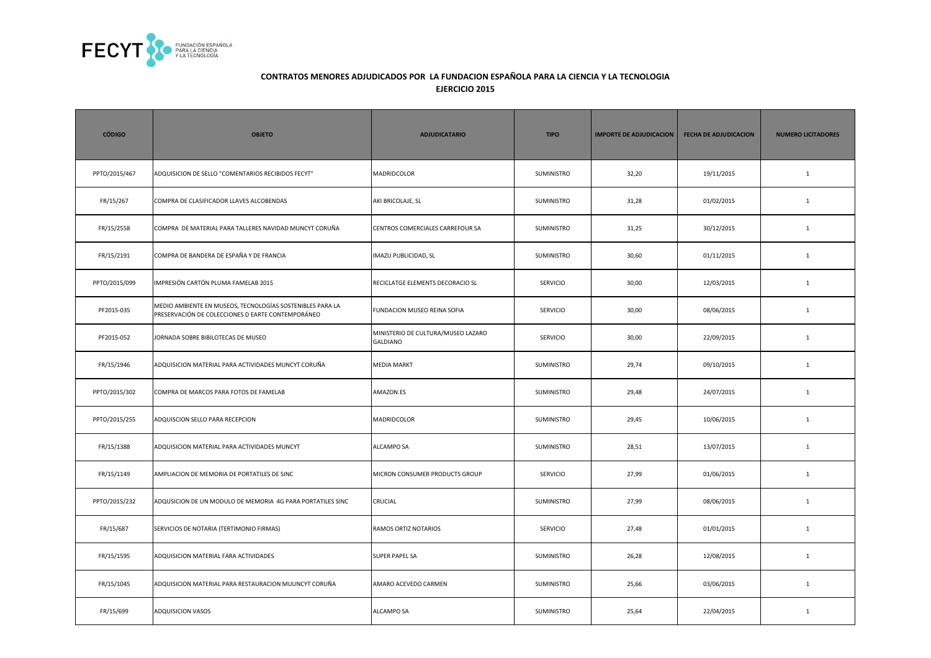

| <b>CÓDIGO</b> | <b>OBJETO</b>                                                                                                  | <b>ADJUDICATARIO</b>                                  | <b>TIPO</b>     | <b>IMPORTE DE ADJUDICACION</b> | <b>FECHA DE ADJUDICACION</b> | <b>NUMERO LICITADORES</b> |
|---------------|----------------------------------------------------------------------------------------------------------------|-------------------------------------------------------|-----------------|--------------------------------|------------------------------|---------------------------|
| PPTO/2015/467 | ADQUISICION DE SELLO "COMENTARIOS RECIBIDOS FECYT"                                                             | MADRIDCOLOR                                           | SUMINISTRO      | 32,20                          | 19/11/2015                   | $\mathbf{1}$              |
| FR/15/267     | COMPRA DE CLASIFICADOR LLAVES ALCOBENDAS                                                                       | AKI BRICOLAJE, SL                                     | SUMINISTRO      | 31,28                          | 01/02/2015                   | $\mathbf{1}$              |
| FR/15/2558    | COMPRA DE MATERIAL PARA TALLERES NAVIDAD MUNCYT CORUÑA                                                         | CENTROS COMERCIALES CARREFOUR SA                      | SUMINISTRO      | 31,25                          | 30/12/2015                   | $\mathbf{1}$              |
| FR/15/2191    | COMPRA DE BANDERA DE ESPAÑA Y DE FRANCIA                                                                       | IMAZU PUBLICIDAD, SL                                  | SUMINISTRO      | 30,60                          | 01/11/2015                   | $\mathbf{1}$              |
| PPTO/2015/099 | IMPRESIÓN CARTÓN PLUMA FAMELAB 2015                                                                            | RECICLATGE ELEMENTS DECORACIO SL                      | <b>SERVICIO</b> | 30,00                          | 12/03/2015                   | $\mathbf{1}$              |
| PF2015-035    | MEDIO AMBIENTE EN MUSEOS, TECNOLOGÍAS SOSTENIBLES PARA LA<br>PRESERVACIÓN DE COLECCIONES D EARTE CONTEMPORÁNEO | FUNDACION MUSEO REINA SOFIA                           | SERVICIO        | 30,00                          | 08/06/2015                   | $1\,$                     |
| PF2015-052    | JORNADA SOBRE BIBILOTECAS DE MUSEO                                                                             | MINISTERIO DE CULTURA/MUSEO LAZARO<br><b>GALDIANO</b> | SERVICIO        | 30,00                          | 22/09/2015                   | $\mathbf{1}$              |
| FR/15/1946    | ADQUISICION MATERIAL PARA ACTIVIDADES MUNCYT CORUÑA                                                            | <b>MEDIA MARKT</b>                                    | SUMINISTRO      | 29,74                          | 09/10/2015                   | $\mathbf{1}$              |
| PPTO/2015/302 | COMPRA DE MARCOS PARA FOTOS DE FAMELAB                                                                         | AMAZON.ES                                             | SUMINISTRO      | 29,48                          | 24/07/2015                   | $\mathbf{1}$              |
| PPTO/2015/255 | ADQUISCION SELLO PARA RECEPCION                                                                                | MADRIDCOLOR                                           | SUMINISTRO      | 29,45                          | 10/06/2015                   | $\mathbf{1}$              |
| FR/15/1388    | ADQUISICION MATERIAL PARA ACTIVIDADES MUNCYT                                                                   | ALCAMPO SA                                            | SUMINISTRO      | 28,51                          | 13/07/2015                   | $1\,$                     |
| FR/15/1149    | AMPLIACION DE MEMORIA DE PORTATILES DE SINC                                                                    | MICRON CONSUMER PRODUCTS GROUP                        | <b>SERVICIO</b> | 27,99                          | 01/06/2015                   | $\mathbf{1}$              |
| PPTO/2015/232 | ADQUSICION DE UN MODULO DE MEMORIA 4G PARA PORTATILES SINC                                                     | CRUCIAL                                               | SUMINISTRO      | 27,99                          | 08/06/2015                   | $\mathbf{1}$              |
| FR/15/687     | SERVICIOS DE NOTARIA (TERTIMONIO FIRMAS)                                                                       | RAMOS ORTIZ NOTARIOS                                  | <b>SERVICIO</b> | 27,48                          | 01/01/2015                   | $\mathbf{1}$              |
| FR/15/1595    | ADQUISICION MATERIAL FARA ACTIVIDADES                                                                          | SUPER PAPEL SA                                        | SUMINISTRO      | 26,28                          | 12/08/2015                   | $\mathbf{1}$              |
| FR/15/1045    | ADQUISICION MATERIAL PARA RESTAURACION MUUNCYT CORUÑA                                                          | AMARO ACEVEDO CARMEN                                  | SUMINISTRO      | 25,66                          | 03/06/2015                   | $\mathbf{1}$              |
| FR/15/699     | <b>ADQUISICION VASOS</b>                                                                                       | <b>ALCAMPO SA</b>                                     | SUMINISTRO      | 25,64                          | 22/04/2015                   | $\mathbf{1}$              |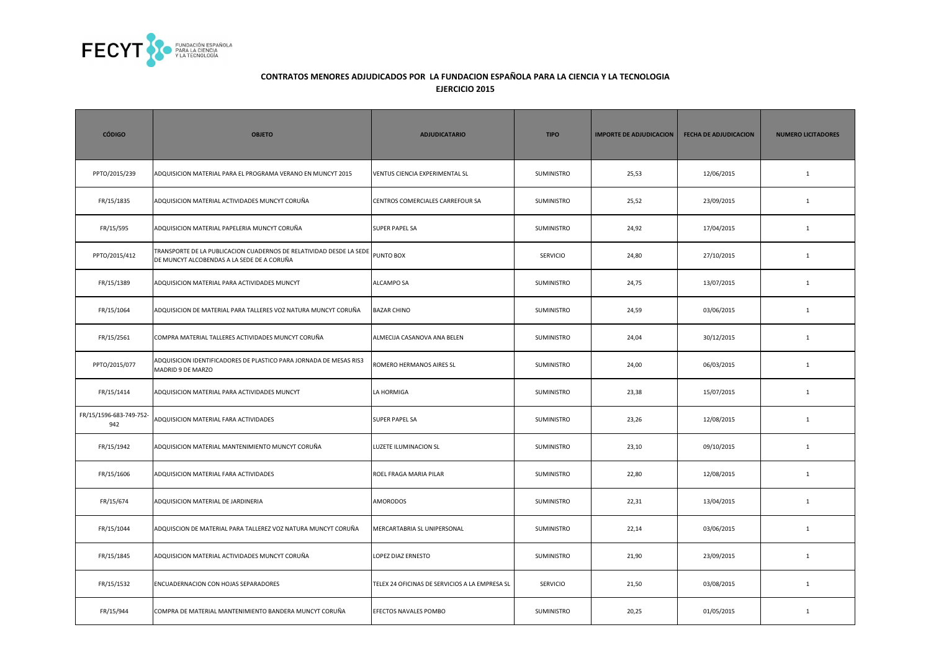

| <b>CÓDIGO</b>                  | <b>OBJETO</b>                                                                                                     | <b>ADJUDICATARIO</b>                           | <b>TIPO</b>       | <b>IMPORTE DE ADJUDICACION</b> | <b>FECHA DE ADJUDICACION</b> | <b>NUMERO LICITADORES</b> |
|--------------------------------|-------------------------------------------------------------------------------------------------------------------|------------------------------------------------|-------------------|--------------------------------|------------------------------|---------------------------|
| PPTO/2015/239                  | ADQUISICION MATERIAL PARA EL PROGRAMA VERANO EN MUNCYT 2015                                                       | VENTUS CIENCIA EXPERIMENTAL SL                 | SUMINISTRO        | 25,53                          | 12/06/2015                   | $\mathbf{1}$              |
| FR/15/1835                     | ADQUISICION MATERIAL ACTIVIDADES MUNCYT CORUÑA                                                                    | CENTROS COMERCIALES CARREFOUR SA               | SUMINISTRO        | 25,52                          | 23/09/2015                   | $\mathbf{1}$              |
| FR/15/595                      | ADQUISICION MATERIAL PAPELERIA MUNCYT CORUÑA                                                                      | SUPER PAPEL SA                                 | SUMINISTRO        | 24,92                          | 17/04/2015                   | $\mathbf{1}$              |
| PPTO/2015/412                  | TRANSPORTE DE LA PUBLICACION CUADERNOS DE RELATIVIDAD DESDE LA SEDE<br>DE MUNCYT ALCOBENDAS A LA SEDE DE A CORUÑA | PUNTO BOX                                      | SERVICIO          | 24,80                          | 27/10/2015                   | $\mathbf{1}$              |
| FR/15/1389                     | ADQUISICION MATERIAL PARA ACTIVIDADES MUNCYT                                                                      | ALCAMPO SA                                     | SUMINISTRO        | 24,75                          | 13/07/2015                   | $\mathbf{1}$              |
| FR/15/1064                     | ADQUISICION DE MATERIAL PARA TALLERES VOZ NATURA MUNCYT CORUÑA                                                    | <b>BAZAR CHINO</b>                             | SUMINISTRO        | 24,59                          | 03/06/2015                   | $\mathbf{1}$              |
| FR/15/2561                     | COMPRA MATERIAL TALLERES ACTIVIDADES MUNCYT CORUÑA                                                                | ALMECIJA CASANOVA ANA BELEN                    | SUMINISTRO        | 24,04                          | 30/12/2015                   | $\mathbf{1}$              |
| PPTO/2015/077                  | ADQUISICION IDENTIFICADORES DE PLASTICO PARA JORNADA DE MESAS RIS3<br>MADRID 9 DE MARZO                           | ROMERO HERMANOS AIRES SL                       | SUMINISTRO        | 24,00                          | 06/03/2015                   | $\mathbf{1}$              |
| FR/15/1414                     | ADQUISICION MATERIAL PARA ACTIVIDADES MUNCYT                                                                      | LA HORMIGA                                     | SUMINISTRO        | 23,38                          | 15/07/2015                   | $\mathbf{1}$              |
| FR/15/1596-683-749-752-<br>942 | ADQUISICION MATERIAL FARA ACTIVIDADES                                                                             | <b>SUPER PAPEL SA</b>                          | SUMINISTRO        | 23,26                          | 12/08/2015                   | $\mathbf{1}$              |
| FR/15/1942                     | ADQUISICION MATERIAL MANTENIMIENTO MUNCYT CORUÑA                                                                  | LUZETE ILUMINACION SL                          | SUMINISTRO        | 23,10                          | 09/10/2015                   | $\mathbf{1}$              |
| FR/15/1606                     | ADQUISICION MATERIAL FARA ACTIVIDADES                                                                             | ROEL FRAGA MARIA PILAR                         | SUMINISTRO        | 22,80                          | 12/08/2015                   | $\mathbf{1}$              |
| FR/15/674                      | ADQUISICION MATERIAL DE JARDINERIA                                                                                | AMORODOS                                       | SUMINISTRO        | 22,31                          | 13/04/2015                   | $\mathbf{1}$              |
| FR/15/1044                     | ADQUISCION DE MATERIAL PARA TALLEREZ VOZ NATURA MUNCYT CORUÑA                                                     | MERCARTABRIA SL UNIPERSONAL                    | <b>SUMINISTRO</b> | 22,14                          | 03/06/2015                   | $\mathbf{1}$              |
| FR/15/1845                     | ADQUISICION MATERIAL ACTIVIDADES MUNCYT CORUÑA                                                                    | LOPEZ DIAZ ERNESTO                             | SUMINISTRO        | 21,90                          | 23/09/2015                   | $\mathbf{1}$              |
| FR/15/1532                     | ENCUADERNACION CON HOJAS SEPARADORES                                                                              | TELEX 24 OFICINAS DE SERVICIOS A LA EMPRESA SL | <b>SERVICIO</b>   | 21,50                          | 03/08/2015                   | $\mathbf{1}$              |
| FR/15/944                      | COMPRA DE MATERIAL MANTENIMIENTO BANDERA MUNCYT CORUÑA                                                            | EFECTOS NAVALES POMBO                          | SUMINISTRO        | 20,25                          | 01/05/2015                   | $\mathbf{1}$              |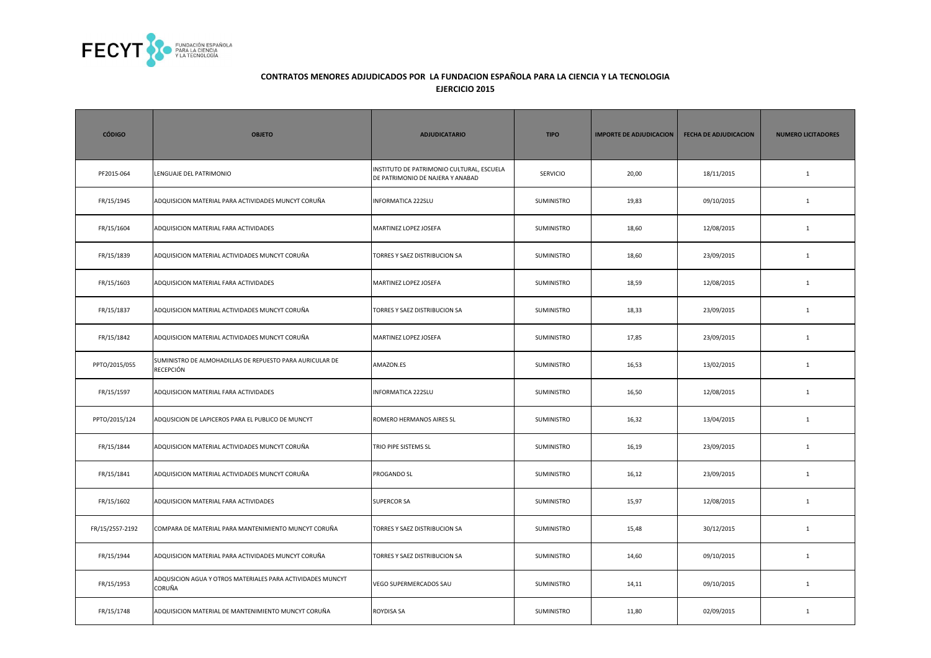

| <b>CÓDIGO</b>   | <b>OBJETO</b>                                                                | <b>ADJUDICATARIO</b>                                                          | <b>TIPO</b>       | <b>IMPORTE DE ADJUDICACION</b> | <b>FECHA DE ADJUDICACION</b> | <b>NUMERO LICITADORES</b> |
|-----------------|------------------------------------------------------------------------------|-------------------------------------------------------------------------------|-------------------|--------------------------------|------------------------------|---------------------------|
| PF2015-064      | LENGUAJE DEL PATRIMONIO                                                      | INSTITUTO DE PATRIMONIO CULTURAL, ESCUELA<br>DE PATRIMONIO DE NAJERA Y ANABAD | <b>SERVICIO</b>   | 20,00                          | 18/11/2015                   | $\mathbf{1}$              |
| FR/15/1945      | ADQUISICION MATERIAL PARA ACTIVIDADES MUNCYT CORUÑA                          | <b>INFORMATICA 222SLU</b>                                                     | SUMINISTRO        | 19,83                          | 09/10/2015                   | $\mathbf{1}$              |
| FR/15/1604      | ADQUISICION MATERIAL FARA ACTIVIDADES                                        | MARTINEZ LOPEZ JOSEFA                                                         | SUMINISTRO        | 18,60                          | 12/08/2015                   | $\mathbf{1}$              |
| FR/15/1839      | ADQUISICION MATERIAL ACTIVIDADES MUNCYT CORUÑA                               | TORRES Y SAEZ DISTRIBUCION SA                                                 | SUMINISTRO        | 18,60                          | 23/09/2015                   | $\mathbf{1}$              |
| FR/15/1603      | ADQUISICION MATERIAL FARA ACTIVIDADES                                        | MARTINEZ LOPEZ JOSEFA                                                         | SUMINISTRO        | 18,59                          | 12/08/2015                   | $\mathbf 1$               |
| FR/15/1837      | ADQUISICION MATERIAL ACTIVIDADES MUNCYT CORUÑA                               | TORRES Y SAEZ DISTRIBUCION SA                                                 | SUMINISTRO        | 18,33                          | 23/09/2015                   | $\mathbf{1}$              |
| FR/15/1842      | ADQUISICION MATERIAL ACTIVIDADES MUNCYT CORUÑA                               | MARTINEZ LOPEZ JOSEFA                                                         | SUMINISTRO        | 17,85                          | 23/09/2015                   | $\mathbf{1}$              |
| PPTO/2015/055   | SUMINISTRO DE ALMOHADILLAS DE REPUESTO PARA AURICULAR DE<br><b>RECEPCIÓN</b> | AMAZON.ES                                                                     | SUMINISTRO        | 16,53                          | 13/02/2015                   | $\mathbf{1}$              |
| FR/15/1597      | ADQUISICION MATERIAL FARA ACTIVIDADES                                        | <b>INFORMATICA 222SLU</b>                                                     | SUMINISTRO        | 16,50                          | 12/08/2015                   | $\mathbf{1}$              |
| PPTO/2015/124   | ADQUSICION DE LAPICEROS PARA EL PUBLICO DE MUNCYT                            | ROMERO HERMANOS AIRES SL                                                      | SUMINISTRO        | 16,32                          | 13/04/2015                   | $\mathbf{1}$              |
| FR/15/1844      | ADQUISICION MATERIAL ACTIVIDADES MUNCYT CORUÑA                               | TRIO PIPE SISTEMS SL                                                          | <b>SUMINISTRO</b> | 16,19                          | 23/09/2015                   | $\mathbf{1}$              |
| FR/15/1841      | ADQUISICION MATERIAL ACTIVIDADES MUNCYT CORUÑA                               | PROGANDO SL                                                                   | SUMINISTRO        | 16,12                          | 23/09/2015                   | $\mathbf{1}$              |
| FR/15/1602      | ADQUISICION MATERIAL FARA ACTIVIDADES                                        | <b>SUPERCOR SA</b>                                                            | <b>SUMINISTRO</b> | 15,97                          | 12/08/2015                   | $\mathbf{1}$              |
| FR/15/2557-2192 | COMPARA DE MATERIAL PARA MANTENIMIENTO MUNCYT CORUÑA                         | TORRES Y SAEZ DISTRIBUCION SA                                                 | <b>SUMINISTRO</b> | 15,48                          | 30/12/2015                   | 1                         |
| FR/15/1944      | ADQUISICION MATERIAL PARA ACTIVIDADES MUNCYT CORUÑA                          | TORRES Y SAEZ DISTRIBUCION SA                                                 | SUMINISTRO        | 14,60                          | 09/10/2015                   | $\mathbf{1}$              |
| FR/15/1953      | ADQUSICION AGUA Y OTROS MATERIALES PARA ACTIVIDADES MUNCYT<br>CORUÑA         | VEGO SUPERMERCADOS SAU                                                        | SUMINISTRO        | 14,11                          | 09/10/2015                   | $\mathbf{1}$              |
| FR/15/1748      | ADQUISICION MATERIAL DE MANTENIMIENTO MUNCYT CORUÑA                          | ROYDISA SA                                                                    | SUMINISTRO        | 11,80                          | 02/09/2015                   | $\mathbf{1}$              |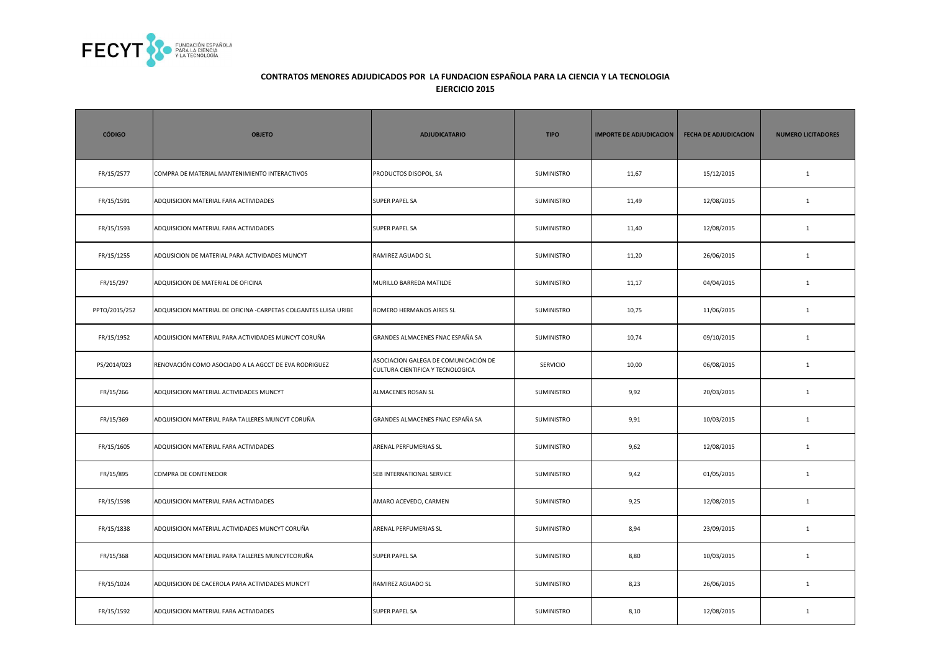

| <b>CÓDIGO</b> | <b>OBJETO</b>                                                   | <b>ADJUDICATARIO</b>                                                     | <b>TIPO</b>       | <b>IMPORTE DE ADJUDICACION</b> | <b>FECHA DE ADJUDICACION</b> | <b>NUMERO LICITADORES</b> |
|---------------|-----------------------------------------------------------------|--------------------------------------------------------------------------|-------------------|--------------------------------|------------------------------|---------------------------|
| FR/15/2577    | COMPRA DE MATERIAL MANTENIMIENTO INTERACTIVOS                   | PRODUCTOS DISOPOL, SA                                                    | SUMINISTRO        | 11,67                          | 15/12/2015                   | $\mathbf{1}$              |
| FR/15/1591    | ADQUISICION MATERIAL FARA ACTIVIDADES                           | <b>SUPER PAPEL SA</b>                                                    | SUMINISTRO        | 11,49                          | 12/08/2015                   | $\mathbf{1}$              |
| FR/15/1593    | ADQUISICION MATERIAL FARA ACTIVIDADES                           | <b>SUPER PAPEL SA</b>                                                    | SUMINISTRO        | 11,40                          | 12/08/2015                   | $\mathbf{1}$              |
| FR/15/1255    | ADQUSICION DE MATERIAL PARA ACTIVIDADES MUNCYT                  | RAMIREZ AGUADO SL                                                        | SUMINISTRO        | 11,20                          | 26/06/2015                   | $\mathbf{1}$              |
| FR/15/297     | ADQUISICION DE MATERIAL DE OFICINA                              | MURILLO BARREDA MATILDE                                                  | SUMINISTRO        | 11,17                          | 04/04/2015                   | $\mathbf{1}$              |
| PPTO/2015/252 | ADQUISICION MATERIAL DE OFICINA -CARPETAS COLGANTES LUISA URIBE | ROMERO HERMANOS AIRES SL                                                 | SUMINISTRO        | 10,75                          | 11/06/2015                   | $\mathbf{1}$              |
| FR/15/1952    | ADQUISICION MATERIAL PARA ACTIVIDADES MUNCYT CORUÑA             | GRANDES ALMACENES FNAC ESPAÑA SA                                         | SUMINISTRO        | 10,74                          | 09/10/2015                   | $\mathbf{1}$              |
| PS/2014/023   | RENOVACIÓN COMO ASOCIADO A LA AGCCT DE EVA RODRIGUEZ            | ASOCIACION GALEGA DE COMUNICACIÓN DE<br>CULTURA CIENTIFICA Y TECNOLOGICA | <b>SERVICIO</b>   | 10,00                          | 06/08/2015                   | $\mathbf{1}$              |
| FR/15/266     | ADQUISICION MATERIAL ACTIVIDADES MUNCYT                         | ALMACENES ROSAN SL                                                       | SUMINISTRO        | 9,92                           | 20/03/2015                   | $\mathbf{1}$              |
| FR/15/369     | ADQUISICION MATERIAL PARA TALLERES MUNCYT CORUÑA                | GRANDES ALMACENES FNAC ESPAÑA SA                                         | SUMINISTRO        | 9,91                           | 10/03/2015                   | $\mathbf{1}$              |
| FR/15/1605    | ADQUISICION MATERIAL FARA ACTIVIDADES                           | ARENAL PERFUMERIAS SL                                                    | SUMINISTRO        | 9,62                           | 12/08/2015                   | $\mathbf{1}$              |
| FR/15/895     | COMPRA DE CONTENEDOR                                            | SEB INTERNATIONAL SERVICE                                                | SUMINISTRO        | 9,42                           | 01/05/2015                   | $\mathbf{1}$              |
| FR/15/1598    | ADQUISICION MATERIAL FARA ACTIVIDADES                           | AMARO ACEVEDO, CARMEN                                                    | SUMINISTRO        | 9,25                           | 12/08/2015                   | $\mathbf{1}$              |
| FR/15/1838    | ADQUISICION MATERIAL ACTIVIDADES MUNCYT CORUÑA                  | ARENAL PERFUMERIAS SL                                                    | <b>SUMINISTRO</b> | 8,94                           | 23/09/2015                   | $\mathbf{1}$              |
| FR/15/368     | ADQUISICION MATERIAL PARA TALLERES MUNCYTCORUÑA                 | <b>SUPER PAPEL SA</b>                                                    | SUMINISTRO        | 8,80                           | 10/03/2015                   | $\mathbf{1}$              |
| FR/15/1024    | ADQUISICION DE CACEROLA PARA ACTIVIDADES MUNCYT                 | RAMIREZ AGUADO SL                                                        | SUMINISTRO        | 8,23                           | 26/06/2015                   | $\mathbf{1}$              |
| FR/15/1592    | ADQUISICION MATERIAL FARA ACTIVIDADES                           | <b>SUPER PAPEL SA</b>                                                    | SUMINISTRO        | 8,10                           | 12/08/2015                   | $\mathbf{1}$              |